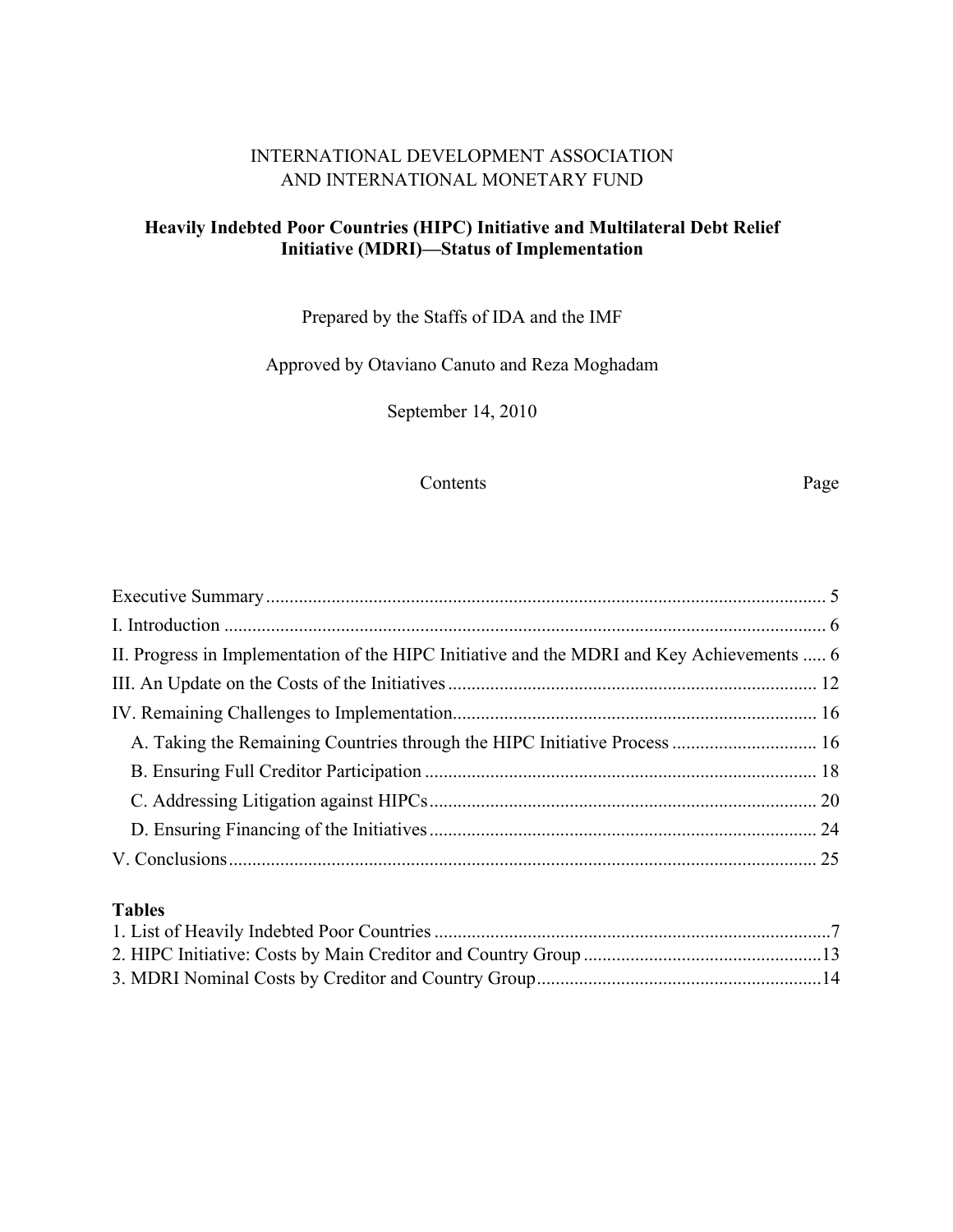## INTERNATIONAL DEVELOPMENT ASSOCIATION AND INTERNATIONAL MONETARY FUND

## **Heavily Indebted Poor Countries (HIPC) Initiative and Multilateral Debt Relief Initiative (MDRI)—Status of Implementation**

Prepared by the Staffs of IDA and the IMF

Approved by Otaviano Canuto and Reza Moghadam

September 14, 2010

### Contents Page

| II. Progress in Implementation of the HIPC Initiative and the MDRI and Key Achievements  6 |  |
|--------------------------------------------------------------------------------------------|--|
|                                                                                            |  |
|                                                                                            |  |
|                                                                                            |  |
|                                                                                            |  |
|                                                                                            |  |
|                                                                                            |  |
|                                                                                            |  |
|                                                                                            |  |

## **Tables**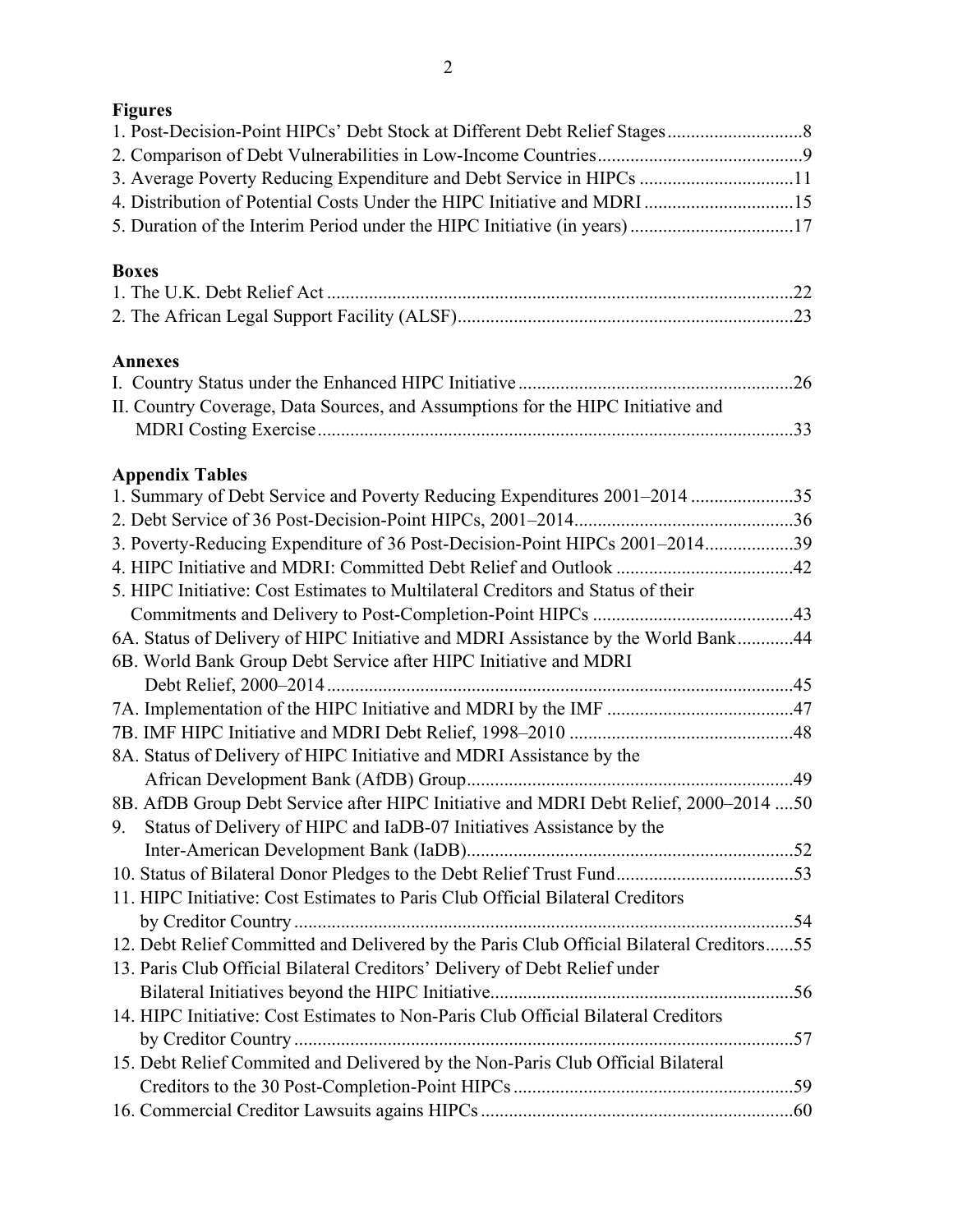| 1911 1 |
|--------|
|--------|

| rigures                                                                                  |  |
|------------------------------------------------------------------------------------------|--|
| 3. Average Poverty Reducing Expenditure and Debt Service in HIPCs 11                     |  |
| 4. Distribution of Potential Costs Under the HIPC Initiative and MDRI 15                 |  |
| 5. Duration of the Interim Period under the HIPC Initiative (in years)17                 |  |
| <b>Boxes</b>                                                                             |  |
|                                                                                          |  |
|                                                                                          |  |
| <b>Annexes</b>                                                                           |  |
|                                                                                          |  |
| II. Country Coverage, Data Sources, and Assumptions for the HIPC Initiative and          |  |
|                                                                                          |  |
| <b>Appendix Tables</b>                                                                   |  |
| 1. Summary of Debt Service and Poverty Reducing Expenditures 2001–2014 35                |  |
|                                                                                          |  |
| 3. Poverty-Reducing Expenditure of 36 Post-Decision-Point HIPCs 2001-201439              |  |
|                                                                                          |  |
| 5. HIPC Initiative: Cost Estimates to Multilateral Creditors and Status of their         |  |
|                                                                                          |  |
| 6A. Status of Delivery of HIPC Initiative and MDRI Assistance by the World Bank44        |  |
| 6B. World Bank Group Debt Service after HIPC Initiative and MDRI                         |  |
|                                                                                          |  |
|                                                                                          |  |
|                                                                                          |  |
| 8A. Status of Delivery of HIPC Initiative and MDRI Assistance by the                     |  |
|                                                                                          |  |
| 8B. AfDB Group Debt Service after HIPC Initiative and MDRI Debt Relief, 2000-2014 50     |  |
| 9. Status of Delivery of HIPC and IaDB-07 Initiatives Assistance by the                  |  |
|                                                                                          |  |
|                                                                                          |  |
| 11. HIPC Initiative: Cost Estimates to Paris Club Official Bilateral Creditors           |  |
|                                                                                          |  |
| 12. Debt Relief Committed and Delivered by the Paris Club Official Bilateral Creditors55 |  |
| 13. Paris Club Official Bilateral Creditors' Delivery of Debt Relief under               |  |
|                                                                                          |  |
| 14. HIPC Initiative: Cost Estimates to Non-Paris Club Official Bilateral Creditors       |  |
|                                                                                          |  |
| 15. Debt Relief Commited and Delivered by the Non-Paris Club Official Bilateral          |  |
|                                                                                          |  |
|                                                                                          |  |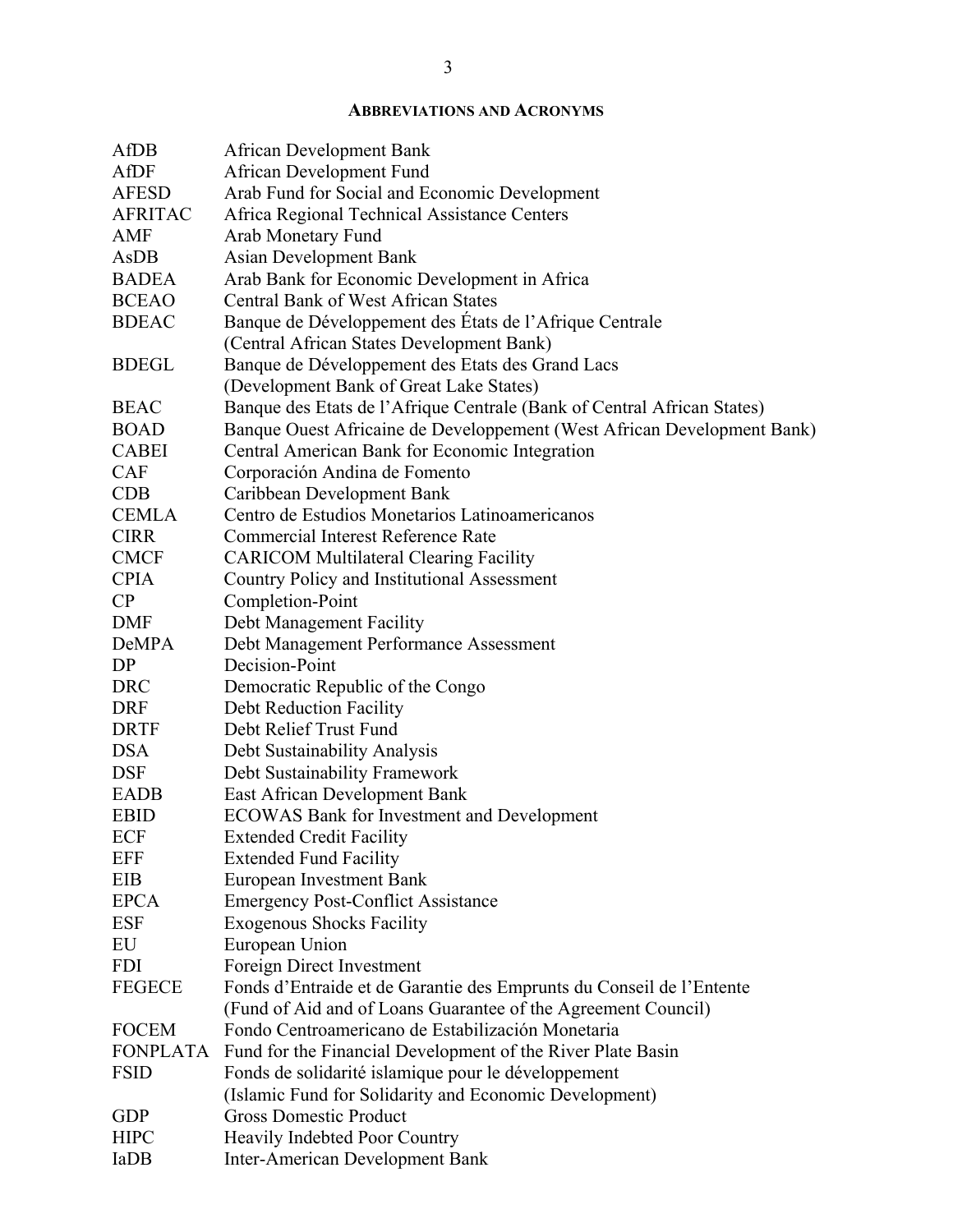### **ABBREVIATIONS AND ACRONYMS**

| AfDB            | <b>African Development Bank</b>                                         |
|-----------------|-------------------------------------------------------------------------|
| <b>AfDF</b>     | African Development Fund                                                |
| <b>AFESD</b>    | Arab Fund for Social and Economic Development                           |
| <b>AFRITAC</b>  | Africa Regional Technical Assistance Centers                            |
| <b>AMF</b>      | Arab Monetary Fund                                                      |
| AsDB            | <b>Asian Development Bank</b>                                           |
| <b>BADEA</b>    | Arab Bank for Economic Development in Africa                            |
| <b>BCEAO</b>    | <b>Central Bank of West African States</b>                              |
| <b>BDEAC</b>    | Banque de Développement des États de l'Afrique Centrale                 |
|                 | (Central African States Development Bank)                               |
| <b>BDEGL</b>    | Banque de Développement des Etats des Grand Lacs                        |
|                 | (Development Bank of Great Lake States)                                 |
| <b>BEAC</b>     | Banque des Etats de l'Afrique Centrale (Bank of Central African States) |
| <b>BOAD</b>     | Banque Ouest Africaine de Developpement (West African Development Bank) |
| <b>CABEI</b>    | Central American Bank for Economic Integration                          |
| <b>CAF</b>      | Corporación Andina de Fomento                                           |
| <b>CDB</b>      | Caribbean Development Bank                                              |
| <b>CEMLA</b>    | Centro de Estudios Monetarios Latinoamericanos                          |
| <b>CIRR</b>     | <b>Commercial Interest Reference Rate</b>                               |
| <b>CMCF</b>     | <b>CARICOM Multilateral Clearing Facility</b>                           |
| <b>CPIA</b>     | Country Policy and Institutional Assessment                             |
| CP              | Completion-Point                                                        |
| <b>DMF</b>      | Debt Management Facility                                                |
| DeMPA           | Debt Management Performance Assessment                                  |
| DP              | Decision-Point                                                          |
| <b>DRC</b>      | Democratic Republic of the Congo                                        |
| <b>DRF</b>      | Debt Reduction Facility                                                 |
| <b>DRTF</b>     | Debt Relief Trust Fund                                                  |
| <b>DSA</b>      | Debt Sustainability Analysis                                            |
| <b>DSF</b>      | Debt Sustainability Framework                                           |
| <b>EADB</b>     | East African Development Bank                                           |
| <b>EBID</b>     | <b>ECOWAS Bank for Investment and Development</b>                       |
| ECF             | <b>Extended Credit Facility</b>                                         |
| <b>EFF</b>      | <b>Extended Fund Facility</b>                                           |
| EIB             | <b>European Investment Bank</b>                                         |
| <b>EPCA</b>     | <b>Emergency Post-Conflict Assistance</b>                               |
| <b>ESF</b>      | <b>Exogenous Shocks Facility</b>                                        |
| EU              | European Union                                                          |
| <b>FDI</b>      | Foreign Direct Investment                                               |
| <b>FEGECE</b>   | Fonds d'Entraide et de Garantie des Emprunts du Conseil de l'Entente    |
|                 | (Fund of Aid and of Loans Guarantee of the Agreement Council)           |
| <b>FOCEM</b>    | Fondo Centroamericano de Estabilización Monetaria                       |
| <b>FONPLATA</b> | Fund for the Financial Development of the River Plate Basin             |
| <b>FSID</b>     | Fonds de solidarité islamique pour le développement                     |
|                 | (Islamic Fund for Solidarity and Economic Development)                  |
| <b>GDP</b>      | <b>Gross Domestic Product</b>                                           |
| <b>HIPC</b>     | Heavily Indebted Poor Country                                           |
| IaDB            | <b>Inter-American Development Bank</b>                                  |
|                 |                                                                         |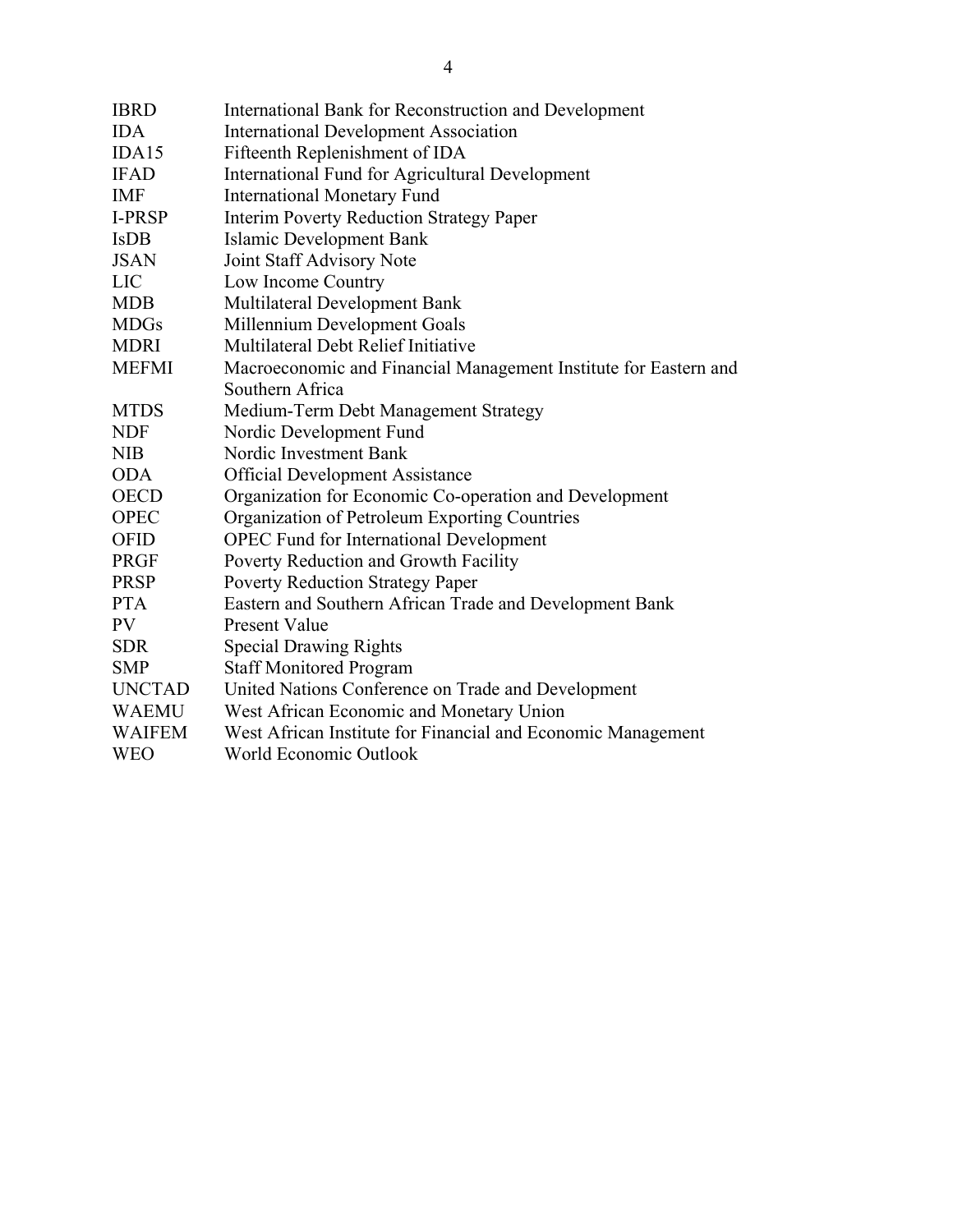| <b>IBRD</b>   | International Bank for Reconstruction and Development            |
|---------------|------------------------------------------------------------------|
| <b>IDA</b>    | <b>International Development Association</b>                     |
| IDA15         | Fifteenth Replenishment of IDA                                   |
| <b>IFAD</b>   | International Fund for Agricultural Development                  |
| <b>IMF</b>    | <b>International Monetary Fund</b>                               |
| <b>I-PRSP</b> | <b>Interim Poverty Reduction Strategy Paper</b>                  |
| <b>IsDB</b>   | <b>Islamic Development Bank</b>                                  |
| <b>JSAN</b>   | Joint Staff Advisory Note                                        |
| LIC           | Low Income Country                                               |
| <b>MDB</b>    | Multilateral Development Bank                                    |
| <b>MDGs</b>   | Millennium Development Goals                                     |
| <b>MDRI</b>   | Multilateral Debt Relief Initiative                              |
| <b>MEFMI</b>  | Macroeconomic and Financial Management Institute for Eastern and |
|               | Southern Africa                                                  |
| <b>MTDS</b>   | Medium-Term Debt Management Strategy                             |
| <b>NDF</b>    | Nordic Development Fund                                          |
| <b>NIB</b>    | Nordic Investment Bank                                           |
| <b>ODA</b>    | <b>Official Development Assistance</b>                           |
| <b>OECD</b>   | Organization for Economic Co-operation and Development           |
| <b>OPEC</b>   | Organization of Petroleum Exporting Countries                    |
| <b>OFID</b>   | <b>OPEC Fund for International Development</b>                   |
| <b>PRGF</b>   | Poverty Reduction and Growth Facility                            |
| <b>PRSP</b>   | Poverty Reduction Strategy Paper                                 |
| <b>PTA</b>    | Eastern and Southern African Trade and Development Bank          |
| PV            | <b>Present Value</b>                                             |
| <b>SDR</b>    | <b>Special Drawing Rights</b>                                    |
| <b>SMP</b>    | <b>Staff Monitored Program</b>                                   |
| <b>UNCTAD</b> | United Nations Conference on Trade and Development               |
| <b>WAEMU</b>  | West African Economic and Monetary Union                         |
| <b>WAIFEM</b> | West African Institute for Financial and Economic Management     |
| <b>WEO</b>    | World Economic Outlook                                           |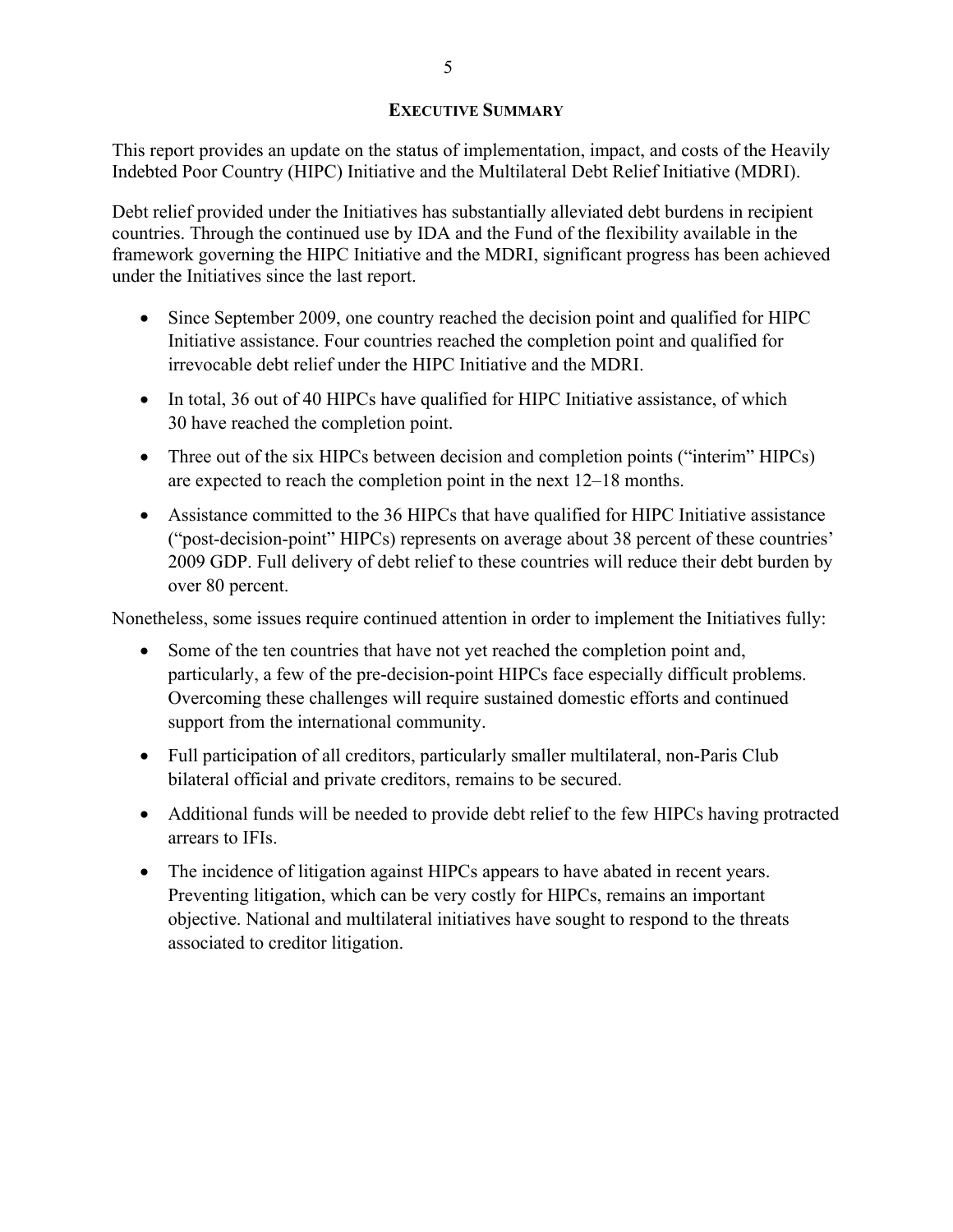### **EXECUTIVE SUMMARY**

This report provides an update on the status of implementation, impact, and costs of the Heavily Indebted Poor Country (HIPC) Initiative and the Multilateral Debt Relief Initiative (MDRI).

Debt relief provided under the Initiatives has substantially alleviated debt burdens in recipient countries. Through the continued use by IDA and the Fund of the flexibility available in the framework governing the HIPC Initiative and the MDRI, significant progress has been achieved under the Initiatives since the last report.

- Since September 2009, one country reached the decision point and qualified for HIPC Initiative assistance. Four countries reached the completion point and qualified for irrevocable debt relief under the HIPC Initiative and the MDRI.
- In total, 36 out of 40 HIPCs have qualified for HIPC Initiative assistance, of which 30 have reached the completion point.
- Three out of the six HIPCs between decision and completion points ("interim" HIPCs) are expected to reach the completion point in the next 12–18 months.
- Assistance committed to the 36 HIPCs that have qualified for HIPC Initiative assistance ("post-decision-point" HIPCs) represents on average about 38 percent of these countries' 2009 GDP. Full delivery of debt relief to these countries will reduce their debt burden by over 80 percent.

Nonetheless, some issues require continued attention in order to implement the Initiatives fully:

- Some of the ten countries that have not yet reached the completion point and, particularly, a few of the pre-decision-point HIPCs face especially difficult problems. Overcoming these challenges will require sustained domestic efforts and continued support from the international community.
- Full participation of all creditors, particularly smaller multilateral, non-Paris Club bilateral official and private creditors, remains to be secured.
- Additional funds will be needed to provide debt relief to the few HIPCs having protracted arrears to IFIs.
- The incidence of litigation against HIPCs appears to have abated in recent years. Preventing litigation, which can be very costly for HIPCs, remains an important objective. National and multilateral initiatives have sought to respond to the threats associated to creditor litigation.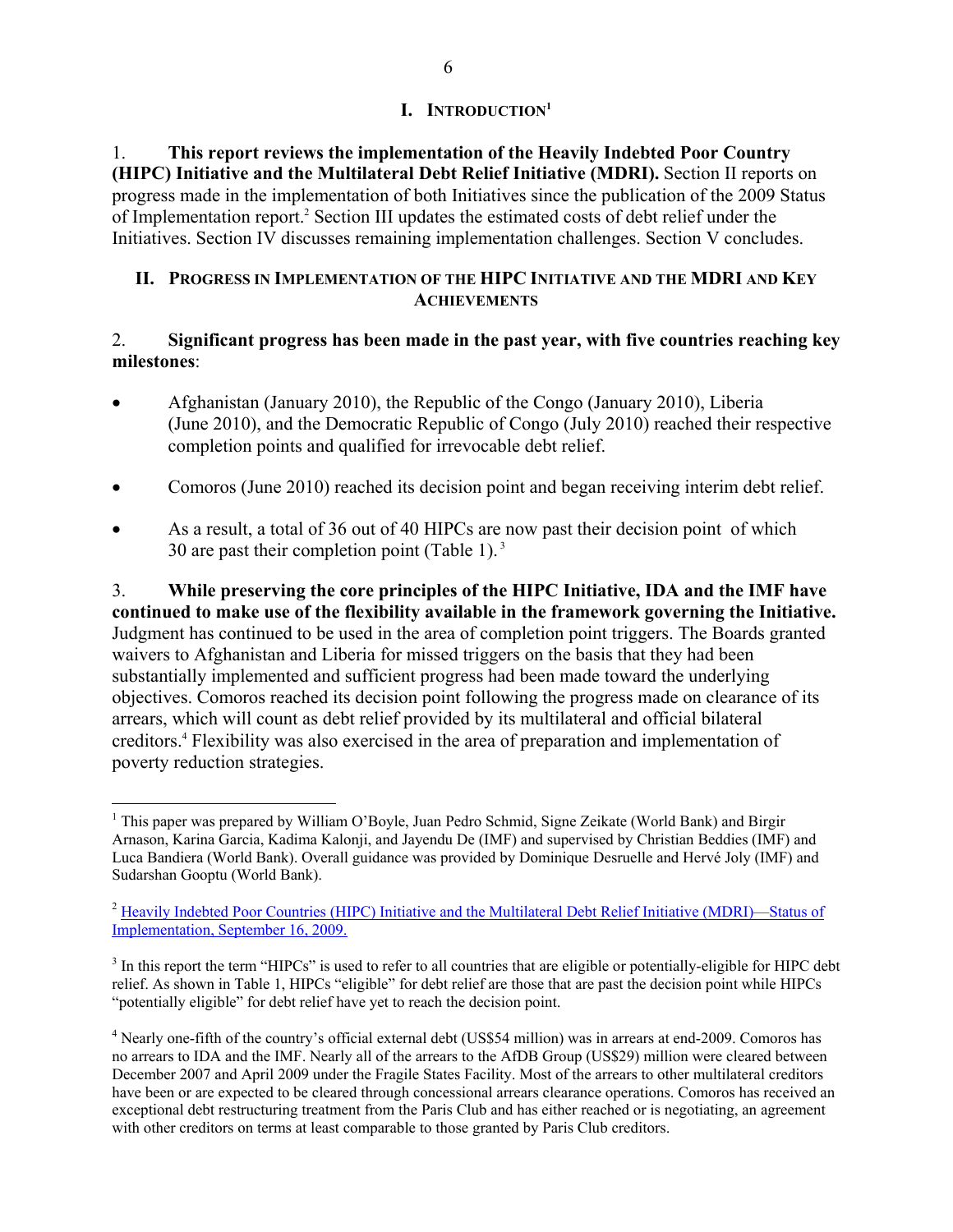## **I. INTRODUCTION1**

1. **This report reviews the implementation of the Heavily Indebted Poor Country (HIPC) Initiative and the Multilateral Debt Relief Initiative (MDRI).** Section II reports on progress made in the implementation of both Initiatives since the publication of the 2009 Status of Implementation report.<sup>2</sup> Section III updates the estimated costs of debt relief under the Initiatives. Section IV discusses remaining implementation challenges. Section V concludes.

### **II. PROGRESS IN IMPLEMENTATION OF THE HIPC INITIATIVE AND THE MDRI AND KEY ACHIEVEMENTS**

### 2. **Significant progress has been made in the past year, with five countries reaching key milestones**:

- Afghanistan (January 2010), the Republic of the Congo (January 2010), Liberia (June 2010), and the Democratic Republic of Congo (July 2010) reached their respective completion points and qualified for irrevocable debt relief.
- Comoros (June 2010) reached its decision point and began receiving interim debt relief.
- As a result, a total of 36 out of 40 HIPCs are now past their decision point of which 30 are past their completion point (Table 1).<sup>3</sup>

3. **While preserving the core principles of the HIPC Initiative, IDA and the IMF have continued to make use of the flexibility available in the framework governing the Initiative.** Judgment has continued to be used in the area of completion point triggers. The Boards granted waivers to Afghanistan and Liberia for missed triggers on the basis that they had been substantially implemented and sufficient progress had been made toward the underlying objectives. Comoros reached its decision point following the progress made on clearance of its arrears, which will count as debt relief provided by its multilateral and official bilateral creditors.4 Flexibility was also exercised in the area of preparation and implementation of poverty reduction strategies.

<sup>&</sup>lt;sup>1</sup> This paper was prepared by William O'Boyle, Juan Pedro Schmid, Signe Zeikate (World Bank) and Birgir Arnason, Karina Garcia, Kadima Kalonji, and Jayendu De (IMF) and supervised by Christian Beddies (IMF) and Luca Bandiera (World Bank). Overall guidance was provided by Dominique Desruelle and Hervé Joly (IMF) and Sudarshan Gooptu (World Bank).

<sup>&</sup>lt;sup>2</sup> Heavily Indebted Poor Countries (HIPC) Initiative and the Multilateral Debt Relief Initiative (MDRI)—Status of Implementation, September 16, 2009.

 $3$  In this report the term "HIPCs" is used to refer to all countries that are eligible or potentially-eligible for HIPC debt relief. As shown in Table 1, HIPCs "eligible" for debt relief are those that are past the decision point while HIPCs "potentially eligible" for debt relief have yet to reach the decision point.

<sup>&</sup>lt;sup>4</sup> Nearly one-fifth of the country's official external debt (US\$54 million) was in arrears at end-2009. Comoros has no arrears to IDA and the IMF. Nearly all of the arrears to the AfDB Group (US\$29) million were cleared between December 2007 and April 2009 under the Fragile States Facility. Most of the arrears to other multilateral creditors have been or are expected to be cleared through concessional arrears clearance operations. Comoros has received an exceptional debt restructuring treatment from the Paris Club and has either reached or is negotiating, an agreement with other creditors on terms at least comparable to those granted by Paris Club creditors.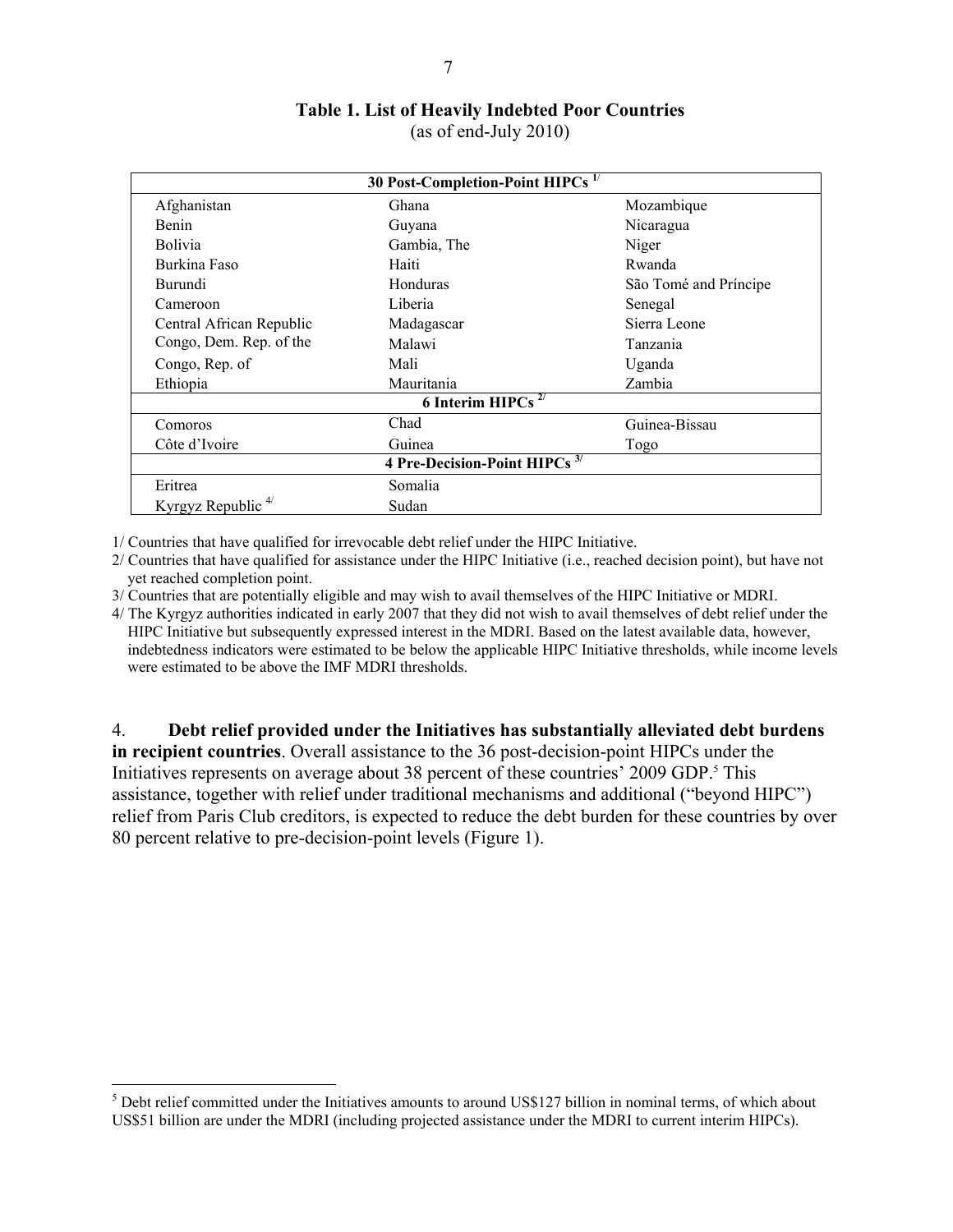# **Table 1. List of Heavily Indebted Poor Countries**

(as of end-July 2010)

|                               | 30 Post-Completion-Point HIPCs <sup>1/</sup> |                       |
|-------------------------------|----------------------------------------------|-----------------------|
| Afghanistan                   | Ghana                                        | Mozambique            |
| <b>Benin</b>                  | Guyana                                       | Nicaragua             |
| <b>Bolivia</b>                | Gambia, The                                  | Niger                 |
| Burkina Faso                  | Haiti                                        | Rwanda                |
| Burundi                       | Honduras                                     | São Tomé and Príncipe |
| Cameroon                      | Liberia                                      | Senegal               |
| Central African Republic      | Madagascar                                   | Sierra Leone          |
| Congo, Dem. Rep. of the       | Malawi                                       | Tanzania              |
| Congo, Rep. of                | Mali                                         | Uganda                |
| Ethiopia                      | Mauritania                                   | Zambia                |
|                               | 6 Interim HIPCs $^{2/}$                      |                       |
| Comoros                       | Chad                                         | Guinea-Bissau         |
| Côte d'Ivoire                 | Guinea                                       | Togo                  |
|                               | 4 Pre-Decision-Point HIPCs <sup>3/</sup>     |                       |
| Eritrea                       | Somalia                                      |                       |
| Kyrgyz Republic <sup>4/</sup> | Sudan                                        |                       |

1/ Countries that have qualified for irrevocable debt relief under the HIPC Initiative.

2/ Countries that have qualified for assistance under the HIPC Initiative (i.e., reached decision point), but have not yet reached completion point.

3/ Countries that are potentially eligible and may wish to avail themselves of the HIPC Initiative or MDRI.

4/ The Kyrgyz authorities indicated in early 2007 that they did not wish to avail themselves of debt relief under the HIPC Initiative but subsequently expressed interest in the MDRI. Based on the latest available data, however, indebtedness indicators were estimated to be below the applicable HIPC Initiative thresholds, while income levels were estimated to be above the IMF MDRI thresholds.

4. **Debt relief provided under the Initiatives has substantially alleviated debt burdens** 

**in recipient countries**. Overall assistance to the 36 post-decision-point HIPCs under the Initiatives represents on average about 38 percent of these countries' 2009 GDP.<sup>5</sup> This assistance, together with relief under traditional mechanisms and additional ("beyond HIPC") relief from Paris Club creditors, is expected to reduce the debt burden for these countries by over 80 percent relative to pre-decision-point levels (Figure 1).

 $<sup>5</sup>$  Debt relief committed under the Initiatives amounts to around US\$127 billion in nominal terms, of which about</sup> US\$51 billion are under the MDRI (including projected assistance under the MDRI to current interim HIPCs).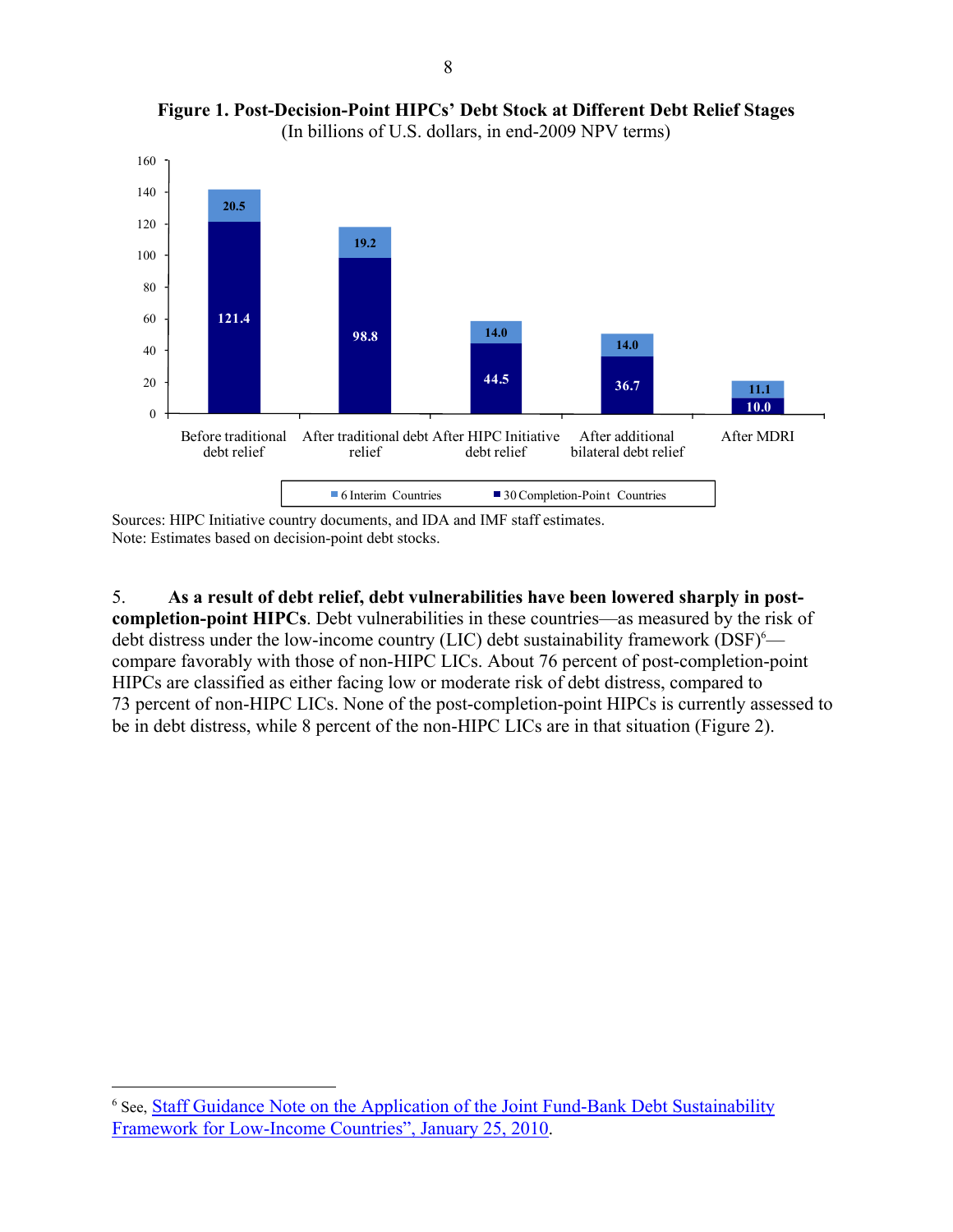

**Figure 1. Post-Decision-Point HIPCs' Debt Stock at Different Debt Relief Stages**  (In billions of U.S. dollars, in end-2009 NPV terms)

Sources: HIPC Initiative country documents, and IDA and IMF staff estimates. Note: Estimates based on decision-point debt stocks.

5. **As a result of debt relief, debt vulnerabilities have been lowered sharply in postcompletion-point HIPCs**. Debt vulnerabilities in these countries—as measured by the risk of debt distress under the low-income country (LIC) debt sustainability framework  $(DSF)^6$  compare favorably with those of non-HIPC LICs. About 76 percent of post-completion-point HIPCs are classified as either facing low or moderate risk of debt distress, compared to 73 percent of non-HIPC LICs. None of the post-completion-point HIPCs is currently assessed to be in debt distress, while 8 percent of the non-HIPC LICs are in that situation (Figure 2).

<sup>&</sup>lt;sup>6</sup> See, **Staff Guidance Note on the Application of the Joint Fund-Bank Debt Sustainability** Framework for Low-Income Countries", January 25, 2010.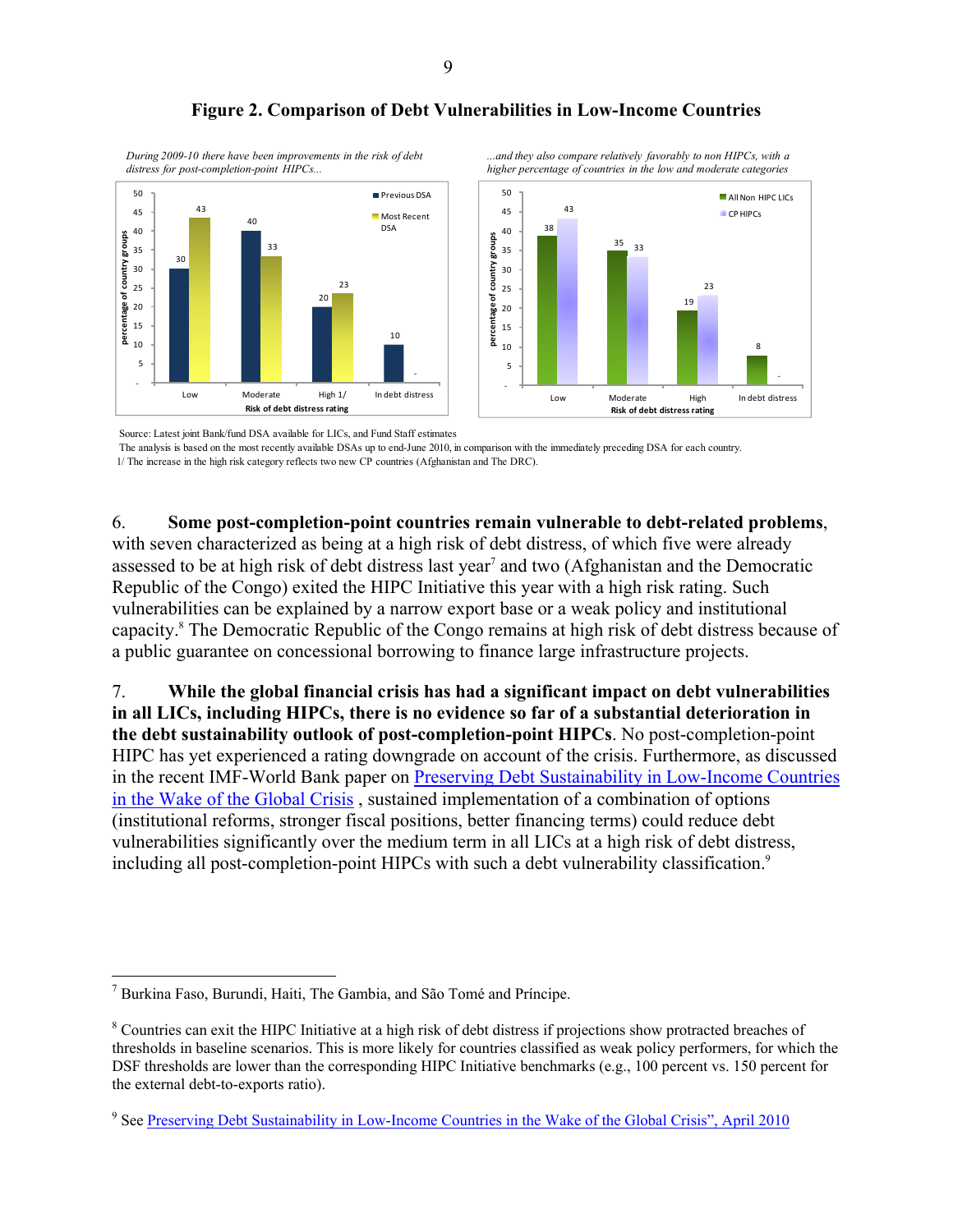



*...and they also compare relatively favorably to non HIPCs, with a* 

*During 2009-10 there have been improvements in the risk of debt distress for post-completion-point HIPCs...*

Source: Latest joint Bank/fund DSA available for LICs, and Fund Staff estimates

 The analysis is based on the most recently available DSAs up to end-June 2010, in comparison with the immediately preceding DSA for each country. 1/ The increase in the high risk category reflects two new CP countries (Afghanistan and The DRC).

6. **Some post-completion-point countries remain vulnerable to debt-related problems**, with seven characterized as being at a high risk of debt distress, of which five were already assessed to be at high risk of debt distress last year<sup>7</sup> and two (Afghanistan and the Democratic Republic of the Congo) exited the HIPC Initiative this year with a high risk rating. Such vulnerabilities can be explained by a narrow export base or a weak policy and institutional capacity.<sup>8</sup> The Democratic Republic of the Congo remains at high risk of debt distress because of a public guarantee on concessional borrowing to finance large infrastructure projects.

7. **While the global financial crisis has had a significant impact on debt vulnerabilities in all LICs, including HIPCs, there is no evidence so far of a substantial deterioration in the debt sustainability outlook of post-completion-point HIPCs**. No post-completion-point HIPC has yet experienced a rating downgrade on account of the crisis. Furthermore, as discussed in the recent IMF-World Bank paper on [Preserving Debt Sustainability in Low-Income Countries](http://www.imf.org/external/np/pp/eng/2010/040110.pdf)  [in the Wake of the Global Crisis](http://www.imf.org/external/np/pp/eng/2010/040110.pdf) , sustained implementation of a combination of options (institutional reforms, stronger fiscal positions, better financing terms) could reduce debt vulnerabilities significantly over the medium term in all LICs at a high risk of debt distress, including all post-completion-point HIPCs with such a debt vulnerability classification.<sup>9</sup>

<sup>1</sup> 7 Burkina Faso, Burundi, Haiti, The Gambia, and São Tomé and Príncipe.

<sup>&</sup>lt;sup>8</sup> Countries can exit the HIPC Initiative at a high risk of debt distress if projections show protracted breaches of thresholds in baseline scenarios. This is more likely for countries classified as weak policy performers, for which the DSF thresholds are lower than the corresponding HIPC Initiative benchmarks (e.g., 100 percent vs. 150 percent for the external debt-to-exports ratio).

<sup>&</sup>lt;sup>9</sup> See [Preserving Debt Sustainability in Low-Income Countries in the Wake of the Global Crisis", April 2010](http://www.imf.org/external/np/pp/eng/2010/040110.pdf)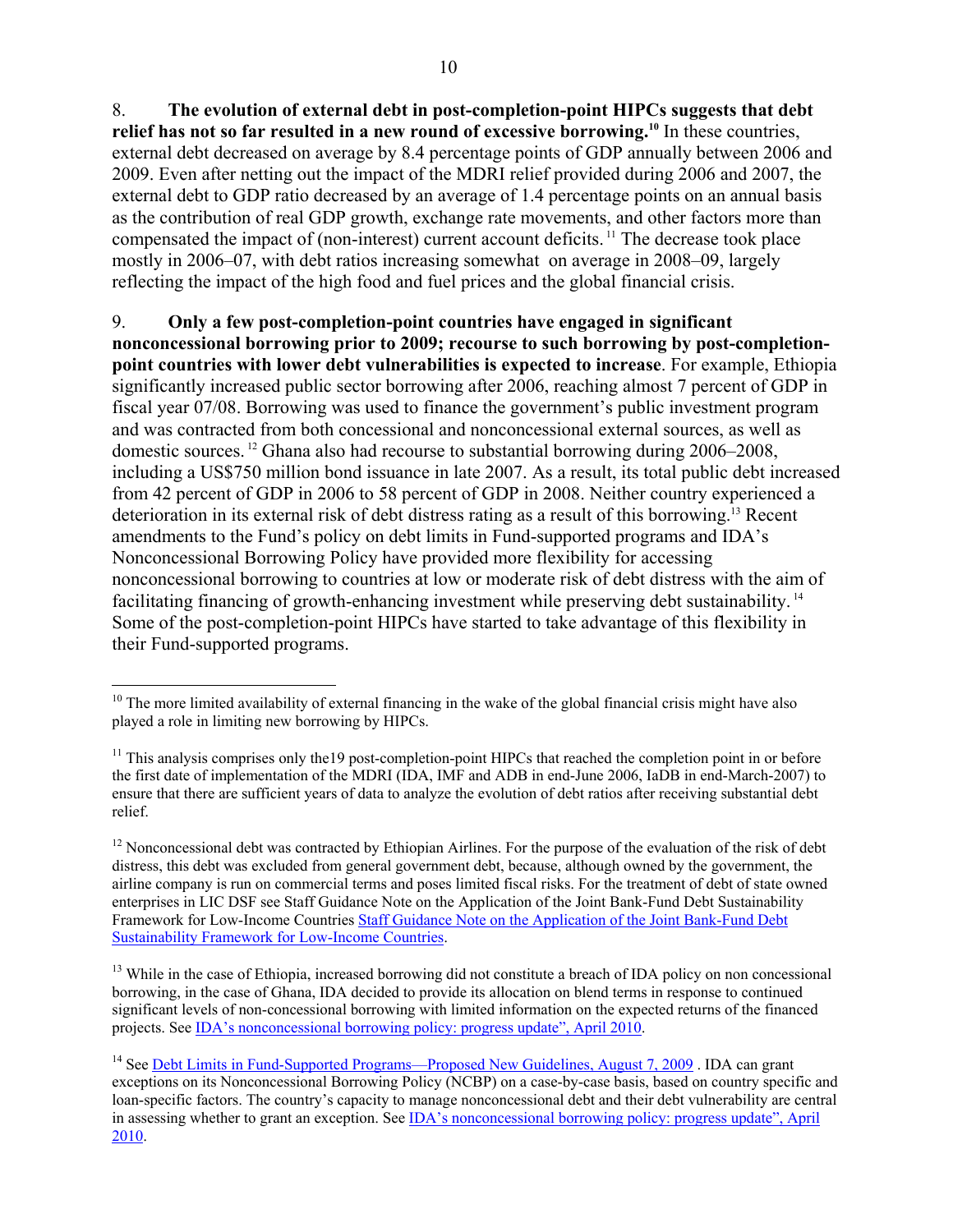8. **The evolution of external debt in post-completion-point HIPCs suggests that debt relief has not so far resulted in a new round of excessive borrowing.10** In these countries, external debt decreased on average by 8.4 percentage points of GDP annually between 2006 and 2009. Even after netting out the impact of the MDRI relief provided during 2006 and 2007, the external debt to GDP ratio decreased by an average of 1.4 percentage points on an annual basis as the contribution of real GDP growth, exchange rate movements, and other factors more than compensated the impact of (non-interest) current account deficits. 11 The decrease took place mostly in 2006–07, with debt ratios increasing somewhat on average in 2008–09, largely reflecting the impact of the high food and fuel prices and the global financial crisis.

9. **Only a few post-completion-point countries have engaged in significant nonconcessional borrowing prior to 2009; recourse to such borrowing by post-completionpoint countries with lower debt vulnerabilities is expected to increase**. For example, Ethiopia significantly increased public sector borrowing after 2006, reaching almost 7 percent of GDP in fiscal year 07/08. Borrowing was used to finance the government's public investment program and was contracted from both concessional and nonconcessional external sources, as well as domestic sources. 12 Ghana also had recourse to substantial borrowing during 2006–2008, including a US\$750 million bond issuance in late 2007. As a result, its total public debt increased from 42 percent of GDP in 2006 to 58 percent of GDP in 2008. Neither country experienced a deterioration in its external risk of debt distress rating as a result of this borrowing.13 Recent amendments to the Fund's policy on debt limits in Fund-supported programs and IDA's Nonconcessional Borrowing Policy have provided more flexibility for accessing nonconcessional borrowing to countries at low or moderate risk of debt distress with the aim of facilitating financing of growth-enhancing investment while preserving debt sustainability. 14 Some of the post-completion-point HIPCs have started to take advantage of this flexibility in their Fund-supported programs.

<sup>&</sup>lt;u>.</u>  $10$  The more limited availability of external financing in the wake of the global financial crisis might have also played a role in limiting new borrowing by HIPCs.

 $11$  This analysis comprises only the 19 post-completion-point HIPCs that reached the completion point in or before the first date of implementation of the MDRI (IDA, IMF and ADB in end-June 2006, IaDB in end-March-2007) to ensure that there are sufficient years of data to analyze the evolution of debt ratios after receiving substantial debt relief.

<sup>&</sup>lt;sup>12</sup> Nonconcessional debt was contracted by Ethiopian Airlines. For the purpose of the evaluation of the risk of debt distress, this debt was excluded from general government debt, because, although owned by the government, the airline company is run on commercial terms and poses limited fiscal risks. For the treatment of debt of state owned enterprises in LIC DSF see Staff Guidance Note on the Application of the Joint Bank-Fund Debt Sustainability Framework for Low-Income Countries [Staff Guidance Note on the Application of the Joint Bank-Fund Debt](http://www.imf.org/external/np/pp/eng/2010/012210.pdf)  Sustainability Framework for Low-Income Countries.

<sup>&</sup>lt;sup>13</sup> While in the case of Ethiopia, increased borrowing did not constitute a breach of IDA policy on non concessional borrowing, in the case of Ghana, IDA decided to provide its allocation on blend terms in response to continued significant levels of non-concessional borrowing with limited information on the expected returns of the financed projects. See [IDA's nonconcessional borrowing policy: progress update", April 2010.](http://imagebank.worldbank.org/servlet/WDSContentServer/IW3P/IB/2010/04/27/000333038_20100427002303/Rendered/PDF/542400BR0IDASe101Official0Use0Only1.pdf) 

<sup>&</sup>lt;sup>14</sup> See [Debt Limits in Fund-Supported Programs—Proposed New Guidelines, August 7, 2009](http://www.imf.org/external/np/pp/eng/2009/080509.pdf). IDA can grant exceptions on its Nonconcessional Borrowing Policy (NCBP) on a case-by-case basis, based on country specific and loan-specific factors. The country's capacity to manage nonconcessional debt and their debt vulnerability are central in assessing whether to grant an exception. See [IDA's nonconcessional borrowing policy: progress update", April](http://imagebank.worldbank.org/servlet/WDSContentServer/IW3P/IB/2010/04/27/000333038_20100427002303/Rendered/PDF/542400BR0IDASe101Official0Use0Only1.pdf) 2010.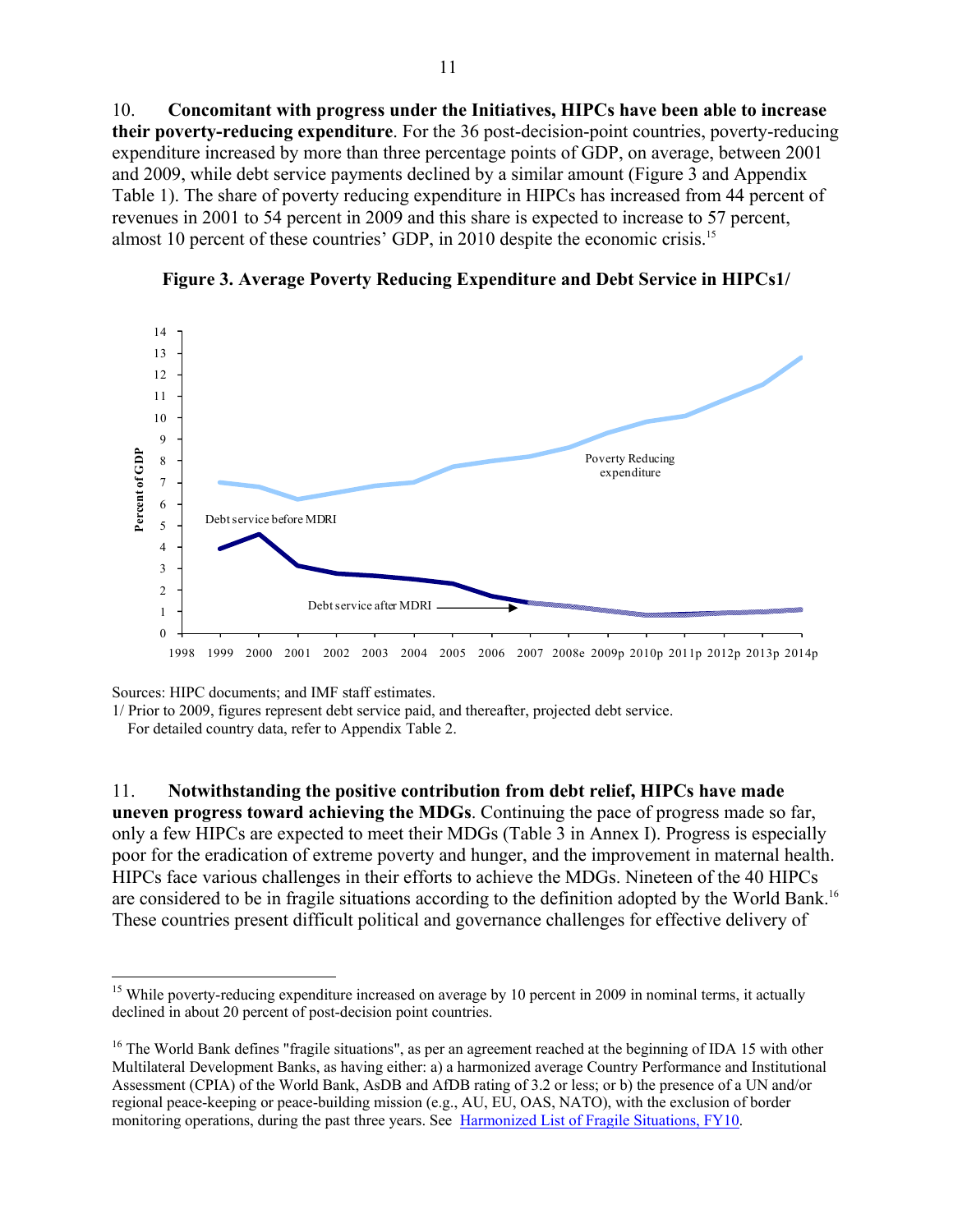10. **Concomitant with progress under the Initiatives, HIPCs have been able to increase their poverty-reducing expenditure**. For the 36 post-decision-point countries, poverty-reducing expenditure increased by more than three percentage points of GDP, on average, between 2001 and 2009, while debt service payments declined by a similar amount (Figure 3 and Appendix Table 1). The share of poverty reducing expenditure in HIPCs has increased from 44 percent of revenues in 2001 to 54 percent in 2009 and this share is expected to increase to 57 percent, almost 10 percent of these countries' GDP, in 2010 despite the economic crisis.15



**Figure 3. Average Poverty Reducing Expenditure and Debt Service in HIPCs1/** 

Sources: HIPC documents; and IMF staff estimates.

1

1/ Prior to 2009, figures represent debt service paid, and thereafter, projected debt service.

For detailed country data, refer to Appendix Table 2.

### 11. **Notwithstanding the positive contribution from debt relief, HIPCs have made**

**uneven progress toward achieving the MDGs**. Continuing the pace of progress made so far, only a few HIPCs are expected to meet their MDGs (Table 3 in Annex I). Progress is especially poor for the eradication of extreme poverty and hunger, and the improvement in maternal health. HIPCs face various challenges in their efforts to achieve the MDGs. Nineteen of the 40 HIPCs are considered to be in fragile situations according to the definition adopted by the World Bank.16 These countries present difficult political and governance challenges for effective delivery of

<sup>&</sup>lt;sup>15</sup> While poverty-reducing expenditure increased on average by 10 percent in 2009 in nominal terms, it actually declined in about 20 percent of post-decision point countries.

<sup>&</sup>lt;sup>16</sup> The World Bank defines "fragile situations", as per an agreement reached at the beginning of IDA 15 with other Multilateral Development Banks, as having either: a) a harmonized average Country Performance and Institutional Assessment (CPIA) of the World Bank, AsDB and AfDB rating of 3.2 or less; or b) the presence of a UN and/or regional peace-keeping or peace-building mission (e.g., AU, EU, OAS, NATO), with the exclusion of border monitoring operations, during the past three years. See [Harmonized List of Fragile Situations, FY10.](http://siteresources.worldbank.org/EXTLICUS/Resources/511777-1247506883703/Fragile_Situations_List_FY10_Nov_17_2009_EXT.pdf)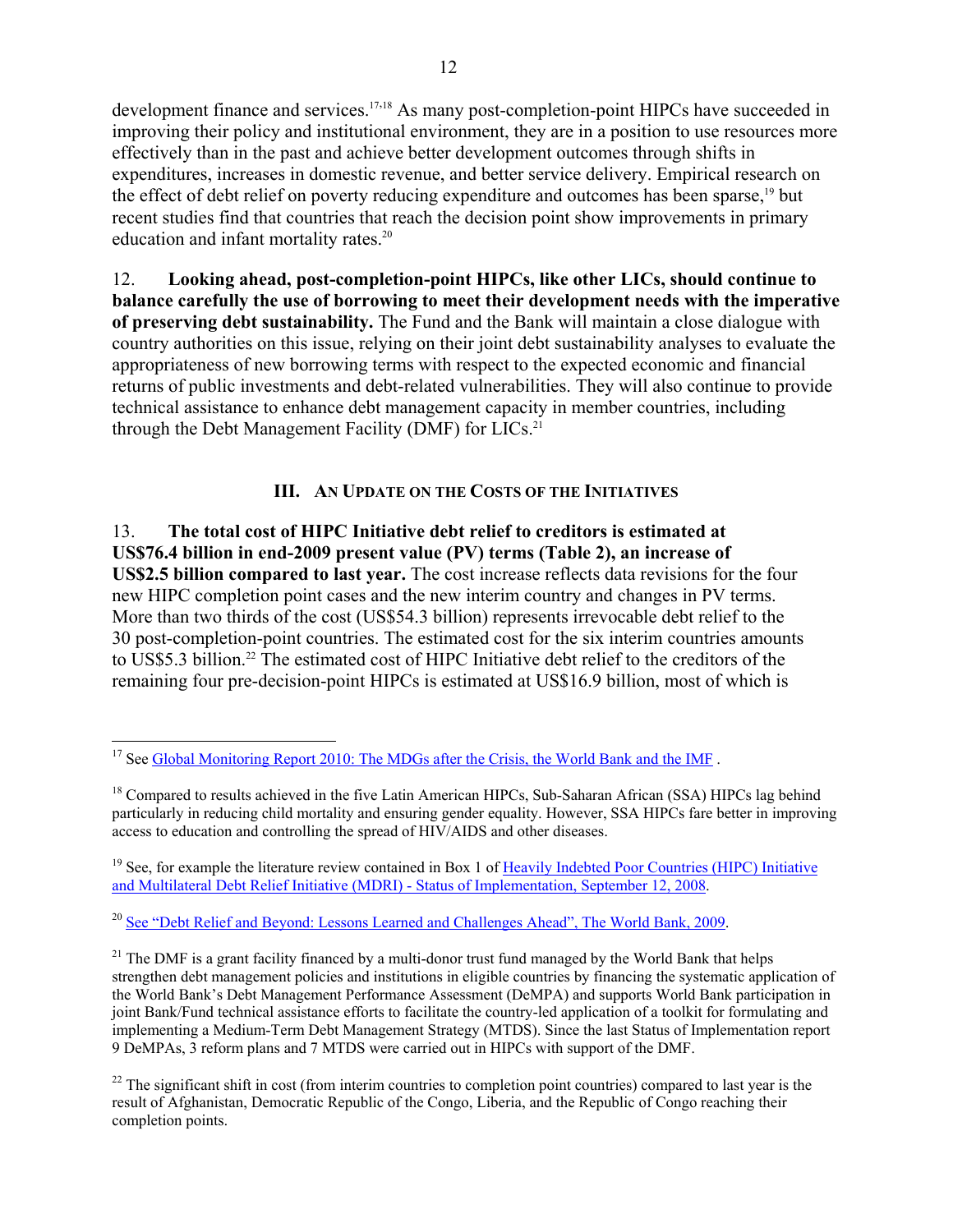development finance and services.<sup>17,18</sup> As many post-completion-point HIPCs have succeeded in improving their policy and institutional environment, they are in a position to use resources more effectively than in the past and achieve better development outcomes through shifts in expenditures, increases in domestic revenue, and better service delivery. Empirical research on the effect of debt relief on poverty reducing expenditure and outcomes has been sparse,<sup>19</sup> but recent studies find that countries that reach the decision point show improvements in primary education and infant mortality rates.<sup>20</sup>

12. **Looking ahead, post-completion-point HIPCs, like other LICs, should continue to balance carefully the use of borrowing to meet their development needs with the imperative of preserving debt sustainability.** The Fund and the Bank will maintain a close dialogue with country authorities on this issue, relying on their joint debt sustainability analyses to evaluate the appropriateness of new borrowing terms with respect to the expected economic and financial returns of public investments and debt-related vulnerabilities. They will also continue to provide technical assistance to enhance debt management capacity in member countries, including through the Debt Management Facility (DMF) for  $LICs<sup>21</sup>$ 

## **III. AN UPDATE ON THE COSTS OF THE INITIATIVES**

13. **The total cost of HIPC Initiative debt relief to creditors is estimated at US\$76.4 billion in end-2009 present value (PV) terms (Table 2), an increase of US\$2.5 billion compared to last year.** The cost increase reflects data revisions for the four new HIPC completion point cases and the new interim country and changes in PV terms. More than two thirds of the cost (US\$54.3 billion) represents irrevocable debt relief to the 30 post-completion-point countries. The estimated cost for the six interim countries amounts to US\$5.3 billion.<sup>22</sup> The estimated cost of HIPC Initiative debt relief to the creditors of the remaining four pre-decision-point HIPCs is estimated at US\$16.9 billion, most of which is

 $19$  See, for example the literature review contained in Box 1 of [Heavily Indebted Poor Countries \(HIPC\) Initiative](http://www.imf.org/external/np/pp/eng/2008/091208.pdf) [and Multilateral Debt Relief Initiative \(MDRI\) - Status of Implementation, September 12, 2008.](http://www.imf.org/external/np/pp/eng/2008/091208.pdf)

<sup>20</sup> See "Debt Relief and Beyond: Lessons Learned and Challenges Ahead", The World Bank, 2009.

<sup>21</sup> The DMF is a grant facility financed by a multi-donor trust fund managed by the World Bank that helps strengthen debt management policies and institutions in eligible countries by financing the systematic application of the World Bank's Debt Management Performance Assessment (DeMPA) and supports World Bank participation in joint Bank/Fund technical assistance efforts to facilitate the country-led application of a toolkit for formulating and implementing a Medium-Term Debt Management Strategy (MTDS). Since the last Status of Implementation report 9 DeMPAs, 3 reform plans and 7 MTDS were carried out in HIPCs with support of the DMF.

 $22$  The significant shift in cost (from interim countries to completion point countries) compared to last year is the result of Afghanistan, Democratic Republic of the Congo, Liberia, and the Republic of Congo reaching their completion points.

 $\overline{a}$ <sup>17</sup> See Global Monitoring Report 2010: The MDGs after the Crisis, the World Bank and the IMF.

<sup>&</sup>lt;sup>18</sup> Compared to results achieved in the five Latin American HIPCs, Sub-Saharan African (SSA) HIPCs lag behind particularly in reducing child mortality and ensuring gender equality. However, SSA HIPCs fare better in improving access to education and controlling the spread of HIV/AIDS and other diseases.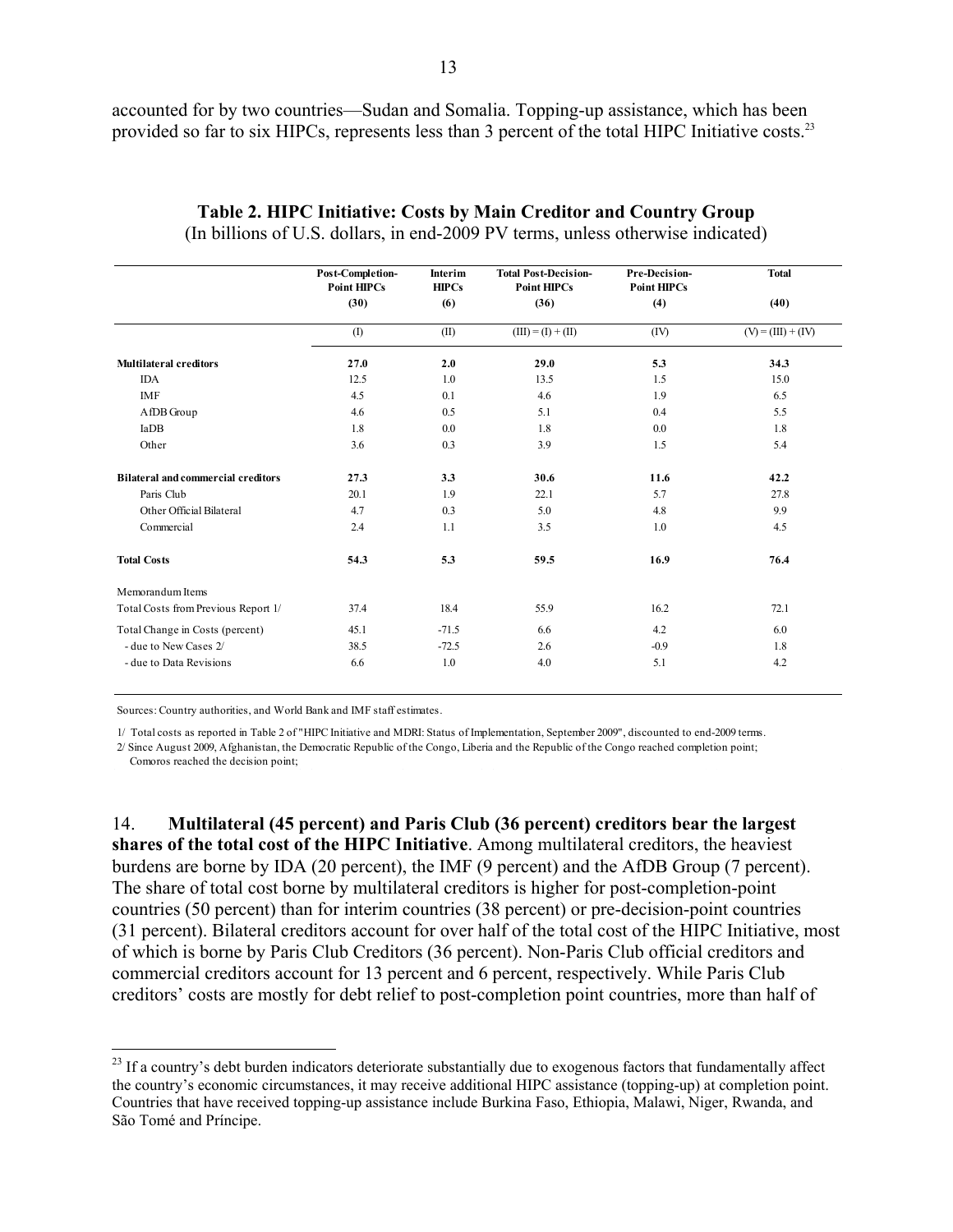accounted for by two countries—Sudan and Somalia. Topping-up assistance, which has been provided so far to six HIPCs, represents less than 3 percent of the total HIPC Initiative costs.<sup>23</sup>

|                                           | Post-Completion-<br><b>Point HIPCs</b> | Interim<br>HIPCs | <b>Total Post-Decision-</b><br><b>Point HIPCs</b> | Pre-Decision-<br><b>Point HIPCs</b> | <b>Total</b>         |
|-------------------------------------------|----------------------------------------|------------------|---------------------------------------------------|-------------------------------------|----------------------|
|                                           | (30)                                   | (6)              | (36)                                              | (4)                                 | (40)                 |
|                                           | (1)                                    | (II)             | $(III) = (I) + (II)$                              | (IV)                                | $(V) = (III) + (IV)$ |
| <b>Multilateral creditors</b>             | 27.0                                   | 2.0              | 29.0                                              | 5.3                                 | 34.3                 |
| <b>IDA</b>                                | 12.5                                   | 1.0              | 13.5                                              | 1.5                                 | 15.0                 |
| <b>IMF</b>                                | 4.5                                    | 0.1              | 4.6                                               | 1.9                                 | 6.5                  |
| AfDB Group                                | 4.6                                    | 0.5              | 5.1                                               | 0.4                                 | 5.5                  |
| IaDB                                      | 1.8                                    | 0.0              | 1.8                                               | 0.0                                 | 1.8                  |
| Other                                     | 3.6                                    | 0.3              | 3.9                                               | 1.5                                 | 5.4                  |
| <b>Bilateral and commercial creditors</b> | 27.3                                   | 3.3              | 30.6                                              | 11.6                                | 42.2                 |
| Paris Club                                | 20.1                                   | 1.9              | 22.1                                              | 5.7                                 | 27.8                 |
| Other Official Bilateral                  | 4.7                                    | 0.3              | 5.0                                               | 4.8                                 | 9.9                  |
| Commercial                                | 2.4                                    | 1.1              | 3.5                                               | 1.0                                 | 4.5                  |
| <b>Total Costs</b>                        | 54.3                                   | 5.3              | 59.5                                              | 16.9                                | 76.4                 |
| Memorandum Items                          |                                        |                  |                                                   |                                     |                      |
| Total Costs from Previous Report 1/       | 37.4                                   | 18.4             | 55.9                                              | 16.2                                | 72.1                 |
| Total Change in Costs (percent)           | 45.1                                   | $-71.5$          | 6.6                                               | 4.2                                 | 6.0                  |
| - due to New Cases 2/                     | 38.5                                   | $-72.5$          | 2.6                                               | $-0.9$                              | 1.8                  |
| - due to Data Revisions                   | 6.6                                    | 1.0              | 4.0                                               | 5.1                                 | 4.2                  |

### **Table 2. HIPC Initiative: Costs by Main Creditor and Country Group**  (In billions of U.S. dollars, in end-2009 PV terms, unless otherwise indicated)

Sources: Country authorities, and World Bank and IMF staff estimates.

 $\overline{a}$ 

1/ Total costs as reported in Table 2 of "HIPC Initiative and MDRI: Status of Implementation, September 2009", discounted to end-2009 terms.

2/ Since August 2009, Afghanistan, the Democratic Republic of the Congo, Liberia and the Republic of the Congo reached completion point; Comoros reached the decision point;

14. **Multilateral (45 percent) and Paris Club (36 percent) creditors bear the largest shares of the total cost of the HIPC Initiative**. Among multilateral creditors, the heaviest burdens are borne by IDA (20 percent), the IMF (9 percent) and the AfDB Group (7 percent). The share of total cost borne by multilateral creditors is higher for post-completion-point countries (50 percent) than for interim countries (38 percent) or pre-decision-point countries (31 percent). Bilateral creditors account for over half of the total cost of the HIPC Initiative, most of which is borne by Paris Club Creditors (36 percent). Non-Paris Club official creditors and commercial creditors account for 13 percent and 6 percent, respectively. While Paris Club creditors' costs are mostly for debt relief to post-completion point countries, more than half of

 $^{23}$  If a country's debt burden indicators deteriorate substantially due to exogenous factors that fundamentally affect the country's economic circumstances, it may receive additional HIPC assistance (topping-up) at completion point. Countries that have received topping-up assistance include Burkina Faso, Ethiopia, Malawi, Niger, Rwanda, and São Tomé and Príncipe.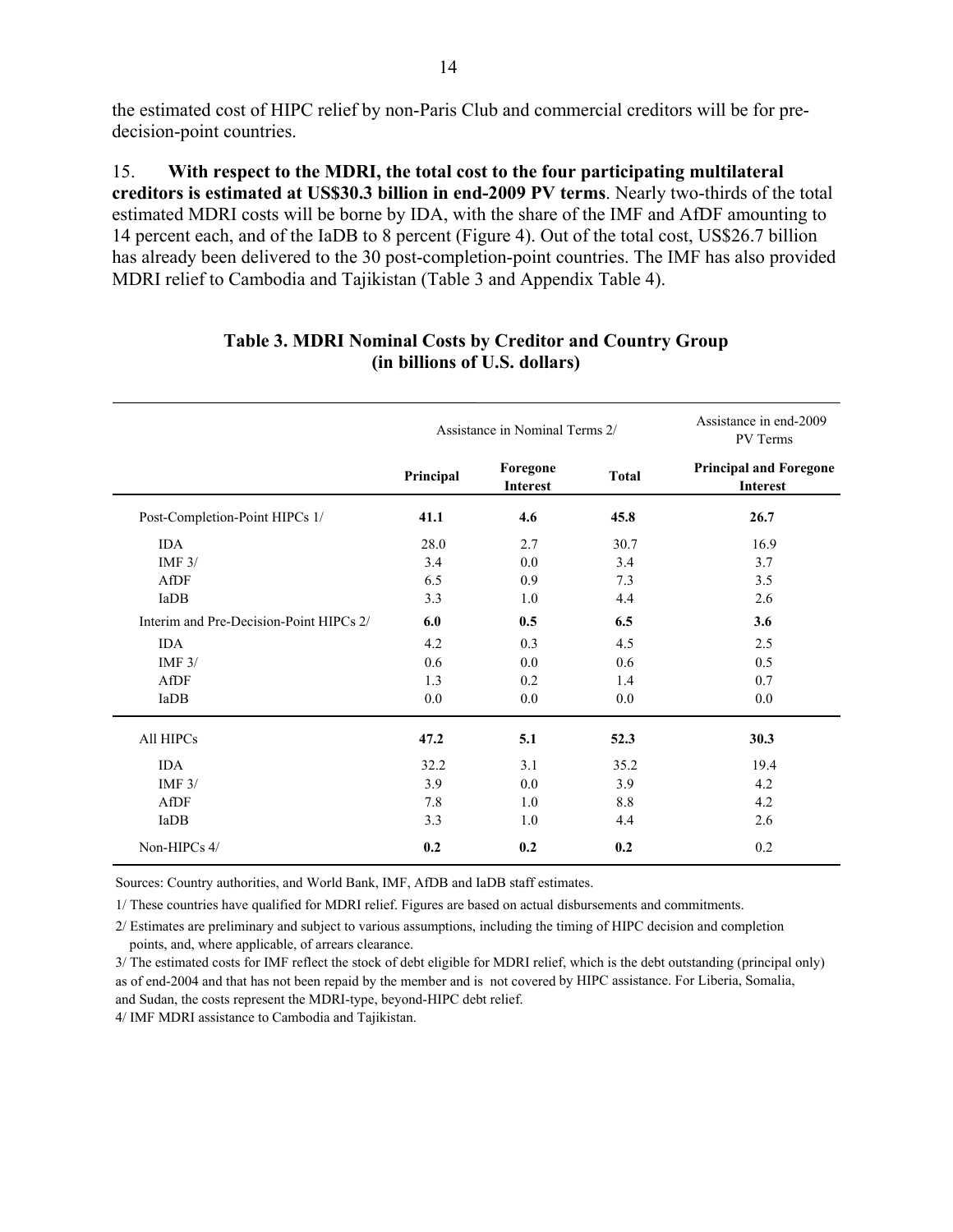the estimated cost of HIPC relief by non-Paris Club and commercial creditors will be for predecision-point countries.

15. **With respect to the MDRI, the total cost to the four participating multilateral creditors is estimated at US\$30.3 billion in end-2009 PV terms**. Nearly two-thirds of the total estimated MDRI costs will be borne by IDA, with the share of the IMF and AfDF amounting to 14 percent each, and of the IaDB to 8 percent (Figure 4). Out of the total cost, US\$26.7 billion has already been delivered to the 30 post-completion-point countries. The IMF has also provided MDRI relief to Cambodia and Tajikistan (Table 3 and Appendix Table 4).

|                                         |           | Assistance in Nominal Terms 2/ |              | Assistance in end-2009<br>PV Terms        |
|-----------------------------------------|-----------|--------------------------------|--------------|-------------------------------------------|
|                                         | Principal | Foregone<br>Interest           | <b>Total</b> | <b>Principal and Foregone</b><br>Interest |
| Post-Completion-Point HIPCs 1/          | 41.1      | 4.6                            | 45.8         | 26.7                                      |
| <b>IDA</b>                              | 28.0      | 2.7                            | 30.7         | 16.9                                      |
| IMF $3/$                                | 3.4       | 0.0                            | 3.4          | 3.7                                       |
| AfDF                                    | 6.5       | 0.9                            | 7.3          | 3.5                                       |
| IaDB                                    | 3.3       | 1.0                            | 4.4          | 2.6                                       |
| Interim and Pre-Decision-Point HIPCs 2/ | 6.0       | 0.5                            | 6.5          | 3.6                                       |
| <b>IDA</b>                              | 4.2       | 0.3                            | 4.5          | 2.5                                       |
| IMF $3/$                                | 0.6       | 0.0                            | 0.6          | 0.5                                       |
| AfDF                                    | 1.3       | 0.2                            | 1.4          | 0.7                                       |
| IaDB                                    | 0.0       | 0.0                            | 0.0          | 0.0                                       |
| All HIPCs                               | 47.2      | 5.1                            | 52.3         | 30.3                                      |
| <b>IDA</b>                              | 32.2      | 3.1                            | 35.2         | 19.4                                      |
| IMF $3/$                                | 3.9       | 0.0                            | 3.9          | 4.2                                       |
| AfDF                                    | 7.8       | 1.0                            | 8.8          | 4.2                                       |
| IaDB                                    | 3.3       | 1.0                            | 4.4          | 2.6                                       |
| Non-HIPCs 4/                            | 0.2       | 0.2                            | 0.2          | 0.2                                       |

### **Table 3. MDRI Nominal Costs by Creditor and Country Group (in billions of U.S. dollars)**

Sources: Country authorities, and World Bank, IMF, AfDB and IaDB staff estimates.

1/ These countries have qualified for MDRI relief. Figures are based on actual disbursements and commitments.

2/ Estimates are preliminary and subject to various assumptions, including the timing of HIPC decision and completion points, and, where applicable, of arrears clearance.

3/ The estimated costs for IMF reflect the stock of debt eligible for MDRI relief, which is the debt outstanding (principal only) as of end-2004 and that has not been repaid by the member and is not covered by HIPC assistance. For Liberia, Somalia, and Sudan, the costs represent the MDRI-type, beyond-HIPC debt relief.

4/ IMF MDRI assistance to Cambodia and Tajikistan.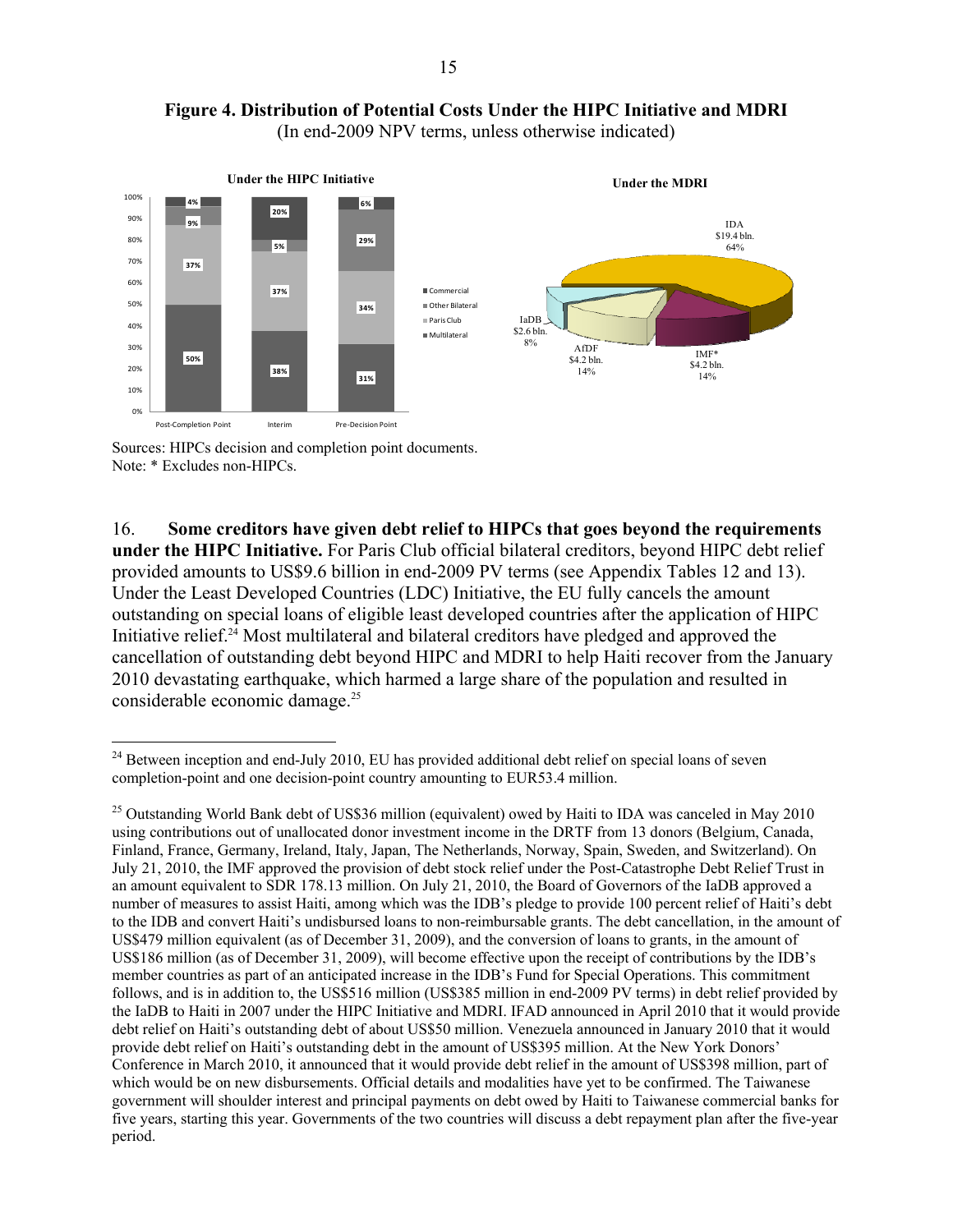



Sources: HIPCs decision and completion point documents. Note: \* Excludes non-HIPCs.

16. **Some creditors have given debt relief to HIPCs that goes beyond the requirements under the HIPC Initiative.** For Paris Club official bilateral creditors, beyond HIPC debt relief provided amounts to US\$9.6 billion in end-2009 PV terms (see Appendix Tables 12 and 13). Under the Least Developed Countries (LDC) Initiative, the EU fully cancels the amount outstanding on special loans of eligible least developed countries after the application of HIPC Initiative relief.24 Most multilateral and bilateral creditors have pledged and approved the cancellation of outstanding debt beyond HIPC and MDRI to help Haiti recover from the January 2010 devastating earthquake, which harmed a large share of the population and resulted in considerable economic damage.25

 $\overline{a}$  $24$  Between inception and end-July 2010, EU has provided additional debt relief on special loans of seven completion-point and one decision-point country amounting to EUR53.4 million.

<sup>&</sup>lt;sup>25</sup> Outstanding World Bank debt of US\$36 million (equivalent) owed by Haiti to IDA was canceled in May 2010 using contributions out of unallocated donor investment income in the DRTF from 13 donors (Belgium, Canada, Finland, France, Germany, Ireland, Italy, Japan, The Netherlands, Norway, Spain, Sweden, and Switzerland). On July 21, 2010, the IMF approved the provision of debt stock relief under the Post-Catastrophe Debt Relief Trust in an amount equivalent to SDR 178.13 million. On July 21, 2010, the Board of Governors of the IaDB approved a number of measures to assist Haiti, among which was the IDB's pledge to provide 100 percent relief of Haiti's debt to the IDB and convert Haiti's undisbursed loans to non-reimbursable grants. The debt cancellation, in the amount of US\$479 million equivalent (as of December 31, 2009), and the conversion of loans to grants, in the amount of US\$186 million (as of December 31, 2009), will become effective upon the receipt of contributions by the IDB's member countries as part of an anticipated increase in the IDB's Fund for Special Operations. This commitment follows, and is in addition to, the US\$516 million (US\$385 million in end-2009 PV terms) in debt relief provided by the IaDB to Haiti in 2007 under the HIPC Initiative and MDRI. IFAD announced in April 2010 that it would provide debt relief on Haiti's outstanding debt of about US\$50 million. Venezuela announced in January 2010 that it would provide debt relief on Haiti's outstanding debt in the amount of US\$395 million. At the New York Donors' Conference in March 2010, it announced that it would provide debt relief in the amount of US\$398 million, part of which would be on new disbursements. Official details and modalities have yet to be confirmed. The Taiwanese government will shoulder interest and principal payments on debt owed by Haiti to Taiwanese commercial banks for five years, starting this year. Governments of the two countries will discuss a debt repayment plan after the five-year period.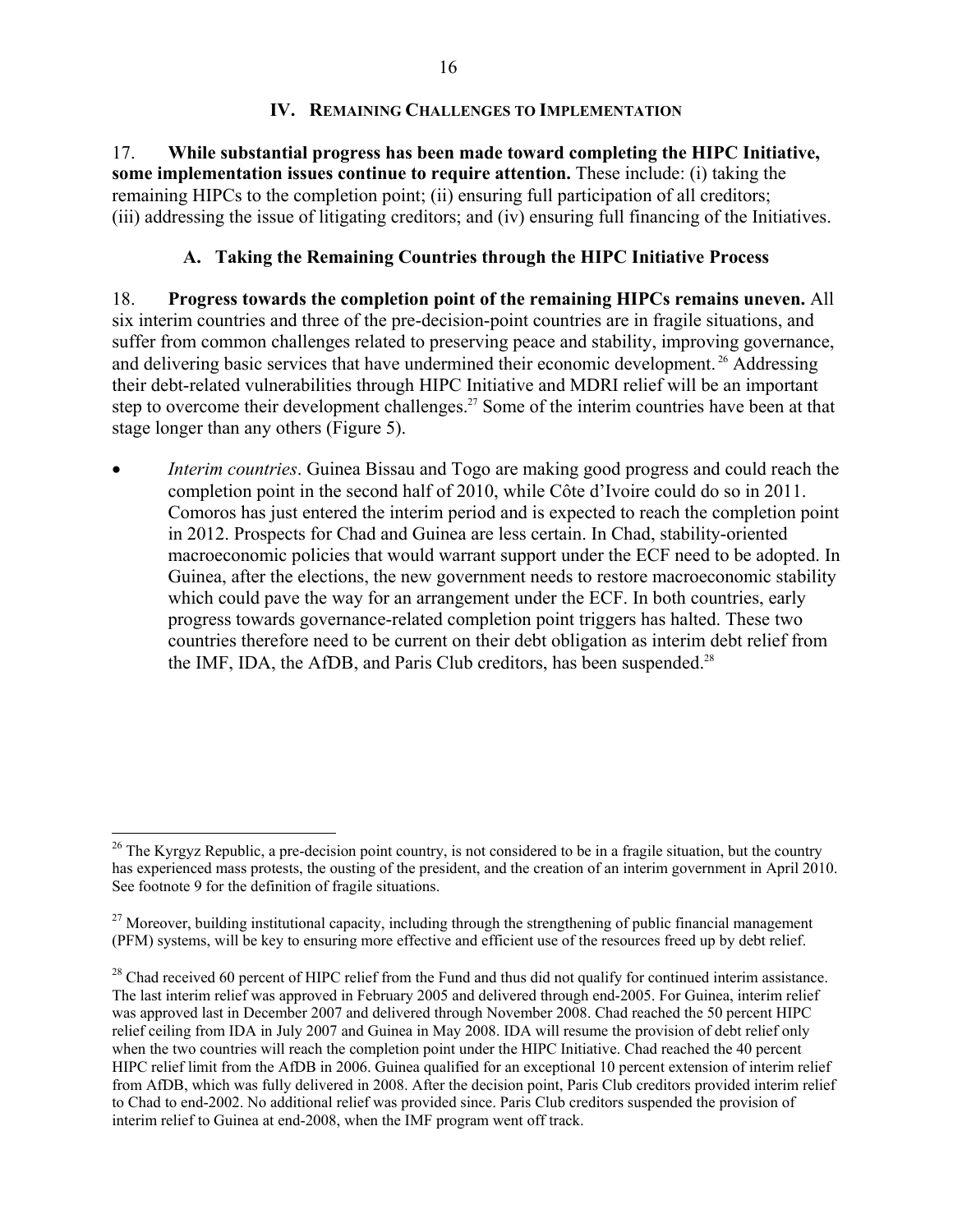### **IV. REMAINING CHALLENGES TO IMPLEMENTATION**

17. **While substantial progress has been made toward completing the HIPC Initiative, some implementation issues continue to require attention.** These include: (i) taking the remaining HIPCs to the completion point; (ii) ensuring full participation of all creditors; (iii) addressing the issue of litigating creditors; and (iv) ensuring full financing of the Initiatives.

## **A. Taking the Remaining Countries through the HIPC Initiative Process**

18. **Progress towards the completion point of the remaining HIPCs remains uneven.** All six interim countries and three of the pre-decision-point countries are in fragile situations, and suffer from common challenges related to preserving peace and stability, improving governance, and delivering basic services that have undermined their economic development. 26 Addressing their debt-related vulnerabilities through HIPC Initiative and MDRI relief will be an important step to overcome their development challenges.<sup>27</sup> Some of the interim countries have been at that stage longer than any others (Figure 5).

 *Interim countries*. Guinea Bissau and Togo are making good progress and could reach the completion point in the second half of 2010, while Côte d'Ivoire could do so in 2011. Comoros has just entered the interim period and is expected to reach the completion point in 2012. Prospects for Chad and Guinea are less certain. In Chad, stability-oriented macroeconomic policies that would warrant support under the ECF need to be adopted. In Guinea, after the elections, the new government needs to restore macroeconomic stability which could pave the way for an arrangement under the ECF. In both countries, early progress towards governance-related completion point triggers has halted. These two countries therefore need to be current on their debt obligation as interim debt relief from the IMF, IDA, the AfDB, and Paris Club creditors, has been suspended.<sup>28</sup>

 $26$  The Kyrgyz Republic, a pre-decision point country, is not considered to be in a fragile situation, but the country has experienced mass protests, the ousting of the president, and the creation of an interim government in April 2010. See footnote 9 for the definition of fragile situations.

<sup>&</sup>lt;sup>27</sup> Moreover, building institutional capacity, including through the strengthening of public financial management (PFM) systems, will be key to ensuring more effective and efficient use of the resources freed up by debt relief.

<sup>&</sup>lt;sup>28</sup> Chad received 60 percent of HIPC relief from the Fund and thus did not qualify for continued interim assistance. The last interim relief was approved in February 2005 and delivered through end-2005. For Guinea, interim relief was approved last in December 2007 and delivered through November 2008. Chad reached the 50 percent HIPC relief ceiling from IDA in July 2007 and Guinea in May 2008. IDA will resume the provision of debt relief only when the two countries will reach the completion point under the HIPC Initiative. Chad reached the 40 percent HIPC relief limit from the AfDB in 2006. Guinea qualified for an exceptional 10 percent extension of interim relief from AfDB, which was fully delivered in 2008. After the decision point, Paris Club creditors provided interim relief to Chad to end-2002. No additional relief was provided since. Paris Club creditors suspended the provision of interim relief to Guinea at end-2008, when the IMF program went off track.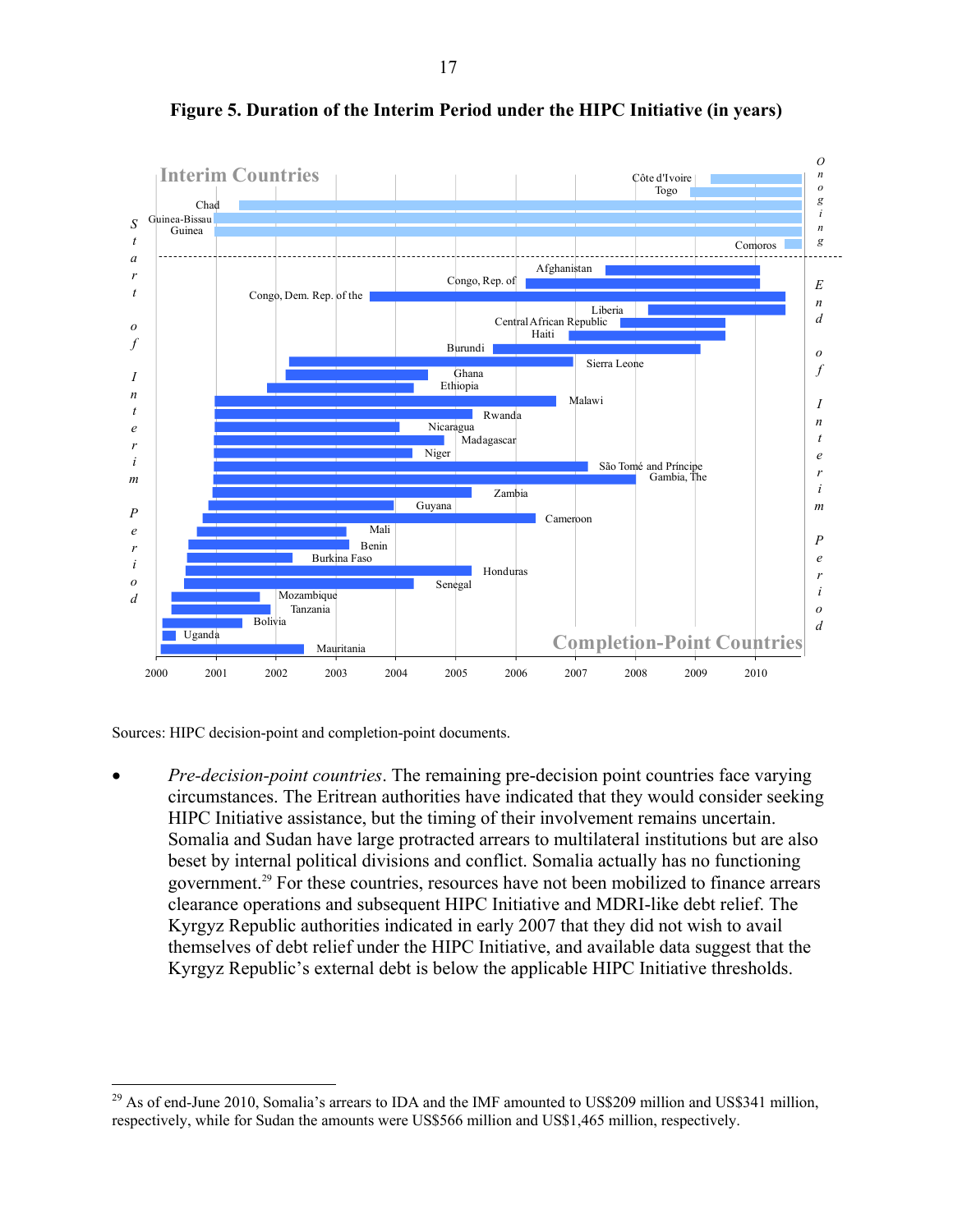

**Figure 5. Duration of the Interim Period under the HIPC Initiative (in years)** 

Sources: HIPC decision-point and completion-point documents.

 $\overline{a}$ 

 *Pre-decision-point countries*. The remaining pre-decision point countries face varying circumstances. The Eritrean authorities have indicated that they would consider seeking HIPC Initiative assistance, but the timing of their involvement remains uncertain. Somalia and Sudan have large protracted arrears to multilateral institutions but are also beset by internal political divisions and conflict. Somalia actually has no functioning government.29 For these countries, resources have not been mobilized to finance arrears clearance operations and subsequent HIPC Initiative and MDRI-like debt relief. The Kyrgyz Republic authorities indicated in early 2007 that they did not wish to avail themselves of debt relief under the HIPC Initiative, and available data suggest that the Kyrgyz Republic's external debt is below the applicable HIPC Initiative thresholds.

<sup>&</sup>lt;sup>29</sup> As of end-June 2010, Somalia's arrears to IDA and the IMF amounted to US\$209 million and US\$341 million, respectively, while for Sudan the amounts were US\$566 million and US\$1,465 million, respectively.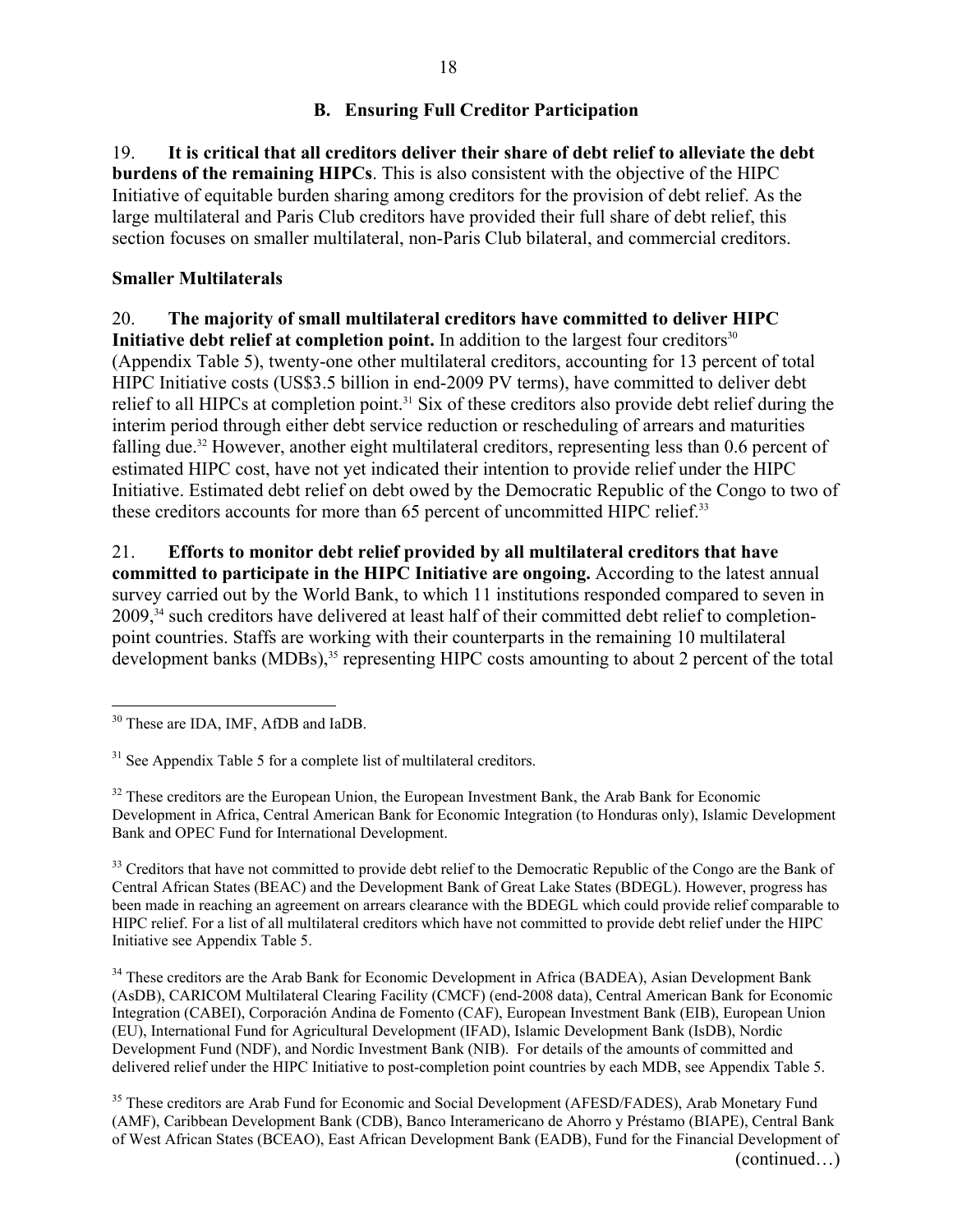## **B. Ensuring Full Creditor Participation**

19. **It is critical that all creditors deliver their share of debt relief to alleviate the debt burdens of the remaining HIPCs**. This is also consistent with the objective of the HIPC Initiative of equitable burden sharing among creditors for the provision of debt relief. As the large multilateral and Paris Club creditors have provided their full share of debt relief, this section focuses on smaller multilateral, non-Paris Club bilateral, and commercial creditors.

## **Smaller Multilaterals**

20. **The majority of small multilateral creditors have committed to deliver HIPC** 

**Initiative debt relief at completion point.** In addition to the largest four creditors<sup>30</sup> (Appendix Table 5), twenty-one other multilateral creditors, accounting for 13 percent of total HIPC Initiative costs (US\$3.5 billion in end-2009 PV terms), have committed to deliver debt relief to all HIPCs at completion point.<sup>31</sup> Six of these creditors also provide debt relief during the interim period through either debt service reduction or rescheduling of arrears and maturities falling due.<sup>32</sup> However, another eight multilateral creditors, representing less than 0.6 percent of estimated HIPC cost, have not yet indicated their intention to provide relief under the HIPC Initiative. Estimated debt relief on debt owed by the Democratic Republic of the Congo to two of these creditors accounts for more than 65 percent of uncommitted HIPC relief.<sup>33</sup>

21. **Efforts to monitor debt relief provided by all multilateral creditors that have committed to participate in the HIPC Initiative are ongoing.** According to the latest annual survey carried out by the World Bank, to which 11 institutions responded compared to seven in 2009,<sup>34</sup> such creditors have delivered at least half of their committed debt relief to completionpoint countries. Staffs are working with their counterparts in the remaining 10 multilateral development banks (MDBs),<sup>35</sup> representing HIPC costs amounting to about 2 percent of the total

<sup>33</sup> Creditors that have not committed to provide debt relief to the Democratic Republic of the Congo are the Bank of Central African States (BEAC) and the Development Bank of Great Lake States (BDEGL). However, progress has been made in reaching an agreement on arrears clearance with the BDEGL which could provide relief comparable to HIPC relief. For a list of all multilateral creditors which have not committed to provide debt relief under the HIPC Initiative see Appendix Table 5.

<sup>34</sup> These creditors are the Arab Bank for Economic Development in Africa (BADEA), Asian Development Bank (AsDB), CARICOM Multilateral Clearing Facility (CMCF) (end-2008 data), Central American Bank for Economic Integration (CABEI), Corporación Andina de Fomento (CAF), European Investment Bank (EIB), European Union (EU), International Fund for Agricultural Development (IFAD), Islamic Development Bank (IsDB), Nordic Development Fund (NDF), and Nordic Investment Bank (NIB). For details of the amounts of committed and delivered relief under the HIPC Initiative to post-completion point countries by each MDB, see Appendix Table 5.

<sup>35</sup> These creditors are Arab Fund for Economic and Social Development (AFESD/FADES), Arab Monetary Fund (AMF), Caribbean Development Bank (CDB), Banco Interamericano de Ahorro y Préstamo (BIAPE), Central Bank of West African States (BCEAO), East African Development Bank (EADB), Fund for the Financial Development of (continued…)

<sup>1</sup> <sup>30</sup> These are IDA, IMF, AfDB and IaDB.

<sup>&</sup>lt;sup>31</sup> See Appendix Table 5 for a complete list of multilateral creditors.

<sup>&</sup>lt;sup>32</sup> These creditors are the European Union, the European Investment Bank, the Arab Bank for Economic Development in Africa, Central American Bank for Economic Integration (to Honduras only), Islamic Development Bank and OPEC Fund for International Development.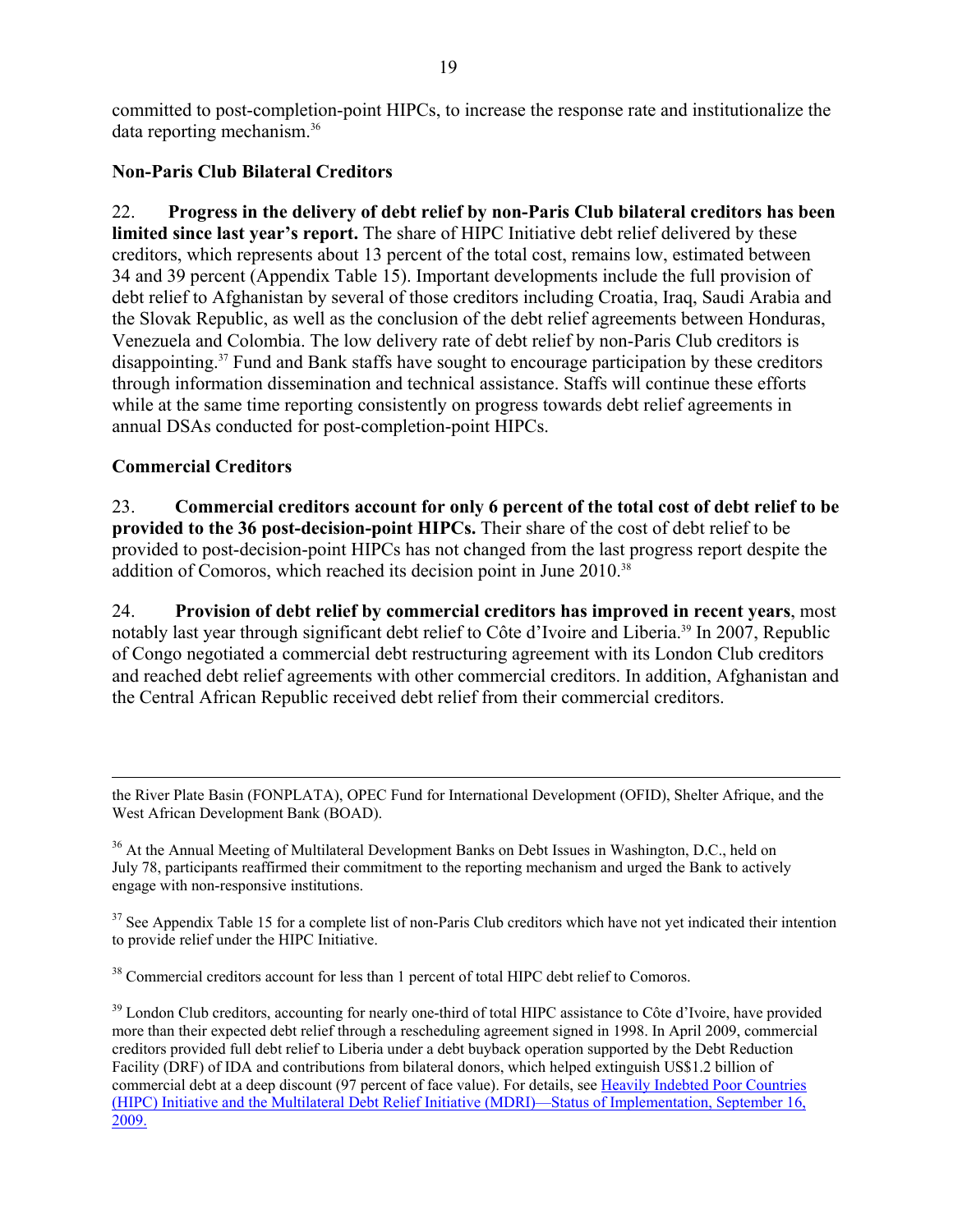committed to post-completion-point HIPCs, to increase the response rate and institutionalize the data reporting mechanism.36

## **Non-Paris Club Bilateral Creditors**

22. **Progress in the delivery of debt relief by non-Paris Club bilateral creditors has been limited since last year's report.** The share of HIPC Initiative debt relief delivered by these creditors, which represents about 13 percent of the total cost, remains low, estimated between 34 and 39 percent (Appendix Table 15). Important developments include the full provision of debt relief to Afghanistan by several of those creditors including Croatia, Iraq, Saudi Arabia and the Slovak Republic, as well as the conclusion of the debt relief agreements between Honduras, Venezuela and Colombia. The low delivery rate of debt relief by non-Paris Club creditors is disappointing.37 Fund and Bank staffs have sought to encourage participation by these creditors through information dissemination and technical assistance. Staffs will continue these efforts while at the same time reporting consistently on progress towards debt relief agreements in annual DSAs conducted for post-completion-point HIPCs.

## **Commercial Creditors**

23. **Commercial creditors account for only 6 percent of the total cost of debt relief to be provided to the 36 post-decision-point HIPCs.** Their share of the cost of debt relief to be provided to post-decision-point HIPCs has not changed from the last progress report despite the addition of Comoros, which reached its decision point in June 2010.<sup>38</sup>

24. **Provision of debt relief by commercial creditors has improved in recent years**, most notably last year through significant debt relief to Côte d'Ivoire and Liberia.<sup>39</sup> In 2007, Republic of Congo negotiated a commercial debt restructuring agreement with its London Club creditors and reached debt relief agreements with other commercial creditors. In addition, Afghanistan and the Central African Republic received debt relief from their commercial creditors.

<sup>36</sup> At the Annual Meeting of Multilateral Development Banks on Debt Issues in Washington, D.C., held on July 78, participants reaffirmed their commitment to the reporting mechanism and urged the Bank to actively engage with non-responsive institutions.

 $37$  See Appendix Table 15 for a complete list of non-Paris Club creditors which have not yet indicated their intention to provide relief under the HIPC Initiative.

<sup>38</sup> Commercial creditors account for less than 1 percent of total HIPC debt relief to Comoros.

<sup>39</sup> London Club creditors, accounting for nearly one-third of total HIPC assistance to Côte d'Ivoire, have provided more than their expected debt relief through a rescheduling agreement signed in 1998. In April 2009, commercial creditors provided full debt relief to Liberia under a debt buyback operation supported by the Debt Reduction Facility (DRF) of IDA and contributions from bilateral donors, which helped extinguish US\$1.2 billion of commercial debt at a deep discount (97 percent of face value). For details, see Heavily Indebted Poor Countries [\(HIPC\) Initiative and the Multilateral Debt Relief Initiative \(MDRI\)—Status of Implementation, September 16](http://www.imf.org/external/pp/longres.aspx?id=4365), 2009.

the River Plate Basin (FONPLATA), OPEC Fund for International Development (OFID), Shelter Afrique, and the West African Development Bank (BOAD).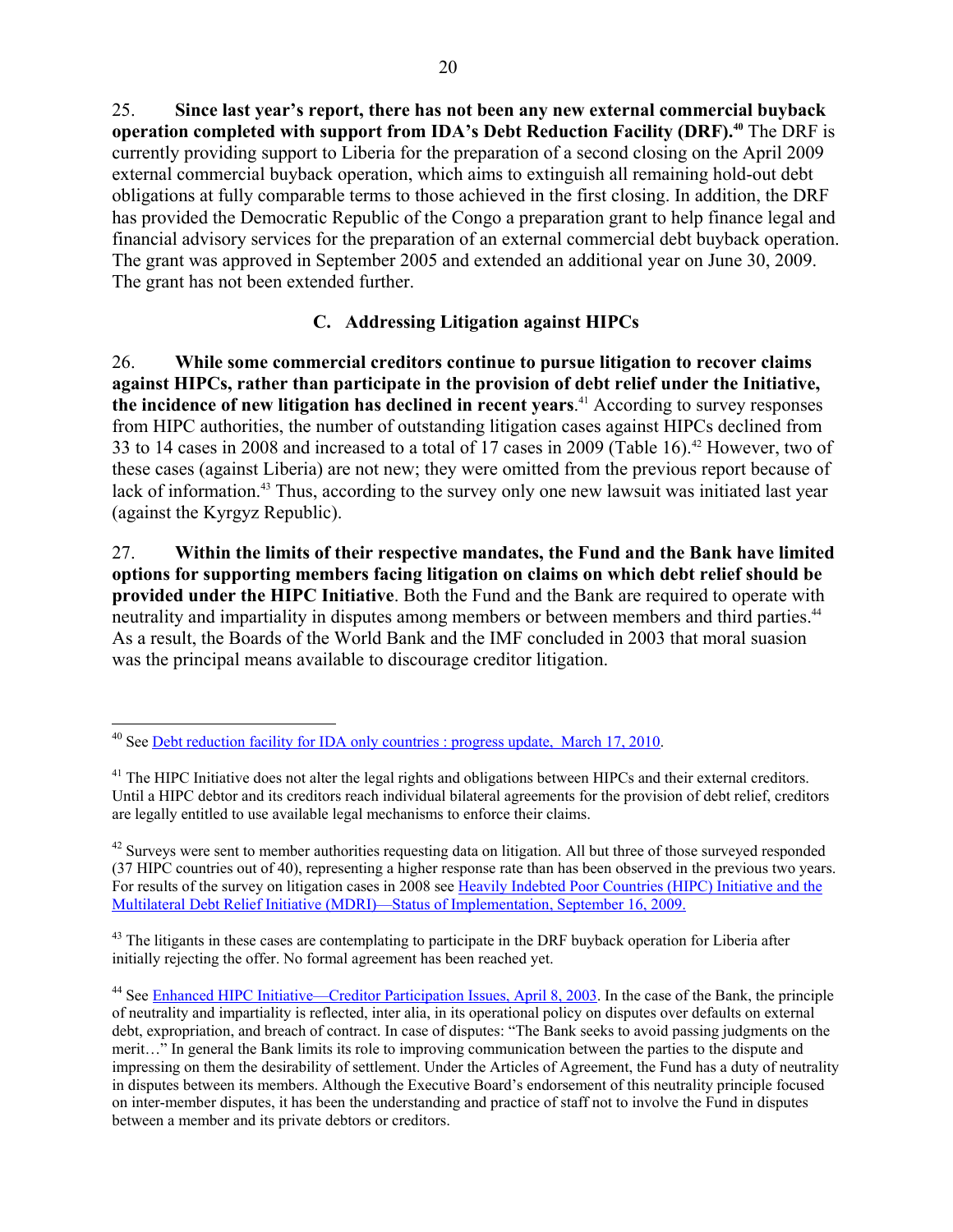25. **Since last year's report, there has not been any new external commercial buyback operation completed with support from IDA's Debt Reduction Facility (DRF).<sup>40</sup> The DRF is** currently providing support to Liberia for the preparation of a second closing on the April 2009 external commercial buyback operation, which aims to extinguish all remaining hold-out debt obligations at fully comparable terms to those achieved in the first closing. In addition, the DRF has provided the Democratic Republic of the Congo a preparation grant to help finance legal and financial advisory services for the preparation of an external commercial debt buyback operation. The grant was approved in September 2005 and extended an additional year on June 30, 2009. The grant has not been extended further.

## **C. Addressing Litigation against HIPCs**

26. **While some commercial creditors continue to pursue litigation to recover claims against HIPCs, rather than participate in the provision of debt relief under the Initiative, the incidence of new litigation has declined in recent years**. 41 According to survey responses from HIPC authorities, the number of outstanding litigation cases against HIPCs declined from 33 to 14 cases in 2008 and increased to a total of 17 cases in 2009 (Table 16).<sup>42</sup> However, two of these cases (against Liberia) are not new; they were omitted from the previous report because of lack of information.<sup>43</sup> Thus, according to the survey only one new lawsuit was initiated last year (against the Kyrgyz Republic).

27. **Within the limits of their respective mandates, the Fund and the Bank have limited options for supporting members facing litigation on claims on which debt relief should be provided under the HIPC Initiative**. Both the Fund and the Bank are required to operate with neutrality and impartiality in disputes among members or between members and third parties.<sup>44</sup> As a result, the Boards of the World Bank and the IMF concluded in 2003 that moral suasion was the principal means available to discourage creditor litigation.

1

<sup>43</sup> The litigants in these cases are contemplating to participate in the DRF buyback operation for Liberia after initially rejecting the offer. No formal agreement has been reached yet.

<sup>&</sup>lt;sup>40</sup> See <u>Debt reduction facility for IDA only countries : progress update, March 17, 2010</u>.

<sup>&</sup>lt;sup>41</sup> The HIPC Initiative does not alter the legal rights and obligations between HIPCs and their external creditors. Until a HIPC debtor and its creditors reach individual bilateral agreements for the provision of debt relief, creditors are legally entitled to use available legal mechanisms to enforce their claims.

<sup>&</sup>lt;sup>42</sup> Surveys were sent to member authorities requesting data on litigation. All but three of those surveyed responded (37 HIPC countries out of 40), representing a higher response rate than has been observed in the previous two years. For results of the survey on litigation cases in 2008 see [Heavily Indebted Poor Countries \(HIPC\) Initiative and the](http://www.imf.org/external/pp/longres.aspx?id=4365)  [Multilateral Debt Relief Initiative \(MDRI\)—Status of Implementation, September 16, 2009.](http://www.imf.org/external/pp/longres.aspx?id=4365) 

<sup>&</sup>lt;sup>44</sup> See [Enhanced HIPC Initiative—Creditor Participation Issues, April 8, 2003](http://www.imf.org/external/np/hipc/2003/creditor/040803.htm). In the case of the Bank, the principle of neutrality and impartiality is reflected, inter alia, in its operational policy on disputes over defaults on external debt, expropriation, and breach of contract. In case of disputes: "The Bank seeks to avoid passing judgments on the merit…" In general the Bank limits its role to improving communication between the parties to the dispute and impressing on them the desirability of settlement. Under the Articles of Agreement, the Fund has a duty of neutrality in disputes between its members. Although the Executive Board's endorsement of this neutrality principle focused on inter-member disputes, it has been the understanding and practice of staff not to involve the Fund in disputes between a member and its private debtors or creditors.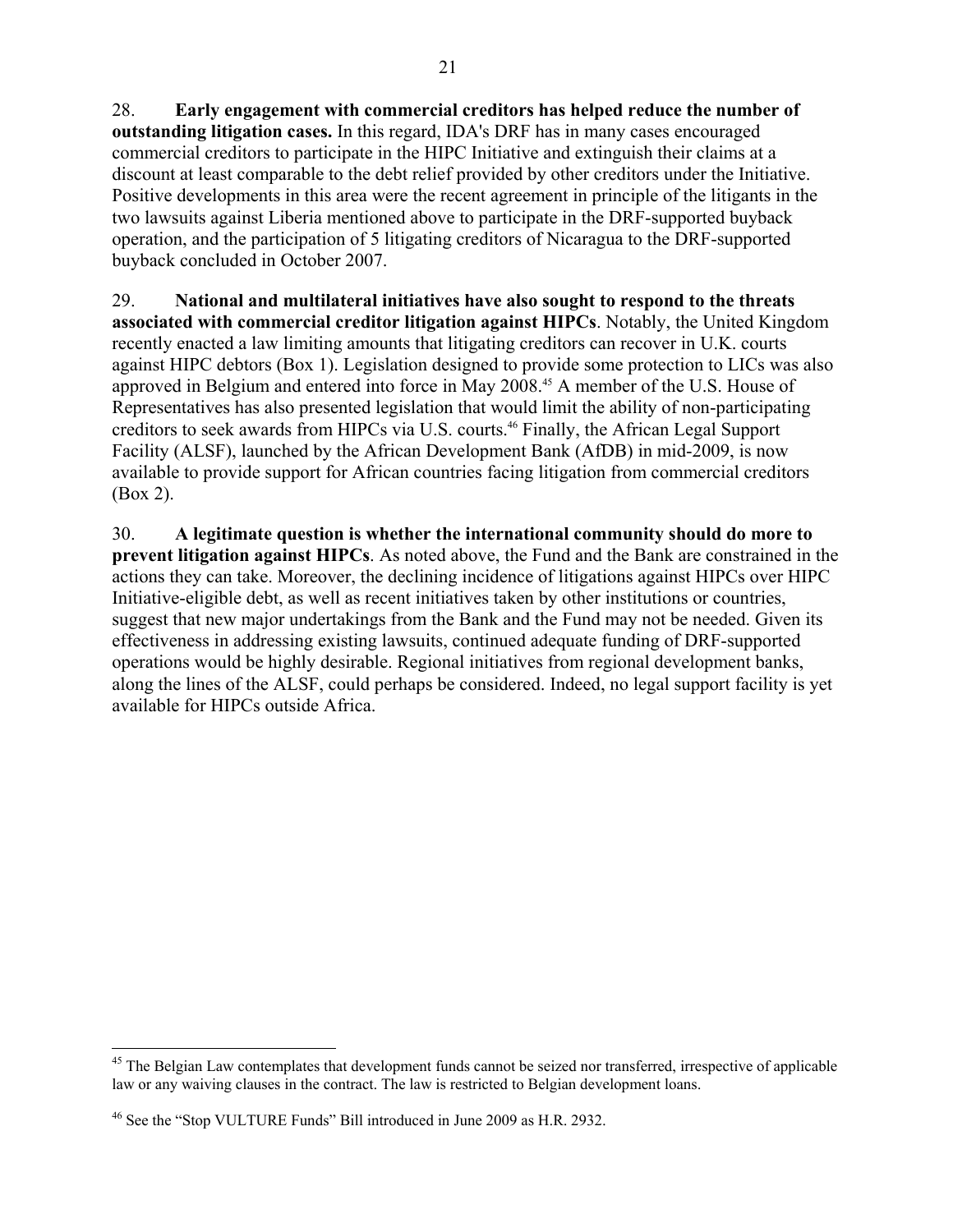28. **Early engagement with commercial creditors has helped reduce the number of outstanding litigation cases.** In this regard, IDA's DRF has in many cases encouraged commercial creditors to participate in the HIPC Initiative and extinguish their claims at a discount at least comparable to the debt relief provided by other creditors under the Initiative. Positive developments in this area were the recent agreement in principle of the litigants in the two lawsuits against Liberia mentioned above to participate in the DRF-supported buyback operation, and the participation of 5 litigating creditors of Nicaragua to the DRF-supported buyback concluded in October 2007.

29. **National and multilateral initiatives have also sought to respond to the threats associated with commercial creditor litigation against HIPCs**. Notably, the United Kingdom recently enacted a law limiting amounts that litigating creditors can recover in U.K. courts against HIPC debtors (Box 1). Legislation designed to provide some protection to LICs was also approved in Belgium and entered into force in May 2008.45 A member of the U.S. House of Representatives has also presented legislation that would limit the ability of non-participating creditors to seek awards from HIPCs via U.S. courts.46 Finally, the African Legal Support Facility (ALSF), launched by the African Development Bank (AfDB) in mid-2009, is now available to provide support for African countries facing litigation from commercial creditors (Box 2).

30. **A legitimate question is whether the international community should do more to prevent litigation against HIPCs**. As noted above, the Fund and the Bank are constrained in the actions they can take. Moreover, the declining incidence of litigations against HIPCs over HIPC Initiative-eligible debt, as well as recent initiatives taken by other institutions or countries, suggest that new major undertakings from the Bank and the Fund may not be needed. Given its effectiveness in addressing existing lawsuits, continued adequate funding of DRF-supported operations would be highly desirable. Regional initiatives from regional development banks, along the lines of the ALSF, could perhaps be considered. Indeed, no legal support facility is yet available for HIPCs outside Africa.

 $\overline{a}$ <sup>45</sup> The Belgian Law contemplates that development funds cannot be seized nor transferred, irrespective of applicable law or any waiving clauses in the contract. The law is restricted to Belgian development loans.

<sup>46</sup> See the "Stop VULTURE Funds" Bill introduced in June 2009 as H.R. 2932.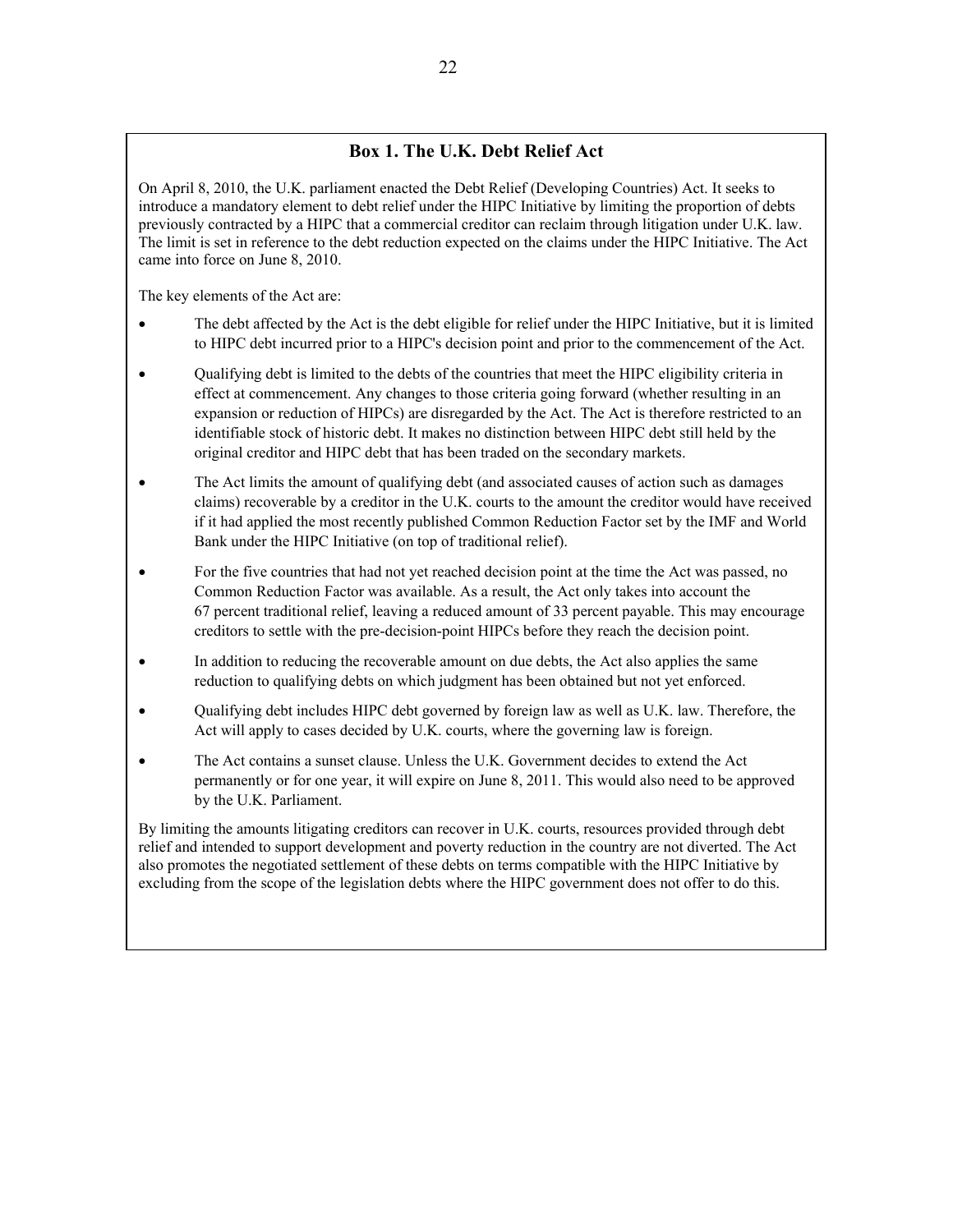### **Box 1. The U.K. Debt Relief Act**

On April 8, 2010, the U.K. parliament enacted the Debt Relief (Developing Countries) Act. It seeks to introduce a mandatory element to debt relief under the HIPC Initiative by limiting the proportion of debts previously contracted by a HIPC that a commercial creditor can reclaim through litigation under U.K. law. The limit is set in reference to the debt reduction expected on the claims under the HIPC Initiative. The Act came into force on June 8, 2010.

The key elements of the Act are:

- The debt affected by the Act is the debt eligible for relief under the HIPC Initiative, but it is limited to HIPC debt incurred prior to a HIPC's decision point and prior to the commencement of the Act.
- Qualifying debt is limited to the debts of the countries that meet the HIPC eligibility criteria in effect at commencement. Any changes to those criteria going forward (whether resulting in an expansion or reduction of HIPCs) are disregarded by the Act. The Act is therefore restricted to an identifiable stock of historic debt. It makes no distinction between HIPC debt still held by the original creditor and HIPC debt that has been traded on the secondary markets.
- The Act limits the amount of qualifying debt (and associated causes of action such as damages claims) recoverable by a creditor in the U.K. courts to the amount the creditor would have received if it had applied the most recently published Common Reduction Factor set by the IMF and World Bank under the HIPC Initiative (on top of traditional relief).
- For the five countries that had not yet reached decision point at the time the Act was passed, no Common Reduction Factor was available. As a result, the Act only takes into account the 67 percent traditional relief, leaving a reduced amount of 33 percent payable. This may encourage creditors to settle with the pre-decision-point HIPCs before they reach the decision point.
- In addition to reducing the recoverable amount on due debts, the Act also applies the same reduction to qualifying debts on which judgment has been obtained but not yet enforced.
- Qualifying debt includes HIPC debt governed by foreign law as well as U.K. law. Therefore, the Act will apply to cases decided by U.K. courts, where the governing law is foreign.
- The Act contains a sunset clause. Unless the U.K. Government decides to extend the Act permanently or for one year, it will expire on June 8, 2011. This would also need to be approved by the U.K. Parliament.

By limiting the amounts litigating creditors can recover in U.K. courts, resources provided through debt relief and intended to support development and poverty reduction in the country are not diverted. The Act also promotes the negotiated settlement of these debts on terms compatible with the HIPC Initiative by excluding from the scope of the legislation debts where the HIPC government does not offer to do this.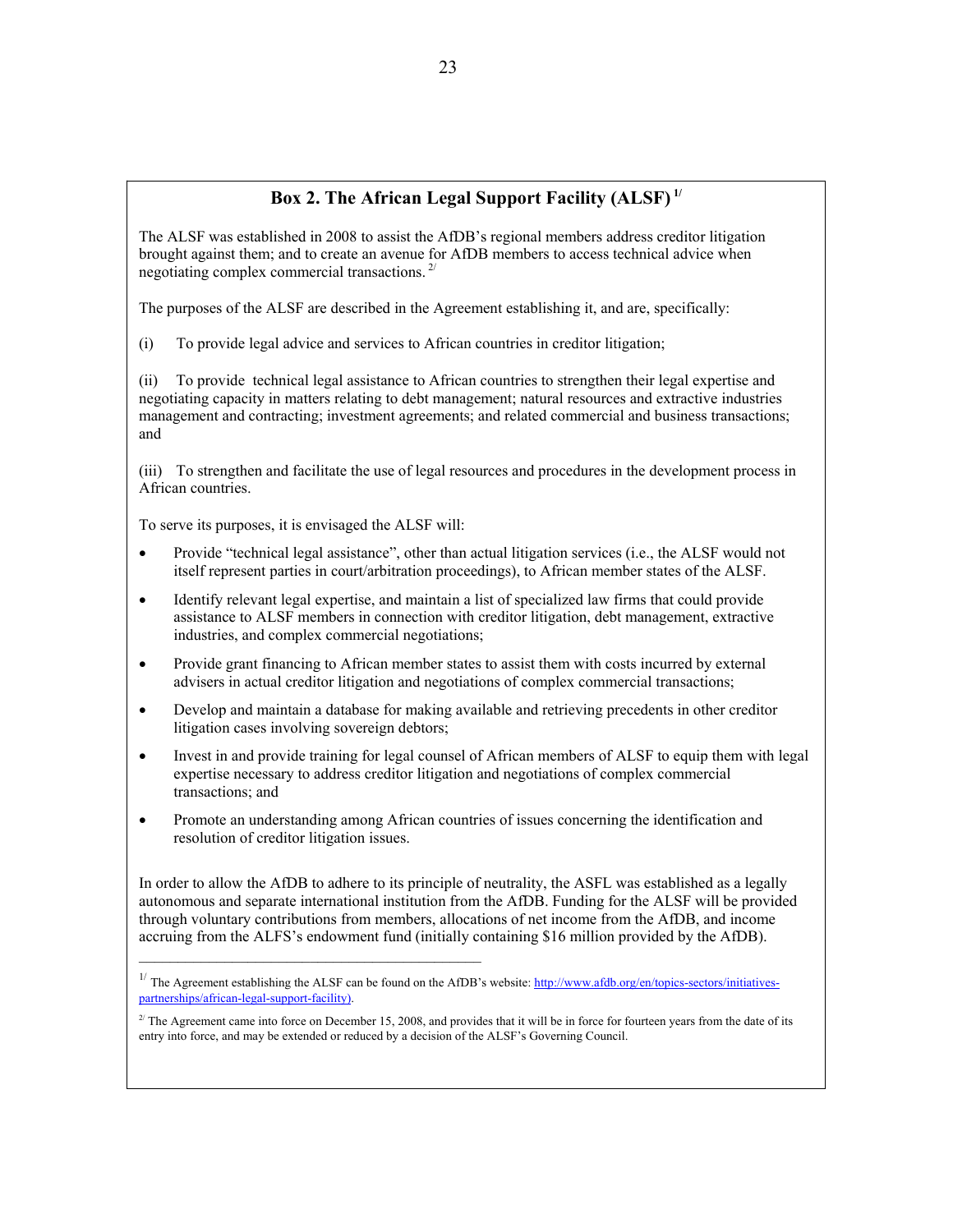### **Box 2. The African Legal Support Facility (ALSF) 1/**

The ALSF was established in 2008 to assist the AfDB's regional members address creditor litigation brought against them; and to create an avenue for AfDB members to access technical advice when negotiating complex commercial transactions. 2/

The purposes of the ALSF are described in the Agreement establishing it, and are, specifically:

(i) To provide legal advice and services to African countries in creditor litigation;

(ii) To provide technical legal assistance to African countries to strengthen their legal expertise and negotiating capacity in matters relating to debt management; natural resources and extractive industries management and contracting; investment agreements; and related commercial and business transactions; and

(iii) To strengthen and facilitate the use of legal resources and procedures in the development process in African countries.

To serve its purposes, it is envisaged the ALSF will:

- Provide "technical legal assistance", other than actual litigation services (i.e., the ALSF would not itself represent parties in court/arbitration proceedings), to African member states of the ALSF.
- Identify relevant legal expertise, and maintain a list of specialized law firms that could provide assistance to ALSF members in connection with creditor litigation, debt management, extractive industries, and complex commercial negotiations;
- Provide grant financing to African member states to assist them with costs incurred by external advisers in actual creditor litigation and negotiations of complex commercial transactions;
- Develop and maintain a database for making available and retrieving precedents in other creditor litigation cases involving sovereign debtors;
- Invest in and provide training for legal counsel of African members of ALSF to equip them with legal expertise necessary to address creditor litigation and negotiations of complex commercial transactions; and
- Promote an understanding among African countries of issues concerning the identification and resolution of creditor litigation issues.

In order to allow the AfDB to adhere to its principle of neutrality, the ASFL was established as a legally autonomous and separate international institution from the AfDB. Funding for the ALSF will be provided through voluntary contributions from members, allocations of net income from the AfDB, and income accruing from the ALFS's endowment fund (initially containing \$16 million provided by the AfDB).

<sup>&</sup>lt;sup>1/</sup> The Agreement establishing the ALSF can be found on the AfDB's website:  $\frac{http://www.afdb.org/en/topics-section/initatives-}$ [partnerships/african-legal-support-facility\)](http://www.afdb.org/en/topics-sectors/initiatives-partnerships/african-legal-support-facility)).

 $2^{2}$  The Agreement came into force on December 15, 2008, and provides that it will be in force for fourteen years from the date of its entry into force, and may be extended or reduced by a decision of the ALSF's Governing Council.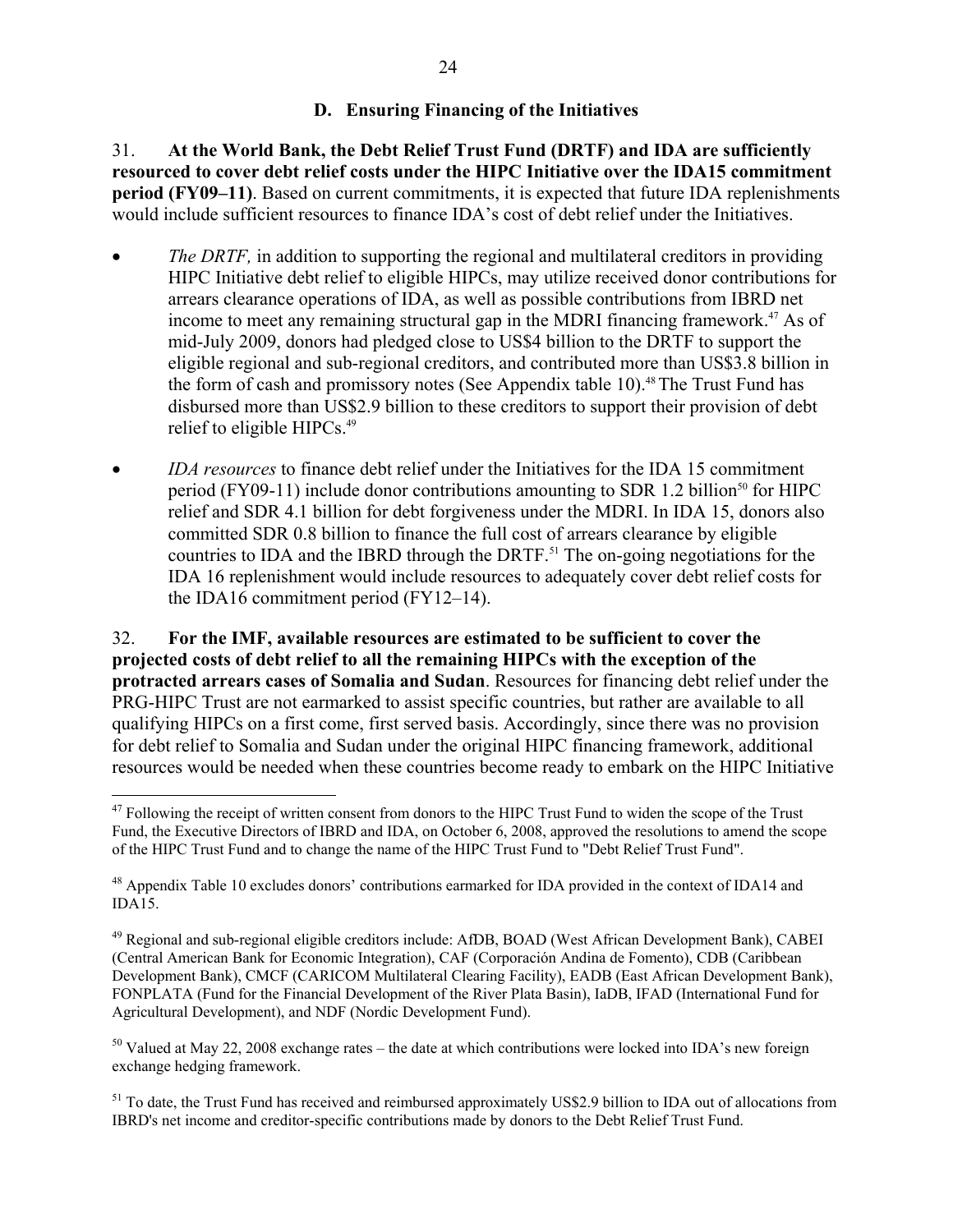## **D. Ensuring Financing of the Initiatives**

31. **At the World Bank, the Debt Relief Trust Fund (DRTF) and IDA are sufficiently resourced to cover debt relief costs under the HIPC Initiative over the IDA15 commitment period (FY09–11)**. Based on current commitments, it is expected that future IDA replenishments would include sufficient resources to finance IDA's cost of debt relief under the Initiatives.

- *The DRTF*, in addition to supporting the regional and multilateral creditors in providing HIPC Initiative debt relief to eligible HIPCs, may utilize received donor contributions for arrears clearance operations of IDA, as well as possible contributions from IBRD net income to meet any remaining structural gap in the MDRI financing framework.<sup>47</sup> As of mid-July 2009, donors had pledged close to US\$4 billion to the DRTF to support the eligible regional and sub-regional creditors, and contributed more than US\$3.8 billion in the form of cash and promissory notes (See Appendix table 10).<sup>48</sup> The Trust Fund has disbursed more than US\$2.9 billion to these creditors to support their provision of debt relief to eligible HIPCs.<sup>49</sup>
- *IDA resources* to finance debt relief under the Initiatives for the IDA 15 commitment period (FY09-11) include donor contributions amounting to SDR 1.2 billion<sup>50</sup> for HIPC relief and SDR 4.1 billion for debt forgiveness under the MDRI. In IDA 15, donors also committed SDR 0.8 billion to finance the full cost of arrears clearance by eligible countries to IDA and the IBRD through the DRTF.<sup>51</sup> The on-going negotiations for the IDA 16 replenishment would include resources to adequately cover debt relief costs for the IDA16 commitment period (FY12–14).

32. **For the IMF, available resources are estimated to be sufficient to cover the projected costs of debt relief to all the remaining HIPCs with the exception of the protracted arrears cases of Somalia and Sudan**. Resources for financing debt relief under the PRG-HIPC Trust are not earmarked to assist specific countries, but rather are available to all qualifying HIPCs on a first come, first served basis. Accordingly, since there was no provision for debt relief to Somalia and Sudan under the original HIPC financing framework, additional resources would be needed when these countries become ready to embark on the HIPC Initiative

 $\overline{a}$ 

 $50$  Valued at May 22, 2008 exchange rates – the date at which contributions were locked into IDA's new foreign exchange hedging framework.

<sup>51</sup> To date, the Trust Fund has received and reimbursed approximately US\$2.9 billion to IDA out of allocations from IBRD's net income and creditor-specific contributions made by donors to the Debt Relief Trust Fund.

<sup>&</sup>lt;sup>47</sup> Following the receipt of written consent from donors to the HIPC Trust Fund to widen the scope of the Trust Fund, the Executive Directors of IBRD and IDA, on October 6, 2008, approved the resolutions to amend the scope of the HIPC Trust Fund and to change the name of the HIPC Trust Fund to "Debt Relief Trust Fund".

<sup>&</sup>lt;sup>48</sup> Appendix Table 10 excludes donors' contributions earmarked for IDA provided in the context of IDA14 and IDA15.

<sup>&</sup>lt;sup>49</sup> Regional and sub-regional eligible creditors include: AfDB, BOAD (West African Development Bank), CABEI (Central American Bank for Economic Integration), CAF (Corporación Andina de Fomento), CDB (Caribbean Development Bank), CMCF (CARICOM Multilateral Clearing Facility), EADB (East African Development Bank), FONPLATA (Fund for the Financial Development of the River Plata Basin), IaDB, IFAD (International Fund for Agricultural Development), and NDF (Nordic Development Fund).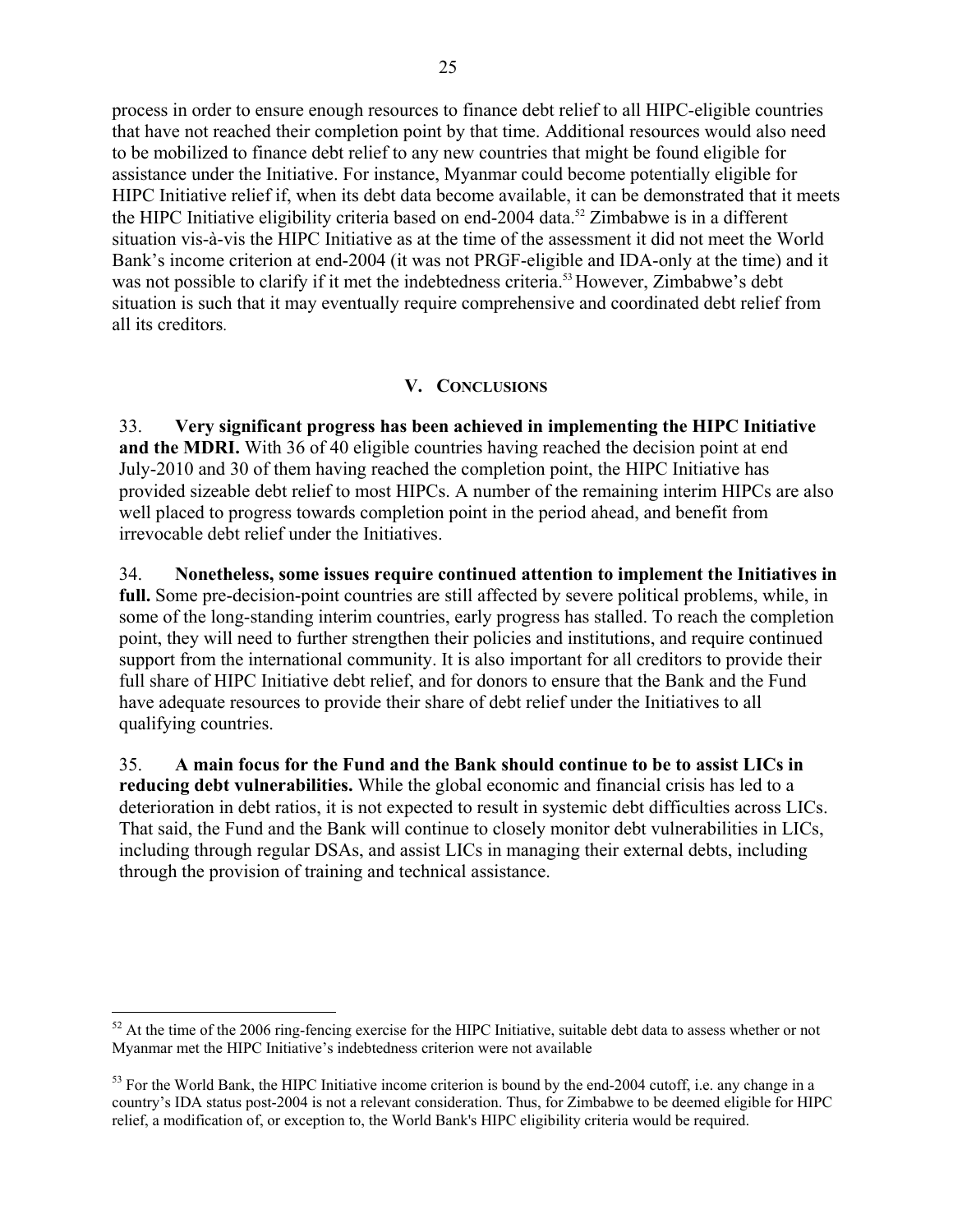process in order to ensure enough resources to finance debt relief to all HIPC-eligible countries that have not reached their completion point by that time. Additional resources would also need to be mobilized to finance debt relief to any new countries that might be found eligible for assistance under the Initiative. For instance, Myanmar could become potentially eligible for HIPC Initiative relief if, when its debt data become available, it can be demonstrated that it meets the HIPC Initiative eligibility criteria based on end-2004 data.<sup>52</sup> Zimbabwe is in a different situation vis-à-vis the HIPC Initiative as at the time of the assessment it did not meet the World Bank's income criterion at end-2004 (it was not PRGF-eligible and IDA-only at the time) and it was not possible to clarify if it met the indebtedness criteria.<sup>53</sup> However, Zimbabwe's debt situation is such that it may eventually require comprehensive and coordinated debt relief from all its creditors.

## **V. CONCLUSIONS**

33. **Very significant progress has been achieved in implementing the HIPC Initiative and the MDRI.** With 36 of 40 eligible countries having reached the decision point at end July-2010 and 30 of them having reached the completion point, the HIPC Initiative has provided sizeable debt relief to most HIPCs. A number of the remaining interim HIPCs are also well placed to progress towards completion point in the period ahead, and benefit from irrevocable debt relief under the Initiatives.

34. **Nonetheless, some issues require continued attention to implement the Initiatives in full.** Some pre-decision-point countries are still affected by severe political problems, while, in some of the long-standing interim countries, early progress has stalled. To reach the completion point, they will need to further strengthen their policies and institutions, and require continued support from the international community. It is also important for all creditors to provide their full share of HIPC Initiative debt relief, and for donors to ensure that the Bank and the Fund have adequate resources to provide their share of debt relief under the Initiatives to all qualifying countries.

35. **A main focus for the Fund and the Bank should continue to be to assist LICs in reducing debt vulnerabilities.** While the global economic and financial crisis has led to a deterioration in debt ratios, it is not expected to result in systemic debt difficulties across LICs. That said, the Fund and the Bank will continue to closely monitor debt vulnerabilities in LICs, including through regular DSAs, and assist LICs in managing their external debts, including through the provision of training and technical assistance.

 $52$  At the time of the 2006 ring-fencing exercise for the HIPC Initiative, suitable debt data to assess whether or not Myanmar met the HIPC Initiative's indebtedness criterion were not available

 $53$  For the World Bank, the HIPC Initiative income criterion is bound by the end-2004 cutoff, i.e. any change in a country's IDA status post-2004 is not a relevant consideration. Thus, for Zimbabwe to be deemed eligible for HIPC relief, a modification of, or exception to, the World Bank's HIPC eligibility criteria would be required.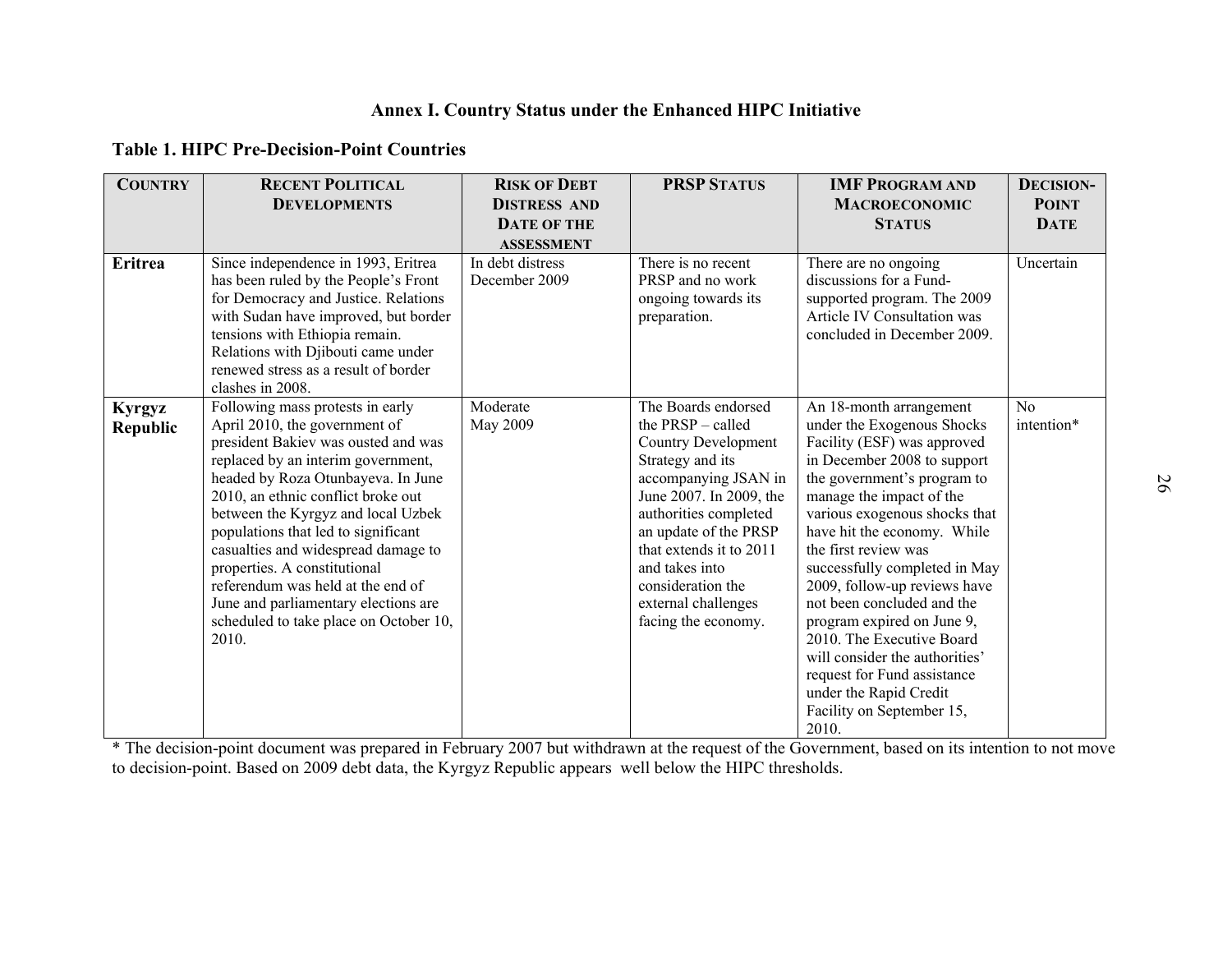| <b>Table 1. HIPC Pre-Decision-Point Countries</b> |                                                                                                                                                                                                                                                                                                                                                                                                                                                                                                                |                                                                                |                                                                                                                                                                                                                                                                                                                 |                                                                                                                                                                                                                                                                                                                                                                                                                                                                                                                                                                   |                                                 |  |
|---------------------------------------------------|----------------------------------------------------------------------------------------------------------------------------------------------------------------------------------------------------------------------------------------------------------------------------------------------------------------------------------------------------------------------------------------------------------------------------------------------------------------------------------------------------------------|--------------------------------------------------------------------------------|-----------------------------------------------------------------------------------------------------------------------------------------------------------------------------------------------------------------------------------------------------------------------------------------------------------------|-------------------------------------------------------------------------------------------------------------------------------------------------------------------------------------------------------------------------------------------------------------------------------------------------------------------------------------------------------------------------------------------------------------------------------------------------------------------------------------------------------------------------------------------------------------------|-------------------------------------------------|--|
| <b>COUNTRY</b>                                    | <b>RECENT POLITICAL</b><br><b>DEVELOPMENTS</b>                                                                                                                                                                                                                                                                                                                                                                                                                                                                 | <b>RISK OF DEBT</b><br><b>DISTRESS AND</b><br>DATE OF THE<br><b>ASSESSMENT</b> | <b>PRSP STATUS</b>                                                                                                                                                                                                                                                                                              | <b>IMF PROGRAM AND</b><br><b>MACROECONOMIC</b><br><b>STATUS</b>                                                                                                                                                                                                                                                                                                                                                                                                                                                                                                   | <b>DECISION-</b><br><b>POINT</b><br><b>DATE</b> |  |
| <b>Eritrea</b>                                    | Since independence in 1993, Eritrea<br>has been ruled by the People's Front<br>for Democracy and Justice. Relations<br>with Sudan have improved, but border<br>tensions with Ethiopia remain.<br>Relations with Djibouti came under<br>renewed stress as a result of border<br>clashes in 2008.                                                                                                                                                                                                                | In debt distress<br>December 2009                                              | There is no recent<br>PRSP and no work<br>ongoing towards its<br>preparation.                                                                                                                                                                                                                                   | There are no ongoing<br>discussions for a Fund-<br>supported program. The 2009<br>Article IV Consultation was<br>concluded in December 2009.                                                                                                                                                                                                                                                                                                                                                                                                                      | Uncertain                                       |  |
| <b>Kyrgyz</b><br>Republic                         | Following mass protests in early<br>April 2010, the government of<br>president Bakiev was ousted and was<br>replaced by an interim government,<br>headed by Roza Otunbayeva. In June<br>2010, an ethnic conflict broke out<br>between the Kyrgyz and local Uzbek<br>populations that led to significant<br>casualties and widespread damage to<br>properties. A constitutional<br>referendum was held at the end of<br>June and parliamentary elections are<br>scheduled to take place on October 10,<br>2010. | Moderate<br>May 2009                                                           | The Boards endorsed<br>the PRSP - called<br><b>Country Development</b><br>Strategy and its<br>accompanying JSAN in<br>June 2007. In 2009, the<br>authorities completed<br>an update of the PRSP<br>that extends it to 2011<br>and takes into<br>consideration the<br>external challenges<br>facing the economy. | An 18-month arrangement<br>under the Exogenous Shocks<br>Facility (ESF) was approved<br>in December 2008 to support<br>the government's program to<br>manage the impact of the<br>various exogenous shocks that<br>have hit the economy. While<br>the first review was<br>successfully completed in May<br>2009, follow-up reviews have<br>not been concluded and the<br>program expired on June 9,<br>2010. The Executive Board<br>will consider the authorities'<br>request for Fund assistance<br>under the Rapid Credit<br>Facility on September 15,<br>2010. | No<br>intention*                                |  |

to decision-point. Based on 2009 debt data, the Kyrgyz Republic appears well below the HIPC thresholds. \* The decision-point document was prepared in February 2007 but withdrawn at the request of the Government, based on its intention to not move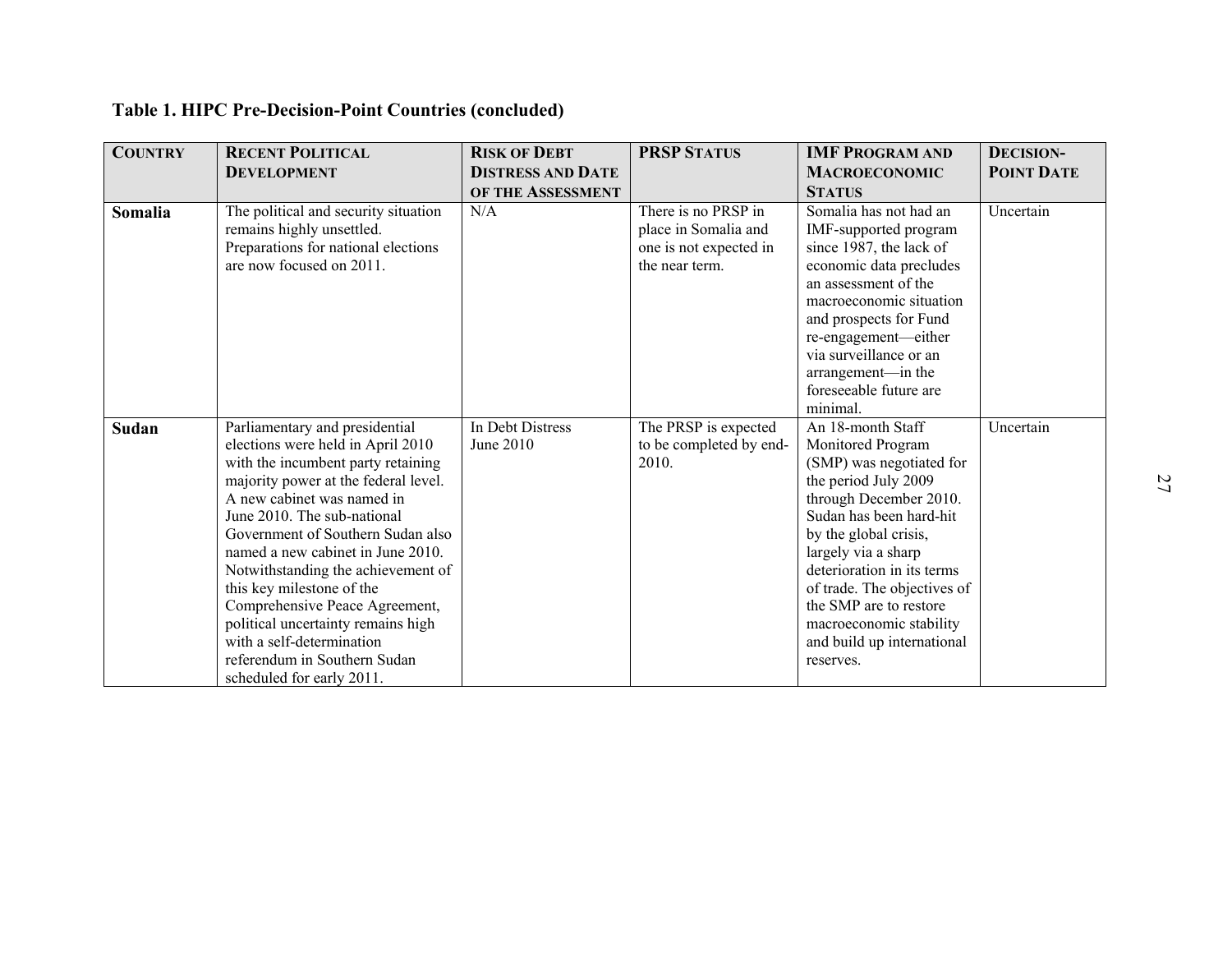| <b>COUNTRY</b> | Table 1. HIPC Pre-Decision-Point Countries (concluded)<br><b>RECENT POLITICAL</b>                                                                                                                                                                                                                                                                                                                                                                                                                                             | <b>RISK OF DEBT</b>                           | <b>PRSP STATUS</b>                                                                      | <b>IMF PROGRAM AND</b>                                                                                                                                                                                                                                                                                                                                       | <b>DECISION-</b>  |
|----------------|-------------------------------------------------------------------------------------------------------------------------------------------------------------------------------------------------------------------------------------------------------------------------------------------------------------------------------------------------------------------------------------------------------------------------------------------------------------------------------------------------------------------------------|-----------------------------------------------|-----------------------------------------------------------------------------------------|--------------------------------------------------------------------------------------------------------------------------------------------------------------------------------------------------------------------------------------------------------------------------------------------------------------------------------------------------------------|-------------------|
|                | <b>DEVELOPMENT</b>                                                                                                                                                                                                                                                                                                                                                                                                                                                                                                            | <b>DISTRESS AND DATE</b><br>OF THE ASSESSMENT |                                                                                         | <b>MACROECONOMIC</b><br><b>STATUS</b>                                                                                                                                                                                                                                                                                                                        | <b>POINT DATE</b> |
| Somalia        | The political and security situation<br>remains highly unsettled.<br>Preparations for national elections<br>are now focused on 2011.                                                                                                                                                                                                                                                                                                                                                                                          | N/A                                           | There is no PRSP in<br>place in Somalia and<br>one is not expected in<br>the near term. | Somalia has not had an<br>IMF-supported program<br>since 1987, the lack of<br>economic data precludes<br>an assessment of the<br>macroeconomic situation<br>and prospects for Fund<br>re-engagement-either<br>via surveillance or an<br>arrangement-in the<br>foreseeable future are<br>minimal.                                                             | Uncertain         |
| Sudan          | Parliamentary and presidential<br>elections were held in April 2010<br>with the incumbent party retaining<br>majority power at the federal level.<br>A new cabinet was named in<br>June 2010. The sub-national<br>Government of Southern Sudan also<br>named a new cabinet in June 2010.<br>Notwithstanding the achievement of<br>this key milestone of the<br>Comprehensive Peace Agreement,<br>political uncertainty remains high<br>with a self-determination<br>referendum in Southern Sudan<br>scheduled for early 2011. | In Debt Distress<br>June 2010                 | The PRSP is expected<br>to be completed by end-<br>2010.                                | An 18-month Staff<br>Monitored Program<br>(SMP) was negotiated for<br>the period July 2009<br>through December 2010.<br>Sudan has been hard-hit<br>by the global crisis,<br>largely via a sharp<br>deterioration in its terms<br>of trade. The objectives of<br>the SMP are to restore<br>macroeconomic stability<br>and build up international<br>reserves. | Uncertain         |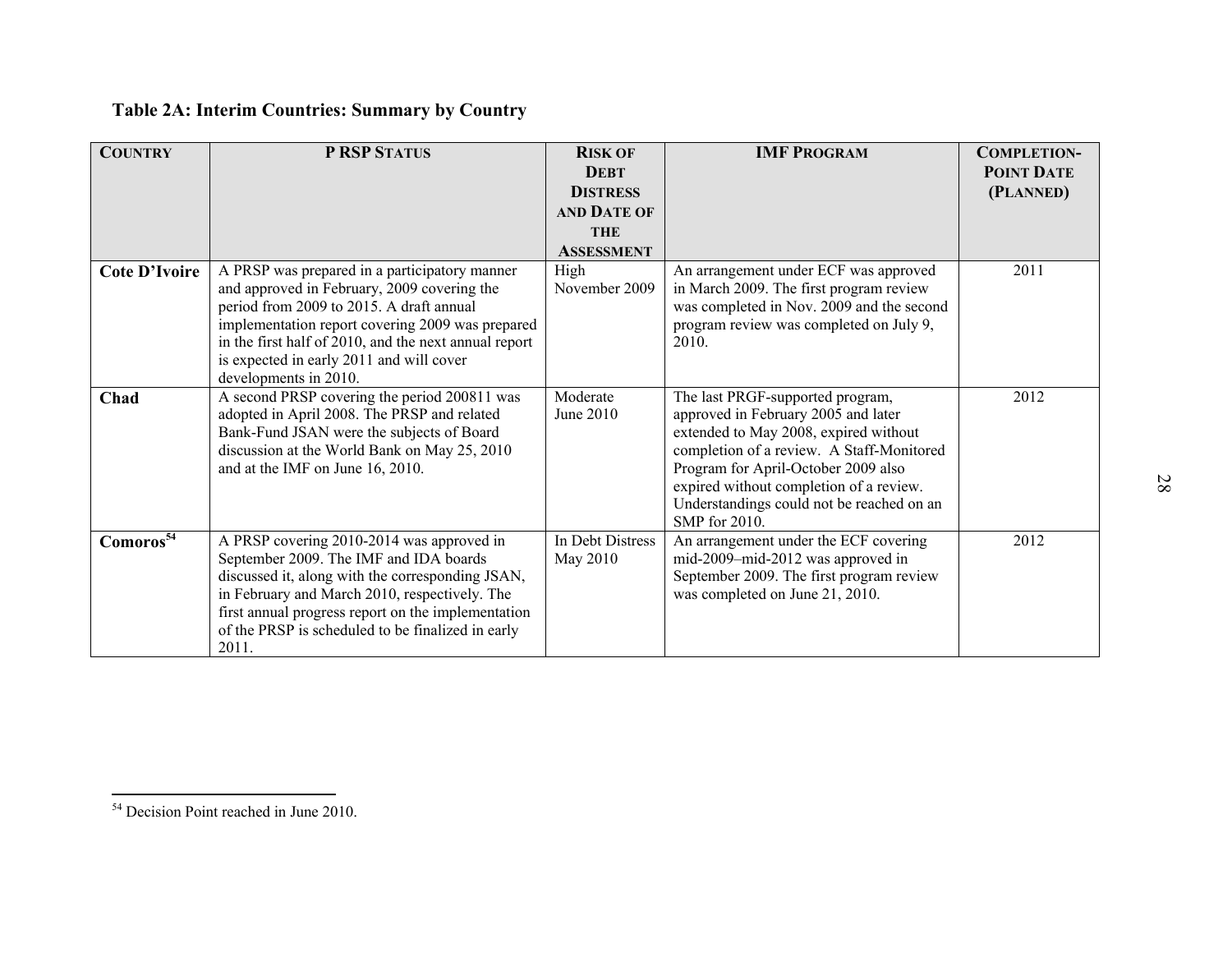| <b>COUNTRY</b>        | P RSP STATUS                                                                                                                                                                                                                                                                                                               | <b>RISK OF</b><br><b>DEBT</b><br><b>DISTRESS</b><br>AND DATE OF<br><b>THE</b><br><b>ASSESSMENT</b> | <b>IMF PROGRAM</b>                                                                                                                                                                                                                                                                                            | <b>COMPLETION-</b><br><b>POINT DATE</b><br>(PLANNED) |
|-----------------------|----------------------------------------------------------------------------------------------------------------------------------------------------------------------------------------------------------------------------------------------------------------------------------------------------------------------------|----------------------------------------------------------------------------------------------------|---------------------------------------------------------------------------------------------------------------------------------------------------------------------------------------------------------------------------------------------------------------------------------------------------------------|------------------------------------------------------|
| <b>Cote D'Ivoire</b>  | A PRSP was prepared in a participatory manner<br>and approved in February, 2009 covering the<br>period from 2009 to 2015. A draft annual<br>implementation report covering 2009 was prepared<br>in the first half of 2010, and the next annual report<br>is expected in early 2011 and will cover<br>developments in 2010. | High<br>November 2009                                                                              | An arrangement under ECF was approved<br>in March 2009. The first program review<br>was completed in Nov. 2009 and the second<br>program review was completed on July 9,<br>2010.                                                                                                                             | $\overline{2011}$                                    |
| Chad                  | A second PRSP covering the period 200811 was<br>adopted in April 2008. The PRSP and related<br>Bank-Fund JSAN were the subjects of Board<br>discussion at the World Bank on May 25, 2010<br>and at the IMF on June 16, 2010.                                                                                               | Moderate<br>June 2010                                                                              | The last PRGF-supported program,<br>approved in February 2005 and later<br>extended to May 2008, expired without<br>completion of a review. A Staff-Monitored<br>Program for April-October 2009 also<br>expired without completion of a review.<br>Understandings could not be reached on an<br>SMP for 2010. | 2012                                                 |
| Comoros <sup>54</sup> | A PRSP covering 2010-2014 was approved in<br>September 2009. The IMF and IDA boards<br>discussed it, along with the corresponding JSAN,<br>in February and March 2010, respectively. The<br>first annual progress report on the implementation<br>of the PRSP is scheduled to be finalized in early<br>2011.               | In Debt Distress<br>May 2010                                                                       | An arrangement under the ECF covering<br>mid-2009-mid-2012 was approved in<br>September 2009. The first program review<br>was completed on June 21, 2010.                                                                                                                                                     | 2012                                                 |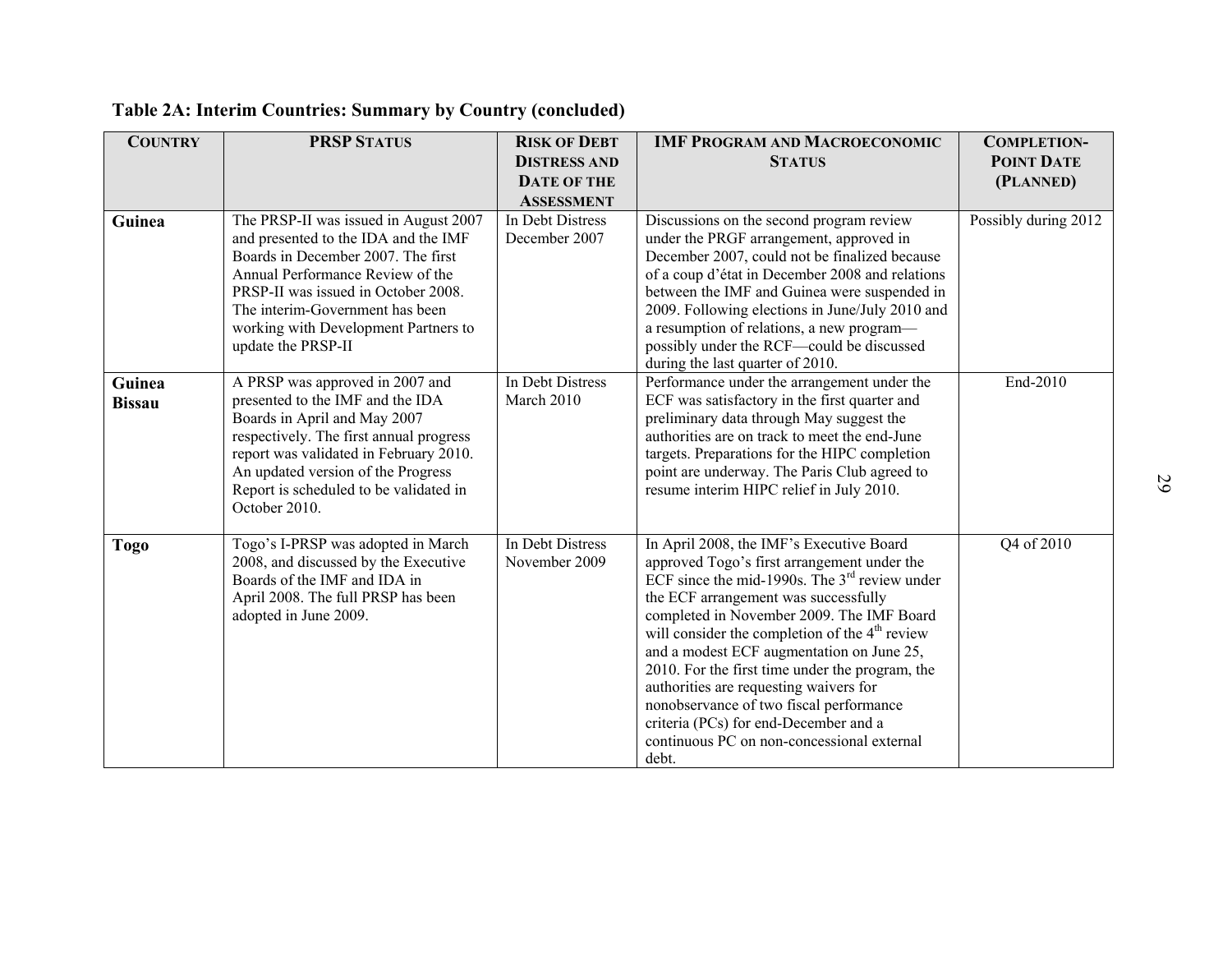| <b>COUNTRY</b>          | <b>PRSP STATUS</b>                                                                                                                                                                                                                                                                              | <b>RISK OF DEBT</b><br><b>DISTRESS AND</b><br><b>DATE OF THE</b><br><b>ASSESSMENT</b> | <b>IMF PROGRAM AND MACROECONOMIC</b><br><b>STATUS</b>                                                                                                                                                                                                                                                                                                                                                                                                                                                                                                                              | <b>COMPLETION-</b><br><b>POINT DATE</b><br>(PLANNED) |
|-------------------------|-------------------------------------------------------------------------------------------------------------------------------------------------------------------------------------------------------------------------------------------------------------------------------------------------|---------------------------------------------------------------------------------------|------------------------------------------------------------------------------------------------------------------------------------------------------------------------------------------------------------------------------------------------------------------------------------------------------------------------------------------------------------------------------------------------------------------------------------------------------------------------------------------------------------------------------------------------------------------------------------|------------------------------------------------------|
| Guinea                  | The PRSP-II was issued in August 2007<br>and presented to the IDA and the IMF<br>Boards in December 2007. The first<br>Annual Performance Review of the<br>PRSP-II was issued in October 2008.<br>The interim-Government has been<br>working with Development Partners to<br>update the PRSP-II | In Debt Distress<br>December 2007                                                     | Discussions on the second program review<br>under the PRGF arrangement, approved in<br>December 2007, could not be finalized because<br>of a coup d'état in December 2008 and relations<br>between the IMF and Guinea were suspended in<br>2009. Following elections in June/July 2010 and<br>a resumption of relations, a new program-<br>possibly under the RCF—could be discussed<br>during the last quarter of 2010.                                                                                                                                                           | Possibly during 2012                                 |
| Guinea<br><b>Bissau</b> | A PRSP was approved in 2007 and<br>presented to the IMF and the IDA<br>Boards in April and May 2007<br>respectively. The first annual progress<br>report was validated in February 2010.<br>An updated version of the Progress<br>Report is scheduled to be validated in<br>October 2010.       | In Debt Distress<br>March 2010                                                        | Performance under the arrangement under the<br>ECF was satisfactory in the first quarter and<br>preliminary data through May suggest the<br>authorities are on track to meet the end-June<br>targets. Preparations for the HIPC completion<br>point are underway. The Paris Club agreed to<br>resume interim HIPC relief in July 2010.                                                                                                                                                                                                                                             | End-2010                                             |
| <b>Togo</b>             | Togo's I-PRSP was adopted in March<br>2008, and discussed by the Executive<br>Boards of the IMF and IDA in<br>April 2008. The full PRSP has been<br>adopted in June 2009.                                                                                                                       | In Debt Distress<br>November 2009                                                     | In April 2008, the IMF's Executive Board<br>approved Togo's first arrangement under the<br>ECF since the mid-1990s. The $3rd$ review under<br>the ECF arrangement was successfully<br>completed in November 2009. The IMF Board<br>will consider the completion of the 4 <sup>th</sup> review<br>and a modest ECF augmentation on June 25,<br>2010. For the first time under the program, the<br>authorities are requesting waivers for<br>nonobservance of two fiscal performance<br>criteria (PCs) for end-December and a<br>continuous PC on non-concessional external<br>debt. | Q4 of 2010                                           |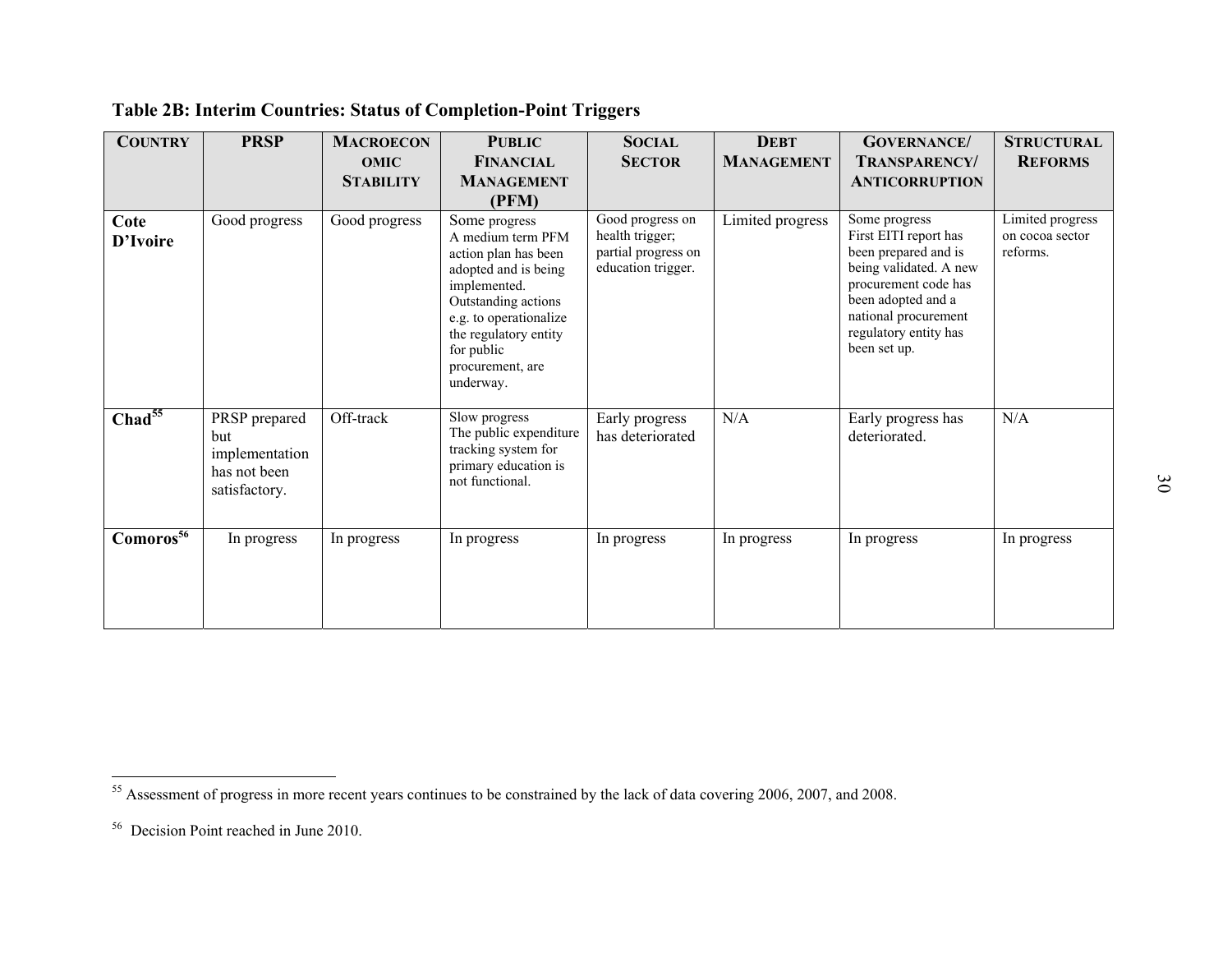| <b>COUNTRY</b>                    | <b>PRSP</b>                                                             | <b>MACROECON</b><br><b>OMIC</b><br><b>STABILITY</b> | <b>PUBLIC</b><br><b>FINANCIAL</b><br><b>MANAGEMENT</b><br>(PFM)                                                                                                                                                             | <b>SOCIAL</b><br><b>SECTOR</b>                                                   | <b>DEBT</b><br><b>MANAGEMENT</b> | <b>GOVERNANCE</b> /<br><b>TRANSPARENCY/</b><br><b>ANTICORRUPTION</b>                                                                                                                                    | <b>STRUCTURAL</b><br><b>REFORMS</b>             |
|-----------------------------------|-------------------------------------------------------------------------|-----------------------------------------------------|-----------------------------------------------------------------------------------------------------------------------------------------------------------------------------------------------------------------------------|----------------------------------------------------------------------------------|----------------------------------|---------------------------------------------------------------------------------------------------------------------------------------------------------------------------------------------------------|-------------------------------------------------|
| Cote<br>D'Ivoire                  | Good progress                                                           | Good progress                                       | Some progress<br>A medium term PFM<br>action plan has been<br>adopted and is being<br>implemented.<br>Outstanding actions<br>e.g. to operationalize<br>the regulatory entity<br>for public<br>procurement, are<br>underway. | Good progress on<br>health trigger;<br>partial progress on<br>education trigger. | Limited progress                 | Some progress<br>First EITI report has<br>been prepared and is<br>being validated. A new<br>procurement code has<br>been adopted and a<br>national procurement<br>regulatory entity has<br>been set up. | Limited progress<br>on cocoa sector<br>reforms. |
| $Chad^{55}$                       | PRSP prepared<br>but<br>implementation<br>has not been<br>satisfactory. | Off-track                                           | Slow progress<br>The public expenditure<br>tracking system for<br>primary education is<br>not functional.                                                                                                                   | Early progress<br>has deteriorated                                               | N/A                              | Early progress has<br>deteriorated.                                                                                                                                                                     | N/A                                             |
| Comor <sub>os</sub> <sup>56</sup> | In progress                                                             | In progress                                         | In progress                                                                                                                                                                                                                 | In progress                                                                      | In progress                      | In progress                                                                                                                                                                                             | In progress                                     |

<sup>&</sup>lt;sup>55</sup> Assessment of progress in more recent years continues to be constrained by the lack of data covering 2006, 2007, and 2008.<br><sup>56</sup> Decision Point reached in June 2010.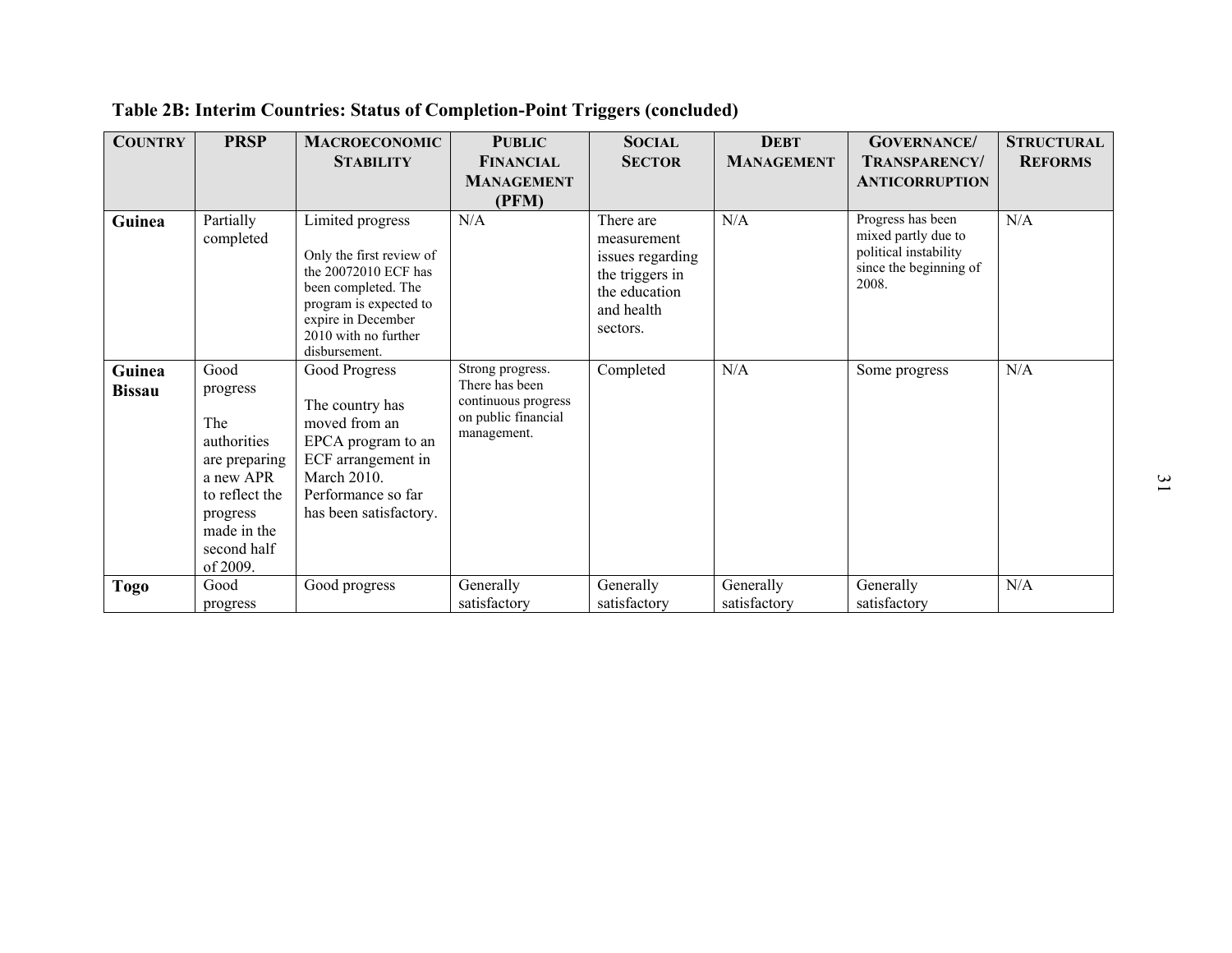| <b>COUNTRY</b>          | <b>PRSP</b>                                                                                                                                  | <b>MACROECONOMIC</b>                                                                                                                                                                 | <b>PUBLIC</b>                                                                                   | <b>SOCIAL</b>                                                                                              | <b>DEBT</b>               | <b>GOVERNANCE</b> /                                                                                  | <b>STRUCTURAL</b> |
|-------------------------|----------------------------------------------------------------------------------------------------------------------------------------------|--------------------------------------------------------------------------------------------------------------------------------------------------------------------------------------|-------------------------------------------------------------------------------------------------|------------------------------------------------------------------------------------------------------------|---------------------------|------------------------------------------------------------------------------------------------------|-------------------|
|                         |                                                                                                                                              | <b>STABILITY</b>                                                                                                                                                                     | <b>FINANCIAL</b><br><b>MANAGEMENT</b><br>(PFM)                                                  | <b>SECTOR</b>                                                                                              | <b>MANAGEMENT</b>         | TRANSPARENCY/<br><b>ANTICORRUPTION</b>                                                               | <b>REFORMS</b>    |
| Guinea                  | Partially<br>completed                                                                                                                       | Limited progress<br>Only the first review of<br>the 20072010 ECF has<br>been completed. The<br>program is expected to<br>expire in December<br>2010 with no further<br>disbursement. | N/A                                                                                             | There are<br>measurement<br>issues regarding<br>the triggers in<br>the education<br>and health<br>sectors. | N/A                       | Progress has been<br>mixed partly due to<br>political instability<br>since the beginning of<br>2008. | N/A               |
| Guinea<br><b>Bissau</b> | Good<br>progress<br>The<br>authorities<br>are preparing<br>a new APR<br>to reflect the<br>progress<br>made in the<br>second half<br>of 2009. | Good Progress<br>The country has<br>moved from an<br>EPCA program to an<br>ECF arrangement in<br><b>March 2010.</b><br>Performance so far<br>has been satisfactory.                  | Strong progress.<br>There has been<br>continuous progress<br>on public financial<br>management. | Completed                                                                                                  | N/A                       | Some progress                                                                                        | N/A               |
| <b>Togo</b>             | Good<br>progress                                                                                                                             | Good progress                                                                                                                                                                        | Generally<br>satisfactory                                                                       | Generally<br>satisfactory                                                                                  | Generally<br>satisfactory | Generally<br>satisfactory                                                                            | N/A               |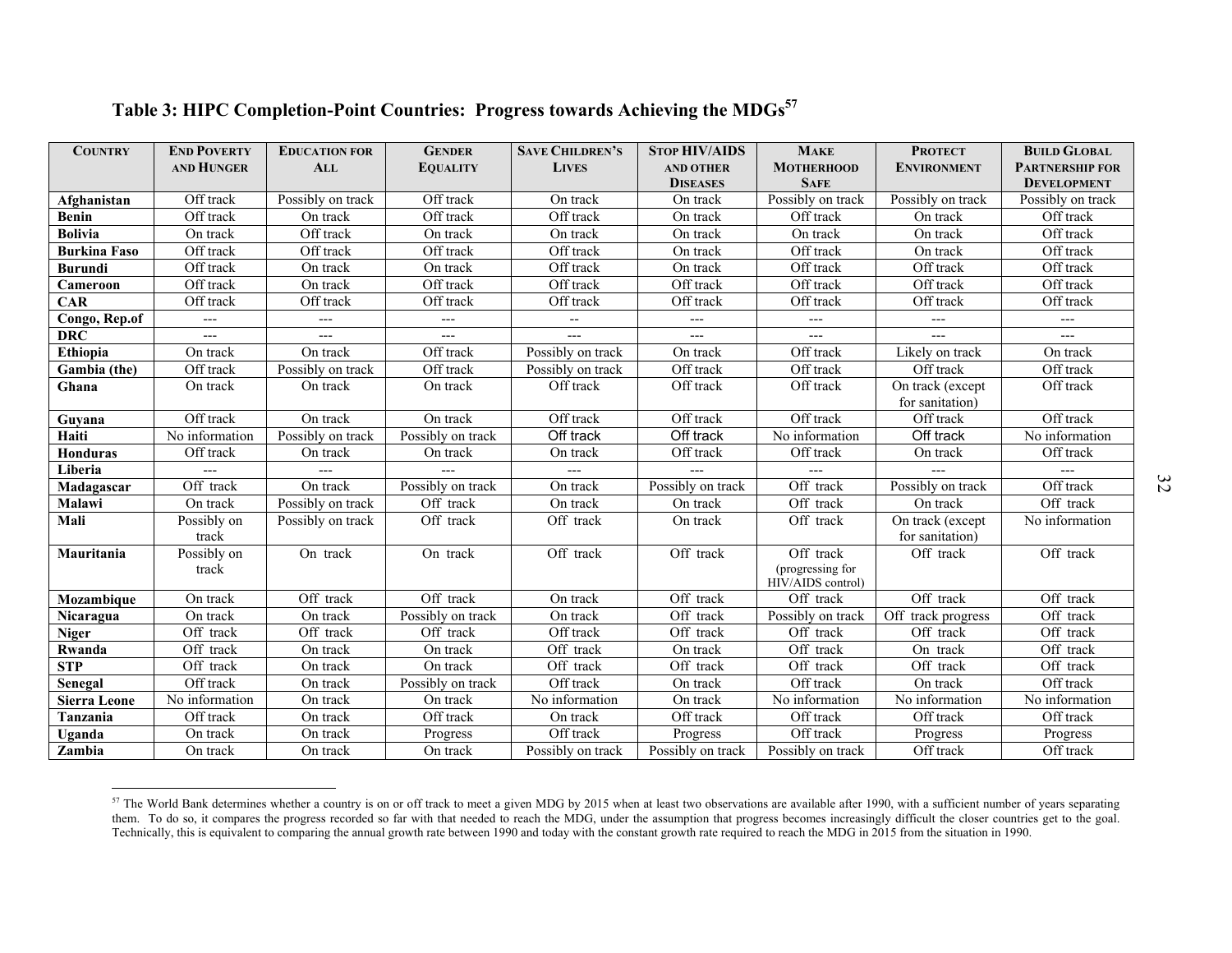| Table 3: HIPC Completion-Point Countries: Progress towards Achieving the MDGs <sup>57</sup> |  |
|---------------------------------------------------------------------------------------------|--|
|                                                                                             |  |

| <b>COUNTRY</b>      | <b>END POVERTY</b><br><b>AND HUNGER</b> | <b>EDUCATION FOR</b><br><b>ALL</b> | <b>GENDER</b><br><b>EQUALITY</b> | <b>SAVE CHILDREN'S</b><br><b>LIVES</b> | Table 3: HIPC Completion-Point Countries: Progress towards Achieving the MDGs <sup>57</sup><br><b>STOP HIV/AIDS</b><br><b>AND OTHER</b><br><b>DISEASES</b> | <b>MAKE</b><br><b>MOTHERHOOD</b><br><b>SAFE</b>    | <b>PROTECT</b><br><b>ENVIRONMENT</b> | <b>BUILD GLOBAL</b><br><b>PARTNERSHIP FOR</b><br><b>DEVELOPMENT</b> |
|---------------------|-----------------------------------------|------------------------------------|----------------------------------|----------------------------------------|------------------------------------------------------------------------------------------------------------------------------------------------------------|----------------------------------------------------|--------------------------------------|---------------------------------------------------------------------|
| Afghanistan         | Off track                               | Possibly on track                  | Off track                        | On track                               | On track                                                                                                                                                   | Possibly on track                                  | Possibly on track                    | Possibly on track                                                   |
| <b>Benin</b>        | Off track                               | On track                           | Off track                        | Off track                              | On track                                                                                                                                                   | Off track                                          | On track                             | Off track                                                           |
| <b>Bolivia</b>      | On track                                | Off track                          | On track                         | On track                               | On track                                                                                                                                                   | On track                                           | On track                             | Off track                                                           |
| <b>Burkina Faso</b> | Off track                               | Off track                          | Off track                        | Off track                              | On track                                                                                                                                                   | Off track                                          | On track                             | Off track                                                           |
| <b>Burundi</b>      | Off track                               | On track                           | On track                         | Off track                              | On track                                                                                                                                                   | Off track                                          | Off track                            | Off track                                                           |
| Cameroon            | Off track                               | On track                           | Off track                        | Off track                              | Off track                                                                                                                                                  | Off track                                          | Off track                            | Off track                                                           |
| <b>CAR</b>          | Off track                               | Off track                          | Off track                        | Off track                              | Off track                                                                                                                                                  | Off track                                          | Off track                            | Off track                                                           |
| Congo, Rep.of       | ---                                     | ---                                | $---$                            | $\overline{\phantom{a}}$               | $---$                                                                                                                                                      | $---$                                              | ---                                  | $---$                                                               |
| <b>DRC</b>          | ---                                     | ---                                | $\overline{\phantom{a}}$         | $---$                                  | $\overline{a}$                                                                                                                                             | $\qquad \qquad -$                                  | ---                                  | $---$                                                               |
| Ethiopia            | On track                                | On track                           | Off track                        | Possibly on track                      | On track                                                                                                                                                   | Off track                                          | Likely on track                      | On track                                                            |
| Gambia (the)        | Off track                               | Possibly on track                  | Off track                        | Possibly on track                      | Off track                                                                                                                                                  | Off track                                          | Off track                            | Off track                                                           |
| Ghana               | On track                                | On track                           | On track                         | Off track                              | Off track                                                                                                                                                  | Off track                                          | On track (except<br>for sanitation)  | Off track                                                           |
| Guyana              | Off track                               | On track                           | On track                         | Off track                              | Off track                                                                                                                                                  | Off track                                          | Off track                            | Off track                                                           |
| Haiti               | $\overline{\text{No}}$ information      | Possibly on track                  | Possibly on track                | Off track                              | Off track                                                                                                                                                  | $\overline{No}$ information                        | Off track                            | No information                                                      |
| Honduras            | Off track                               | On track                           | On track                         | On track                               | Off track                                                                                                                                                  | Off track                                          | On track                             | Off track                                                           |
| Liberia             | ---                                     | $---$                              | $\overline{a}$                   | $---$                                  | $---$                                                                                                                                                      | $---$                                              |                                      | $---$                                                               |
| Madagascar          | Off track                               | On track                           | Possibly on track                | On track                               | Possibly on track                                                                                                                                          | Off track                                          | Possibly on track                    | Off track                                                           |
| Malawi              | On track                                | Possibly on track                  | Off track                        | On track                               | On track                                                                                                                                                   | Off track                                          | On track                             | Off track                                                           |
| Mali                | Possibly on<br>track                    | Possibly on track                  | Off track                        | Off track                              | On track                                                                                                                                                   | Off track                                          | On track (except<br>for sanitation)  | No information                                                      |
| Mauritania          | Possibly on<br>track                    | On track                           | On track                         | Off track                              | Off track                                                                                                                                                  | Off track<br>(progressing for<br>HIV/AIDS control) | Off track                            | Off track                                                           |
| Mozambique          | On track                                | Off track                          | Off track                        | On track                               | Off track                                                                                                                                                  | Off track                                          | Off track                            | Off track                                                           |
| Nicaragua           | On track                                | On track                           | Possibly on track                | On track                               | Off track                                                                                                                                                  | Possibly on track                                  | Off track progress                   | Off track                                                           |
| <b>Niger</b>        | Off track                               | Off track                          | Off track                        | Off track                              | Off track                                                                                                                                                  | Off track                                          | Off track                            | Off track                                                           |
| Rwanda              | Off track                               | On track                           | On track                         | Off track                              | On track                                                                                                                                                   | Off track                                          | On track                             | Off track                                                           |
| <b>STP</b>          | Off track                               | On track                           | On track                         | Off track                              | Off track                                                                                                                                                  | Off track                                          | Off track                            | Off track                                                           |
| Senegal             | Off track                               | On track                           | Possibly on track                | Off track                              | On track                                                                                                                                                   | Off track                                          | On track                             | Off track                                                           |
| <b>Sierra Leone</b> | No information                          | On track                           | On track                         | No information                         | On track                                                                                                                                                   | No information                                     | No information                       | No information                                                      |
| Tanzania            | Off track                               | On track                           | Off track                        | On track                               | Off track                                                                                                                                                  | Off track                                          | Off track                            | Off track                                                           |
| Uganda              | On track                                | On track                           | Progress                         | Off track                              | Progress                                                                                                                                                   | Off track                                          | Progress                             | Progress                                                            |
| Zambia              | On track                                | On track                           | On track                         | Possibly on track                      | Possibly on track                                                                                                                                          | Possibly on track                                  | Off track                            | Off track                                                           |

 $57$  The World Bank determines whether a country is on or off track to meet a given MDG by 2015 when at least two observations are available after 1990, with a sufficient number of years separating them. To do so, it comp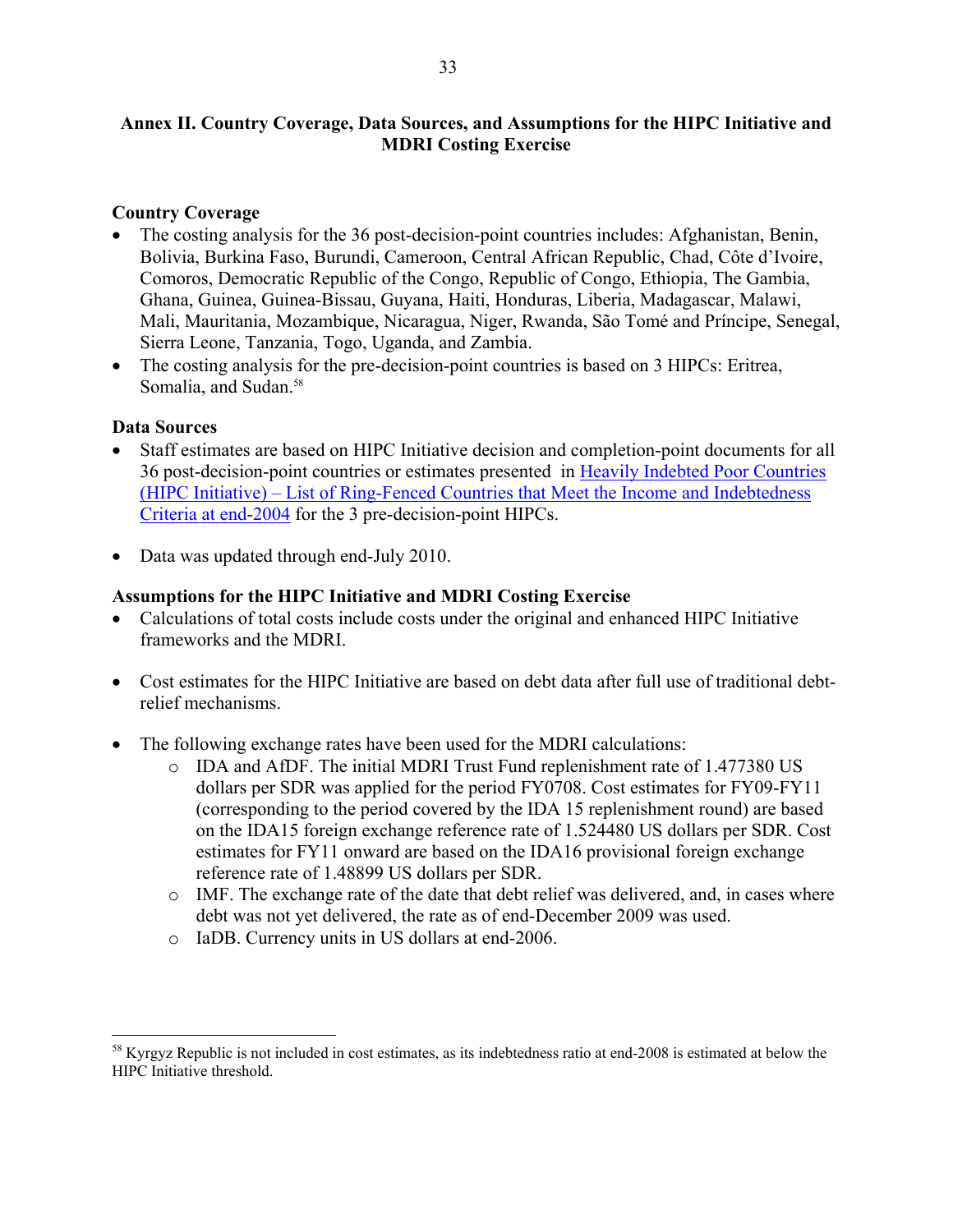### **Annex II. Country Coverage, Data Sources, and Assumptions for the HIPC Initiative and MDRI Costing Exercise**

### **Country Coverage**

- The costing analysis for the 36 post-decision-point countries includes: Afghanistan, Benin, Bolivia, Burkina Faso, Burundi, Cameroon, Central African Republic, Chad, Côte d'Ivoire, Comoros, Democratic Republic of the Congo, Republic of Congo, Ethiopia, The Gambia, Ghana, Guinea, Guinea-Bissau, Guyana, Haiti, Honduras, Liberia, Madagascar, Malawi, Mali, Mauritania, Mozambique, Nicaragua, Niger, Rwanda, São Tomé and Príncipe, Senegal, Sierra Leone, Tanzania, Togo, Uganda, and Zambia.
- The costing analysis for the pre-decision-point countries is based on 3 HIPCs: Eritrea, Somalia, and Sudan.<sup>58</sup>

### **Data Sources**

 $\overline{a}$ 

- Staff estimates are based on HIPC Initiative decision and completion-point documents for all 36 post-decision-point countries or estimates presented in Heavily Indebted Poor Countries [\(HIPC Initiative\) – List of Ring-Fenced Countries that Meet the Income and Indebtedness](http://www.imf.org/external/np/pp/eng/2006/041106.pdf)  Criteria at end-2004 for the 3 pre-decision-point HIPCs.
- Data was updated through end-July 2010.

### **Assumptions for the HIPC Initiative and MDRI Costing Exercise**

- Calculations of total costs include costs under the original and enhanced HIPC Initiative frameworks and the MDRI.
- Cost estimates for the HIPC Initiative are based on debt data after full use of traditional debtrelief mechanisms.
- The following exchange rates have been used for the MDRI calculations:
	- o IDA and AfDF. The initial MDRI Trust Fund replenishment rate of 1.477380 US dollars per SDR was applied for the period FY0708. Cost estimates for FY09-FY11 (corresponding to the period covered by the IDA 15 replenishment round) are based on the IDA15 foreign exchange reference rate of 1.524480 US dollars per SDR. Cost estimates for FY11 onward are based on the IDA16 provisional foreign exchange reference rate of 1.48899 US dollars per SDR.
	- $\circ$  IMF. The exchange rate of the date that debt relief was delivered, and, in cases where debt was not yet delivered, the rate as of end-December 2009 was used.
	- o IaDB. Currency units in US dollars at end-2006.

<sup>&</sup>lt;sup>58</sup> Kyrgyz Republic is not included in cost estimates, as its indebtedness ratio at end-2008 is estimated at below the HIPC Initiative threshold.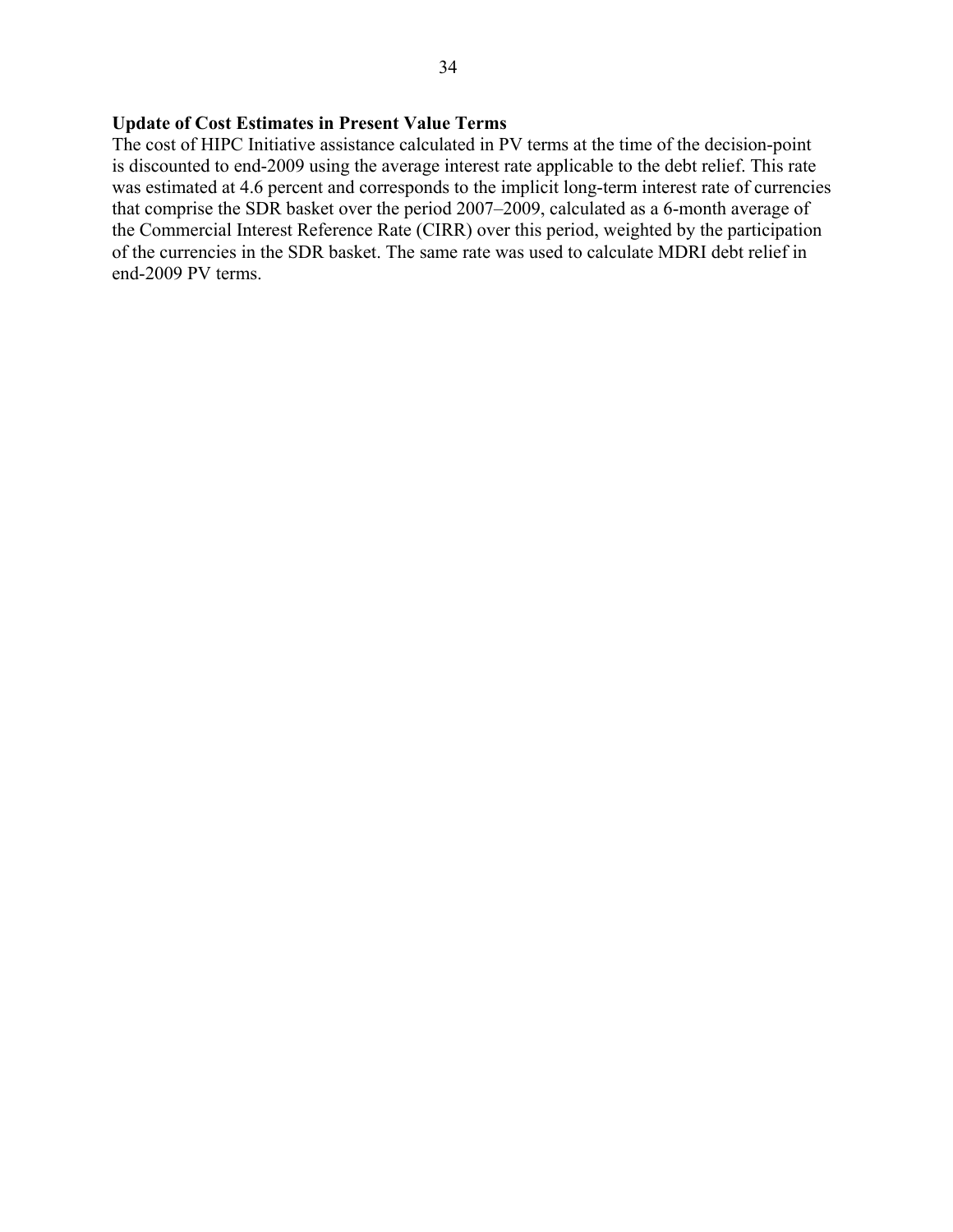## **Update of Cost Estimates in Present Value Terms**

The cost of HIPC Initiative assistance calculated in PV terms at the time of the decision-point is discounted to end-2009 using the average interest rate applicable to the debt relief. This rate was estimated at 4.6 percent and corresponds to the implicit long-term interest rate of currencies that comprise the SDR basket over the period 2007–2009, calculated as a 6-month average of the Commercial Interest Reference Rate (CIRR) over this period, weighted by the participation of the currencies in the SDR basket. The same rate was used to calculate MDRI debt relief in end-2009 PV terms.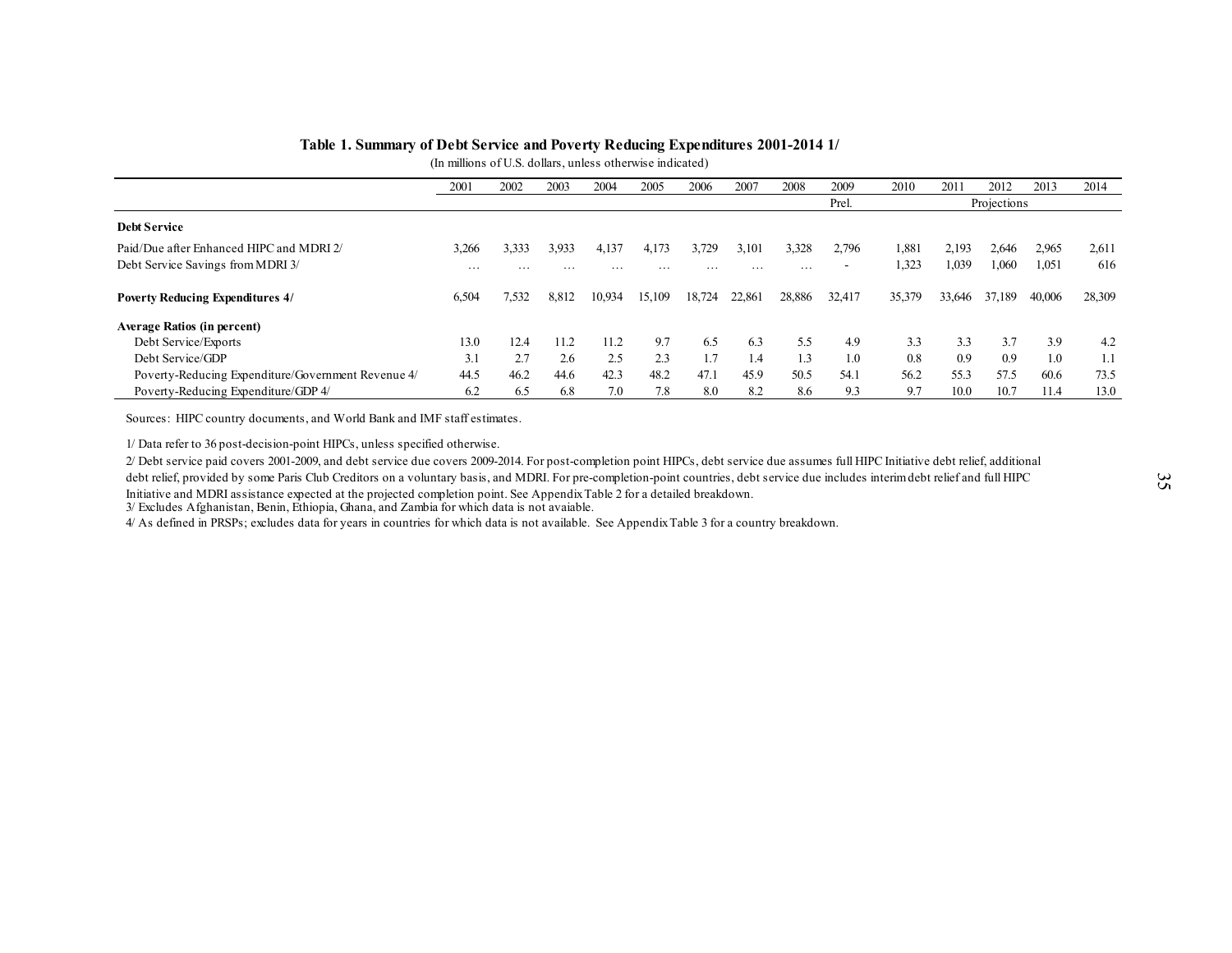| Table 1. Summary of Debt Service and Poverty Reducing Expenditures 2001-2014 1/ |                                                                   |       |          |        |          |          |        |          |        |        |        |             |        |        |
|---------------------------------------------------------------------------------|-------------------------------------------------------------------|-------|----------|--------|----------|----------|--------|----------|--------|--------|--------|-------------|--------|--------|
|                                                                                 | (In millions of U.S. dollars, unless otherwise indicated)<br>2001 | 2002  | 2003     | 2004   | 2005     | 2006     | 2007   | 2008     | 2009   | 2010   | 2011   | 2012        | 2013   | 2014   |
|                                                                                 |                                                                   |       |          |        |          |          |        |          | Prel.  |        |        | Projections |        |        |
| <b>Debt Service</b>                                                             |                                                                   |       |          |        |          |          |        |          |        |        |        |             |        |        |
| Paid/Due after Enhanced HIPC and MDRI 2/                                        | 3,266                                                             | 3,333 | 3,933    | 4,137  | 4,173    | 3.729    | 3,101  | 3,328    | 2,796  | 1,881  | 2,193  | 2,646       | 2,965  | 2,611  |
| Debt Service Savings from MDRI 3/                                               | .                                                                 | .     | $\cdots$ | .      | $\cdots$ | $\cdots$ | .      | $\cdots$ |        | 1,323  | 1,039  | 1,060       | 1,051  | 616    |
| <b>Poverty Reducing Expenditures 4/</b>                                         | 6,504                                                             | 7,532 | 8,812    | 10,934 | 15,109   | 18,724   | 22,861 | 28,886   | 32,417 | 35,379 | 33,646 | 37,189      | 40,006 | 28,309 |
| <b>Average Ratios (in percent)</b>                                              |                                                                   |       |          |        |          |          |        |          |        |        |        |             |        |        |
| Debt Service/Exports                                                            | 13.0                                                              | 12.4  | 11.2     | 11.2   | 9.7      | 6.5      | 6.3    | 5.5      | 4.9    | 3.3    | 3.3    | 3.7         | 3.9    | 4.2    |
| Debt Service/GDP                                                                | 3.1                                                               | 2.7   | 2.6      | 2.5    | 2.3      | 1.7      | 1.4    | 1.3      | 1.0    | 0.8    | 0.9    | 0.9         | 1.0    | 1.1    |
| Poverty-Reducing Expenditure/Government Revenue 4/                              | 44.5                                                              | 46.2  | 44.6     | 42.3   | 48.2     | 47.1     | 45.9   | 50.5     | 54.1   | 56.2   | 55.3   | 57.5        | 60.6   | 73.5   |
| Poverty-Reducing Expenditure/GDP 4/                                             | 6.2                                                               | 6.5   | 6.8      | 7.0    | 7.8      | 8.0      | 8.2    | 8.6      | 9.3    | 9.7    | 10.0   | 10.7        | 11.4   | 13.0   |

2/ Debt service paid covers 2001-2009, and debt service due covers 2009-2014. For post-completion point HIPCs, debt service due assumes full HIPC Initiative debt relief, additional<br>debt relief, provided by some Paris Club

3/ Excludes Afghanistan, Benin, Ethiopia, Ghana, and Zambia for which data is not avaiable.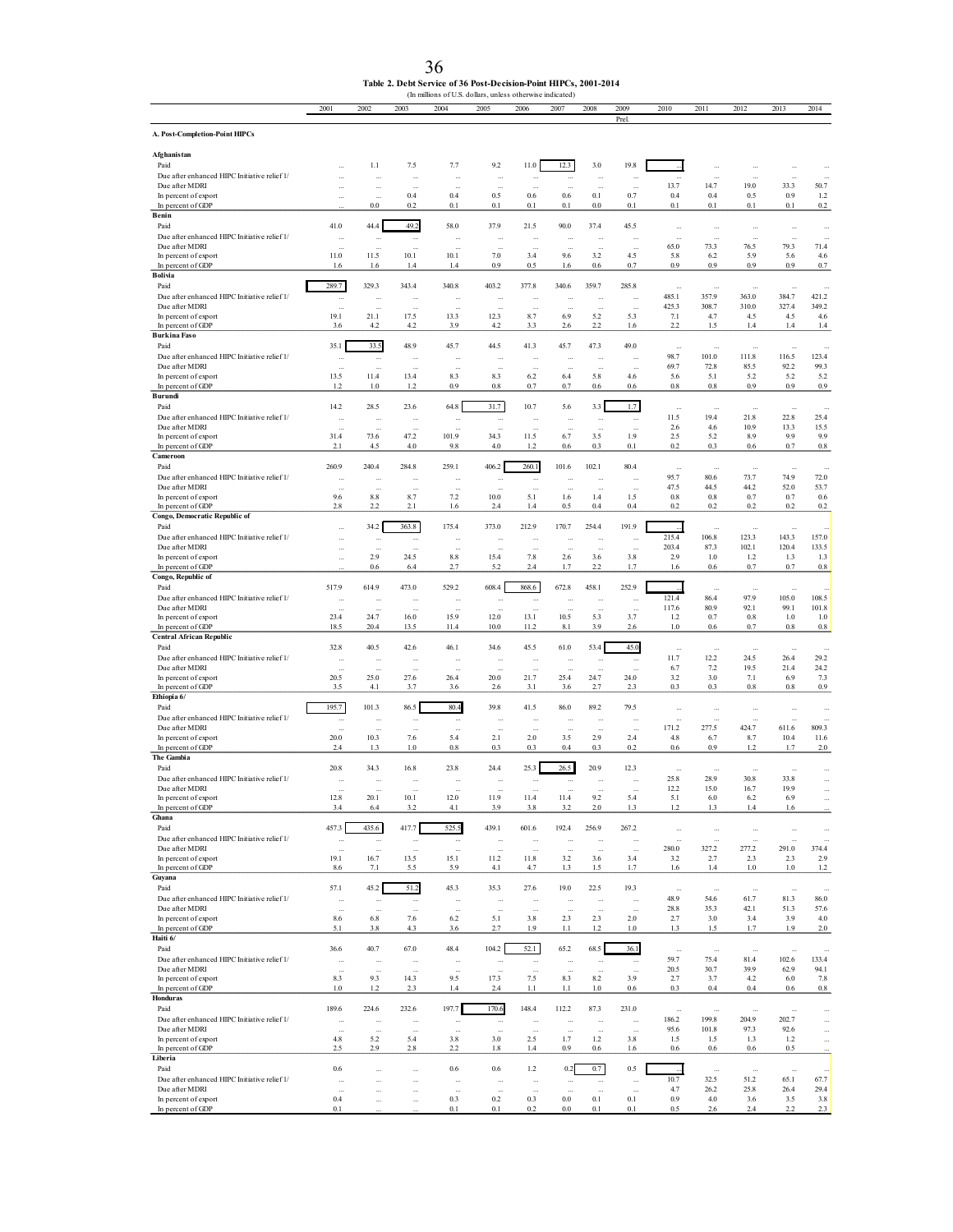| Table 2. Debt Service of 36 Post-Decision-Point HIPCs, 2001-2014 |
|------------------------------------------------------------------|
| (In millions of U.S. dollars, unless otherwise indicated)        |

|                                                                | 2001                             | 2002                  | 2003                 | 2004                       | 2005                             | 2006                                    | 2007                             | 2008                 | 2009<br>Prel         | 2010               | 2011               | 2012               | 2013                                 | 2014                 |
|----------------------------------------------------------------|----------------------------------|-----------------------|----------------------|----------------------------|----------------------------------|-----------------------------------------|----------------------------------|----------------------|----------------------|--------------------|--------------------|--------------------|--------------------------------------|----------------------|
| A. Post-Completion-Point HIPCs                                 |                                  |                       |                      |                            |                                  |                                         |                                  |                      |                      |                    |                    |                    |                                      |                      |
| Afghanistan                                                    |                                  |                       |                      |                            |                                  |                                         |                                  |                      |                      |                    |                    |                    |                                      |                      |
| Paid<br>Due after enhanced HIPC Initiative relief 1/           | $\ldots$                         | 1.1                   | 7.5                  | 7.7                        | 9.2<br>ä,                        | 11.0<br>$\bar{\phantom{a}}$             | 12.3                             | 3.0                  | 19.8                 |                    |                    |                    | $\ddot{\phantom{0}}$                 |                      |
| Due after MDRI<br>In percent of export                         |                                  |                       | 0.4                  | 0.4                        | à.<br>0.5                        | $\bar{z}$<br>0.6                        | $0.6\,$                          | 0.1                  | à.<br>0.7            | 13.7<br>0.4        | 14.7<br>0.4        | 19.0<br>0.5        | 33.3<br>0.9                          | 50.7<br>1.2          |
| In percent of GDP                                              | $\cdots$                         | $\rm 0.0$             | 0.2                  | 0.1                        | 0.1                              | 0.1                                     | 0.1                              | $0.0\,$              | $0.1\,$              | $0.1\,$            | 0.1                | $0.1\,$            | 0.1                                  | $\rm 0.2$            |
| Benin<br>Paid                                                  | 41.0                             | 44.4                  | 49.2                 | 58.0                       | 37.9                             | 21.5                                    | 90.0                             | 37.4                 | 45.5                 | $\ddotsc$          | $\cdots$           | $\cdots$           | $\cdots$                             | $\cdots$             |
| Due after enhanced HIPC Initiative relief 1/                   | $\sim$                           | $\ddot{\phantom{a}}$  | à,                   |                            | $\ddotsc$                        | $\mathcal{L}_{\mathcal{A}}$             |                                  |                      |                      | $\ddotsc$          | $\ldots$           | $\ddotsc$          | i.                                   | $\ddotsc$            |
| Due after MDRI<br>In percent of export                         | 11.0                             | 11.5                  | 10.1                 | 10.1                       | 7.0                              | 3.4                                     | 9.6                              | 3.2                  | 4.5                  | 65.0<br>5.8        | 73.3<br>6.2        | 76.5<br>5.9        | 79.3<br>5.6                          | 71.4<br>4.6          |
| In percent of GDP<br>Bolivia                                   | 1.6                              | 1.6                   | 1.4                  | 1.4                        | 0.9                              | 0.5                                     | 1.6                              | $0.6\,$              | 0.7                  | 0.9                | 0.9                | 0.9                | 0.9                                  | 0.7                  |
| Paid<br>Due after enhanced HIPC Initiative relief 1/           | 289.7                            | 329.3                 | 343.4                | 340.8                      | 403.2                            | 377.8                                   | 340.6                            | 359.7                | 285.8                | 485.1              | 357.9              | 363.0              | 384.7                                | 421.2                |
| Due after MDRI                                                 | $\sim$                           | $\ddotsc$             |                      | $\mathcal{L}_{\text{eff}}$ | $\ldots$                         | $\bar{\phantom{a}}$                     | à.                               | $\ddotsc$            |                      | 425.3              | 308.7              | 310.0              | 327.4                                | 349.2                |
| In percent of export<br>In percent of GDP                      | 19.1<br>3.6                      | 21.1<br>4.2           | 17.5<br>4.2          | 13.3<br>3.9                | 12.3<br>4.2                      | 8.7<br>3.3                              | 6.9<br>2.6                       | 5.2<br>2.2           | 5.3<br>1.6           | 7.1<br>2.2         | 4.7<br>1.5         | 4.5<br>1.4         | 4.5<br>1.4                           | 4.6<br>1.4           |
| <b>Burkina Faso</b><br>Paid                                    | 35.1                             | 33.5                  | 48.9                 | 45.7                       | 44.5                             | 41.3                                    | 45.7                             | 47.3                 | 49.0                 |                    |                    |                    |                                      |                      |
| Due after enhanced HIPC Initiative relief 1/                   | $\sim$                           | $\cdots$              |                      | $\ddotsc$                  | $\cdots$                         | $\ldots$                                | $\ldots$                         | $\cdots$             | $\ddotsc$            | $\ddotsc$<br>98.7  | $\ddotsc$<br>101.0 | $\ddotsc$<br>111.8 | $\bar{z}$<br>116.5                   | 123.4                |
| Due after MDRI<br>In percent of export                         | $\sim$<br>13.5                   | $\ddotsc$<br>11.4     | <br>13.4             | $\ddotsc$<br>8.3           | $\ddotsc$<br>8.3                 | $\sim$<br>6.2                           | $\sim$<br>6.4                    | $\ddotsc$<br>5.8     | 4.6                  | 69.7<br>5.6        | 72.8<br>5.1        | 85.5<br>5.2        | 92.2<br>5.2                          | 99.3<br>5.2          |
| In percent of GDP<br>Burundi                                   | 1.2                              | 1.0                   | 1.2                  | 0.9                        | 0.8                              | 0.7                                     | 0.7                              | 0.6                  | 0.6                  | 0.8                | 0.8                | 0.9                | 0.9                                  | 0.9                  |
| Paid                                                           | 14.2                             | 28.5                  | 23.6                 | 64.8                       | 31.7                             | 10.7                                    | 5.6                              | 3.3                  | 1.7                  | $\ddotsc$          | $\ldots$           | $\cdots$           | $\bar{a}$                            | $\sim$               |
| Due after enhanced HIPC Initiative relief 1/<br>Due after MDRI | $\cdots$                         | $\ddotsc$             |                      | $\ddotsc$                  | $\cdots$<br>$\ddotsc$            | $\cdots$<br>$\bar{\phantom{a}}$         | $\cdots$<br>$\ddot{\phantom{a}}$ | $\cdots$             | $\cdots$             | 11.5<br>2.6        | 19.4<br>4.6        | 21.8<br>10.9       | 22.8<br>13.3                         | 25.4<br>15.5         |
| In percent of export                                           | 31.4                             | 73.6                  | 47.2                 | 101.9                      | 34.3                             | 11.5                                    | 6.7                              | 3.5                  | 1.9                  | 2.5                | 5.2                | 8.9                | 9.9                                  | 9.9                  |
| In percent of GDP<br>Cameroon                                  | 2.1                              | 4.5                   | 4.0                  | 9.8                        | 4.0                              | 1.2                                     | 0.6                              | 0.3                  | 0.1                  | 0.2                | 0.3                | 0.6                | 0.7                                  | $0.8\,$              |
| Paid<br>Due after enhanced HIPC Initiative relief 1/           | 260.9                            | 240.4                 | 284.8                | 259.1                      | 406.2                            | 260.1                                   | 101.6                            | 102.1                | 80.4                 | $\cdots$<br>95.7   | $\cdots$<br>80.6   | $\ddotsc$<br>73.7  | $\ldots$<br>74.9                     |                      |
| Due after MDRI                                                 | $\cdots$<br>$\bar{a}$            |                       |                      | $\ddot{\phantom{a}}$       | ÷,                               | $\ldots$<br>$\bar{\phantom{a}}$         |                                  |                      |                      | 47.5               | 44.5               | 44.2               | 52.0                                 | 72.0<br>53.7         |
| In percent of export<br>In percent of GDP                      | 9.6<br>2.8                       | 8.8<br>2.2            | 8.7<br>2.1           | 7.2<br>1.6                 | 10.0<br>2.4                      | 5.1<br>1.4                              | 1.6<br>0.5                       | 1.4<br>0.4           | 1.5<br>0.4           | $0.8\,$<br>0.2     | 0.8<br>0.2         | 0.7<br>0.2         | 0.7<br>0.2                           | 0.6<br>0.2           |
| Congo, Democratic Republic of                                  |                                  |                       |                      |                            | 373.0                            |                                         |                                  |                      |                      |                    |                    |                    |                                      |                      |
| Paid<br>Due after enhanced HIPC Initiative relief 1/           | $\bar{a}$<br>$\bar{a}$           | 34.2<br>$\cdots$      | 363.8<br>$\cdots$    | 175.4<br>$\ddotsc$         | $\ldots$                         | 212.9<br>$\bar{\phantom{a}}$            | 170.7                            | 254.4                | 191.9                | 215.4              | à.<br>106.8        | 123.3              | $\bar{z}$<br>143.3                   | 157.0                |
| Due after MDRI<br>In percent of export                         | $\ldots$<br>$\bar{a}$            | 2.9                   | 24.5                 | 8.8                        | 15.4                             | $7.8\,$                                 | 2.6                              | 3.6                  | 3.8                  | 203.4<br>2.9       | 87.3<br>1.0        | 102.1<br>1.2       | 120.4<br>1.3                         | 133.5<br>1.3         |
| In percent of GDP                                              |                                  | 0.6                   | 6.4                  | 2.7                        | 5.2                              | $2.4\,$                                 | 1.7                              | 2.2                  | 1.7                  | 1.6                | 0.6                | 0.7                | 0.7                                  | $0.8\,$              |
| Congo, Republic of<br>Paid                                     | 517.9                            | 614.9                 | 473.0                | 529.2                      | 608.4                            | 868.6                                   | 672.8                            | 458.1                | 252.9                |                    | å,                 |                    | $\bar{\phantom{a}}$                  |                      |
| Due after enhanced HIPC Initiative relief 1/<br>Due after MDRI | $\sim$                           |                       |                      | $\ddotsc$                  | $\ddotsc$                        | $\ldots$                                | $\ddot{\phantom{0}}$             |                      | $\cdots$             | 121.4<br>117.6     | 86.4<br>80.9       | 97.9<br>92.1       | 105.0<br>99.1                        | 108.5<br>101.8       |
| In percent of export                                           | 23.4                             | à.<br>24.7            | 16.0                 | з.<br>15.9                 | à.<br>12.0                       | $\mathcal{L}_{\mathcal{A}}$<br>13.1     | 10.5                             | 5.3                  | $\ddotsc$<br>3.7     | 1.2                | 0.7                | 0.8                | 1.0                                  | 1.0                  |
| In percent of GDP<br><b>Central African Republic</b>           | 18.5                             | 20.4                  | 13.5                 | 11.4                       | 10.0                             | 11.2                                    | 8.1                              | 3.9                  | 2.6                  | 1.0                | 0.6                | 0.7                | 0.8                                  | $0.8\,$              |
| Paid                                                           | 32.8                             | 40.5                  | 42.6                 | 46.1                       | 34.6                             | 45.5                                    | 61.0                             | 53.4                 | 45.0                 | $\ddotsc$          | $\ddotsc$          | $\ddotsc$          | $\ddotsc$                            | $\cdots$             |
| Due after enhanced HIPC Initiative relief 1/<br>Due after MDRI | $\sim$<br>$\sim$                 | $\ddotsc$             |                      | $\ddotsc$<br>$\ddotsc$     | $\ddotsc$                        | $\ldots$<br>$\mathcal{L}_{\mathcal{A}}$ | $\ldots$<br>à.                   | $\cdots$             | $\cdots$             | 11.7<br>6.7        | 12.2<br>7.2        | 24.5<br>19.5       | 26.4<br>21.4                         | 29.2<br>24.2         |
| In percent of export<br>In percent of GDP                      | 20.5<br>3.5                      | 25.0<br>4.1           | 27.6<br>3.7          | 26.4<br>3.6                | 20.0<br>2.6                      | 21.7<br>3.1                             | 25.4<br>3.6                      | 24.7<br>2.7          | 24.0<br>2.3          | 3.2<br>0.3         | 3.0<br>0.3         | 7.1<br>0.8         | 6.9<br>0.8                           | 7.3<br>0.9           |
| Ethiopia 6/<br>Paid                                            | 195.7                            |                       |                      | 80.4                       | 39.8                             |                                         |                                  | 89.2                 |                      |                    |                    |                    |                                      |                      |
| Due after enhanced HIPC Initiative relief 1/                   | $\ldots$                         | 101.3<br>$\ldots$     | 86.5<br>             | $\ldots$                   | $\cdots$                         | 41.5<br>$\cdots$                        | 86.0<br>$\cdot$                  | $\ddotsc$            | 79.5                 | à.                 |                    | $\ddotsc$          | $\bar{z}$                            |                      |
| Due after MDRI<br>In percent of export                         | 20.0                             | 10.3                  | 7.6                  | 5.4                        | $\ddotsc$<br>2.1                 | 2.0                                     | 3.5                              | 2.9                  | 2.4                  | 171.2<br>4.8       | 277.5<br>6.7       | 424.7<br>8.7       | 611.6<br>10.4                        | 809.3<br>11.6        |
| In percent of GDP<br>The Gambia                                | 2.4                              | 1.3                   | 1.0                  | 0.8                        | 0.3                              | 0.3                                     | 0.4                              | 0.3                  | 0.2                  | 0.6                | 0.9                | 1.2                | 1.7                                  | 2.0                  |
| Paid                                                           | 20.8                             | 34.3                  | 16.8                 | 23.8                       | 24.4                             | 25.3                                    | 26.5                             | 20.9                 | 12.3                 | $\cdots$           | $\cdots$           | $\cdots$           | $\ldots$                             |                      |
| Due after enhanced HIPC Initiative relief 1/<br>Due after MDRI | $\bar{a}$                        |                       |                      |                            |                                  |                                         |                                  |                      |                      | 25.8<br>12.2       | 28.9<br>15.0       | 30.8<br>16.7       | 33.8<br>19.9                         | ă,                   |
| In percent of export                                           | 12.8                             | 20.1                  | 10.1                 | 12.0                       | 11.9                             | 11.4                                    | 11.4                             | 9.2                  | 5.4                  | 5.1                | 6.0                | 6.2                | 69                                   |                      |
| In percent of GDP<br>Ghana                                     | 3.4                              | 6.4                   | 3.2                  | 4.1                        | 3.9                              | $3.8\,$                                 | 3.2                              | 2.0                  | 1.3                  | 1.2                | 1.3                | 1.4                | 1.6                                  |                      |
| Paid<br>Due after enhanced HIPC Initiative relief 1/           | 457.3                            | 435.6                 | 417.7                | 525.5                      | 439.1                            | 601.6                                   | 192.4                            | 256.9                | 267.2                | $\cdots$           | $\cdots$           | $\cdots$           | $\ddotsc$                            |                      |
| Due after MDRI                                                 | $\bar{\phantom{a}}$<br>$\bar{z}$ | à.<br>ă.              | ÷.<br>ă,             | à.                         | $\ddot{\phantom{a}}$<br>$\cdots$ | $\bar{z}$<br>$\bar{a}$                  | $\ddot{\phantom{a}}$             | à.                   | à.                   | 280.0              | 327.2              | 277.2              | 291.0                                | 374.4                |
| In percent of export<br>In percent of GDP                      | 19.1<br>8.6                      | 16.7<br>7.1           | 13.5<br>5.5          | 15.1<br>5.9                | 11.2<br>4.1                      | 11.8<br>4.7                             | 3.2<br>1.3                       | 3.6<br>1.5           | 3.4<br>1.7           | 3.2<br>1.6         | 2.7<br>1.4         | 2.3<br>1.0         | 2.3<br>1.0                           | 2.9<br>$1.2\,$       |
| Guyana<br>Paid                                                 | 57.1                             | 45.2                  | 51.2                 | 45.3                       | 35.3                             | 27.6                                    | 19.0                             | 22.5                 | 19.3                 |                    |                    |                    |                                      |                      |
| Due after enhanced HIPC Initiative relief 1/                   | $\bar{a}$                        | $\ddotsc$             | $\ddotsc$            |                            | $\cdots$                         | $\ldots$                                | $\ddotsc$                        |                      | $\ddotsc$            | $\cdots$<br>48.9   | $\cdots$<br>54.6   | $\cdots$<br>61.7   | $\ldots$<br>81.3                     | 86.0                 |
| Due after MDRI<br>In percent of export                         | 8.6                              | 6.8                   | 7.6                  | 6.2                        | 5.1                              | 3.8                                     | 2.3                              | 2.3                  | 2.0                  | 28.8<br>2.7        | 35.3<br>3.0        | 42.1<br>3.4        | 51.3<br>3.9                          | 57.6<br>4.0          |
| In percent of GDP<br>Haiti 6/                                  | 5.1                              | 3.8                   | 4.3                  | 3.6                        | 2.7                              | 1.9                                     | 1.1                              | 1.2                  | 1.0                  | 1.3                | 1.5                | 1.7                | 1.9                                  | 2.0                  |
| Paid                                                           | 36.6                             | 40.7                  | 67.0                 | 48.4                       | 104.2                            | 52.1                                    | 65.2                             | 68.5                 | 36.1                 | $\ddotsc$          |                    |                    |                                      |                      |
| Due after enhanced HIPC Initiative relief 1/<br>Due after MDRI | $\ldots$                         |                       |                      | $\ldots$                   | $\cdots$                         | $\ldots$                                | $\ldots$                         |                      | $\cdots$             | 59.7<br>20.5       | 75.4<br>30.7       | 81.4<br>39.9       | 102.6<br>62.9                        | 133.4<br>94.1        |
| In percent of export                                           | 8.3                              | 9.3                   | 14.3                 | 9.5                        | 17.3                             | 7.5                                     | 8.3                              | 8.2                  | 3.9                  | 2.7                | 3.7                | 4.2                | 6.0                                  | 7.8                  |
| In percent of GDP<br><b>Honduras</b>                           | 1.0                              | 1.2                   | 2.3                  | 1.4                        | 2.4                              | 1.1                                     | 1.1                              | 1.0                  | 0.6                  | 0.3                | 0.4                | 0.4                | 0.6                                  | $0.8\,$              |
| Paid<br>Due after enhanced HIPC Initiative relief 1/           | 189.6                            | 224.6                 | 232.6                | 197.7                      | 170.6                            | 148.4                                   | 112.2                            | 87.3                 | 231.0                | $\ddotsc$<br>186.2 | $\ddotsc$<br>199.8 | $\ddotsc$<br>204.9 | $\mathcal{L}_{\mathcal{A}}$<br>202.7 |                      |
| Due after MDRI                                                 | $\cdots$<br>$\sim$               | $\ldots$<br>$\ddotsc$ | $\cdots$<br>$\cdots$ | $\ldots$<br>$\cdots$       | $\cdots$<br>$\cdots$             | $\ddotsc$<br>$\ldots$                   | $\ddotsc$<br>$\ldots$            | $\cdots$<br>$\cdots$ | $\cdots$<br>$\cdots$ | 95.6               | 101.8              | 97.3               | 92.6                                 | $\cdots$<br>$\cdots$ |
| In percent of export<br>In percent of GDP                      | 4.8<br>2.5                       | 5.2<br>2.9            | 5.4<br>2.8           | 3.8<br>2.2                 | 3.0<br>1.8                       | 2.5<br>1.4                              | 1.7<br>0.9                       | 1.2<br>0.6           | 3.8<br>1.6           | 1.5<br>0.6         | 1.5<br>0.6         | 1.3<br>0.6         | 1.2<br>0.5                           | $\cdots$             |
| Liberia<br>Paid                                                | 0.6                              |                       |                      | 0.6                        | 0.6                              | 1.2                                     | 0.2                              | 0.7                  | 0.5                  |                    |                    |                    |                                      |                      |
| Due after enhanced HIPC Initiative relief 1/                   | $\bar{a}$                        | $\ddotsc$<br>         | <br>                 | $\cdots$                   | $\cdots$                         | $\cdots$                                | $\cdots$                         | $\cdots$             | $\cdots$             | 10.7               | $\cdots$<br>32.5   | $\ddotsc$<br>51.2  | $\ldots$<br>65.1                     | $\ddotsc$<br>67.7    |
| Due after MDRI<br>In percent of export                         | 0.4                              | $\ddotsc$<br>         | <br>                 | $\cdots$<br>0.3            | $\ldots$<br>0.2                  | à.<br>0.3                               | $\ddot{\phantom{a}}$<br>$0.0\,$  | $\ddotsc$<br>0.1     | à.<br>0.1            | 4.7<br>0.9         | 26.2<br>4.0        | 25.8<br>3.6        | 26.4<br>3.5                          | 29.4<br>3.8          |
| In percent of GDP                                              | 0.1                              |                       |                      | 0.1                        | 0.1                              | 0.2                                     | $0.0\,$                          | 0.1                  | 0.1                  | 0.5                | 2.6                | 2.4                | 2.2                                  | 2.3                  |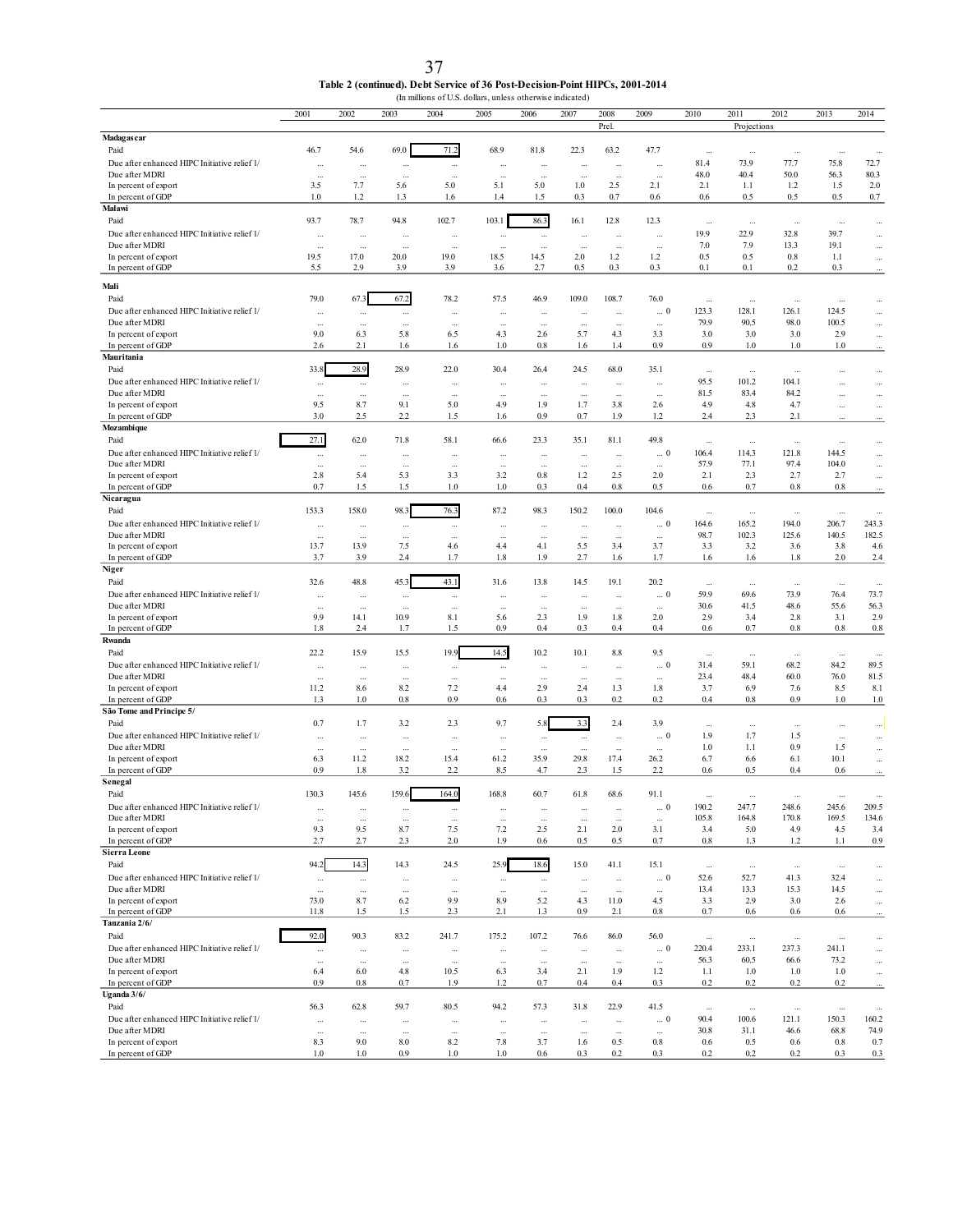| Table 2 (continued). Debt Service of 36 Post-Decision-Point HIPCs, 2001-2014 |
|------------------------------------------------------------------------------|
| (In millions of U.S. dollars, unless otherwise indicated)                    |

|                                                                | 2001                 | 2002                 | 2003            | 2004                         | 2005                 | 2006                 | 2007                 | 2008                 | 2009                     | 2010              | 2011             | 2012             | 2013                 | 2014                   |
|----------------------------------------------------------------|----------------------|----------------------|-----------------|------------------------------|----------------------|----------------------|----------------------|----------------------|--------------------------|-------------------|------------------|------------------|----------------------|------------------------|
| <b>Madagas car</b>                                             |                      |                      |                 |                              |                      |                      |                      | Prel                 |                          |                   | Projections      |                  |                      |                        |
| Paid                                                           | 46.7                 | 54.6                 | 69.0            | 71.2                         | 68.9                 | 81.8                 | 22.3                 | 63.2                 | 47.7                     | $\ldots$          | $\ddotsc$        | $\cdots$         | $\ddotsc$            |                        |
| Due after enhanced HIPC Initiative relief 1/                   | ă.                   | à.                   | ă,              | $\ldots$                     | $\cdots$             | $\cdots$             | $\ddotsc$            | $\cdots$             | $\ddotsc$                | 81.4              | 73.9             | 77.7             | 75.8                 | 72.7                   |
| Due after MDRI                                                 | $\ddotsc$            | $\ldots$             | Ω,              | ÷.                           | à.                   | $\cdots$             | ă.                   | $\cdots$             | Ω,                       | 48.0              | 40.4             | 50.0             | 56.3                 | 80.3                   |
| In percent of export<br>In percent of GDP                      | 3.5<br>1.0           | 7.7<br>1.2           | 5.6<br>1.3      | 5.0<br>1.6                   | 5.1<br>1.4           | 5.0<br>1.5           | 1.0<br>0.3           | 2.5<br>0.7           | 2.1<br>0.6               | 2.1<br>0.6        | 1.1<br>0.5       | 1.2<br>0.5       | 1.5<br>0.5           | 2.0<br>0.7             |
| Malawi                                                         |                      |                      |                 |                              |                      |                      |                      |                      |                          |                   |                  |                  |                      |                        |
| Paid                                                           | 93.7                 | 78.7                 | 94.8            | 102.7                        | 103.1                | 86.3                 | 16.1                 | 12.8                 | 12.3                     | $\sim$            | $\ldots$         | $\cdots$         | $\ddotsc$            | $\cdots$               |
| Due after enhanced HIPC Initiative relief 1/                   | $\ddotsc$            | $\ddotsc$            | Ш,              | $\ddotsc$                    | $\ddotsc$            | $\cdots$             | $\ddotsc$            | $\ddotsc$            | $\ddotsc$                | 19.9              | 22.9             | 32.8             | 39.7                 | $\cdots$               |
| Due after MDRI<br>In percent of export                         | $\cdots$<br>19.5     | $\ldots$<br>17.0     | ă,<br>20.0      | $\cdots$<br>19.0             | $\ddotsc$<br>18.5    | $\cdots$<br>14.5     | $\ddotsc$<br>2.0     | $\cdots$<br>1.2      | $\cdots$<br>1.2          | 7.0<br>0.5        | 7.9<br>0.5       | 13.3<br>$0.8\,$  | 19.1<br>1.1          | $\cdots$               |
| In percent of GDP                                              | 5.5                  | 2.9                  | 3.9             | 3.9                          | 3.6                  | 2.7                  | 0.5                  | 0.3                  | 0.3                      | 0.1               | 0.1              | 0.2              | 0.3                  | $\cdots$<br>$\ddot{ }$ |
| Mali                                                           |                      |                      |                 |                              |                      |                      |                      |                      |                          |                   |                  |                  |                      |                        |
| Paid                                                           | 79.0                 | 67.3                 | 67.2            | 78.2                         | 57.5                 | 46.9                 | 109.0                | 108.7                | 76.0                     | ă.                | $\cdots$         | $\cdots$         | $\cdots$             | $\cdots$               |
| Due after enhanced HIPC Initiative relief I/                   |                      | $\cdots$             | $\cdots$        | $\cdots$                     |                      | $\cdots$             | $\ddotsc$            | $\cdots$             | $\ldots$ $0$             | 123.3             | 128.1            | 126.1            | 124.5                | $\cdots$               |
| Due after MDRI                                                 | $\ddotsc$            | $\cdots$             | $\ddotsc$       | $\cdots$                     | $\ddotsc$            | $\cdots$             | $\ddotsc$            | $\ddotsc$            | $\ldots$                 | 79.9              | 90.5             | 98.0             | 100.5                | $\ldots$               |
| In percent of export<br>In percent of GDP                      | 9.0<br>2.6           | 6.3<br>2.1           | 5.8<br>1.6      | 6.5<br>1.6                   | 4.3<br>1.0           | 2.6<br>$0.8\,$       | 5.7<br>1.6           | 4.3<br>1.4           | 3.3<br>0.9               | 3.0<br>0.9        | 3.0<br>1.0       | 3.0<br>1.0       | 2.9<br>1.0           | $\ldots$               |
| Mauritania                                                     |                      |                      |                 |                              |                      |                      |                      |                      |                          |                   |                  |                  |                      |                        |
| Paid                                                           | 33.8                 | 28.9                 | 28.9            | 22.0                         | 30.4                 | 26.4                 | 24.5                 | 68.0                 | 35.1                     | $\ldots$          | $\ldots$         | $\ddotsc$        | $\ddotsc$            | $\cdots$               |
| Due after enhanced HIPC Initiative relief 1/                   |                      | $\cdots$             |                 | $\cdots$                     | $\cdots$             | $\cdots$             | $\cdots$             | $\cdots$             | $\cdots$                 | 95.5              | 101.2            | 104.1            |                      | $\cdots$               |
| Due after MDRI<br>In percent of export                         | Ω,<br>9.5            | $\ddotsc$<br>8.7     | ă,<br>9.1       | $\cdots$<br>5.0              | $\cdots$<br>4.9      | $\cdots$<br>1.9      | ă.<br>1.7            | $\cdots$<br>3.8      | à.<br>2.6                | 81.5<br>4.9       | 83.4<br>4.8      | 84.2<br>4.7      | $\ddotsc$            |                        |
| In percent of GDP                                              | 3.0                  | 2.5                  | 2.2             | 1.5                          | 1.6                  | 0.9                  | 0.7                  | 1.9                  | 1.2                      | 2.4               | 2.3              | 2.1              | $\cdots$             | $\ldots$               |
| Mozambique                                                     |                      |                      |                 |                              |                      |                      |                      |                      |                          |                   |                  |                  |                      |                        |
| Paid                                                           | 27.1                 | 62.0                 | 71.8            | 58.1                         | 66.6                 | 23.3                 | 35.1                 | 81.1                 | 49.8                     | $\sim$            | $\ddotsc$        | $\ddotsc$        | $\ddots$             | $\cdots$               |
| Due after enhanced HIPC Initiative relief 1/<br>Due after MDRI | $\cdots$             | $\cdots$             |                 | $\cdots$                     | $\ddotsc$            | $\cdots$             |                      | $\cdots$             | $\ldots$ 0               | 106.4<br>57.9     | 114.3<br>77.1    | 121.8<br>97.4    | 144.5<br>104.0       | $\cdots$               |
| In percent of export                                           | $\cdots$<br>2.8      | $\cdots$<br>5.4      | $\cdots$<br>5.3 | $\ddotsc$<br>3.3             | $\ddotsc$<br>3.2     | $\cdots$<br>0.8      | $\ddotsc$<br>1.2     | $\cdots$<br>2.5      | $\ddotsc$<br>2.0         | 2.1               | 2.3              | 2.7              | 2.7                  | m.<br>$\cdots$         |
| In percent of GDP                                              | 0.7                  | 1.5                  | 1.5             | 1.0                          | 1.0                  | 0.3                  | 0.4                  | $0.8\,$              | 0.5                      | 0.6               | 0.7              | 0.8              | 0.8                  |                        |
| Nicaragua                                                      |                      |                      |                 |                              |                      |                      |                      |                      |                          |                   |                  |                  |                      |                        |
| Paid<br>Due after enhanced HIPC Initiative relief 1/           | 153.3                | 158.0                | 98.3            | 76.3                         | 87.2                 | 98.3                 | 150.2                | 100.0                | 104.6                    | $\cdots$          | $\ddotsc$        | $\cdots$         | $\ddot{\phantom{a}}$ | $\ddotsc$              |
| Due after MDRI                                                 | ă,<br>$\cdots$       | $\cdots$<br>$\cdots$ | <br>$\cdots$    | $\cdots$<br>$\ddotsc$        | ÷.<br>$\cdots$       | $\cdots$<br>$\cdots$ | $\cdots$<br>$\cdots$ | $\ldots$<br>$\ldots$ | $\ldots$ 0<br>$\ldots$   | 164.6<br>98.7     | 165.2<br>102.3   | 194.0<br>125.6   | 206.7<br>140.5       | 243.3<br>182.5         |
| In percent of export                                           | 13.7                 | 13.9                 | 7.5             | 4.6                          | 4.4                  | 4.1                  | 5.5                  | 3.4                  | 3.7                      | 3.3               | 3.2              | 3.6              | 3.8                  | 4.6                    |
| In percent of GDP                                              | 3.7                  | 3.9                  | 2.4             | 1.7                          | $1.8\,$              | 1.9                  | 2.7                  | 1.6                  | 1.7                      | 1.6               | 1.6              | 1.8              | 2.0                  | 2.4                    |
| Niger<br>Paid                                                  | 32.6                 | 48.8                 | 45.3            | 43.1                         | 31.6                 | 13.8                 | 14.5                 | 19.1                 | 20.2                     |                   |                  |                  |                      |                        |
| Due after enhanced HIPC Initiative relief 1/                   | m.                   | à.                   |                 | ÷.                           | ÷.                   | $\cdots$             | $\cdots$             | $\ldots$             | $\ldots$ $0$             | $\ddotsc$<br>59.9 | $\ldots$<br>69.6 | $\ldots$<br>73.9 | $\cdots$<br>76.4     | $\cdots$<br>73.7       |
| Due after MDRI                                                 |                      | $\cdots$             | ă,              | $\cdots$                     | à.                   | $\cdots$             | ă.                   | $\cdots$             | ă.                       | 30.6              | 41.5             | 48.6             | 55.6                 | 56.3                   |
| In percent of export                                           | 9.9                  | 14.1                 | 10.9            | 8.1                          | 5.6                  | 2.3                  | 1.9                  | 1.8                  | 2.0                      | 2.9               | 3.4              | 2.8              | 3.1                  | 2.9                    |
| In percent of GDP<br>Rwanda                                    | 1.8                  | 2.4                  | 1.7             | 1.5                          | 0.9                  | 0.4                  | 0.3                  | 0.4                  | 0.4                      | 0.6               | 0.7              | 0.8              | 0.8                  | 0.8                    |
| Paid                                                           | 22.2                 | 15.9                 | 15.5            | 19.9                         | 14.5                 | 10.2                 | 10.1                 | $8.8\,$              | 9.5                      | $\ldots$          | $\ldots$         | $\ldots$         | $\ldots$             | $\ldots$               |
| Due after enhanced HIPC Initiative relief I/                   | $\ddotsc$            | $\cdots$             | Ш,              | $\cdots$                     | $\cdots$             | $\cdots$             |                      | $\cdots$             | $\ldots$ 0               | 31.4              | 59.1             | 68.2             | 84.2                 | 89.5                   |
| Due after MDRI                                                 | $\cdots$             | $\cdots$             | $\cdots$        | $\cdots$                     | $\cdots$             | $\cdots$             | $\ddotsc$            | $\ldots$             | $\ldots$                 | 23.4              | 48.4             | 60.0             | 76.0                 | 81.5                   |
| In percent of export<br>In percent of GDP                      | 11.2<br>1.3          | 8.6<br>1.0           | 8.2<br>0.8      | 7.2<br>0.9                   | 4.4<br>0.6           | 2.9<br>0.3           | 2.4<br>0.3           | 1.3<br>0.2           | 1.8<br>0.2               | 3.7<br>0.4        | 6.9<br>0.8       | 7.6<br>0.9       | 8.5<br>1.0           | 8.1<br>1.0             |
| São Tome and Principe 5/                                       |                      |                      |                 |                              |                      |                      |                      |                      |                          |                   |                  |                  |                      |                        |
| Paid                                                           | 0.7                  | 1.7                  | 3.2             | 2.3                          | 9.7                  | 5.8                  | 3.3                  | 2.4                  | 3.9                      | $\ldots$          | $\cdots$         | $\cdots$         | $\cdots$             | $\cdots$               |
| Due after enhanced HIPC Initiative relief 1/                   | ă,                   | $\cdots$             |                 | à.                           |                      | $\ldots$             | $\cdots$             | $\cdots$             | $\ldots$ $0$             | 1.9               | 1.7              | 1.5              | ÷.                   |                        |
| Due after MDRI<br>In percent of export                         | Ω,<br>6.3            | $\cdots$<br>11.2     | ă,<br>18.2      | $\ddot{\phantom{a}}$<br>15.4 | Ω,<br>61.2           | 35.9                 | 29.8                 | 17.4                 | $\ddotsc$<br>26.2        | 1.0<br>6.7        | 1.1<br>6.6       | 0.9<br>6.1       | 1.5<br>10.1          | $\cdots$<br>$\cdots$   |
| In percent of GDP                                              | 0.9                  | $1.8\,$              | 3.2             | 2.2                          | 8.5                  | 4.7                  | 2.3                  | 1.5                  | 2.2                      | 0.6               | 0.5              | 0.4              | 0.6                  |                        |
| Senegal                                                        |                      |                      |                 |                              |                      |                      |                      |                      |                          |                   |                  |                  |                      |                        |
| Paid                                                           | 130.3                | 145.6                | 159.6           | 164.0                        | 168.8                | 60.7                 | 61.8                 | 68.6                 | 91.1                     | $\ddotsc$         | à.               | $\cdots$         |                      | ă.                     |
| Due after enhanced HIPC Initiative relief I/<br>Due after MDRI | $\cdots$<br>$\cdots$ | $\ldots$<br>$\cdots$ | <br>à.          | $\cdots$<br>$\cdots$         | $\cdots$<br>$\cdots$ | $\ldots$<br>$\cdots$ | <br>Щ,               | $\ldots$<br>$\cdots$ | $\ldots$ $0$<br>$\cdots$ | 190.2<br>105.8    | 247.7<br>164.8   | 248.6<br>170.8   | 245.6<br>169.5       | 209.5<br>134.6         |
| In percent of export                                           | 9.3                  | 9.5                  | 8.7             | 7.5                          | 7.2                  | 2.5                  | 2.1                  | 2.0                  | 3.1                      | 3.4               | 5.0              | 4.9              | 4.5                  | 3.4                    |
| In percent of GDP                                              | 2.7                  | 2.7                  | 2.3             | 2.0                          | 1.9                  | 0.6                  | 0.5                  | 0.5                  | 0.7                      | $\rm 0.8$         | 1.3              | 1.2              | 1.1                  | 0.9                    |
| Sierra Leone<br>Paid                                           | 94.2                 | 14.3                 | 14.3            | 24.5                         | 25.9                 | 18.6                 | 15.0                 | 41.1                 | 15.1                     |                   |                  |                  |                      |                        |
| Due after enhanced HIPC Initiative relief 1/                   | $\cdots$             | $\cdots$             |                 | $\cdots$                     | $\cdots$             | $\cdots$             |                      | $\cdots$             | $\ldots$ 0               | $\sim$<br>52.6    | $\cdots$<br>52.7 | $\ldots$<br>41.3 | $\cdots$<br>32.4     | ă,<br>$\ldots$         |
| Due after MDRI                                                 | $\cdots$             | $\cdots$             | $\cdots$        | $\cdots$                     | $\cdots$             | $\cdots$             | $\sim$               | $\ldots$             | $\ldots$                 | 13.4              | 13.3             | 15.3             | 14.5                 | $\ldots$               |
| In percent of export                                           | 73.0                 | 8.7                  | 6.2             | 9.9                          | 8.9                  | 5.2                  | 4.3                  | 11.0                 | 4.5                      | 3.3               | 2.9              | 3.0              | 2.6                  | $\ldots$               |
| In percent of GDP<br>Tanzania 2/6/                             | 11.8                 | 1.5                  | 1.5             | 2.3                          | 2.1                  | 1.3                  | 0.9                  | 2.1                  | 0.8                      | 0.7               | 0.6              | 0.6              | 0.6                  | ÷.                     |
| Paid                                                           | 92.0                 | 90.3                 | 83.2            | 241.7                        | 175.2                | 107.2                | 76.6                 | 86.0                 | 56.0                     | $\ldots$          | $\cdots$         | $\ldots$         | $\cdots$             | $\cdots$               |
| Due after enhanced HIPC Initiative relief 1/                   | $\ldots$             | $\cdots$             |                 | $\cdots$                     | $\cdots$             | $\ldots$             | $\cdots$             | $\ldots$             | $\ldots$ 0               | 220.4             | 233.1            | 237.3            | 241.1                |                        |
| Due after MDRI                                                 |                      | $\cdots$             | ă,              | ÷.                           | $\cdots$             | $\ldots$             | $\cdots$             | $\cdots$             | à.                       | 56.3              | 60.5             | 66.6             | 73.2                 | $\cdots$               |
| In percent of export<br>In percent of GDP                      | 6.4<br>0.9           | 6.0<br>0.8           | 4.8<br>0.7      | 10.5<br>1.9                  | 6.3<br>1.2           | 3.4<br>0.7           | 2.1<br>0.4           | 1.9<br>0.4           | 1.2<br>0.3               | 1.1<br>0.2        | 1.0<br>0.2       | 1.0<br>0.2       | 1.0<br>0.2           | $\ldots$<br>           |
| Uganda 3/6/                                                    |                      |                      |                 |                              |                      |                      |                      |                      |                          |                   |                  |                  |                      |                        |
| Paid                                                           | 56.3                 | 62.8                 | 59.7            | 80.5                         | 94.2                 | 57.3                 | 31.8                 | 22.9                 | 41.5                     | $\ddotsc$         | $\ldots$         | $\ldots$         | $\cdots$             |                        |
| Due after enhanced HIPC Initiative relief 1/<br>Due after MDRI | $\cdots$             | à.                   |                 | $\ldots$                     | $\cdots$             | $\ldots$             | $\cdots$             | $\ldots$             | $\ldots\;0$              | 90.4              | 100.6            | 121.1            | 150.3<br>68.8        | 160.2<br>74.9          |
| In percent of export                                           | $\cdots$<br>8.3      | $\ldots$<br>9.0      | $\ldots$<br>8.0 | $\ldots$<br>8.2              | $\ldots$<br>7.8      | $\ldots$<br>3.7      | $\ldots$<br>1.6      | $\ldots$<br>0.5      | $\ldots$<br>0.8          | 30.8<br>0.6       | 31.1<br>0.5      | 46.6<br>0.6      | $0.8\,$              | 0.7                    |
| In percent of GDP                                              | 1.0                  | 1.0                  | 0.9             | 1.0                          | 1.0                  | 0.6                  | 0.3                  | 0.2                  | 0.3                      | 0.2               | 0.2              | 0.2              | 0.3                  | 0.3                    |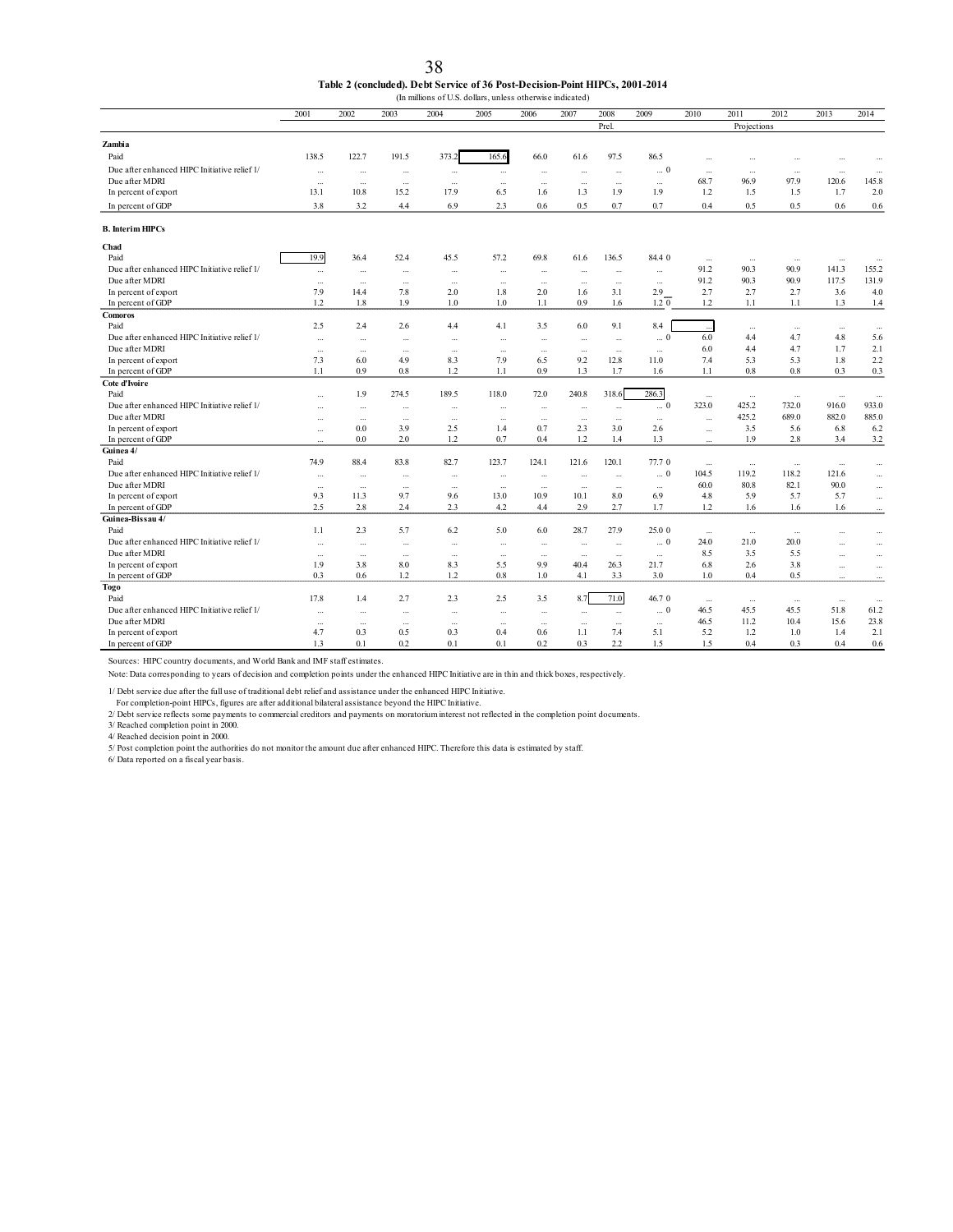| 38                                                                           |
|------------------------------------------------------------------------------|
| Table 2 (concluded). Debt Service of 36 Post-Decision-Point HIPCs, 2001-2014 |
| (In millions of U.S. dollars, unless otherwise indicated)                    |

|                                              | 2001      | 2002      | 2003      | 2004                     | 2005      | 2006      | 2007     | 2008                     | 2009         | 2010      | 2011        | 2012      | 2013      | 2014      |
|----------------------------------------------|-----------|-----------|-----------|--------------------------|-----------|-----------|----------|--------------------------|--------------|-----------|-------------|-----------|-----------|-----------|
|                                              |           |           |           |                          |           |           |          | Prel.                    |              |           | Projections |           |           |           |
| Zambia                                       |           |           |           |                          |           |           |          |                          |              |           |             |           |           |           |
| Paid                                         | 138.5     | 122.7     | 191.5     | 373.2                    | 165.6     | 66.0      | 61.6     | 97.5                     | 86.5         | $\ddotsc$ | $\ddotsc$   | $\ddotsc$ |           |           |
| Due after enhanced HIPC Initiative relief 1/ | $\ldots$  | $\cdots$  | $\ldots$  | $\cdots$                 | $\cdots$  | $\cdots$  | $\ldots$ | $\cdots$                 | $\ldots$ $0$ | $\cdots$  | $\cdots$    | $\ldots$  | $\ldots$  | $\cdots$  |
| Due after MDRI                               | $\sim$    |           | $\cdots$  | $\overline{\phantom{a}}$ | $\cdots$  | $\cdots$  | $\cdots$ | $\overline{\phantom{a}}$ | $\mathbf{r}$ | 68.7      | 96.9        | 97.9      | 120.6     | 145.8     |
| In percent of export                         | 13.1      | 10.8      | 15.2      | 17.9                     | 6.5       | 1.6       | 1.3      | 1.9                      | 1.9          | 1.2       | 1.5         | 1.5       | 1.7       | 2.0       |
| In percent of GDP                            | 3.8       | 3.2       | 4.4       | 6.9                      | 2.3       | 0.6       | 0.5      | 0.7                      | 0.7          | 0.4       | 0.5         | 0.5       | 0.6       | 0.6       |
|                                              |           |           |           |                          |           |           |          |                          |              |           |             |           |           |           |
| <b>B.</b> Interim HIPCs                      |           |           |           |                          |           |           |          |                          |              |           |             |           |           |           |
| Chad                                         |           |           |           |                          |           |           |          |                          |              |           |             |           |           |           |
| Paid                                         | 19.9      | 36.4      | 52.4      | 45.5                     | 57.2      | 69.8      | 61.6     | 136.5                    | 84.4 0       | $\cdots$  | $\ldots$    | $\ldots$  | $\ldots$  | $\ddotsc$ |
| Due after enhanced HIPC Initiative relief I/ | $\ldots$  | $\cdots$  | $\ldots$  | $\cdots$                 | $\ddotsc$ | $\cdots$  | $\cdots$ | $\cdots$                 | $\ldots$     | 91.2      | 90.3        | 90.9      | 141.3     | 155.2     |
| Due after MDRI                               | $\cdots$  | u,        | $\ldots$  | $\cdots$                 | $\ddotsc$ | $\ldots$  | $\ldots$ | $\cdots$                 | $\ldots$     | 91.2      | 90.3        | 90.9      | 117.5     | 131.9     |
| In percent of export                         | 7.9       | 14.4      | 7.8       | 2.0                      | 1.8       | 2.0       | 1.6      | 3.1                      | 2.9          | 2.7       | 2.7         | 2.7       | 3.6       | 4.0       |
| In percent of GDP                            | 1.2       | 1.8       | 1.9       | 1.0                      | 1.0       | 1.1       | 0.9      | 1.6                      | $1.2 \ 0$    | 1.2       | 1.1         | 1.1       | 1.3       | 1.4       |
| <b>Comoros</b>                               |           |           |           |                          |           |           |          |                          |              |           |             |           |           |           |
| Paid                                         | 2.5       | 2.4       | 2.6       | 4.4                      | 4.1       | 3.5       | 6.0      | 9.1                      | 8.4          |           | $\ddotsc$   | $\ldots$  | $\ldots$  | $\ldots$  |
| Due after enhanced HIPC Initiative relief 1/ | $\ddotsc$ | u,        | $\cdots$  | $\ddotsc$                | $\cdots$  | $\cdots$  | $\ldots$ | $\ldots$                 | $\ldots$ 0   | 6.0       | 4.4         | 4.7       | 4.8       | 5.6       |
| Due after MDRI                               | $\cdots$  | $\cdots$  | $\ddotsc$ | $\ddotsc$                | $\cdots$  | $\cdots$  | $\ldots$ | $\cdots$                 | $\ldots$     | 6.0       | 4.4         | 4.7       | 1.7       | 2.1       |
| In percent of export                         | 7.3       | 6.0       | 4.9       | 8.3                      | 7.9       | 6.5       | 9.2      | 12.8                     | 11.0         | 7.4       | 5.3         | 5.3       | 1.8       | 2.2       |
| In percent of GDP                            | 1.1       | 0.9       | 0.8       | 1.2                      | 1.1       | 0.9       | 1.3      | 1.7                      | 1.6          | 1.1       | 0.8         | 0.8       | 0.3       | 0.3       |
| Cote d'Ivoire                                |           |           |           |                          |           |           |          |                          |              |           |             |           |           |           |
| Paid                                         | $\ddotsc$ | 1.9       | 274.5     | 189.5                    | 118.0     | 72.0      | 240.8    | 318.6                    | 286.3        | $\ldots$  | $\cdots$    | $\ldots$  | $\ldots$  | $\ldots$  |
| Due after enhanced HIPC Initiative relief 1/ | $\ddotsc$ | $\ldots$  | $\ldots$  | $\ldots$                 | $\cdots$  | $\ldots$  | $\ldots$ | $\cdots$                 | $\ldots$ $0$ | 323.0     | 425.2       | 732.0     | 916.0     | 933.0     |
| Due after MDRI                               | $\cdots$  | $\cdots$  | $\cdots$  | $\cdots$                 | $\cdots$  | $\cdots$  | $\cdots$ | $\cdots$                 | $\ldots$     | $\ldots$  | 425.2       | 689.0     | 882.0     | 885.0     |
| In percent of export                         | $\ddotsc$ | 0.0       | 3.9       | 2.5                      | 1.4       | 0.7       | 2.3      | 3.0                      | 2.6          | u.        | 3.5         | 5.6       | 6.8       | 6.2       |
| In percent of GDP                            |           | 0.0       | 2.0       | 1.2                      | 0.7       | 0.4       | 1.2      | 1.4                      | 1.3          |           | 1.9         | 2.8       | 3.4       | 3.2       |
| Guinea 4/                                    |           |           |           |                          |           |           |          |                          |              |           |             |           |           |           |
| Paid                                         | 74.9      | 88.4      | 83.8      | 82.7                     | 123.7     | 124.1     | 121.6    | 120.1                    | 77.70        | $\cdots$  | $\ldots$    | $\ldots$  | $\ddotsc$ | $\cdots$  |
| Due after enhanced HIPC Initiative relief 1/ | $\cdots$  | $\ddotsc$ | $\ldots$  | $\ldots$                 | $\ldots$  | ă.        | $\cdots$ | $\cdots$                 | $\ldots$ 0   | 104.5     | 119.2       | 118.2     | 121.6     | $\cdots$  |
| Due after MDRI                               | $\ddotsc$ | $\ddotsc$ | $\ddotsc$ | $\cdots$                 | $\ddotsc$ | $\cdots$  | $\cdots$ | $\cdots$                 | $\ldots$     | 60.0      | 80.8        | 82.1      | 90.0      | $\cdots$  |
| In percent of export                         | 9.3       | 11.3      | 9.7       | 9.6                      | 13.0      | 10.9      | 10.1     | 8.0                      | 6.9          | 4.8       | 5.9         | 5.7       | 5.7       | $\cdots$  |
| In percent of GDP                            | 2.5       | 2.8       | 2.4       | 2.3                      | 4.2       | 4.4       | 2.9      | 2.7                      | 1.7          | 1.2       | 1.6         | 1.6       | 1.6       |           |
| Guinea-Bissau 4/                             |           |           |           |                          |           |           |          |                          |              |           |             |           |           |           |
| Paid                                         | 1.1       | 2.3       | 5.7       | 6.2                      | 5.0       | 6.0       | 28.7     | 27.9                     | 25.0 0       | $\ldots$  | $\ldots$    | $\ldots$  | $\ldots$  | $\ldots$  |
| Due after enhanced HIPC Initiative relief 1/ | $\cdots$  |           |           | ÷.                       | $\cdots$  | $\ldots$  | $\ldots$ | $\cdots$                 | $\ldots$ 0   | 24.0      | 21.0        | 20.0      | $\ddotsc$ | $\ldots$  |
| Due after MDRI                               | $\ldots$  | $\ldots$  | $\ldots$  | $\cdots$                 | $\ldots$  | $\ldots$  | $\ldots$ | $\cdots$                 | $\ldots$     | 8.5       | 3.5         | 5.5       | $\ddotsc$ | $\ldots$  |
| In percent of export                         | 1.9       | 3.8       | 8.0       | 8.3                      | 5.5       | 9.9       | 40.4     | 26.3                     | 21.7         | 6.8       | 2.6         | 3.8       | $\ddotsc$ | $\cdots$  |
| In percent of GDP                            | 0.3       | 0.6       | 1.2       | 1.2                      | 0.8       | 1.0       | 4.1      | 3.3                      | 3.0          | 1.0       | 0.4         | 0.5       | $\ddotsc$ | $\ldots$  |
| Togo                                         |           |           |           |                          |           |           |          |                          |              |           |             |           |           |           |
| Paid                                         | 17.8      | 1.4       | 2.7       | 2.3                      | 2.5       | 3.5       | 8.7      | 71.0                     | 46.70        | $\cdots$  | $\ldots$    | $\ldots$  | $\ldots$  | $\ddotsc$ |
| Due after enhanced HIPC Initiative relief 1/ | $\ddotsc$ |           | $\ldots$  | $\ddotsc$                | $\cdots$  | $\ddotsc$ | $\ldots$ | $\ldots$                 | $\ldots$ 0   | 46.5      | 45.5        | 45.5      | 51.8      | 61.2      |
| Due after MDRI                               | $\ldots$  | $\ldots$  | $\ldots$  | $\ddotsc$                | $\cdots$  | $\cdots$  | $\ldots$ | $\cdots$                 | $\ldots$     | 46.5      | 11.2        | 10.4      | 15.6      | 23.8      |
| In percent of export                         | 4.7       | 0.3       | 0.5       | 0.3                      | 0.4       | 0.6       | 1.1      | 7.4                      | 5.1          | 5.2       | 1.2         | 1.0       | 1.4       | 2.1       |
| In percent of GDP                            | 1.3       | 0.1       | 0.2       | 0.1                      | 0.1       | 0.2       | 0.3      | 2.2                      | 1.5          | 1.5       | 0.4         | 0.3       | 0.4       | 0.6       |

Sources: HIPC country documents, and World Bank and IMF staff estimates.

Note: Data corresponding to years of decision and completion points under the enhanced HIPC Initiative are in thin and thick boxes, respectively.

1/ Debt service due after the full use of traditional debt relief and assistance under the enhanced HIPC Initiative.

For completion-point HIPCs, figures are after additional bilateral assistance beyond the HIPC Initiative.

2/ Debt service reflects some payments to commercial creditors and payments on moratorium interest not reflected in the completion point documents. 3/ Reached completion point in 2000. 4/ Reached decision point in 2000.

5/ Post completion point the authorities do not monitor the amount due after enhanced HIPC. Therefore this data is estimated by staff. 6/ Data reported on a fiscal year basis.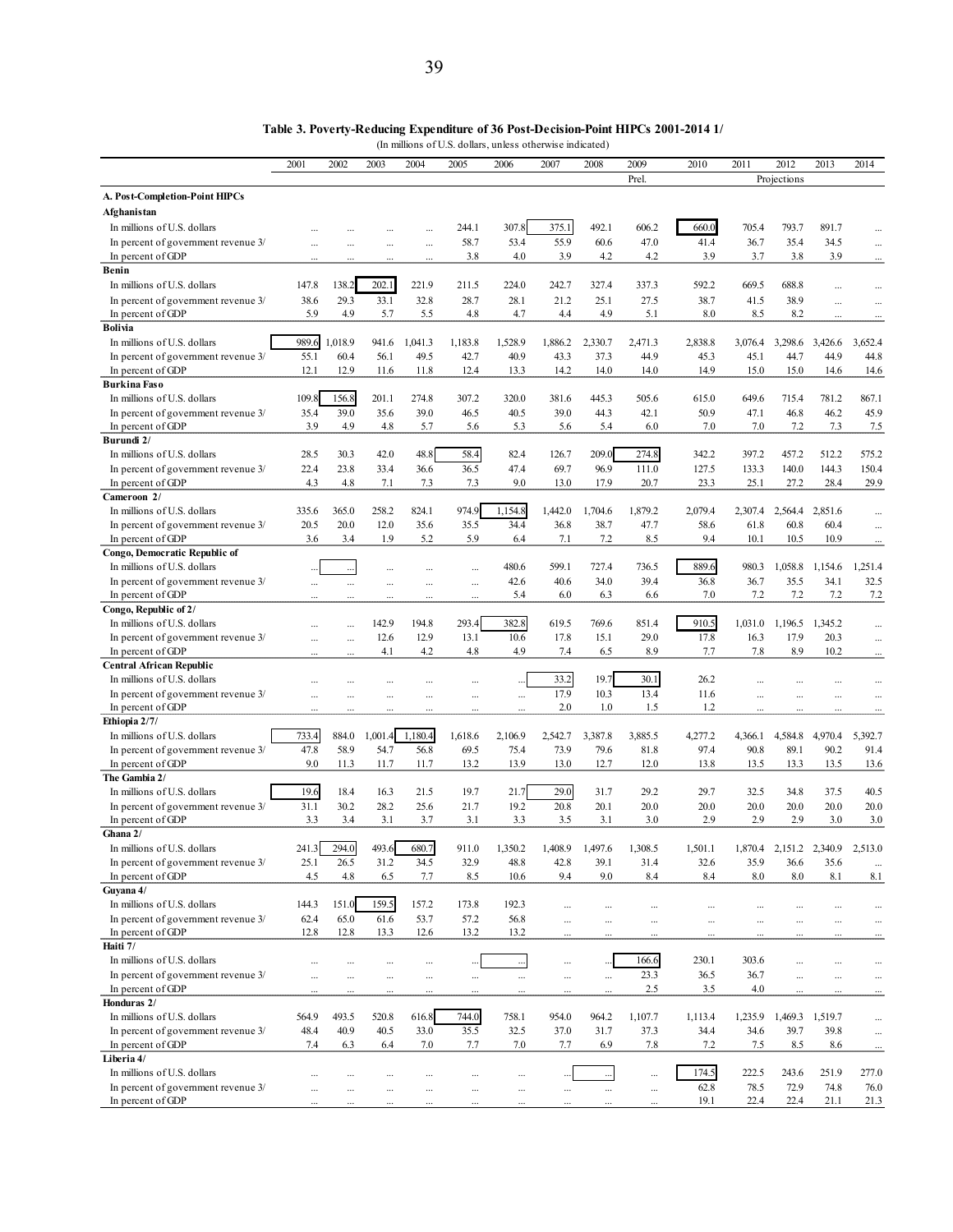(In millions of U.S. dollars, unless otherwise indicated)

|                                                                    | 2001                 | 2002         | 2003         | 2004         | 2005                 | 2006                 | 2007                 | 2008                 | 2009          | 2010          | 2011          | 2012                    | 2013                 | 2014          |
|--------------------------------------------------------------------|----------------------|--------------|--------------|--------------|----------------------|----------------------|----------------------|----------------------|---------------|---------------|---------------|-------------------------|----------------------|---------------|
|                                                                    |                      |              |              |              |                      |                      |                      |                      | Prel.         |               |               | Projections             |                      |               |
| A. Post-Completion-Point HIPCs                                     |                      |              |              |              |                      |                      |                      |                      |               |               |               |                         |                      |               |
| <b>Afghanistan</b>                                                 |                      |              |              |              |                      |                      |                      |                      |               |               |               |                         |                      |               |
| In millions of U.S. dollars                                        |                      |              |              |              | 244.1                | 307.8                | 375.1                | 492.1                | 606.2         | 660.0         | 705.4         | 793.7                   | 891.7                |               |
| In percent of government revenue 3/                                | $\ddotsc$            | $\ddotsc$    |              | $\cdots$     | 58.7                 | 53.4                 | 55.9                 | 60.6                 | 47.0          | 41.4          | 36.7          | 35.4                    | 34.5                 | $\ddotsc$     |
| In percent of GDP                                                  |                      |              |              | $\ddotsc$    | 3.8                  | 4.0                  | 3.9                  | 4.2                  | 4.2           | 3.9           | 3.7           | 3.8                     | 3.9                  |               |
| Benin                                                              |                      |              |              |              |                      |                      |                      |                      |               |               |               |                         |                      |               |
| In millions of U.S. dollars                                        | 147.8                | 138.2        | 202.1        | 221.9        | 211.5                | 224.0                | 242.7                | 327.4                | 337.3         | 592.2         | 669.5         | 688.8                   |                      |               |
| In percent of government revenue 3/                                | 38.6                 | 29.3         | 33.1         | 32.8         | 28.7                 | 28.1                 | 21.2                 | 25.1                 | 27.5          | 38.7          | 41.5          | 38.9                    | $\cdots$             | $\ddotsc$     |
| In percent of GDP<br><b>Bolivia</b>                                | 5.9                  | 4.9          | 5.7          | 5.5          | 4.8                  | 4.7                  | 4.4                  | 4.9                  | 5.1           | 8.0           | 8.5           | 8.2                     |                      |               |
| In millions of U.S. dollars                                        | 989.6                | 1,018.9      | 941.6        | 1,041.3      | 1,183.8              | 1,528.9              | 1,886.2              | 2,330.7              | 2,471.3       | 2,838.8       | 3,076.4       | 3,298.6                 | 3,426.6              | 3,652.4       |
| In percent of government revenue 3/                                | 55.1                 | 60.4         | 56.1         | 49.5         | 42.7                 | 40.9                 | 43.3                 | 37.3                 | 44.9          | 45.3          | 45.1          | 44.7                    | 44.9                 | 44.8          |
| In percent of GDP                                                  | 12.1                 | 12.9         | 11.6         | 11.8         | 12.4                 | 13.3                 | 14.2                 | 14.0                 | 14.0          | 14.9          | 15.0          | 15.0                    | 14.6                 | 14.6          |
| <b>Burkina Faso</b>                                                |                      |              |              |              |                      |                      |                      |                      |               |               |               |                         |                      |               |
| In millions of U.S. dollars                                        | 109.8                | 156.8        | 201.1        | 274.8        | 307.2                | 320.0                | 381.6                | 445.3                | 505.6         | 615.0         | 649.6         | 715.4                   | 781.2                | 867.1         |
| In percent of government revenue 3/                                | 35.4                 | 39.0         | 35.6         | 39.0         | 46.5                 | 40.5                 | 39.0                 | 44.3                 | 42.1          | 50.9          | 47.1          | 46.8                    | 46.2                 | 45.9          |
| In percent of GDP                                                  | 3.9                  | 4.9          | 4.8          | 5.7          | 5.6                  | 5.3                  | 5.6                  | 5.4                  | 6.0           | 7.0           | 7.0           | 7.2                     | 7.3                  | 7.5           |
| Burundi 2/                                                         |                      |              |              |              |                      |                      |                      |                      |               |               |               |                         |                      |               |
| In millions of U.S. dollars                                        | 28.5                 | 30.3         | 42.0         | 48.8         | 58.4                 | 82.4                 | 126.7                | 209.0                | 274.8         | 342.2         | 397.2         | 457.2                   | 512.2                | 575.2         |
| In percent of government revenue 3/                                | 22.4<br>4.3          | 23.8<br>4.8  | 33.4         | 36.6<br>7.3  | 36.5                 | 47.4<br>9.0          | 69.7                 | 96.9<br>17.9         | 111.0<br>20.7 | 127.5<br>23.3 | 133.3<br>25.1 | 140.0<br>27.2           | 144.3<br>28.4        | 150.4<br>29.9 |
| In percent of GDP<br>Cameroon 2/                                   |                      |              | 7.1          |              | 7.3                  |                      | 13.0                 |                      |               |               |               |                         |                      |               |
| In millions of U.S. dollars                                        | 335.6                | 365.0        | 258.2        | 824.1        | 974.9                | 1,154.8              | 1,442.0              | 1.704.6              | 1,879.2       | 2,079.4       | 2,307.4       | 2,564.4                 | 2,851.6              |               |
| In percent of government revenue 3/                                | 20.5                 | 20.0         | 12.0         | 35.6         | 35.5                 | 34.4                 | 36.8                 | 38.7                 | 47.7          | 58.6          | 61.8          | 60.8                    | 60.4                 |               |
| In percent of GDP                                                  | 3.6                  | 3.4          | 1.9          | 5.2          | 5.9                  | 6.4                  | 7.1                  | 7.2                  | 8.5           | 9.4           | 10.1          | 10.5                    | 10.9                 |               |
| Congo, Democratic Republic of                                      |                      |              |              |              |                      |                      |                      |                      |               |               |               |                         |                      |               |
| In millions of U.S. dollars                                        |                      |              |              |              | $\cdots$             | 480.6                | 599.1                | 727.4                | 736.5         | 889.6         | 980.3         | 1,058.8                 | 1,154.6              | 1,251.4       |
| In percent of government revenue 3/                                |                      |              |              |              | $\ddotsc$            | 42.6                 | 40.6                 | 34.0                 | 39.4          | 36.8          | 36.7          | 35.5                    | 34.1                 | 32.5          |
| In percent of GDP                                                  |                      |              |              |              |                      | 5.4                  | 6.0                  | 6.3                  | 6.6           | 7.0           | 7.2           | 7.2                     | 7.2                  | 7.2           |
| Congo, Republic of 2/                                              |                      |              |              |              |                      |                      |                      |                      |               |               |               |                         |                      |               |
| In millions of U.S. dollars                                        |                      |              | 142.9        | 194.8        | 293.4                | 382.8                | 619.5                | 769.6                | 851.4         | 910.5         | 1,031.0       | 1,196.5                 | 1,345.2              |               |
| In percent of government revenue 3/                                |                      |              | 12.6<br>4.1  | 12.9<br>4.2  | 13.1<br>4.8          | 10.6<br>4.9          | 17.8<br>7.4          | 15.1<br>6.5          | 29.0<br>8.9   | 17.8<br>7.7   | 16.3<br>7.8   | 17.9<br>8.9             | 20.3<br>10.2         | $\ddotsc$     |
| In percent of GDP<br><b>Central African Republic</b>               |                      |              |              |              |                      |                      |                      |                      |               |               |               |                         |                      |               |
| In millions of U.S. dollars                                        |                      |              |              |              | $\ddotsc$            |                      | 33.2                 | 19.7                 | 30.1          | 26.2          |               |                         | $\ddots$             |               |
| In percent of government revenue 3/                                | $\cdots$             |              |              |              | $\ddotsc$            | $\cdots$             | 17.9                 | 10.3                 | 13.4          | 11.6          | $\ddotsc$     |                         | $\cdots$             | $\ddotsc$     |
| In percent of GDP                                                  |                      |              |              |              |                      |                      | 2.0                  | 1.0                  | 1.5           | 1.2           |               |                         |                      |               |
| Ethiopia 2/7/                                                      |                      |              |              |              |                      |                      |                      |                      |               |               |               |                         |                      |               |
| In millions of U.S. dollars                                        | 733.4                | 884.0        | 1,001.4      | 1,180.4      | 1,618.6              | 2,106.9              | 2,542.7              | 3,387.8              | 3,885.5       | 4,277.2       | 4,366.1       | 4,584.8                 | 4,970.4              | 5,392.7       |
| In percent of government revenue 3/                                | 47.8                 | 58.9         | 54.7         | 56.8         | 69.5                 | 75.4                 | 73.9                 | 79.6                 | 81.8          | 97.4          | 90.8          | 89.1                    | 90.2                 | 91.4          |
| In percent of GDP                                                  | 9.0                  | 11.3         | 11.7         | 11.7         | 13.2                 | 13.9                 | 13.0                 | 12.7                 | 12.0          | 13.8          | 13.5          | 13.3                    | 13.5                 | 13.6          |
| The Gambia 2/                                                      |                      |              |              |              |                      |                      |                      |                      |               |               |               |                         |                      |               |
| In millions of U.S. dollars<br>In percent of government revenue 3/ | 19.6<br>31.1         | 18.4<br>30.2 | 16.3<br>28.2 | 21.5<br>25.6 | 19.7<br>21.7         | 21.7<br>19.2         | 29.0<br>20.8         | 31.7<br>20.1         | 29.2<br>20.0  | 29.7<br>20.0  | 32.5<br>20.0  | 34.8<br>20.0            | 37.5<br>20.0         | 40.5<br>20.0  |
| In percent of GDP                                                  | 3.3                  | 3.4          | 3.1          | 3.7          | 3.1                  | 3.3                  | 3.5                  | 3.1                  | 3.0           | 2.9           | 2.9           | 2.9                     | 3.0                  | 3.0           |
| Ghana 2/                                                           |                      |              |              |              |                      |                      |                      |                      |               |               |               |                         |                      |               |
| In millions of U.S. dollars                                        | 241.3                | 294.0        | 493.6        | 680.7        | 911.0                | 1,350.2              | 1,408.9              | 1,497.6              | 1,308.5       | 1,501.1       |               | 1,870.4 2,151.2 2,340.9 |                      | 2,513.0       |
| In percent of government revenue 3/                                | 25.1                 | 26.5         | 31.2         | 34.5         | 32.9                 | 48.8                 | 42.8                 | 39.1                 | 31.4          | 32.6          | 35.9          | 36.6                    | 35.6                 | $\ddots$      |
| In percent of GDP                                                  | 4.5                  | 4.8          | 6.5          | 7.7          | 8.5                  | 10.6                 | 9.4                  | 9.0                  | 8.4           | 8.4           | $8.0\,$       | 8.0                     | 8.1                  | 8.1           |
| Guyana 4/                                                          |                      |              |              |              |                      |                      |                      |                      |               |               |               |                         |                      |               |
| In millions of U.S. dollars                                        | 144.3                | 151.0        | 159.5        | 157.2        | 173.8                | 192.3                |                      |                      | $\cdots$      | $\cdots$      | $\ddots$      | $\ddotsc$               | $\cdots$             | $\cdots$      |
| In percent of government revenue 3/                                | 62.4                 | 65.0         | 61.6         | 53.7         | 57.2                 | 56.8                 | $\ddots$             |                      | $\ddotsc$     |               |               |                         | $\ddotsc$            | $\ddotsc$     |
| In percent of GDP<br>Haiti 7/                                      | 12.8                 | 12.8         | 13.3         | 12.6         | 13.2                 | 13.2                 | $\cdot$              | $\cdots$             |               |               |               |                         | $\cdots$             |               |
| In millions of U.S. dollars                                        |                      |              |              |              |                      |                      |                      |                      | 166.6         | 230.1         | 303.6         |                         |                      |               |
| In percent of government revenue 3/                                | $\cdots$             | $\cdots$<br> |              | $\cdots$     | $\ddotsc$            | $\cdots$             | $\cdots$             |                      | 23.3          | 36.5          | 36.7          | $\ddotsc$<br>$\ddotsc$  | $\cdots$             | <br>$\ddotsc$ |
| In percent of GDP                                                  | $\cdots$<br>$\cdots$ | $\cdots$     | <br>         | <br>$\cdots$ | $\cdots$<br>$\cdots$ | $\cdots$<br>$\cdots$ | $\cdots$<br>$\cdots$ | $\ldots$<br>$\ldots$ | 2.5           | 3.5           | 4.0           | $\ddots$                | $\cdots$<br>$\cdots$ | $\cdots$      |
| Honduras 2/                                                        |                      |              |              |              |                      |                      |                      |                      |               |               |               |                         |                      |               |
| In millions of U.S. dollars                                        | 564.9                | 493.5        | 520.8        | 616.8        | 744.0                | 758.1                | 954.0                | 964.2                | 1,107.7       | 1,113.4       | 1,235.9       | 1,469.3 1,519.7         |                      | $\cdots$      |
| In percent of government revenue 3/                                | 48.4                 | 40.9         | 40.5         | 33.0         | 35.5                 | 32.5                 | 37.0                 | 31.7                 | 37.3          | 34.4          | 34.6          | 39.7                    | 39.8                 | $\cdots$      |
| In percent of GDP                                                  | 7.4                  | 6.3          | 6.4          | 7.0          | 7.7                  | 7.0                  | 7.7                  | 6.9                  | 7.8           | 7.2           | 7.5           | 8.5                     | 8.6                  | $\cdot$       |
| Liberia 4/                                                         |                      |              |              |              |                      |                      |                      |                      |               |               |               |                         |                      |               |
| In millions of U.S. dollars                                        | $\cdots$             | $\cdots$     |              | $\cdots$     | $\cdots$             | $\cdots$             | $\ddotsc$            | $\ldots$             | $\cdots$      | 174.5         | 222.5         | 243.6                   | 251.9                | 277.0         |
| In percent of government revenue 3/                                | $\cdots$             |              |              | .            | $\ddots$             | $\cdots$             | $\cdots$             | $\ldots$             | $\cdots$      | 62.8          | 78.5          | 72.9                    | 74.8                 | 76.0          |
| In percent of GDP                                                  |                      |              |              |              |                      |                      |                      | $\cdots$             |               | 19.1          | 22.4          | 22.4                    | 21.1                 | 21.3          |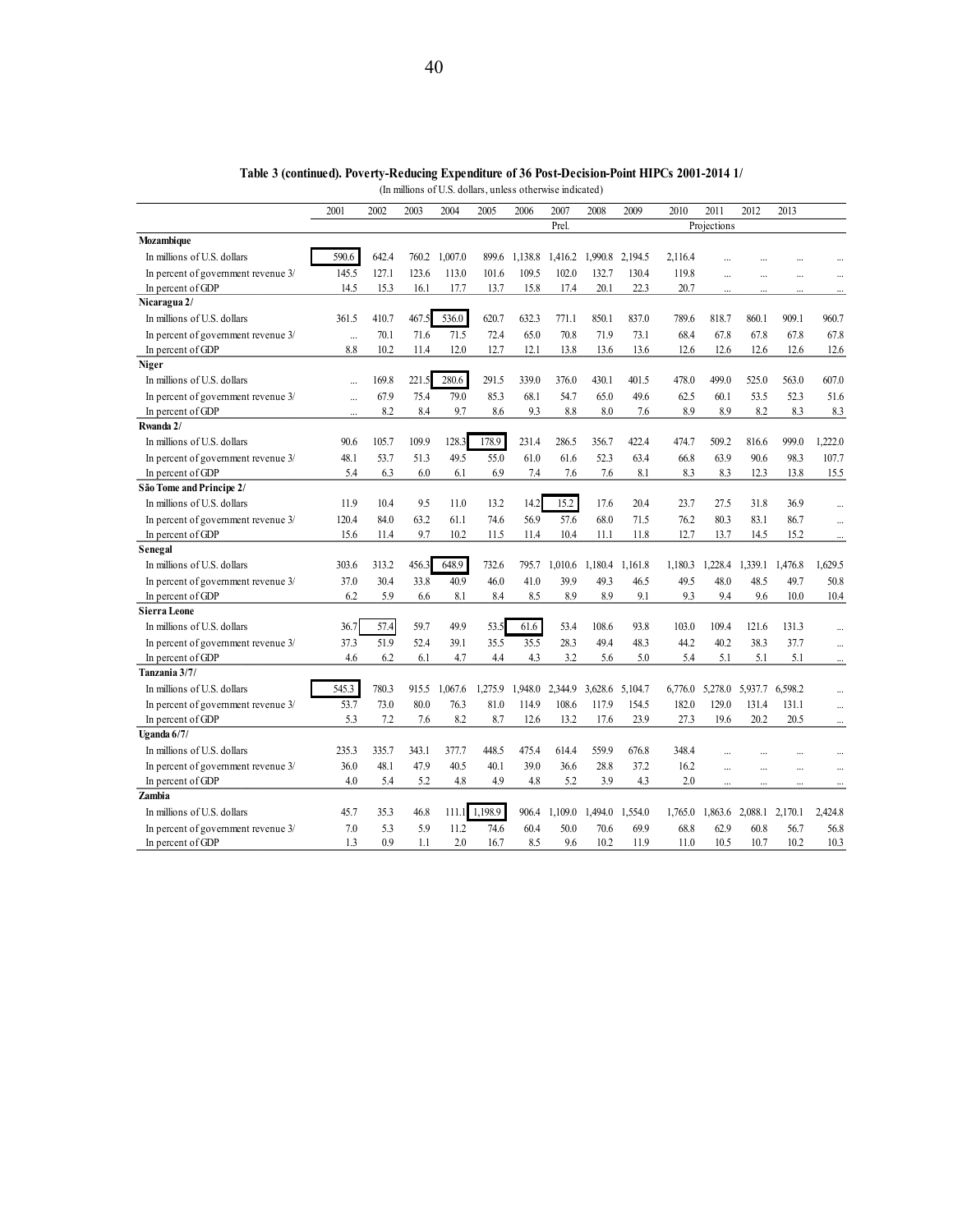|                                     | 2001      | 2002  | 2003  | 2004        | 2005    | 2006    | 2007    | 2008            | 2009            | 2010    | 2011        | 2012      | 2013      |           |
|-------------------------------------|-----------|-------|-------|-------------|---------|---------|---------|-----------------|-----------------|---------|-------------|-----------|-----------|-----------|
|                                     |           |       |       |             |         |         | Prel.   |                 |                 |         | Projections |           |           |           |
| Mozambique                          |           |       |       |             |         |         |         |                 |                 |         |             |           |           |           |
| In millions of U.S. dollars         | 590.6     | 642.4 | 760.2 | .007.0<br>1 | 899.6   | 1,138.8 | 1,416.2 | 1,990.8         | 2.194.5         | 2.116.4 |             |           |           |           |
| In percent of government revenue 3/ | 145.5     | 127.1 | 123.6 | 113.0       | 101.6   | 109.5   | 102.0   | 132.7           | 130.4           | 119.8   | $\ddotsc$   |           |           |           |
| In percent of GDP                   | 14.5      | 15.3  | 16.1  | 17.7        | 13.7    | 15.8    | 17.4    | 20.1            | 22.3            | 20.7    | $\ddotsc$   |           |           |           |
| Nicaragua 2/                        |           |       |       |             |         |         |         |                 |                 |         |             |           |           |           |
| In millions of U.S. dollars         | 361.5     | 410.7 | 467.5 | 536.0       | 620.7   | 632.3   | 771.1   | 850.1           | 837.0           | 789.6   | 818.7       | 860.1     | 909.1     | 960.7     |
| In percent of government revenue 3/ | $\cdots$  | 70.1  | 71.6  | 71.5        | 72.4    | 65.0    | 70.8    | 71.9            | 73.1            | 68.4    | 67.8        | 67.8      | 67.8      | 67.8      |
| In percent of GDP                   | 8.8       | 10.2  | 11.4  | 12.0        | 12.7    | 12.1    | 13.8    | 13.6            | 13.6            | 12.6    | 12.6        | 12.6      | 12.6      | 12.6      |
| <b>Niger</b>                        |           |       |       |             |         |         |         |                 |                 |         |             |           |           |           |
| In millions of U.S. dollars         | $\ddotsc$ | 169.8 | 221.5 | 280.6       | 291.5   | 339.0   | 376.0   | 430.1           | 401.5           | 478.0   | 499.0       | 525.0     | 563.0     | 607.0     |
| In percent of government revenue 3/ | $\ddots$  | 67.9  | 75.4  | 79.0        | 85.3    | 68.1    | 54.7    | 65.0            | 49.6            | 62.5    | 60.1        | 53.5      | 52.3      | 51.6      |
| In percent of GDP                   | $\ddotsc$ | 8.2   | 8.4   | 9.7         | 8.6     | 9.3     | 8.8     | 8.0             | 7.6             | 8.9     | 8.9         | 8.2       | 8.3       | 8.3       |
| Rwanda 2/                           |           |       |       |             |         |         |         |                 |                 |         |             |           |           |           |
| In millions of U.S. dollars         | 90.6      | 105.7 | 109.9 | 128.3       | 178.9   | 231.4   | 286.5   | 356.7           | 422.4           | 474.7   | 509.2       | 816.6     | 999.0     | 1,222.0   |
| In percent of government revenue 3/ | 48.1      | 53.7  | 51.3  | 49.5        | 55.0    | 61.0    | 61.6    | 52.3            | 63.4            | 66.8    | 63.9        | 90.6      | 98.3      | 107.7     |
| In percent of GDP                   | 5.4       | 6.3   | 6.0   | 6.1         | 6.9     | 7.4     | 7.6     | 7.6             | 8.1             | 8.3     | 8.3         | 12.3      | 13.8      | 15.5      |
| São Tome and Principe 2/            |           |       |       |             |         |         |         |                 |                 |         |             |           |           |           |
| In millions of U.S. dollars         | 11.9      | 10.4  | 9.5   | 11.0        | 13.2    | 14.2    | 15.2    | 17.6            | 20.4            | 23.7    | 27.5        | 31.8      | 36.9      |           |
| In percent of government revenue 3/ | 120.4     | 84.0  | 63.2  | 61.1        | 74.6    | 56.9    | 57.6    | 68.0            | 71.5            | 76.2    | 80.3        | 83.1      | 86.7      |           |
| In percent of GDP                   | 15.6      | 11.4  | 9.7   | 10.2        | 11.5    | 11.4    | 10.4    | 11.1            | 11.8            | 12.7    | 13.7        | 14.5      | 15.2      |           |
| Senegal                             |           |       |       |             |         |         |         |                 |                 |         |             |           |           |           |
| In millions of U.S. dollars         | 303.6     | 313.2 | 456.3 | 648.9       | 732.6   | 795.7   | 1,010.6 | 1,180.4         | 1,161.8         | 1,180.3 | 1,228.4     | 1,339.1   | 1,476.8   | 1,629.5   |
| In percent of government revenue 3/ | 37.0      | 30.4  | 33.8  | 40.9        | 46.0    | 41.0    | 39.9    | 49.3            | 46.5            | 49.5    | 48.0        | 48.5      | 49.7      | 50.8      |
| In percent of GDP                   | 6.2       | 5.9   | 6.6   | 8.1         | 8.4     | 8.5     | 8.9     | 8.9             | 9.1             | 9.3     | 9.4         | 9.6       | 10.0      | 10.4      |
| <b>Sierra Leone</b>                 |           |       |       |             |         |         |         |                 |                 |         |             |           |           |           |
| In millions of U.S. dollars         | 36.7      | 57.4  | 59.7  | 49.9        | 53.5    | 61.6    | 53.4    | 108.6           | 93.8            | 103.0   | 109.4       | 121.6     | 131.3     |           |
| In percent of government revenue 3/ | 37.3      | 51.9  | 52.4  | 39.1        | 35.5    | 35.5    | 28.3    | 49.4            | 48.3            | 44.2    | 40.2        | 38.3      | 37.7      |           |
| In percent of GDP                   | 4.6       | 6.2   | 6.1   | 4.7         | 4.4     | 4.3     | 3.2     | 5.6             | 5.0             | 5.4     | 5.1         | 5.1       | 5.1       |           |
| Tanzania 3/7/                       |           |       |       |             |         |         |         |                 |                 |         |             |           |           |           |
| In millions of U.S. dollars         | 545.3     | 780.3 | 915.5 | 1,067.6     | 1,275.9 | 1,948.0 | 2,344.9 |                 | 3,628.6 5,104.7 | 6,776.0 | 5,278.0     | 5,937.7   | 6,598.2   |           |
| In percent of government revenue 3/ | 53.7      | 73.0  | 80.0  | 76.3        | 81.0    | 114.9   | 108.6   | 117.9           | 154.5           | 182.0   | 129.0       | 131.4     | 131.1     |           |
| In percent of GDP                   | 5.3       | 7.2   | 7.6   | 8.2         | 8.7     | 12.6    | 13.2    | 17.6            | 23.9            | 27.3    | 19.6        | 20.2      | 20.5      |           |
| Uganda $6/7/$                       |           |       |       |             |         |         |         |                 |                 |         |             |           |           |           |
| In millions of U.S. dollars         | 235.3     | 335.7 | 343.1 | 377.7       | 448.5   | 475.4   | 614.4   | 559.9           | 676.8           | 348.4   |             |           |           |           |
| In percent of government revenue 3/ | 36.0      | 48.1  | 47.9  | 40.5        | 40.1    | 39.0    | 36.6    | 28.8            | 37.2            | 16.2    | $\ddotsc$   | $\ddotsc$ | $\ddotsc$ | $\ddotsc$ |
| In percent of GDP                   | 40        | 5.4   | 5.2   | 4.8         | 49      | 4.8     | 5.2     | 3.9             | 4.3             | 20      | $\ddotsc$   |           |           |           |
| Zambia                              |           |       |       |             |         |         |         |                 |                 |         |             |           |           |           |
| In millions of U.S. dollars         | 45.7      | 35.3  | 46.8  | 111.1       | 1,198.9 | 906.4   | 1,109.0 | 1,494.0 1,554.0 |                 | 1,765.0 | 1,863.6     | 2,088.1   | 2,170.1   | 2,424.8   |
| In percent of government revenue 3/ | 7.0       | 5.3   | 5.9   | 11.2        | 74.6    | 60.4    | 50.0    | 70.6            | 69.9            | 68.8    | 62.9        | 60.8      | 56.7      | 56.8      |
| In percent of GDP                   | 1.3       | 0.9   | 1.1   | 2.0         | 16.7    | 8.5     | 9.6     | 10.2            | 11.9            | 11.0    | 10.5        | 10.7      | 10.2      | 10.3      |

**Table 3 (continued). Poverty-Reducing Expenditure of 36 Post-Decision-Point HIPCs 2001-2014 1/** (In millions of U.S. dollars, unless otherwise indicated)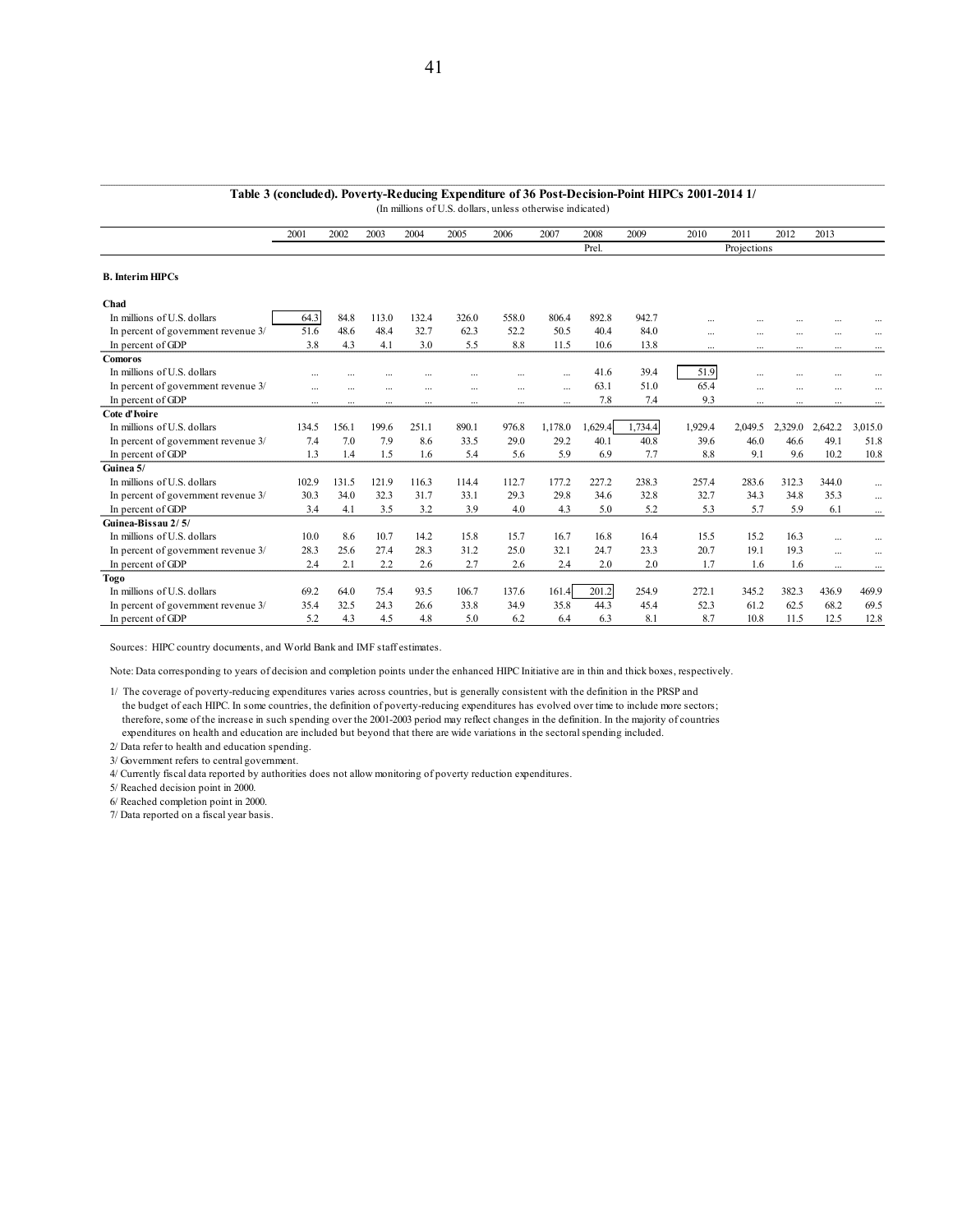|                                     | 2001      | 2002     | 2003      | 2004     | 2005      | 2006                     | 2007      | 2008    | 2009    | 2010      | 2011        | 2012      | 2013     |                          |
|-------------------------------------|-----------|----------|-----------|----------|-----------|--------------------------|-----------|---------|---------|-----------|-------------|-----------|----------|--------------------------|
|                                     |           |          |           |          |           |                          |           | Prel.   |         |           | Projections |           |          |                          |
| <b>B.</b> Interim HIPCs             |           |          |           |          |           |                          |           |         |         |           |             |           |          |                          |
| Chad                                |           |          |           |          |           |                          |           |         |         |           |             |           |          |                          |
| In millions of U.S. dollars         | 64.3      | 84.8     | 113.0     | 132.4    | 326.0     | 558.0                    | 806.4     | 892.8   | 942.7   | $\ddotsc$ |             |           |          |                          |
| In percent of government revenue 3/ | 51.6      | 48.6     | 48.4      | 32.7     | 62.3      | 52.2                     | 50.5      | 40.4    | 84.0    | $\cdots$  | $\cdots$    |           | $\cdots$ |                          |
| In percent of GDP                   | 3.8       | 4.3      | 4.1       | 3.0      | 5.5       | 8.8                      | 11.5      | 10.6    | 13.8    | $\cdots$  | $\cdots$    | $\cdots$  | $\cdots$ | $\cdots$                 |
| <b>Comoros</b>                      |           |          |           |          |           |                          |           |         |         |           |             |           |          |                          |
| In millions of U.S. dollars         |           | .        | $\ddotsc$ |          |           |                          | $\ddotsc$ | 41.6    | 39.4    | 51.9      | $\ddotsc$   | $\ddotsc$ |          |                          |
| In percent of government revenue 3/ | $\ddotsc$ | $\cdots$ | $\ddotsc$ | $\cdots$ | $\ddotsc$ | $\overline{\phantom{a}}$ | $\ddotsc$ | 63.1    | 51.0    | 65.4      | $\cdots$    | $\ddotsc$ | $\cdots$ | $\overline{\phantom{a}}$ |
| In percent of GDP                   | $\cdots$  | $\cdots$ |           | $\cdots$ | $\ddotsc$ | $\cdots$                 | $\cdots$  | 7.8     | 7.4     | 9.3       | $\cdots$    |           | $\cdots$ | $\cdots$                 |
| Cote d'Ivoire                       |           |          |           |          |           |                          |           |         |         |           |             |           |          |                          |
| In millions of U.S. dollars         | 134.5     | 156.1    | 199.6     | 251.1    | 890.1     | 976.8                    | 1,178.0   | 1,629.4 | 1,734.4 | 1,929.4   | 2,049.5     | 2.329.0   | 2.642.2  | 3,015.0                  |
| In percent of government revenue 3/ | 7.4       | 7.0      | 7.9       | 8.6      | 33.5      | 29.0                     | 29.2      | 40.1    | 40.8    | 39.6      | 46.0        | 46.6      | 49.1     | 51.8                     |
| In percent of GDP                   | 1.3       | 1.4      | 1.5       | 1.6      | 5.4       | 5.6                      | 5.9       | 6.9     | 7.7     | 8.8       | 9.1         | 9.6       | 10.2     | 10.8                     |
| Guinea 5/                           |           |          |           |          |           |                          |           |         |         |           |             |           |          |                          |
| In millions of U.S. dollars         | 102.9     | 131.5    | 121.9     | 116.3    | 114.4     | 112.7                    | 177.2     | 227.2   | 238.3   | 257.4     | 283.6       | 312.3     | 344.0    | $\cdots$                 |
| In percent of government revenue 3/ | 30.3      | 34.0     | 32.3      | 31.7     | 33.1      | 29.3                     | 29.8      | 34.6    | 32.8    | 32.7      | 34.3        | 34.8      | 35.3     | $\cdots$                 |
| In percent of GDP                   | 3.4       | 4.1      | 3.5       | 32       | 39        | 4.0                      | 4.3       | 5.0     | 5.2     | 5.3       | 5.7         | 5.9       | 6.1      | $\cdots$                 |
| Guinea-Bissau 2/5/                  |           |          |           |          |           |                          |           |         |         |           |             |           |          |                          |
| In millions of U.S. dollars         | 10.0      | 8.6      | 10.7      | 14.2     | 15.8      | 15.7                     | 16.7      | 16.8    | 16.4    | 15.5      | 15.2        | 16.3      | $\cdots$ | $\cdots$                 |
| In percent of government revenue 3/ | 28.3      | 25.6     | 27.4      | 28.3     | 31.2      | 25.0                     | 32.1      | 24.7    | 23.3    | 20.7      | 19.1        | 19.3      | $\cdots$ |                          |
| In percent of GDP                   | 2.4       | 2.1      | 2.2       | 2.6      | 2.7       | 2.6                      | 2.4       | 2.0     | 2.0     | 1.7       | 1.6         | 1.6       | $\cdots$ | $\cdots$                 |
| <b>Togo</b>                         |           |          |           |          |           |                          |           |         |         |           |             |           |          |                          |
| In millions of U.S. dollars         | 69.2      | 64.0     | 75.4      | 93.5     | 106.7     | 137.6                    | 161.4     | 201.2   | 254.9   | 272.1     | 345.2       | 382.3     | 436.9    | 469.9                    |
| In percent of government revenue 3/ | 35.4      | 32.5     | 24.3      | 26.6     | 33.8      | 34.9                     | 35.8      | 44.3    | 45.4    | 52.3      | 61.2        | 62.5      | 68.2     | 69.5                     |
| In percent of GDP                   | 5.2       | 4.3      | 4.5       | 4.8      | 5.0       | 6.2                      | 6.4       | 6.3     | 8.1     | 8.7       | 10.8        | 11.5      | 12.5     | 12.8                     |

**Table 3 (concluded). Poverty-Reducing Expenditure of 36 Post-Decision-Point HIPCs 2001-2014 1/** (In millions of U.S. dollars, unless otherwise indicated)

Sources: HIPC country documents, and World Bank and IMF staff estimates.

Note: Data corresponding to years of decision and completion points under the enhanced HIPC Initiative are in thin and thick boxes, respectively.

1/ The coverage of poverty-reducing expenditures varies across countries, but is generally consistent with the definition in the PRSP and

 the budget of each HIPC. In some countries, the definition of poverty-reducing expenditures has evolved over time to include more sectors; therefore, some of the increase in such spending over the 2001-2003 period may reflect changes in the definition. In the majority of countries expenditures on health and education are included but beyond that there are wide variations in the sectoral spending included.

2/ Data refer to health and education spending.

3/ Government refers to central government.

4/ Currently fiscal data reported by authorities does not allow monitoring of poverty reduction expenditures.

5/ Reached decision point in 2000.

6/ Reached completion point in 2000.

7/ Data reported on a fiscal year basis.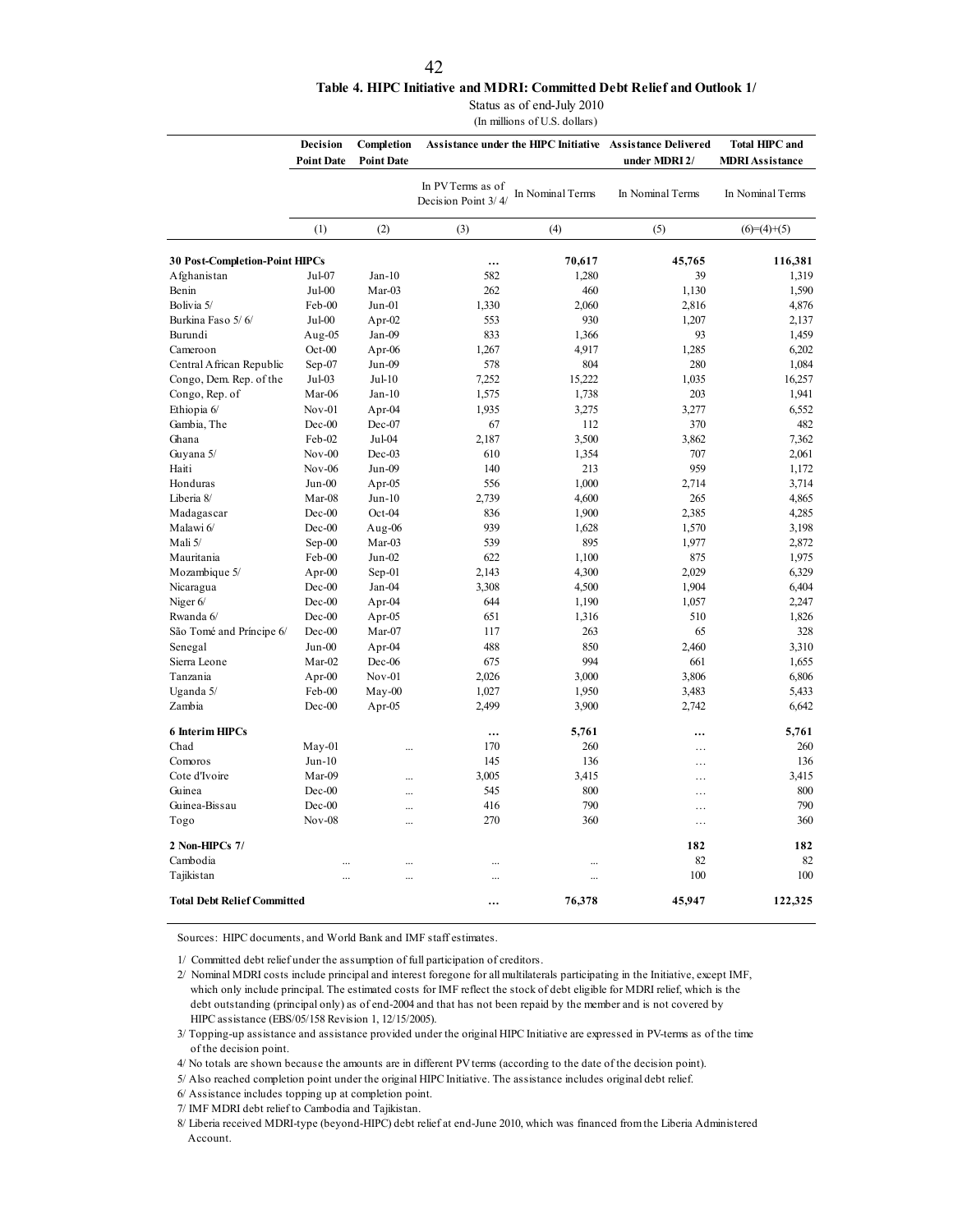### **Table 4. HIPC Initiative and MDRI: Committed Debt Relief and Outlook 1/**

Status as of end-July 2010

(In millions of U.S. dollars)

|                                       | Decision<br>Completion<br><b>Point Date</b><br><b>Point Date</b> |           |                                          | Assistance under the HIPC Initiative | <b>Assistance Delivered</b> | <b>Total HIPC and</b>  |
|---------------------------------------|------------------------------------------------------------------|-----------|------------------------------------------|--------------------------------------|-----------------------------|------------------------|
|                                       |                                                                  |           |                                          |                                      | under MDRI 2/               | <b>MDRI Assistance</b> |
|                                       |                                                                  |           | In PV Terms as of<br>Decision Point 3/4/ | In Nominal Terms                     | In Nominal Terms            | In Nominal Terms       |
|                                       | (1)                                                              | (2)       | (3)                                      | (4)                                  | (5)                         | $(6)=(4)+(5)$          |
| <b>30 Post-Completion-Point HIPCs</b> |                                                                  |           | $\cdots$                                 | 70,617                               | 45,765                      | 116,381                |
| Afghanistan                           | Jul-07                                                           | $Jan-10$  | 582                                      | 1,280                                | 39                          | 1,319                  |
| Benin                                 | Jul-00                                                           | Mar-03    | 262                                      | 460                                  | 1,130                       | 1,590                  |
| Bolivia 5/                            | Feb-00                                                           | $Jun-01$  | 1,330                                    | 2,060                                | 2,816                       | 4,876                  |
| Burkina Faso 5/6/                     | $Jul-00$                                                         | Apr- $02$ | 553                                      | 930                                  | 1,207                       | 2,137                  |
| Burundi                               | Aug-05                                                           | Jan-09    | 833                                      | 1,366                                | 93                          | 1,459                  |
| Cameroon                              | $Oct-00$                                                         | Apr-06    | 1,267                                    | 4,917                                | 1,285                       | 6,202                  |
| Central African Republic              | $Sep-07$                                                         | Jun-09    | 578                                      | 804                                  | 280                         | 1,084                  |
| Congo, Dem. Rep. of the               | Jul-03                                                           | $Jul-10$  | 7,252                                    | 15,222                               | 1,035                       | 16,257                 |
| Congo, Rep. of                        | Mar-06                                                           | $Jan-10$  | 1,575                                    | 1,738                                | 203                         | 1,941                  |
| Ethiopia 6/                           | $Nov-01$                                                         | Apr-04    | 1,935                                    | 3,275                                | 3,277                       | 6,552                  |
| Gambia, The                           | Dec-00                                                           | Dec-07    | 67                                       | 112                                  | 370                         | 482                    |
| Ghana                                 | Feb-02                                                           | Jul-04    | 2,187                                    | 3,500                                | 3,862                       | 7,362                  |
| Guyana 5/                             | $Nov-00$                                                         | Dec-03    | 610                                      | 1,354                                | 707                         | 2,061                  |
| Haiti                                 | $Nov-06$                                                         | Jun-09    | 140                                      | 213                                  | 959                         | 1,172                  |
| Honduras                              | Jun-00                                                           | Apr- $05$ | 556                                      | 1,000                                | 2,714                       | 3,714                  |
| Liberia 8/                            | Mar-08                                                           | $Jun-10$  | 2,739                                    | 4,600                                | 265                         | 4,865                  |
| Madagascar                            | $Dec-00$                                                         | $Oct-04$  | 836                                      | 1,900                                | 2,385                       | 4,285                  |
| Malawi 6/                             | Dec-00                                                           | Aug-06    | 939                                      | 1,628                                | 1,570                       | 3,198                  |
| Mali 5/                               |                                                                  | Mar-03    | 539                                      | 895                                  |                             |                        |
|                                       | $Sep-00$                                                         |           | 622                                      |                                      | 1,977<br>875                | 2,872<br>1,975         |
| Mauritania                            | Feb-00                                                           | Jun-02    |                                          | 1,100                                |                             |                        |
| Mozambique 5/                         | Apr- $00$                                                        | $Sep-01$  | 2,143                                    | 4,300                                | 2,029                       | 6,329                  |
| Nicaragua                             | Dec-00                                                           | Jan-04    | 3,308                                    | 4,500                                | 1,904                       | 6,404                  |
| Niger 6/                              | Dec-00                                                           | Apr-04    | 644                                      | 1,190                                | 1,057                       | 2,247                  |
| Rwanda 6/                             | $Dec-00$                                                         | Apr-05    | 651                                      | 1,316                                | 510                         | 1,826                  |
| São Tomé and Príncipe 6/              | $Dec-00$                                                         | Mar-07    | 117                                      | 263                                  | 65                          | 328                    |
| Senegal                               | $Jun-00$                                                         | Apr-04    | 488                                      | 850                                  | 2,460                       | 3,310                  |
| Sierra Leone                          | Mar-02                                                           | Dec-06    | 675                                      | 994                                  | 661                         | 1,655                  |
| Tanzania                              | Apr- $00$                                                        | $Nov-01$  | 2,026                                    | 3,000                                | 3,806                       | 6,806                  |
| Uganda 5/                             | Feb-00                                                           | $M$ ay-00 | 1,027                                    | 1,950                                | 3,483                       | 5,433                  |
| Zambia                                | Dec-00                                                           | Apr-05    | 2,499                                    | 3,900                                | 2,742                       | 6,642                  |
| <b>6 Interim HIPCs</b>                |                                                                  |           |                                          | 5,761                                |                             | 5,761                  |
| Chad                                  | $May-01$                                                         |           | 170                                      | 260                                  | .                           | 260                    |
| Comoros                               | $Jun-10$                                                         |           | 145                                      | 136                                  | .                           | 136                    |
| Cote d'Ivoire                         | Mar-09                                                           |           | 3,005                                    | 3,415                                | $\ddotsc$                   | 3,415                  |
| Guinea                                | Dec-00                                                           |           | 545                                      | 800                                  | .                           | 800                    |
| Guinea-Bissau                         | Dec-00                                                           | $\ddotsc$ | 416                                      | 790                                  | $\cdots$                    | 790                    |
| Togo                                  | $Nov-08$                                                         | $\ddotsc$ | 270                                      | 360                                  | .                           | 360                    |
| 2 Non-HIPCs 7/                        |                                                                  |           |                                          |                                      | 182                         | 182                    |
| Cambodia                              |                                                                  | $\ddotsc$ | $\ddotsc$                                |                                      | 82                          | 82                     |
| Tajikistan                            |                                                                  |           |                                          |                                      | 100                         | 100                    |
| <b>Total Debt Relief Committed</b>    |                                                                  |           |                                          | 76,378                               | 45,947                      | 122,325                |

Sources: HIPC documents, and World Bank and IMF staff estimates.

1/ Committed debt relief under the assumption of full participation of creditors.

2/ Nominal MDRI costs include principal and interest foregone for all multilaterals participating in the Initiative, except IMF, which only include principal. The estimated costs for IMF reflect the stock of debt eligible for MDRI relief, which is the debt outstanding (principal only) as of end-2004 and that has not been repaid by the member and is not covered by HIPC assistance (EBS/05/158 Revision 1, 12/15/2005).

3/ Topping-up assistance and assistance provided under the original HIPC Initiative are expressed in PV-terms as of the time of the decision point.

4/ No totals are shown because the amounts are in different PV terms (according to the date of the decision point).

5/ Also reached completion point under the original HIPC Initiative. The assistance includes original debt relief.

6/ Assistance includes topping up at completion point.

7/ IMF MDRI debt relief to Cambodia and Tajikistan.

8/ Liberia received MDRI-type (beyond-HIPC) debt relief at end-June 2010, which was financed from the Liberia Administered Account.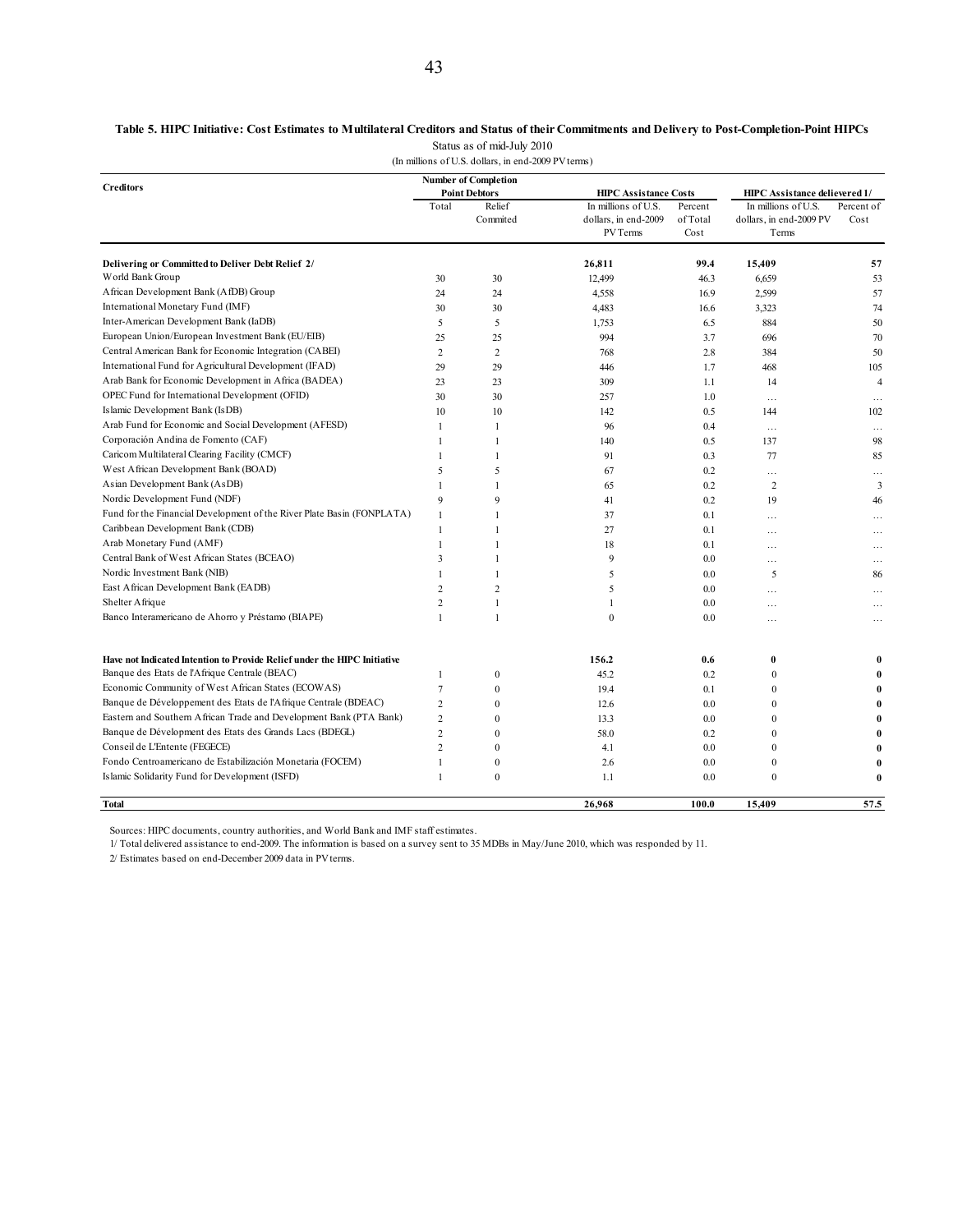### **Table 5. HIPC Initiative: Cost Estimates to Multilateral Creditors and Status of their Commitments and Delivery to Post-Completion-Point HIPCs** Status as of mid-July 2010

(In millions of U.S. dollars, in end-2009 PV terms)

|                                                                          |                | <b>Number of Completion</b> |                                                         |                             |                                                         |                    |
|--------------------------------------------------------------------------|----------------|-----------------------------|---------------------------------------------------------|-----------------------------|---------------------------------------------------------|--------------------|
| <b>Creditors</b>                                                         |                | <b>Point Debtors</b>        | <b>HIPC Assistance Costs</b>                            |                             | HIPC Assistance delievered 1/                           |                    |
|                                                                          | Total          | Relief<br>Commited          | In millions of U.S.<br>dollars, in end-2009<br>PV Terms | Percent<br>of Total<br>Cost | In millions of U.S.<br>dollars, in end-2009 PV<br>Terms | Percent of<br>Cost |
| Delivering or Committed to Deliver Debt Relief 2/                        |                |                             | 26,811                                                  | 99.4                        | 15,409                                                  | 57                 |
| World Bank Group                                                         | 30             | 30                          | 12,499                                                  | 46.3                        | 6,659                                                   | 53                 |
| African Development Bank (AfDB) Group                                    | 24             | 24                          | 4,558                                                   | 16.9                        | 2,599                                                   | 57                 |
| International Monetary Fund (IMF)                                        | 30             | 30                          | 4,483                                                   | 16.6                        | 3,323                                                   | 74                 |
| Inter-American Development Bank (IaDB)                                   | 5              | 5                           | 1,753                                                   | 6.5                         | 884                                                     | 50                 |
| European Union/European Investment Bank (EU/EIB)                         | 25             | 25                          | 994                                                     | 3.7                         | 696                                                     | 70                 |
| Central American Bank for Economic Integration (CABEI)                   | $\overline{c}$ | $\overline{2}$              | 768                                                     | 2.8                         | 384                                                     | 50                 |
| International Fund for Agricultural Development (IFAD)                   | 29             | 29                          | 446                                                     | 1.7                         | 468                                                     | 105                |
| Arab Bank for Economic Development in Africa (BADEA)                     | 23             | 23                          | 309                                                     | 1.1                         | 14                                                      | $\overline{4}$     |
| OPEC Fund for International Development (OFID)                           | 30             | 30                          | 257                                                     | 1.0                         | $\cdots$                                                | $\ddotsc$          |
| Islamic Development Bank (IsDB)                                          | 10             | 10                          | 142                                                     | 0.5                         | 144                                                     | 102                |
| Arab Fund for Economic and Social Development (AFESD)                    | $\mathbf{1}$   | $\mathbf{1}$                | 96                                                      | 0.4                         | $\cdots$                                                | $\cdots$           |
| Corporación Andina de Fomento (CAF)                                      | 1              | $\mathbf{1}$                | 140                                                     | 0.5                         | 137                                                     | 98                 |
| Caricom Multilateral Clearing Facility (CMCF)                            | 1              | $\mathbf{1}$                | 91                                                      | 0.3                         | 77                                                      | 85                 |
| West African Development Bank (BOAD)                                     | 5              | 5                           | 67                                                      | 0.2                         | $\cdots$                                                | $\ddotsc$          |
| Asian Development Bank (AsDB)                                            | 1              | $\mathbf{1}$                | 65                                                      | 0.2                         | $\overline{2}$                                          | 3                  |
| Nordic Development Fund (NDF)                                            | 9              | 9                           | 41                                                      | 0.2                         | 19                                                      | 46                 |
| Fund for the Financial Development of the River Plate Basin (FONPLATA)   | $\mathbf{1}$   | $\overline{1}$              | 37                                                      | 0.1                         | $\cdots$                                                | .                  |
| Caribbean Development Bank (CDB)                                         | $\mathbf{1}$   | $\mathbf{1}$                | 27                                                      | 0.1                         | $\cdots$                                                | .                  |
| Arab Monetary Fund (AMF)                                                 | $\mathbf{1}$   | $\mathbf{1}$                | 18                                                      | 0.1                         | $\cdots$                                                |                    |
| Central Bank of West African States (BCEAO)                              | 3              | $\mathbf{1}$                | 9                                                       | 0.0                         | $\cdots$                                                | .                  |
| Nordic Investment Bank (NIB)                                             | 1              | $\mathbf{1}$                | 5                                                       | 0.0                         | 5                                                       | 86                 |
| East African Development Bank (EADB)                                     | $\overline{2}$ | $\overline{c}$              | 5                                                       | 0.0                         | $\cdots$                                                | .                  |
| Shelter A frique                                                         | $\overline{c}$ | $\mathbf{1}$                | 1                                                       | 0.0                         | $\cdots$                                                | $\cdots$           |
| Banco Interamericano de Ahorro y Préstamo (BIAPE)                        | $\mathbf{1}$   | $\mathbf{1}$                | $\theta$                                                | 0.0                         | $\cdots$                                                | .                  |
| Have not Indicated Intention to Provide Relief under the HIPC Initiative |                |                             | 156.2                                                   | 0.6                         | 0                                                       |                    |
| Banque des Etats de l'Afrique Centrale (BEAC)                            | 1              | $\bf{0}$                    | 45.2                                                    | 0.2                         | $\mathbf{0}$                                            |                    |
| Economic Community of West African States (ECOWAS)                       | $\overline{7}$ | $\mathbf{0}$                | 19.4                                                    | 0.1                         | $\mathbf{0}$                                            |                    |
| Banque de Développement des Etats de l'Afrique Centrale (BDEAC)          | $\overline{2}$ | $\theta$                    | 12.6                                                    | 0.0                         | $\theta$                                                |                    |
| Eastern and Southern African Trade and Development Bank (PTA Bank)       | $\overline{2}$ | $\mathbf{0}$                | 13.3                                                    | 0.0                         | $\theta$                                                |                    |
| Banque de Dévelopment des Etats des Grands Lacs (BDEGL)                  | $\overline{c}$ | $\mathbf{0}$                | 58.0                                                    | 0.2                         | $\theta$                                                | $\mathbf{0}$       |
| Conseil de L'Entente (FEGECE)                                            | $\overline{2}$ | $\theta$                    | 4.1                                                     | 0.0                         | $\theta$                                                |                    |
| Fondo Centroamericano de Estabilización Monetaria (FOCEM)                | 1              | $\boldsymbol{0}$            | 2.6                                                     | 0.0                         | $\boldsymbol{0}$                                        |                    |
| Islamic Solidarity Fund for Development (ISFD)                           | $\mathbf{1}$   | $\mathbf{0}$                | 1.1                                                     | 0.0                         | $\theta$                                                | $\mathbf{0}$       |
| Total                                                                    |                |                             | 26,968                                                  | 100.0                       | 15,409                                                  | 57.5               |

Sources: HIPC documents, country authorities, and World Bank and IMF staff estimates.

1/ Total delivered assistance to end-2009. The information is based on a survey sent to 35 MDBs in May/June 2010, which was responded by 11.

2/ Estimates based on end-December 2009 data in PV terms.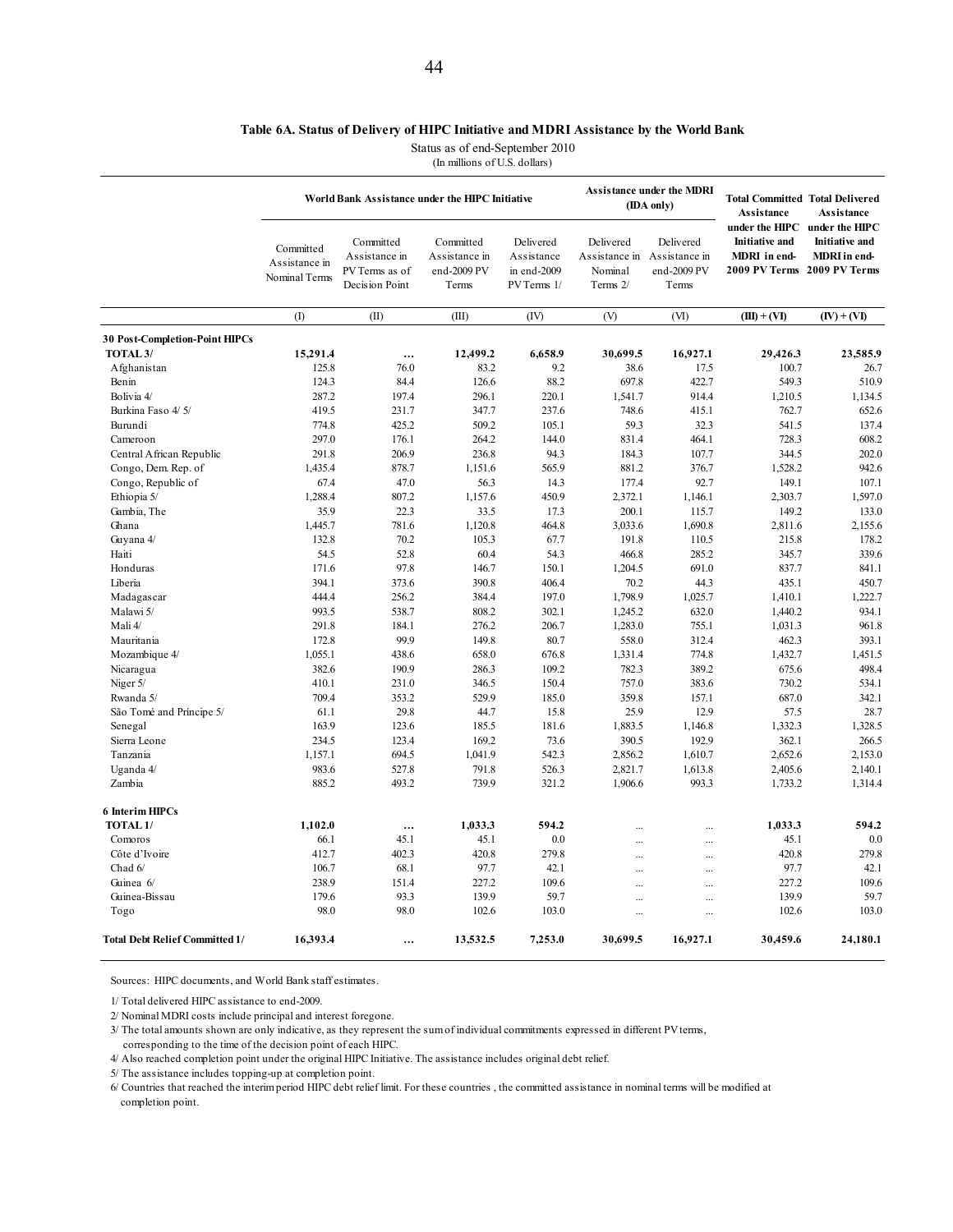### **Table 6A. Status of Delivery of HIPC Initiative and MDRI Assistance by the World Bank**

Status as of end-September 2010

(In millions of U.S. dollars)

|                                       |                                             | World Bank Assistance under the HIPC Initiative                |                                                    |                                                       |                                                                 | <b>Assistance under the MDRI</b><br>(IDA only) | <b>Total Committed Total Delivered</b><br><b>Assistance</b>                                   | <b>Assistance</b>                                       |
|---------------------------------------|---------------------------------------------|----------------------------------------------------------------|----------------------------------------------------|-------------------------------------------------------|-----------------------------------------------------------------|------------------------------------------------|-----------------------------------------------------------------------------------------------|---------------------------------------------------------|
|                                       | Committed<br>Assistance in<br>Nominal Terms | Committed<br>Assistance in<br>PV Terms as of<br>Decision Point | Committed<br>Assistance in<br>end-2009 PV<br>Terms | Delivered<br>Assistance<br>in end-2009<br>PV Terms 1/ | Delivered<br>Assistance in Assistance in<br>Nominal<br>Terms 2/ | Delivered<br>end-2009 PV<br>Terms              | under the HIPC<br><b>Initiative and</b><br><b>MDRI</b> in end-<br>2009 PV Terms 2009 PV Terms | under the HIPC<br><b>Initiative and</b><br>MDRI in end- |
|                                       | (1)                                         | (II)                                                           | (III)                                              | (IV)                                                  | (V)                                                             | (VI)                                           | $(III) + (VI)$                                                                                | $(IV) + (VI)$                                           |
| <b>30 Post-Completion-Point HIPCs</b> |                                             |                                                                |                                                    |                                                       |                                                                 |                                                |                                                                                               |                                                         |
| TOTAL <sub>3</sub> /                  | 15,291.4                                    | $\cdots$                                                       | 12,499.2                                           | 6,658.9                                               | 30,699.5                                                        | 16,927.1                                       | 29,426.3                                                                                      | 23,585.9                                                |
| Afghanistan                           | 125.8                                       | 76.0                                                           | 83.2                                               | 9.2                                                   | 38.6                                                            | 17.5                                           | 100.7                                                                                         | 26.7                                                    |
| Benin                                 | 124.3                                       | 84.4                                                           | 126.6                                              | 88.2                                                  | 697.8                                                           | 422.7                                          | 549.3                                                                                         | 510.9                                                   |
| Bolivia 4/                            | 287.2                                       | 197.4                                                          | 296.1                                              | 220.1                                                 | 1,541.7                                                         | 914.4                                          | 1,210.5                                                                                       | 1,134.5                                                 |
|                                       |                                             |                                                                |                                                    |                                                       |                                                                 |                                                |                                                                                               |                                                         |
| Burkina Faso 4/5/                     | 419.5                                       | 231.7                                                          | 347.7                                              | 237.6                                                 | 748.6                                                           | 415.1                                          | 762.7                                                                                         | 652.6                                                   |
| Burundi                               | 774.8                                       | 425.2                                                          | 509.2                                              | 105.1                                                 | 59.3                                                            | 32.3                                           | 541.5                                                                                         | 137.4                                                   |
| Cameroon                              | 297.0                                       | 176.1                                                          | 264.2                                              | 144.0                                                 | 831.4                                                           | 464.1                                          | 728.3                                                                                         | 608.2                                                   |
| Central African Republic              | 291.8                                       | 206.9                                                          | 236.8                                              | 94.3                                                  | 184.3                                                           | 107.7                                          | 344.5                                                                                         | 202.0                                                   |
| Congo, Dem. Rep. of                   | 1,435.4                                     | 878.7                                                          | 1,151.6                                            | 565.9                                                 | 881.2                                                           | 376.7                                          | 1,528.2                                                                                       | 942.6                                                   |
| Congo, Republic of                    | 67.4                                        | 47.0                                                           | 56.3                                               | 14.3                                                  | 177.4                                                           | 92.7                                           | 149.1                                                                                         | 107.1                                                   |
| Ethiopia 5/                           | 1,288.4                                     | 807.2                                                          | 1,157.6                                            | 450.9                                                 | 2,372.1                                                         | 1,146.1                                        | 2,303.7                                                                                       | 1,597.0                                                 |
| Gambia, The                           | 35.9                                        | 22.3                                                           | 33.5                                               | 17.3                                                  | 200.1                                                           | 115.7                                          | 149.2                                                                                         | 133.0                                                   |
| Ghana                                 | 1,445.7                                     | 781.6                                                          | 1,120.8                                            | 464.8                                                 | 3,033.6                                                         | 1,690.8                                        | 2,811.6                                                                                       | 2,155.6                                                 |
| Guyana 4/                             | 132.8                                       | 70.2                                                           | 105.3                                              | 67.7                                                  | 191.8                                                           | 110.5                                          | 215.8                                                                                         | 178.2                                                   |
| Haiti                                 | 54.5                                        | 52.8                                                           | 60.4                                               | 54.3                                                  | 466.8                                                           | 285.2                                          | 345.7                                                                                         | 339.6                                                   |
| Honduras                              | 171.6                                       | 97.8                                                           | 146.7                                              | 150.1                                                 | 1,204.5                                                         | 691.0                                          | 837.7                                                                                         | 841.1                                                   |
| Liberia                               | 394.1                                       | 373.6                                                          | 390.8                                              | 406.4                                                 | 70.2                                                            | 44.3                                           | 435.1                                                                                         | 450.7                                                   |
| Madagascar                            | 444.4                                       | 256.2                                                          | 384.4                                              | 197.0                                                 | 1,798.9                                                         | 1,025.7                                        | 1,410.1                                                                                       | 1,222.7                                                 |
| Malawi 5/                             | 993.5                                       | 538.7                                                          | 808.2                                              | 302.1                                                 | 1,245.2                                                         | 632.0                                          | 1.440.2                                                                                       | 934.1                                                   |
| Mali 4/                               | 291.8                                       | 184.1                                                          | 276.2                                              | 206.7                                                 | 1,283.0                                                         | 755.1                                          | 1,031.3                                                                                       | 961.8                                                   |
| Mauritania                            | 172.8                                       | 99.9                                                           | 149.8                                              | 80.7                                                  | 558.0                                                           | 312.4                                          | 462.3                                                                                         | 393.1                                                   |
| Mozambique 4/                         | 1,055.1                                     | 438.6                                                          | 658.0                                              | 676.8                                                 | 1,331.4                                                         | 774.8                                          | 1,432.7                                                                                       | 1,451.5                                                 |
| Nicaragua                             | 382.6                                       | 190.9                                                          | 286.3                                              | 109.2                                                 | 782.3                                                           | 389.2                                          | 675.6                                                                                         | 498.4                                                   |
| Niger 5/                              | 410.1                                       | 231.0                                                          | 346.5                                              | 150.4                                                 | 757.0                                                           | 383.6                                          | 730.2                                                                                         | 534.1                                                   |
| Rwanda 5/                             | 709.4                                       | 353.2                                                          | 529.9                                              | 185.0                                                 | 359.8                                                           | 157.1                                          | 687.0                                                                                         | 342.1                                                   |
|                                       |                                             | 29.8                                                           |                                                    |                                                       |                                                                 | 12.9                                           |                                                                                               | 28.7                                                    |
| São Tomé and Príncipe 5/              | 61.1                                        |                                                                | 44.7                                               | 15.8                                                  | 25.9                                                            |                                                | 57.5                                                                                          |                                                         |
| Senegal                               | 163.9                                       | 123.6                                                          | 185.5                                              | 181.6                                                 | 1,883.5                                                         | 1,146.8                                        | 1,332.3                                                                                       | 1,328.5                                                 |
| Sierra Leone                          | 234.5                                       | 123.4                                                          | 169.2                                              | 73.6                                                  | 390.5                                                           | 192.9                                          | 362.1                                                                                         | 266.5                                                   |
| Tanzania                              | 1,157.1                                     | 694.5                                                          | 1,041.9                                            | 542.3                                                 | 2,856.2                                                         | 1,610.7                                        | 2,652.6                                                                                       | 2,153.0                                                 |
| Uganda 4/                             | 983.6                                       | 527.8                                                          | 791.8                                              | 526.3                                                 | 2,821.7                                                         | 1,613.8                                        | 2,405.6                                                                                       | 2,140.1                                                 |
| Zambia                                | 885.2                                       | 493.2                                                          | 739.9                                              | 321.2                                                 | 1,906.6                                                         | 993.3                                          | 1,733.2                                                                                       | 1,314.4                                                 |
| <b>6 Interim HIPCs</b>                |                                             |                                                                |                                                    |                                                       |                                                                 |                                                |                                                                                               |                                                         |
| TOTAL <sub>1</sub> /                  | 1,102.0                                     |                                                                | 1,033.3                                            | 594.2                                                 | $\ddotsc$                                                       | $\ddotsc$                                      | 1,033.3                                                                                       | 594.2                                                   |
| Comoros                               | 66.1                                        | 45.1                                                           | 45.1                                               | 0.0                                                   | $\ddotsc$                                                       |                                                | 45.1                                                                                          | 0.0                                                     |
| Côte d'Ivoire                         | 412.7                                       | 402.3                                                          | 420.8                                              | 279.8                                                 | $\ddotsc$                                                       |                                                | 420.8                                                                                         | 279.8                                                   |
| Chad 6/                               | 106.7                                       | 68.1                                                           | 97.7                                               | 42.1                                                  | $\ddotsc$                                                       |                                                | 97.7                                                                                          | 42.1                                                    |
| Guinea 6/                             | 238.9                                       | 151.4                                                          | 227.2                                              | 109.6                                                 | $\ddotsc$                                                       |                                                | 227.2                                                                                         | 109.6                                                   |
| Guinea-Bissau                         | 179.6                                       | 93.3                                                           | 139.9                                              | 59.7                                                  |                                                                 |                                                | 139.9                                                                                         | 59.7                                                    |
| Togo                                  | 98.0                                        | 98.0                                                           | 102.6                                              | 103.0                                                 | $\dddotsc$<br>$\ddotsc$                                         | <br>$\ddotsc$                                  | 102.6                                                                                         | 103.0                                                   |
| <b>Total Debt Relief Committed 1/</b> | 16,393.4                                    |                                                                | 13,532.5                                           | 7,253.0                                               | 30,699.5                                                        | 16,927.1                                       | 30,459.6                                                                                      | 24,180.1                                                |

Sources: HIPC documents, and World Bank staff estimates.

1/ Total delivered HIPC assistance to end-2009.

2/ Nominal MDRI costs include principal and interest foregone.

3/ The total amounts shown are only indicative, as they represent the sum of individual commitments expressed in different PV terms, corresponding to the time of the decision point of each HIPC.

4/ Also reached completion point under the original HIPC Initiative. The assistance includes original debt relief.

5/ The assistance includes topping-up at completion point.

6/ Countries that reached the interim period HIPC debt relief limit. For these countries , the committed assistance in nominal terms will be modified at completion point.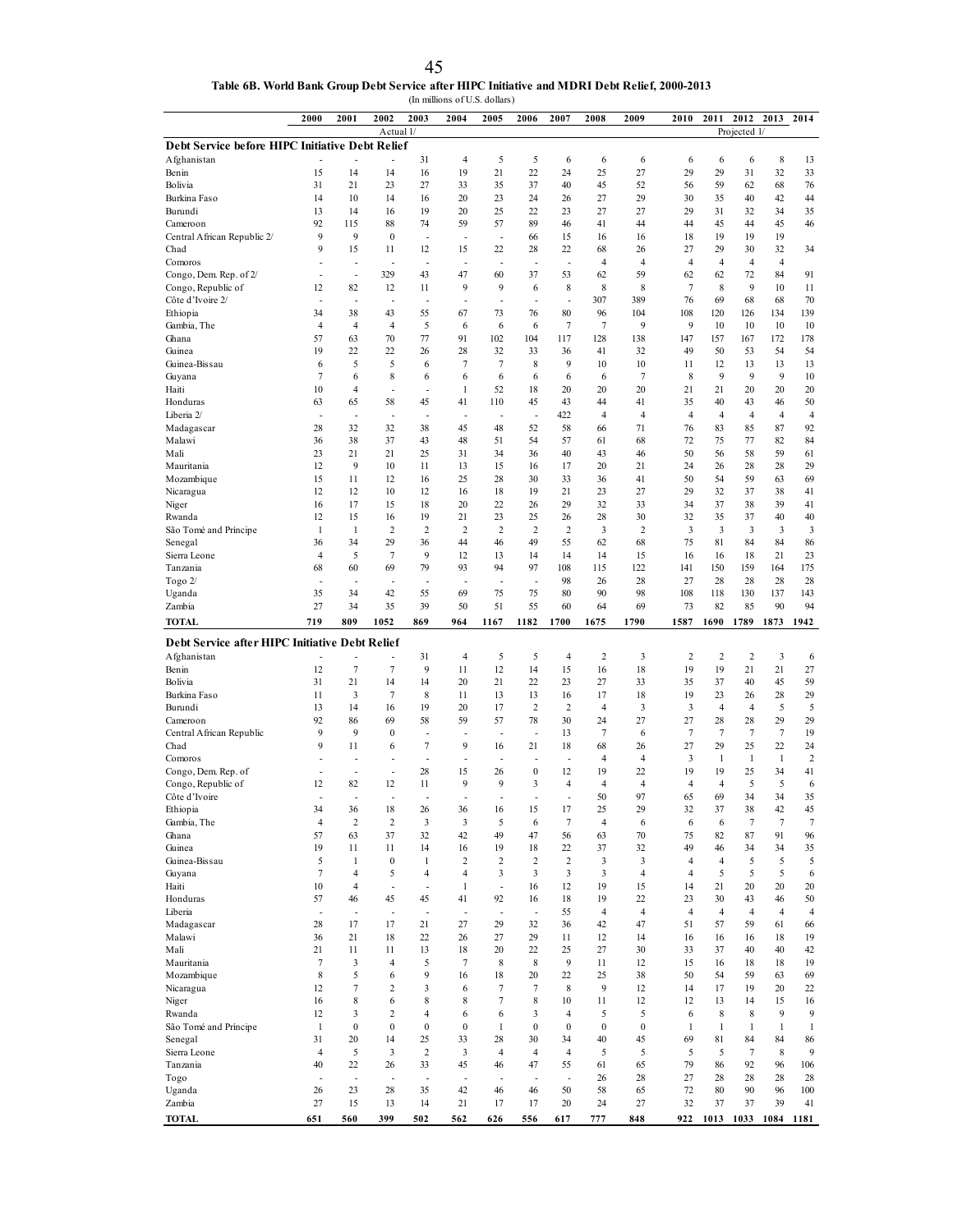| 45                                                                                            |
|-----------------------------------------------------------------------------------------------|
| Table 6B. World Bank Group Debt Service after HIPC Initiative and MDRI Debt Relief, 2000-2013 |
| (In millions of U.S. dollars)                                                                 |

|                                                 | 2000                     | 2001                             | 2002                     | 2003                 | 2004                          | 2005                           | 2006                 | 2007                     | 2008                 | 2009                 | 2010           | 2011                 | 2012                          |                | 2013 2014      |
|-------------------------------------------------|--------------------------|----------------------------------|--------------------------|----------------------|-------------------------------|--------------------------------|----------------------|--------------------------|----------------------|----------------------|----------------|----------------------|-------------------------------|----------------|----------------|
| Debt Service before HIPC Initiative Debt Relief |                          |                                  | Actual 1/                |                      |                               |                                |                      |                          |                      |                      |                |                      | Projected 1/                  |                |                |
| Afghanistan                                     |                          |                                  |                          | 31                   | 4                             | 5                              | 5                    | 6                        | 6                    | 6                    | 6              | 6                    | 6                             | 8              | 13             |
| Benin                                           | 15                       | 14                               | 14                       | 16                   | 19                            | 21                             | 22                   | 24                       | 25                   | 27                   | 29             | 29                   | 31                            | 32             | 33             |
| Bolivia                                         | 31                       | 21                               | 23                       | 27                   | 33                            | 35                             | 37                   | 40                       | 45                   | 52                   | 56             | 59                   | 62                            | 68             | 76             |
| Burkina Faso                                    | 14                       | 10                               | 14                       | 16                   | 20                            | 23                             | 24                   | 26                       | 27                   | 29                   | 30             | 35                   | 40                            | 42             | 44             |
| Burundi<br>Cameroon                             | 13<br>92                 | 14<br>115                        | 16<br>88                 | 19<br>74             | 20<br>59                      | 25<br>57                       | 22<br>89             | 23<br>46                 | 27<br>41             | 27<br>44             | 29<br>44       | 31<br>45             | 32<br>44                      | 34<br>45       | 35<br>46       |
| Central African Republic 2/                     | 9                        | 9                                | $\boldsymbol{0}$         | Ĭ.                   | $\overline{\phantom{a}}$      | $\overline{a}$                 | 66                   | 15                       | 16                   | 16                   | 18             | 19                   | 19                            | 19             |                |
| Chad                                            | 9                        | 15                               | 11                       | 12                   | 15                            | 22                             | 28                   | 22                       | 68                   | 26                   | 27             | 29                   | 30                            | 32             | 34             |
| Comoros                                         | L,                       | L,                               | $\overline{a}$           | L,                   | $\overline{\phantom{a}}$      | L,                             | ÷,                   | $\overline{a}$           | $\overline{4}$       | $\overline{4}$       | 4              | $\overline{4}$       | $\overline{4}$                | $\overline{4}$ |                |
| Congo, Dem. Rep. of 2/                          | $\overline{a}$           | $\frac{1}{2}$                    | 329                      | 43                   | 47                            | 60                             | 37                   | 53                       | 62                   | 59                   | 62             | 62                   | 72                            | 84             | 91             |
| Congo, Republic of<br>Côte d'Ivoire 2/          | 12<br>L,                 | 82<br>L,                         | 12<br>$\overline{a}$     | 11<br>Ĭ.             | 9<br>$\overline{\phantom{a}}$ | 9<br>L,                        | 6<br>÷,              | 8<br>$\overline{a}$      | 8<br>307             | 8<br>389             | $\tau$<br>76   | 8<br>69              | 9<br>68                       | 10<br>68       | 11<br>70       |
| Ethiopia                                        | 34                       | 38                               | 43                       | 55                   | 67                            | 73                             | 76                   | 80                       | 96                   | 104                  | 108            | 120                  | 126                           | 134            | 139            |
| Gambia, The                                     | $\overline{4}$           | $\overline{4}$                   | $\overline{4}$           | 5                    | 6                             | 6                              | 6                    | $\tau$                   | $\tau$               | 9                    | 9              | 10                   | 10                            | 10             | 10             |
| Ghana                                           | 57                       | 63                               | 70                       | 77                   | 91                            | 102                            | 104                  | 117                      | 128                  | 138                  | 147            | 157                  | 167                           | 172            | 178            |
| Guinea                                          | 19                       | 22                               | 22                       | 26                   | 28                            | 32                             | 33                   | 36                       | 41                   | 32                   | 49             | 50                   | 53                            | 54             | 54             |
| Guinea-Bissau<br>Guyana                         | 6<br>$\overline{7}$      | 5<br>6                           | 5<br>8                   | 6<br>6               | 7<br>6                        | 7<br>6                         | 8<br>6               | 9<br>6                   | 10<br>6              | 10<br>$\tau$         | 11<br>8        | 12<br>9              | 13<br>9                       | 13<br>9        | 13<br>10       |
| Haiti                                           | 10                       | $\overline{4}$                   | $\overline{\phantom{a}}$ | Ĭ.                   | 1                             | 52                             | 18                   | 20                       | 20                   | 20                   | 21             | 21                   | 20                            | 20             | 20             |
| Honduras                                        | 63                       | 65                               | 58                       | 45                   | 41                            | 110                            | 45                   | 43                       | 44                   | 41                   | 35             | 40                   | 43                            | 46             | 50             |
| Liberia 2/                                      | ÷,                       | L,                               | J.                       | L,                   | ÷,                            | Ĭ.                             | ÷,                   | 422                      | 4                    | $\overline{4}$       | 4              | $\overline{4}$       | $\overline{4}$                | $\overline{4}$ | $\overline{4}$ |
| Madagascar                                      | 28                       | 32                               | 32                       | 38                   | 45                            | 48                             | 52                   | 58                       | 66                   | 71                   | 76             | 83                   | 85                            | 87             | 92             |
| Malawi<br>Mali                                  | 36<br>23                 | 38<br>21                         | 37<br>21                 | 43<br>25             | 48<br>31                      | 51<br>34                       | 54<br>36             | 57<br>40                 | 61<br>43             | 68<br>46             | 72<br>50       | 75<br>56             | 77<br>58                      | 82<br>59       | 84<br>61       |
| Mauritania                                      | 12                       | 9                                | 10                       | 11                   | 13                            | 15                             | 16                   | 17                       | 20                   | 21                   | 24             | 26                   | 28                            | 28             | 29             |
| Mozambique                                      | 15                       | 11                               | 12                       | 16                   | 25                            | 28                             | 30                   | 33                       | 36                   | 41                   | 50             | 54                   | 59                            | 63             | 69             |
| Nicaragua                                       | 12                       | 12                               | 10                       | 12                   | 16                            | 18                             | 19                   | 21                       | 23                   | 27                   | 29             | 32                   | 37                            | 38             | 41             |
| Niger                                           | 16                       | 17                               | 15                       | 18                   | 20                            | 22                             | 26                   | 29                       | 32                   | 33                   | 34             | 37                   | 38                            | 39             | 41             |
| Rwanda                                          | 12<br>1                  | 15<br>1                          | 16<br>$\overline{c}$     | 19<br>$\overline{2}$ | 21<br>2                       | 23<br>$\overline{c}$           | 25<br>$\overline{c}$ | 26<br>$\overline{2}$     | 28<br>3              | 30<br>$\overline{2}$ | 32<br>3        | 35<br>3              | 37<br>$\overline{\mathbf{3}}$ | 40<br>3        | 40             |
| São Tomé and Príncipe<br>Senegal                | 36                       | 34                               | 29                       | 36                   | 44                            | 46                             | 49                   | 55                       | 62                   | 68                   | 75             | 81                   | 84                            | 84             | 3<br>86        |
| Sierra Leone                                    | $\overline{4}$           | 5                                | $\tau$                   | 9                    | 12                            | 13                             | 14                   | 14                       | 14                   | 15                   | 16             | 16                   | 18                            | 21             | 23             |
| Tanzania                                        | 68                       | 60                               | 69                       | 79                   | 93                            | 94                             | 97                   | 108                      | 115                  | 122                  | 141            | 150                  | 159                           | 164            | 175            |
| Togo $2/$                                       | $\overline{\phantom{a}}$ | $\overline{a}$                   | $\overline{\phantom{a}}$ | ٠                    | $\overline{\phantom{a}}$      | ٠                              | ÷,                   | 98                       | 26                   | 28                   | 27             | 28                   | 28                            | 28             | 28             |
| Uganda<br>Zambia                                | 35<br>27                 | 34<br>34                         | 42<br>35                 | 55<br>39             | 69<br>50                      | 75<br>51                       | 75<br>55             | 80<br>60                 | 90<br>64             | 98<br>69             | 108<br>73      | 118<br>82            | 130<br>85                     | 137<br>90      | 143<br>94      |
| <b>TOTAL</b>                                    | 719                      | 809                              | 1052                     | 869                  | 964                           |                                |                      |                          |                      | 1790                 |                |                      |                               |                | 1942           |
|                                                 |                          |                                  |                          |                      |                               | 1167                           | 1182                 | 1700                     | 1675                 |                      | 1587           | 1690                 | 1789                          | 1873           |                |
| Debt Service after HIPC Initiative Debt Relief  |                          |                                  |                          |                      |                               |                                |                      |                          |                      |                      |                |                      |                               |                |                |
| Afghanistan<br>Benin                            | 12                       | $\overline{7}$                   | $\tau$                   | 31<br>9              | $\overline{4}$<br>11          | 5<br>12                        | 5<br>14              | $\overline{4}$<br>15     | $\overline{c}$<br>16 | $\mathfrak{Z}$<br>18 | 2<br>19        | $\overline{c}$<br>19 | $\overline{2}$<br>21          | 3<br>21        | 6<br>27        |
| Bolivia                                         | 31                       | 21                               | 14                       | 14                   | 20                            | 21                             | 22                   | 23                       | 27                   | 33                   | 35             | 37                   | 40                            | 45             | 59             |
| Burkina Faso                                    | 11                       | 3                                | $\tau$                   | 8                    | 11                            | 13                             | 13                   | 16                       | 17                   | 18                   | 19             | 23                   | 26                            | 28             | 29             |
| Burundi                                         | 13                       | 14                               | 16                       | 19                   | 20                            | 17                             | 2                    | $\overline{2}$           | $\overline{4}$       | 3                    | 3              | $\overline{4}$       | $\overline{4}$                | 5              | 5              |
| Cameroon                                        | 92                       | 86                               | 69                       | 58                   | 59                            | 57                             | 78                   | 30                       | 24                   | 27                   | 27             | 28                   | 28                            | 29             | 29             |
| Central African Republic<br>Chad                | 9<br>9                   | 9<br>11                          | $\boldsymbol{0}$<br>6    | Ĭ.<br>$\tau$         | ÷<br>9                        | $\overline{\phantom{a}}$<br>16 | $\overline{a}$<br>21 | 13<br>18                 | 7<br>68              | 6<br>26              | 7<br>27        | $\tau$<br>29         | $\tau$<br>25                  | $\tau$<br>22   | 19<br>24       |
| Comoros                                         | $\overline{a}$           | ÷.                               | $\overline{a}$           | Ĭ.                   | $\overline{\phantom{a}}$      | ÷.                             | ÷.                   | $\overline{a}$           | $\overline{4}$       | $\overline{4}$       | 3              | 1                    | $\mathbf{1}$                  | $\mathbf{1}$   | $\overline{2}$ |
| Congo, Dem. Rep. of                             | $\overline{a}$           | $\overline{\phantom{a}}$         | $\overline{\phantom{a}}$ | 28                   | 15                            | 26                             | $\boldsymbol{0}$     | 12                       | 19                   | 22                   | 19             | 19                   | 25                            | 34             | 41             |
| Congo, Republic of                              | 12                       | 82                               | 12                       | 11                   | 9                             | 9                              | 3                    | 4                        | $\overline{4}$       | $\overline{4}$       | 4              | 4                    | 5                             | 5              | 6              |
| Côte d'Ivoire                                   |                          |                                  |                          |                      |                               |                                |                      | Ĭ.                       | 50                   | 97                   | 65             | 69                   | 34                            | 34             | 35             |
| Ethiopia<br>Gambia, The                         | 34<br>$\overline{4}$     | 36<br>$\overline{2}$             | 18<br>$\overline{c}$     | 26<br>3              | 36<br>$\mathfrak{Z}$          | 16<br>5                        | 15<br>6              | 17<br>$\overline{7}$     | 25<br>4              | 29<br>6              | 32<br>6        | 37<br>6              | 38<br>$\tau$                  | 42<br>$\tau$   | 45<br>$\tau$   |
| Ghana                                           | 57                       | 63                               | 37                       | 32                   | 42                            | 49                             | 47                   | 56                       | 63                   | 70                   | 75             | 82                   | 87                            | 91             | 96             |
| Guinea                                          | 19                       | 11                               | 11                       | 14                   | 16                            | 19                             | 18                   | 22                       | 37                   | 32                   | 49             | 46                   | 34                            | 34             | 35             |
| Guinea-Bissau                                   | 5                        | 1                                | $\bf{0}$                 | 1                    | $\overline{c}$                | $\overline{c}$                 | 2                    | $\overline{c}$           | 3                    | 3                    | 4              | $\overline{4}$       | 5                             | 5              | 5              |
| Guyana                                          | $\tau$                   | $\overline{4}$<br>$\overline{4}$ | 5<br>÷,                  | $\overline{4}$<br>Ĭ. | $\overline{4}$<br>1           | 3                              | 3                    | 3                        | 3                    | $\overline{4}$<br>15 | 4              | 5                    | 5                             | 5<br>20        | 6              |
| Haiti<br>Honduras                               | 10<br>57                 | 46                               | 45                       | 45                   | 41                            | $\overline{\phantom{a}}$<br>92 | 16<br>16             | 12<br>18                 | 19<br>19             | 22                   | 14<br>23       | 21<br>30             | 20<br>43                      | 46             | 20<br>50       |
| Liberia                                         | $\overline{\phantom{a}}$ | $\overline{\phantom{a}}$         | $\overline{\phantom{a}}$ | $\overline{a}$       | $\overline{\phantom{a}}$      | $\frac{1}{2}$                  | $\frac{1}{2}$        | 55                       | $\overline{4}$       | $\overline{4}$       | $\overline{4}$ | $\overline{4}$       | $\overline{4}$                | $\overline{4}$ | $\overline{4}$ |
| Madagascar                                      | 28                       | 17                               | 17                       | 21                   | 27                            | 29                             | 32                   | 36                       | 42                   | 47                   | 51             | 57                   | 59                            | 61             | 66             |
| Malawi                                          | 36                       | 21                               | 18                       | 22                   | 26                            | 27                             | 29                   | 11                       | 12                   | 14                   | 16             | 16                   | 16                            | 18             | 19             |
| Mali<br>Mauritania                              | 21<br>$\tau$             | 11<br>3                          | 11                       | 13<br>5              | 18<br>$\tau$                  | 20<br>8                        | 22<br>8              | 25<br>9                  | 27                   | 30<br>12             | 33             | 37                   | 40                            | 40<br>18       | 42<br>19       |
| Mozambique                                      | 8                        | 5                                | 4<br>6                   | 9                    | 16                            | 18                             | 20                   | 22                       | 11<br>25             | 38                   | 15<br>50       | 16<br>54             | 18<br>59                      | 63             | 69             |
| Nicaragua                                       | 12                       | $\tau$                           | $\overline{c}$           | 3                    | 6                             | $\tau$                         | 7                    | 8                        | 9                    | 12                   | 14             | 17                   | 19                            | 20             | 22             |
| Niger                                           | 16                       | 8                                | 6                        | 8                    | 8                             | $\boldsymbol{7}$               | 8                    | 10                       | 11                   | 12                   | 12             | 13                   | 14                            | 15             | 16             |
| Rwanda                                          | 12                       | 3                                | $\sqrt{2}$               | $\overline{4}$       | 6                             | 6                              | 3                    | $\overline{4}$           | 5                    | 5                    | 6              | 8                    | 8                             | 9              | 9              |
| São Tomé and Príncipe                           | $\mathbf{1}$             | $\boldsymbol{0}$                 | $\boldsymbol{0}$         | $\boldsymbol{0}$     | $\boldsymbol{0}$              | 1                              | $\boldsymbol{0}$     | $\boldsymbol{0}$         | $\mathbf{0}$         | $\boldsymbol{0}$     | $\mathbf{1}$   | $\mathbf{1}$         | 1                             | $\mathbf{1}$   | $\mathbf{1}$   |
| Senegal<br>Sierra Leone                         | 31                       | 20                               | 14                       | 25                   | 33                            | 28<br>4                        | 30<br>4              | 34<br>$\overline{4}$     | 40<br>5              | 45<br>5              | 69<br>5        | 81<br>5              | 84<br>$\tau$                  | 84<br>8        | 86<br>9        |
|                                                 |                          |                                  |                          |                      |                               |                                |                      |                          |                      |                      |                |                      |                               |                |                |
| Tanzania                                        | $\overline{4}$<br>40     | 5<br>22                          | 3<br>26                  | $\overline{2}$<br>33 | 3<br>45                       | 46                             | 47                   | 55                       | 61                   | 65                   | 79             | 86                   | 92                            | 96             | 106            |
| Togo                                            | $\overline{\phantom{a}}$ | $\frac{1}{2}$                    | J.                       | Ĭ.                   | Ĭ.                            | $\overline{a}$                 | ÷,                   | $\overline{\phantom{a}}$ | 26                   | 28                   | 27             | 28                   | 28                            | 28             | 28             |
| Uganda                                          | 26                       | 23                               | 28                       | 35                   | 42                            | 46                             | 46                   | 50                       | 58                   | 65                   | 72             | 80                   | 90                            | 96             | 100            |
| Zambia<br><b>TOTAL</b>                          | 27<br>651                | 15<br>560                        | 13<br>399                | 14<br>502            | 21<br>562                     | 17<br>626                      | 17<br>556            | 20<br>617                | 24<br>777            | 27<br>848            | 32<br>922      | 37<br>1013           | 37<br>1033                    | 39<br>1084     | 41<br>1181     |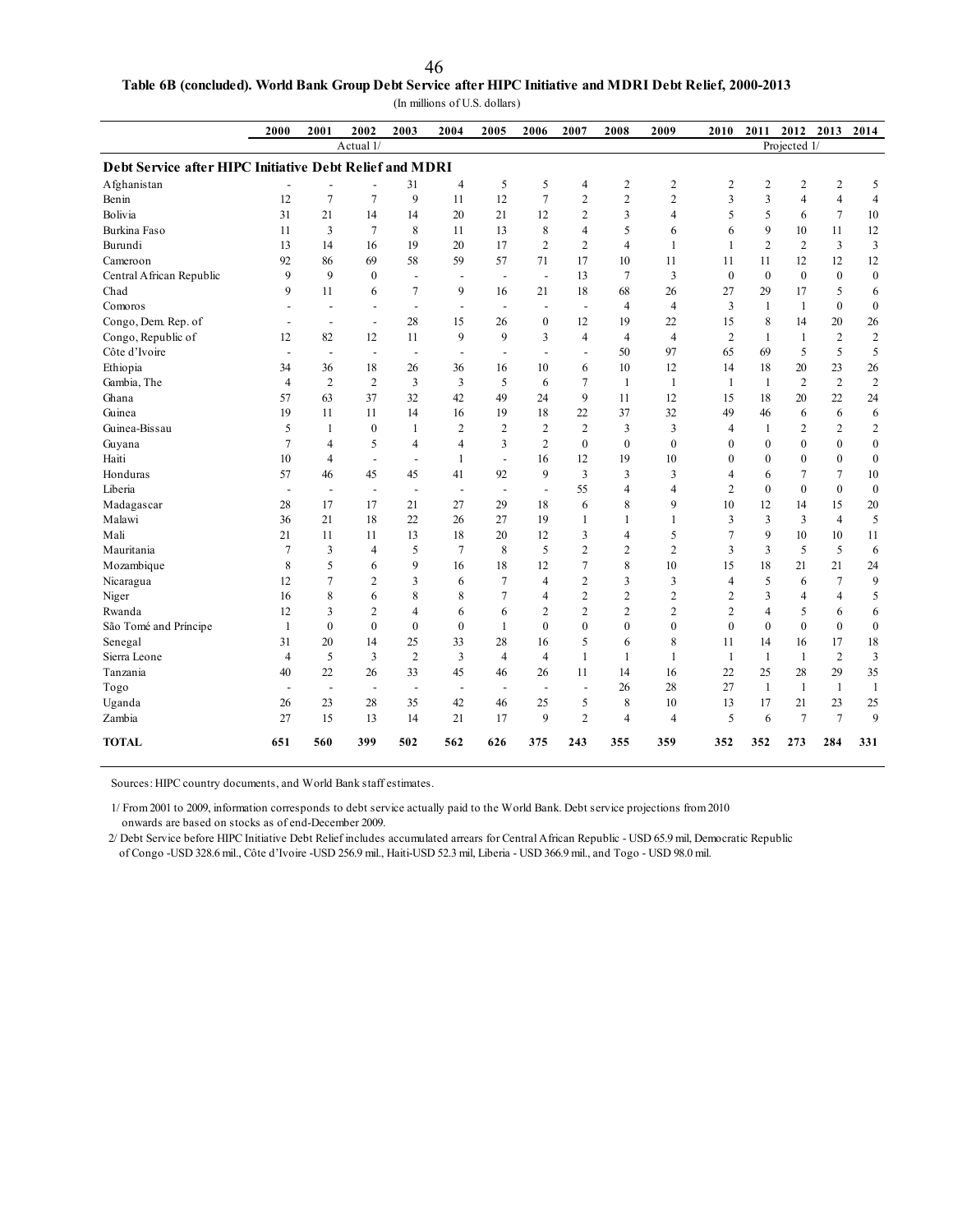| 46 |                                                                                                           |
|----|-----------------------------------------------------------------------------------------------------------|
|    | Table 6B (concluded). World Bank Group Debt Service after HIPC Initiative and MDRI Debt Relief, 2000-2013 |

(In millions of U.S. dollars)

|                                                         | 2000                     | 2001                     | 2002                     | 2003                     | 2004                     | 2005                     | 2006                     | 2007                     | 2008           | 2009           | 2010           | 2011                    | 2012 2013      |                  | 2014             |
|---------------------------------------------------------|--------------------------|--------------------------|--------------------------|--------------------------|--------------------------|--------------------------|--------------------------|--------------------------|----------------|----------------|----------------|-------------------------|----------------|------------------|------------------|
|                                                         |                          |                          | Actual 1/                |                          |                          |                          |                          |                          |                |                |                |                         | Projected 1/   |                  |                  |
| Debt Service after HIPC Initiative Debt Relief and MDRI |                          |                          |                          |                          |                          |                          |                          |                          |                |                |                |                         |                |                  |                  |
| Afghanistan                                             |                          |                          |                          | 31                       | 4                        | 5                        | 5                        | $\overline{4}$           | $\overline{c}$ | $\mathfrak{2}$ | $\overline{2}$ | $\overline{2}$          | 2              | $\overline{c}$   | 5                |
| Benin                                                   | 12                       | 7                        | $\tau$                   | 9                        | 11                       | 12                       | $\overline{7}$           | $\mathbf{2}$             | $\overline{c}$ | $\mathbf{2}$   | 3              | $\overline{\mathbf{3}}$ | $\overline{4}$ | $\overline{4}$   | $\overline{4}$   |
| Bolivia                                                 | 31                       | 21                       | 14                       | 14                       | 20                       | 21                       | 12                       | $\overline{2}$           | 3              | $\overline{4}$ | 5              | 5                       | 6              | $\overline{7}$   | 10               |
| Burkina Faso                                            | 11                       | 3                        | $\overline{7}$           | 8                        | 11                       | 13                       | 8                        | $\overline{4}$           | 5              | 6              | 6              | 9                       | 10             | 11               | 12               |
| Burundi                                                 | 13                       | 14                       | 16                       | 19                       | 20                       | 17                       | $\overline{2}$           | $\overline{2}$           | $\overline{4}$ | $\mathbf{1}$   | $\mathbf{1}$   | $\overline{2}$          | $\overline{c}$ | $\overline{3}$   | $\mathfrak{Z}$   |
| Cameroon                                                | 92                       | 86                       | 69                       | 58                       | 59                       | 57                       | 71                       | 17                       | 10             | 11             | 11             | 11                      | 12             | 12               | 12               |
| Central African Republic                                | 9                        | 9                        | $\mathbf{0}$             | $\overline{a}$           | $\overline{a}$           | $\overline{\phantom{a}}$ | $\blacksquare$           | 13                       | $\tau$         | 3              | $\mathbf{0}$   | $\mathbf{0}$            | $\overline{0}$ | $\boldsymbol{0}$ | $\boldsymbol{0}$ |
| Chad                                                    | 9                        | 11                       | 6                        | $\overline{7}$           | 9                        | 16                       | 21                       | 18                       | 68             | 26             | 27             | 29                      | 17             | 5                | $\sqrt{6}$       |
| Comoros                                                 | $\overline{\phantom{a}}$ | $\overline{\phantom{a}}$ | $\overline{a}$           | $\overline{\phantom{a}}$ | $\overline{\phantom{a}}$ | $\overline{\phantom{a}}$ | $\overline{\phantom{a}}$ | $\overline{\phantom{a}}$ | $\overline{4}$ | $\overline{4}$ | 3              | $\mathbf{1}$            | $\mathbf{1}$   | $\mathbf{0}$     | $\boldsymbol{0}$ |
| Congo, Dem. Rep. of                                     | $\overline{\phantom{a}}$ | $\overline{\phantom{a}}$ | $\overline{\phantom{a}}$ | 28                       | 15                       | 26                       | $\mathbf{0}$             | 12                       | 19             | 22             | 15             | 8                       | 14             | 20               | 26               |
| Congo, Republic of                                      | 12                       | 82                       | 12                       | 11                       | 9                        | 9                        | 3                        | $\overline{4}$           | $\overline{4}$ | $\overline{4}$ | $\overline{2}$ | 1                       | 1              | $\sqrt{2}$       | $\sqrt{2}$       |
| Côte d'Ivoire                                           | $\overline{\phantom{a}}$ | $\overline{\phantom{a}}$ | ÷,                       | $\overline{\phantom{a}}$ | $\overline{\phantom{a}}$ | $\overline{\phantom{a}}$ | $\blacksquare$           | $\overline{\phantom{a}}$ | 50             | 97             | 65             | 69                      | 5              | 5                | 5                |
| Ethiopia                                                | 34                       | 36                       | 18                       | 26                       | 36                       | 16                       | 10                       | 6                        | 10             | 12             | 14             | 18                      | 20             | 23               | 26               |
| Gambia, The                                             | $\overline{4}$           | $\overline{2}$           | $\sqrt{2}$               | 3                        | $\overline{\mathbf{3}}$  | 5                        | 6                        | $\overline{7}$           | $\mathbf{1}$   | $\mathbf{1}$   | $\mathbf{1}$   | -1                      | $\mathbf{2}$   | $\overline{2}$   | $\overline{2}$   |
| Ghana                                                   | 57                       | 63                       | 37                       | 32                       | 42                       | 49                       | 24                       | 9                        | 11             | 12             | 15             | 18                      | 20             | 22               | 24               |
| Guinea                                                  | 19                       | 11                       | 11                       | 14                       | 16                       | 19                       | 18                       | 22                       | 37             | 32             | 49             | 46                      | 6              | 6                | 6                |
| Guinea-Bissau                                           | 5                        | $\mathbf{1}$             | $\mathbf{0}$             | $\mathbf{1}$             | $\overline{2}$           | $\overline{2}$           | $\overline{2}$           | $\overline{2}$           | 3              | 3              | $\overline{4}$ | $\mathbf{1}$            | $\overline{c}$ | $\overline{2}$   | $\overline{c}$   |
| Guyana                                                  | $\overline{7}$           | 4                        | 5                        | $\overline{4}$           | 4                        | 3                        | $\overline{c}$           | $\mathbf{0}$             | $\mathbf{0}$   | $\Omega$       | $\theta$       | $\theta$                | $\theta$       | $\mathbf{0}$     | $\boldsymbol{0}$ |
| Haiti                                                   | 10                       | $\overline{4}$           | $\blacksquare$           | $\blacksquare$           | $\mathbf{1}$             | $\mathbf{r}$             | 16                       | 12                       | 19             | 10             | $\mathbf{0}$   | $\theta$                | $\theta$       | $\mathbf{0}$     | $\boldsymbol{0}$ |
| Honduras                                                | 57                       | 46                       | 45                       | 45                       | 41                       | 92                       | 9                        | 3                        | 3              | $\overline{3}$ | $\overline{4}$ | 6                       | $\overline{7}$ | $\overline{7}$   | $10\,$           |
| Liberia                                                 | $\overline{\phantom{a}}$ | $\overline{a}$           | $\overline{\phantom{a}}$ | $\overline{\phantom{a}}$ | $\overline{\phantom{a}}$ | $\overline{\phantom{a}}$ | $\overline{a}$           | 55                       | $\overline{4}$ | $\overline{4}$ | $\overline{2}$ | $\mathbf{0}$            | $\theta$       | $\mathbf{0}$     | $\boldsymbol{0}$ |
| Madagascar                                              | 28                       | 17                       | 17                       | 21                       | 27                       | 29                       | 18                       | 6                        | 8              | 9              | 10             | 12                      | 14             | 15               | $20\,$           |
| Malawi                                                  | 36                       | 21                       | 18                       | 22                       | 26                       | 27                       | 19                       | $\mathbf{1}$             | 1              | $\mathbf{1}$   | 3              | $\overline{\mathbf{3}}$ | 3              | $\overline{4}$   | 5                |
| Mali                                                    | 21                       | 11                       | 11                       | 13                       | 18                       | 20                       | 12                       | 3                        | $\overline{4}$ | 5              | $\overline{7}$ | 9                       | 10             | 10               | 11               |
| Mauritania                                              | $\overline{7}$           | 3                        | $\overline{4}$           | 5                        | $\overline{7}$           | 8                        | 5                        | $\mathbf{2}$             | 2              | $\overline{2}$ | $\overline{3}$ | $\overline{3}$          | 5              | 5                | 6                |
| Mozambique                                              | 8                        | 5                        | 6                        | 9                        | 16                       | 18                       | 12                       | $\overline{7}$           | 8              | 10             | 15             | 18                      | 21             | 21               | 24               |
| Nicaragua                                               | 12                       | 7                        | $\overline{2}$           | 3                        | 6                        | $\overline{7}$           | 4                        | $\overline{c}$           | 3              | 3              | $\overline{4}$ | 5                       | 6              | $\overline{7}$   | 9                |
| Niger                                                   | 16                       | 8                        | 6                        | 8                        | 8                        | $\overline{7}$           | $\overline{4}$           | $\mathbf{2}$             | $\overline{c}$ | $\mathfrak{2}$ | $\overline{2}$ | $\overline{\mathbf{3}}$ | $\overline{4}$ | $\overline{4}$   | 5                |
| Rwanda                                                  | 12                       | 3                        | $\overline{2}$           | $\overline{4}$           | 6                        | 6                        | $\overline{2}$           | $\overline{c}$           | $\overline{c}$ | $\overline{2}$ | $\overline{2}$ | $\overline{4}$          | 5              | 6                | $\sqrt{6}$       |
| São Tomé and Príncipe                                   | $\mathbf{1}$             | $\boldsymbol{0}$         | $\mathbf{0}$             | $\boldsymbol{0}$         | $\boldsymbol{0}$         | $\mathbf{1}$             | $\boldsymbol{0}$         | $\mathbf{0}$             | $\mathbf{0}$   | $\mathbf{0}$   | $\mathbf{0}$   | $\mathbf{0}$            | $\mathbf{0}$   | $\boldsymbol{0}$ | $\boldsymbol{0}$ |
| Senegal                                                 | 31                       | 20                       | 14                       | 25                       | 33                       | 28                       | 16                       | 5                        | 6              | 8              | 11             | 14                      | 16             | 17               | 18               |
| Sierra Leone                                            | $\overline{4}$           | 5                        | $\overline{3}$           | $\overline{2}$           | $\overline{\mathbf{3}}$  | $\overline{4}$           | $\overline{4}$           | $\mathbf{1}$             | 1              | $\mathbf{1}$   | -1             | -1                      | 1              | $\overline{2}$   | 3                |
| Tanzania                                                | 40                       | 22                       | 26                       | 33                       | 45                       | 46                       | 26                       | 11                       | 14             | 16             | 22             | 25                      | 28             | 29               | 35               |
| Togo                                                    | $\overline{\phantom{a}}$ | $\overline{a}$           | $\overline{\phantom{a}}$ | $\overline{a}$           | $\overline{\phantom{a}}$ | $\overline{\phantom{a}}$ | $\overline{a}$           | $\overline{a}$           | 26             | 28             | 27             | $\mathbf{1}$            | $\mathbf{1}$   | -1               | $\mathbf{1}$     |
| Uganda                                                  | 26                       | 23                       | 28                       | 35                       | 42                       | 46                       | 25                       | 5                        | 8              | 10             | 13             | 17                      | 21             | 23               | 25               |
| Zambia                                                  | 27                       | 15                       | 13                       | 14                       | 21                       | 17                       | 9                        | $\overline{c}$           | $\overline{4}$ | $\overline{4}$ | 5              | 6                       | $\overline{7}$ | $\overline{7}$   | 9                |
| <b>TOTAL</b>                                            | 651                      | 560                      | 399                      | 502                      | 562                      | 626                      | 375                      | 243                      | 355            | 359            | 352            | 352                     | 273            | 284              | 331              |

Sources: HIPC country documents, and World Bank staff estimates.

1/ From 2001 to 2009, information corresponds to debt service actually paid to the World Bank. Debt service projections from 2010

onwards are based on stocks as of end-December 2009.

 2/ Debt Service before HIPC Initiative Debt Relief includes accumulated arrears for Central African Republic - USD 65.9 mil, Democratic Republic of Congo -USD 328.6 mil., Côte d'Ivoire -USD 256.9 mil., Haiti-USD 52.3 mil, Liberia - USD 366.9 mil., and Togo - USD 98.0 mil.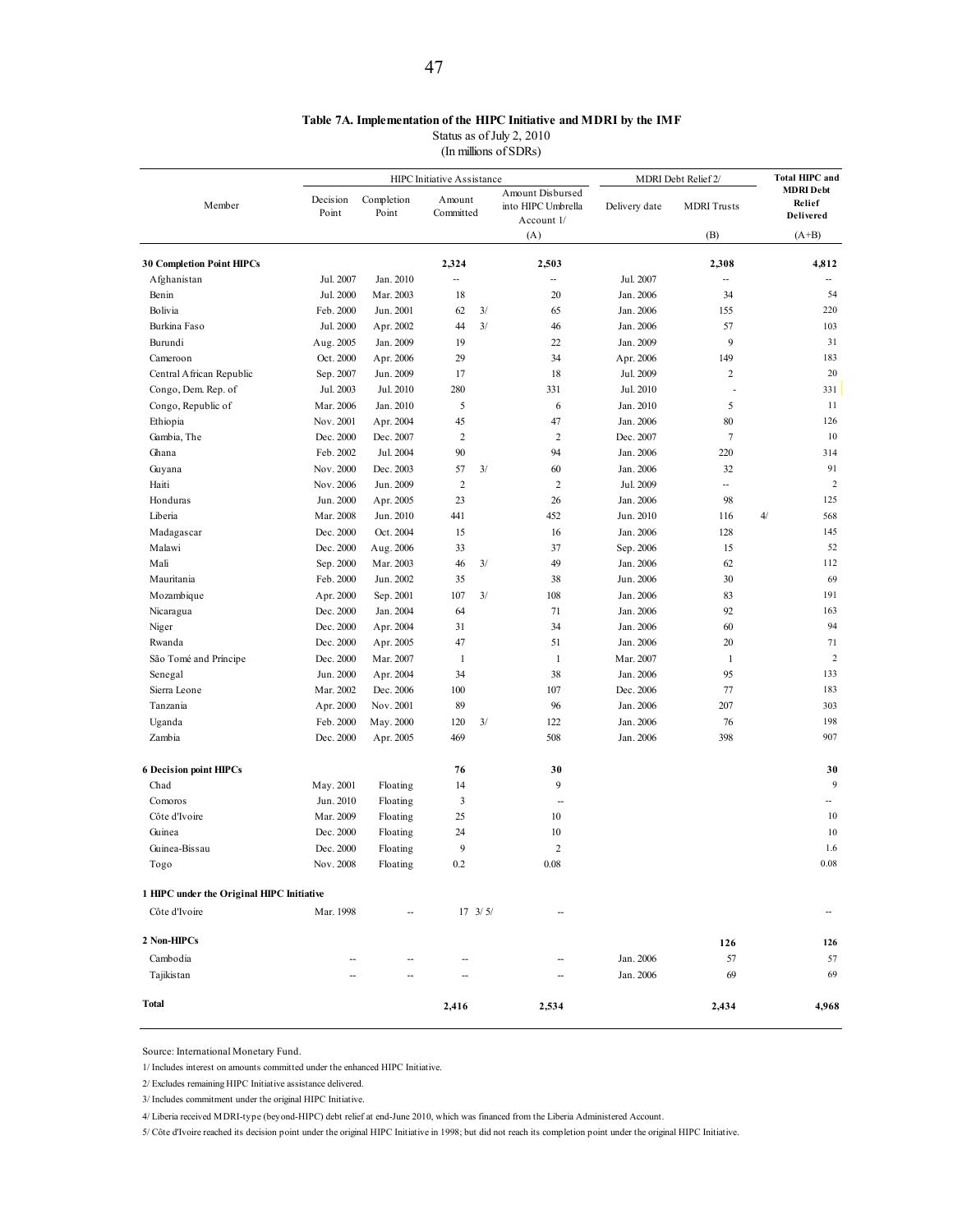### **Table 7A. Implementation of the HIPC Initiative and MDRI by the IMF**

Status as of July 2, 2010

(In millions of SDRs)

|                                           |                        |                     | HIPC Initiative Assistance |                  |                                                      |                        | MDRI Debt Relief 2/   |    | <b>Total HIPC and</b>                   |
|-------------------------------------------|------------------------|---------------------|----------------------------|------------------|------------------------------------------------------|------------------------|-----------------------|----|-----------------------------------------|
| Member                                    | Decision<br>Point      | Completion<br>Point | Amount<br>Committed        |                  | Amount Disbursed<br>into HIPC Umbrella<br>Account 1/ | Delivery date          | <b>MDRI</b> Trusts    |    | <b>MDRI</b> Debt<br>Relief<br>Delivered |
|                                           |                        |                     |                            |                  | (A)                                                  |                        | (B)                   |    | $(A+B)$                                 |
|                                           |                        |                     |                            |                  |                                                      |                        |                       |    |                                         |
| <b>30 Completion Point HIPCs</b>          |                        |                     | 2,324                      |                  | 2,503                                                |                        | 2,308                 |    | 4,812                                   |
| Afghanistan                               | Jul. 2007              | Jan. 2010           | --                         |                  | --                                                   | Jul. 2007              | --<br>34              |    | 54                                      |
| Benin                                     | Jul. 2000              | Mar. 2003           | 18                         |                  | 20                                                   | Jan. 2006              |                       |    | 220                                     |
| Bolivia                                   | Feb. 2000<br>Jul. 2000 | Jun. 2001           | 62                         | 3/<br>3/         | 65                                                   | Jan. 2006              | 155                   |    | 103                                     |
| Burkina Faso                              |                        | Apr. 2002           | 44                         |                  | 46                                                   | Jan. 2006<br>Jan. 2009 | 57<br>9               |    | 31                                      |
| Burundi                                   | Aug. 2005              | Jan. 2009           | 19                         |                  | 22                                                   |                        |                       |    | 183                                     |
| Cameroon                                  | Oct. 2000              | Apr. 2006           | 29                         |                  | 34                                                   | Apr. 2006              | 149<br>$\overline{c}$ |    | 20                                      |
| Central African Republic                  | Sep. 2007              | Jun. 2009           | 17                         |                  | 18                                                   | Jul. 2009              |                       |    |                                         |
| Congo, Dem. Rep. of                       | Jul. 2003              | Jul. 2010           | 280                        |                  | 331                                                  | Jul. 2010              |                       |    | 331                                     |
| Congo, Republic of                        | Mar. 2006              | Jan. 2010           | 5                          |                  | 6                                                    | Jan. 2010              | 5                     |    | 11                                      |
| Ethiopia                                  | Nov. 2001              | Apr. 2004           | 45                         |                  | 47                                                   | Jan. 2006              | 80                    |    | 126                                     |
| Gambia, The                               | Dec. 2000              | Dec. 2007           | $\overline{2}$             |                  | $\overline{2}$                                       | Dec. 2007              | $\tau$                |    | 10                                      |
| Ghana                                     | Feb. 2002              | Jul. 2004           | 90                         |                  | 94                                                   | Jan. 2006              | 220                   |    | 314                                     |
| Guyana                                    | Nov. 2000              | Dec. 2003           | 57                         | 3/               | 60                                                   | Jan. 2006              | 32                    |    | 91                                      |
| Haiti                                     | Nov. 2006              | Jun. 2009           | $\overline{2}$             |                  | $\overline{2}$                                       | Jul. 2009              | --                    |    | $\overline{2}$                          |
| Honduras                                  | Jun. 2000              | Apr. 2005           | 23                         |                  | 26                                                   | Jan. 2006              | 98                    |    | 125                                     |
| Liberia                                   | Mar. 2008              | Jun. 2010           | 441                        |                  | 452                                                  | Jun. 2010              | 116                   | 4/ | 568                                     |
| Madagascar                                | Dec. 2000              | Oct. 2004           | 15                         |                  | 16                                                   | Jan. 2006              | 128                   |    | 145                                     |
| Malawi                                    | Dec. 2000              | Aug. 2006           | 33                         |                  | 37                                                   | Sep. 2006              | 15                    |    | 52                                      |
| Mali                                      | Sep. 2000              | Mar. 2003           | 46                         | 3/               | 49                                                   | Jan. 2006              | 62                    |    | 112                                     |
| Mauritania                                | Feb. 2000              | Jun. 2002           | 35                         |                  | 38                                                   | Jun. 2006              | 30                    |    | 69                                      |
| Mozambique                                | Apr. 2000              | Sep. 2001           | 107                        | 3/               | 108                                                  | Jan. 2006              | 83                    |    | 191                                     |
| Nicaragua                                 | Dec. 2000              | Jan. 2004           | 64                         |                  | 71                                                   | Jan. 2006              | 92                    |    | 163                                     |
| Niger                                     | Dec. 2000              | Apr. 2004           | 31                         |                  | 34                                                   | Jan. 2006              | 60                    |    | 94                                      |
| Rwanda                                    | Dec. 2000              | Apr. 2005           | 47                         |                  | 51                                                   | Jan. 2006              | 20                    |    | 71                                      |
| São Tomé and Príncipe                     | Dec. 2000              | Mar. 2007           | 1                          |                  | $\mathbf{1}$                                         | Mar. 2007              | 1                     |    | $\sqrt{2}$                              |
| Senegal                                   | Jun. 2000              | Apr. 2004           | 34                         |                  | 38                                                   | Jan. 2006              | 95                    |    | 133                                     |
| Sierra Leone                              | Mar. 2002              | Dec. 2006           | 100                        |                  | 107                                                  | Dec. 2006              | 77                    |    | 183                                     |
| Tanzania                                  | Apr. 2000              | Nov. 2001           | 89                         |                  | 96                                                   | Jan. 2006              | 207                   |    | 303                                     |
| Uganda                                    | Feb. 2000              | May. 2000           | 120                        | 3/               | 122                                                  | Jan. 2006              | 76                    |    | 198                                     |
| Zambia                                    | Dec. 2000              | Apr. 2005           | 469                        |                  | 508                                                  | Jan. 2006              | 398                   |    | 907                                     |
| <b>6 Decision point HIPCs</b>             |                        |                     | 76                         |                  | 30                                                   |                        |                       |    | 30                                      |
| Chad                                      | May. 2001              | Floating            | 14                         |                  | 9                                                    |                        |                       |    | 9                                       |
| Comoros                                   | Jun. 2010              | Floating            | 3                          |                  | $\overline{\phantom{a}}$                             |                        |                       |    |                                         |
| Côte d'Ivoire                             | Mar. 2009              | Floating            | 25                         |                  | 10                                                   |                        |                       |    | 10                                      |
| Guinea                                    | Dec. 2000              | Floating            | 24                         |                  | 10                                                   |                        |                       |    | 10                                      |
| Guinea-Bissau                             | Dec. 2000              | Floating            | 9                          |                  | $\overline{2}$                                       |                        |                       |    | 1.6                                     |
| Togo                                      | Nov. 2008              | Floating            | 0.2                        |                  | $0.08\,$                                             |                        |                       |    | 0.08                                    |
| 1 HIPC under the Original HIPC Initiative |                        |                     |                            |                  |                                                      |                        |                       |    |                                         |
| Côte d'Ivoire                             | Mar. 1998              |                     |                            | $17 \frac{3}{5}$ |                                                      |                        |                       |    |                                         |
| 2 Non-HIPCs                               |                        |                     |                            |                  |                                                      |                        | 126                   |    | 126                                     |
| Cambodia                                  |                        |                     |                            |                  |                                                      | Jan. 2006              | 57                    |    | 57                                      |
| Tajikistan                                |                        |                     |                            |                  |                                                      | Jan. 2006              | 69                    |    | 69                                      |
| Total                                     |                        |                     | 2,416                      |                  | 2,534                                                |                        | 2,434                 |    | 4,968                                   |

Source: International Monetary Fund.

1/ Includes interest on amounts committed under the enhanced HIPC Initiative.

2/ Excludes remaining HIPC Initiative assistance delivered.

3/ Includes commitment under the original HIPC Initiative.

4/ Liberia received MDRI-type (beyond-HIPC) debt relief at end-June 2010, which was financed from the Liberia Administered Account.

5/ Côte d'Ivoire reached its decision point under the original HIPC Initiative in 1998; but did not reach its completion point under the original HIPC Initiative.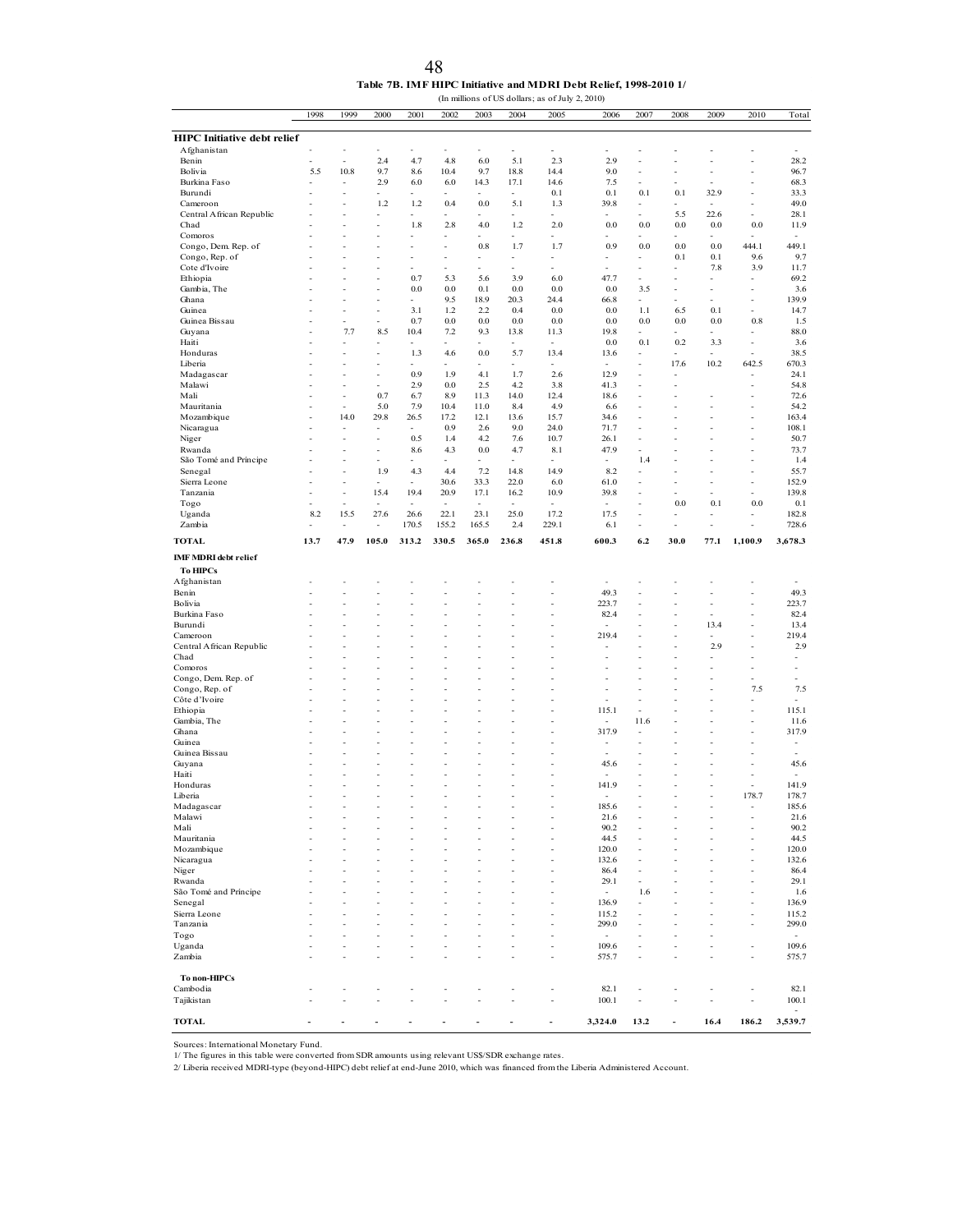| 48                                                               |
|------------------------------------------------------------------|
| Table 7B. IMF HIPC Initiative and MDRI Debt Relief. 1998-2010 1/ |

(In millions of US dollars; as of July 2, 2010) 1998 1999 2000 2001 2002 2003 2004 2005 2006 2007 2008 2009 2010 Total **HIPC Initiative debt relief**<br>Afghanistan Afghanistan - - - - - - - - - - - - - - Benin - - 2.4 4.7 4.8 6.0 5.1 2.3 2.9 - - - - 28.2 Bolivia 5.5 10.8 9.7 8.6 10.4 9.7 18.8 14.4 9.0 - - - - 96.7 Burkina Faso - - 2.9 6.0 6.0 14.3 17.1 14.6 7.5 - - - - 68.3 Burundi - - - - - - - 0.1 0.1 0.1 0.1 32.9 - 33.3 Cameroon - - 1.2 1.2 0.4 0.0 5.1 1.3 39.8 - - - - - 49.0 Central African Republic - - - - - - - - - - 5.5 22.6 - 28.1<br>Chad - - - 1.8 2.8 4.0 1.2 2.0 0.0 0.0 0.0 0.0 0.0 11.9 Chad - - - 1.8 2.8 4.0 1.2 2.0 0.0 0.0 0.0 0.0 0.0 11.9 Comoros and the second contract of the second contract of the second contract of the second contract of the second contract of the second contract of the second contract of the second contract of the second contract of the Congo, Dem. Rep. of - - - - - 0.8 1.7 1.7 0.9 0.0 0.0 0.0 444.1 449.1<br>
Congo, Rep. of - - - - - - - - - - 0.1 0.1 9.6 9.7<br>
Cote d'Ivoire - - - - - - - - - - - - - 7.8 3.9 11.7 Congo, Rep. of **1.** - - - - - - - - - - - - - - - 0.1 0.1 9.6 9.7 Cote d'Ivoire - - - - - - - - - - - 7.8 3.9 11.7 Ethiopia - - - 0.7 5.3 5.6 3.9 6.0 47.7 - - - - 69.2 Gambia, The  $\sim$  - - 0.0 0.0 0.1 0.0 0.0 0.0 3.5 - - - 3.6 Ghana - - - - 9.5 18.9 20.3 24.4 66.8 - - - - 139.9 Guinea - - - 3.1 1.2 2.2 0.4 0.0 0.0 1.1 6.5 0.1 - 14.7 Guinea Bissau - - - 0.7 0.0 0.0 0.0 0.0 0.0 0.0 0.0 0.8 1.5 Guyana - 7.7 8.5 10.4 7.2 9.3 13.8 11.3 19.8 - - - - - 88.0 Haiti **1988 - 1988 - 1988 - 1988 - 1988 - 1988 - 1988 - 1988 - 1988 - 1988 - 1988 - 1988 - 1988 - 1988 - 1988 - 1988 - 1988 - 1988 - 1988 - 1988 - 1988 - 1988 - 1988 - 1988 - 1988 - 1988 - 1988 - 1988 - 1988 - 1988 - 1988** Honduras - - - 1.3 4.6 0.0 5.7 13.4 13.6 - - - - 38.5 Liberia - - - - - - - - - - 17.6 10.2 642.5 670.3 Madagascar - - - 0.9 1.9 4.1 1.7 2.6 12.9 - - - - 24.1 Malawi - - 2.9 0.0 2.5 4.2 3.8 41.3 - - - 54.8 Mali - - 0.7 6.7 8.9 11.3 14.0 12.4 18.6 - - - - 72.6 Mauritania 1910 - 1920 - 1920 10.4 11.0 12.4 14.9 10.6 - - - - - - 54.2 Mozambique - 14.0 29.8 26.5 17.2 12.1 13.6 15.7 34.6 - - - - - 163.4 Nicaragua - - - - 0.9 2.6 9.0 24.0 71.7 - - - - 108.1 Niger 50.7 - - - 0.5 1.4 4.2 7.6 10.7 26.1 - - - - - 50.7 Rwanda - - - 8.6 4.3 0.0 4.7 8.1 47.9 - - - - 73.7 São Tomé and Príncipe - - - - - - - - - 1.4 - - - 1.4 Senegal - - - 1.9 4.3 4.4 7.2 14.8 14.9 8.2 - - - - - 55.7 Sierra Leone - - - - 30.6 33.3 22.0 6.0 61.0 - - - - - 152.9 Tanzania - - 15.4 19.4 20.9 17.1 16.2 10.9 39.8 - - - - 139.8 Togo - - - - - - - - - - 0.0 0.1 0.0 0.1 Uganda 8.2 15.5 27.6 26.6 22.1 23.1 25.0 17.2 17.5 - - - - 182.8 Zambia - - - 170.5 155.2 165.5 2.4 229.1 6.1 - - - - 728.6 **TOTAL 13.7 47.9 105.0 313.2 330.5 365.0 236.8 451.8 600.3 6.2 30.0 77.1 1,100.9 3,678.3 IMF MDRI debt relief To HIPCs** Afghanistan - - - - - - - - - - - - - - Benin **1980 - 1990 - 1990 - 1990 - 1990 - 1990 - 1990** - 1990 - 1991 - 1992 - 1992 - 1993 - 1992 - 1993 - 1992 - 1 Bolivia - - - - - - - - - 223.7 - - - - 223.7 Burkina Faso - - - - - - - - 82.4 - - - - 82.4 Burundi - - - - - - - - - - - 13.4 - 13.4 Cameroon **1992 - 1994** - 219.4 - 219.4 - 219.4 Central African Republic - - - - - - - - - - - - 2.9 - 2.9 - 2.9 Chad - - - - - - - - - - - - - - Comoros - - - - - - - - - - - - - - Congo, Dem. Rep. of - - - - - - - - - - - - - - Congo, Rep. of - - - - - - - - - - - - 7.5 7.5 Côte d'Ivoire - - - - - - - - - - - - - - Ethiopia - - - - - - - - 115.1 - - - - 115.1 Gambia, The **- - - - - - - - - - - - - - - - - 11.6** - - - - - 11.6 Ghana - - - - - - - - - - 317.9 - - - - 317.9 Guinea - - - - - - - - - - - - - - Guinea Bissau - - - - - - - - - - - - - - Guyana - - - - - - - - - - 45.6 - - - - 45.6 Haiti - - - - - - - - - - - - - - Honduras - - - - - - - - 141.9 - - - - 141.9 Liberia - - - - - - - - - - - - - - - - 178.7 178.7 Madagascar - - - - - - - - 185.6 - - - 185.6 185.6 Malawi - - - - - - - - 21.6 - - - - 21.6 Mali **1980 - 1990 - 1990 - 1990 - 1990 - 1990** - 1990 - 1990 - 1990 - 1990 - 1990 - 1990 - 1990 - 1990 - 1990 - 1 Mauritania 1980 - 1980 - 1980 - 1980 - 1980 - 1980 - 1980 - 1980 - 1980 - 1980 - 1980 - 1980 - 1980 - 1980 - 1 Mozambique - - - - - - - - 120.0 - - - - 120.0 Nicaragua - - - - - - - - 132.6 - - - 132.6 Niger 5 - - - - - - - - - 86.4 - - - - - 86.4 Rwanda - - - - - - - - - 29.1 - - - - 29.1 São Tomé and Príncipe - - - - - - - - - - - 1.6 - - - 1.6<br>Senegal - - - - - - - - - 136.9 - - - - 136.9 Senegal 5 - - - - - - - - - 136.9 - - - - 136.9 Sierra Leone **- - - - - - - - - - - - - 115.2** - - - - - 115.2 Tanzania - - - - - - - - 299.0 - - - - 299.0 Togo - - - - - - - - - - - - - Uganda - - - - - - - - 109.6 - - - - 109.6 Zambia - - - - - - - - 575.7 - - - - 575.7 **To non-HIPCs** Cambodia - - - - - - - - 82.1 - - - - 82.1 Tajikistan - - - - - - - - 100.1 - - - - 100.1 - **TOTAL - - - - - - - - 3,324.0 13.2 - 16.4 186.2 3,539.7** 

Sources: International Monetary Fund.

1/ The figures in this table were converted from SDR amounts using relevant US\$/SDR exchange rates.

2/ Liberia received MDRI-type (beyond-HIPC) debt relief at end-June 2010, which was financed from the Liberia Administered Account.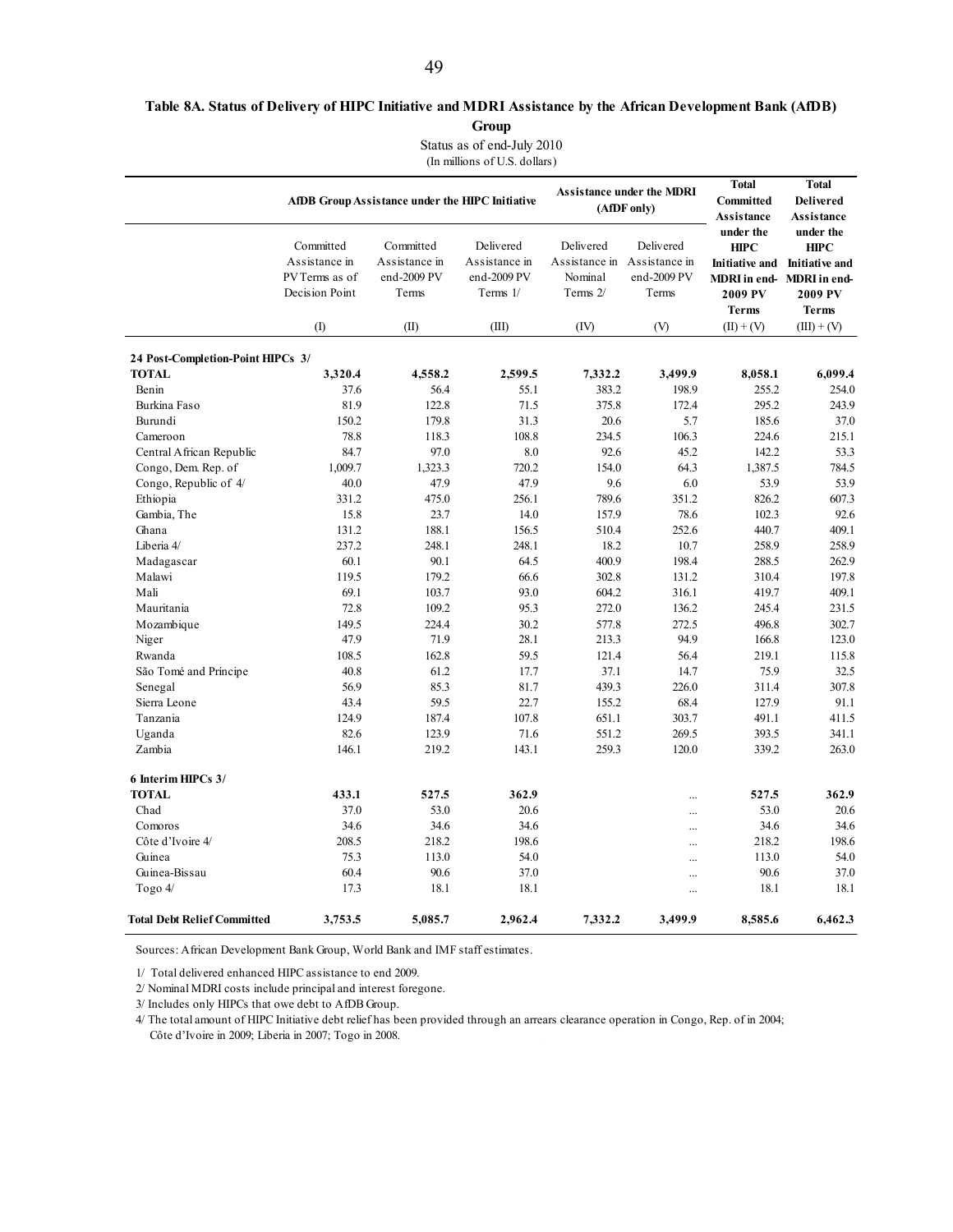### **Table 8A. Status of Delivery of HIPC Initiative and MDRI Assistance by the African Development Bank (AfDB) Group**

Status as of end-July 2010

(In millions of U.S. dollars)

|                                    |                                                                | AfDB Group Assistance under the HIPC Initiative    |                                                         |                                                                 | <b>Assistance under the MDRI</b><br>(AfDF only) | <b>Total</b><br><b>Committed</b><br>Assistance                               | <b>Total</b><br><b>Delivered</b><br><b>Assistance</b>                                                    |
|------------------------------------|----------------------------------------------------------------|----------------------------------------------------|---------------------------------------------------------|-----------------------------------------------------------------|-------------------------------------------------|------------------------------------------------------------------------------|----------------------------------------------------------------------------------------------------------|
|                                    | Committed<br>Assistance in<br>PV Terms as of<br>Decision Point | Committed<br>Assistance in<br>end-2009 PV<br>Terms | Delivered<br>Assistance in<br>end-2009 PV<br>Terms $1/$ | Delivered<br>Assistance in Assistance in<br>Nominal<br>Terms 2/ | Delivered<br>end-2009 PV<br>Terms               | under the<br><b>HIPC</b><br><b>Initiative and</b><br>2009 PV<br><b>Terms</b> | under the<br><b>HIPC</b><br><b>Initiative and</b><br>MDRI in end-MDRI in end-<br>2009 PV<br><b>Terms</b> |
|                                    | $($ $\Gamma$                                                   | (II)                                               | (III)                                                   | (IV)                                                            | (V)                                             | $(II) + (V)$                                                                 | $(III) + (V)$                                                                                            |
| 24 Post-Completion-Point HIPCs 3/  |                                                                |                                                    |                                                         |                                                                 |                                                 |                                                                              |                                                                                                          |
| <b>TOTAL</b>                       | 3,320.4                                                        | 4,558.2                                            | 2,599.5                                                 | 7,332.2                                                         | 3,499.9                                         | 8,058.1                                                                      | 6.099.4                                                                                                  |
| Benin                              | 37.6                                                           | 56.4                                               | 55.1                                                    | 383.2                                                           | 198.9                                           | 255.2                                                                        | 254.0                                                                                                    |
| Burkina Faso                       | 81.9                                                           | 122.8                                              | 71.5                                                    | 375.8                                                           | 172.4                                           | 295.2                                                                        | 243.9                                                                                                    |
| Burundi                            | 150.2                                                          | 179.8                                              | 31.3                                                    | 20.6                                                            | 5.7                                             | 185.6                                                                        | 37.0                                                                                                     |
| Cameroon                           | 78.8                                                           | 118.3                                              | 108.8                                                   | 234.5                                                           | 106.3                                           | 224.6                                                                        | 215.1                                                                                                    |
| Central African Republic           | 84.7                                                           | 97.0                                               | 8.0                                                     | 92.6                                                            | 45.2                                            | 142.2                                                                        | 53.3                                                                                                     |
| Congo, Dem. Rep. of                | 1,009.7                                                        | 1,323.3                                            | 720.2                                                   | 154.0                                                           | 64.3                                            | 1,387.5                                                                      | 784.5                                                                                                    |
| Congo, Republic of 4/              | 40.0                                                           | 47.9                                               | 47.9                                                    | 9.6                                                             | 6.0                                             | 53.9                                                                         | 53.9                                                                                                     |
| Ethiopia                           | 331.2                                                          | 475.0                                              | 256.1                                                   | 789.6                                                           | 351.2                                           | 826.2                                                                        | 607.3                                                                                                    |
| Gambia, The                        | 15.8                                                           | 23.7                                               | 14.0                                                    | 157.9                                                           | 78.6                                            | 102.3                                                                        | 92.6                                                                                                     |
| Ghana                              | 131.2                                                          | 188.1                                              | 156.5                                                   | 510.4                                                           | 252.6                                           | 440.7                                                                        | 409.1                                                                                                    |
| Liberia 4/                         | 237.2                                                          | 248.1                                              | 248.1                                                   | 18.2                                                            | 10.7                                            | 258.9                                                                        | 258.9                                                                                                    |
| Madagascar                         | 60.1                                                           | 90.1                                               | 64.5                                                    | 400.9                                                           | 198.4                                           | 288.5                                                                        | 262.9                                                                                                    |
| Malawi                             | 119.5                                                          | 179.2                                              | 66.6                                                    | 302.8                                                           | 131.2                                           | 310.4                                                                        | 197.8                                                                                                    |
| Mali                               | 69.1                                                           | 103.7                                              | 93.0                                                    | 604.2                                                           | 316.1                                           | 419.7                                                                        | 409.1                                                                                                    |
| Mauritania                         | 72.8                                                           | 109.2                                              | 95.3                                                    | 272.0                                                           | 136.2                                           | 245.4                                                                        | 231.5                                                                                                    |
| Mozambique                         | 149.5                                                          | 224.4                                              | 30.2                                                    | 577.8                                                           | 272.5                                           | 496.8                                                                        | 302.7                                                                                                    |
| Niger                              | 47.9                                                           | 71.9                                               | 28.1                                                    | 213.3                                                           | 94.9                                            | 166.8                                                                        | 123.0                                                                                                    |
| Rwanda                             | 108.5                                                          | 162.8                                              | 59.5                                                    | 121.4                                                           | 56.4                                            | 219.1                                                                        | 115.8                                                                                                    |
| São Tomé and Príncipe              | 40.8                                                           | 61.2                                               | 17.7                                                    | 37.1                                                            | 14.7                                            | 75.9                                                                         | 32.5                                                                                                     |
| Senegal                            | 56.9                                                           | 85.3                                               | 81.7                                                    | 439.3                                                           | 226.0                                           | 311.4                                                                        | 307.8                                                                                                    |
| Sierra Leone                       | 43.4                                                           | 59.5                                               | 22.7                                                    | 155.2                                                           | 68.4                                            | 127.9                                                                        | 91.1                                                                                                     |
| Tanzania                           | 124.9                                                          | 187.4                                              | 107.8                                                   | 651.1                                                           | 303.7                                           | 491.1                                                                        | 411.5                                                                                                    |
| Uganda                             | 82.6                                                           | 123.9                                              | 71.6                                                    | 551.2                                                           | 269.5                                           | 393.5                                                                        | 341.1                                                                                                    |
| Zambia                             | 146.1                                                          | 219.2                                              | 143.1                                                   | 259.3                                                           | 120.0                                           | 339.2                                                                        | 263.0                                                                                                    |
| 6 Interim HIPCs 3/                 |                                                                |                                                    |                                                         |                                                                 |                                                 |                                                                              |                                                                                                          |
| <b>TOTAL</b>                       | 433.1                                                          | 527.5                                              | 362.9                                                   |                                                                 |                                                 | 527.5                                                                        | 362.9                                                                                                    |
| Chad                               | 37.0                                                           | 53.0                                               | 20.6                                                    |                                                                 | $\ddotsc$                                       | 53.0                                                                         | 20.6                                                                                                     |
| Comoros                            | 34.6                                                           | 34.6                                               | 34.6                                                    |                                                                 | $\ddotsc$                                       | 34.6                                                                         | 34.6                                                                                                     |
| Côte d'Ivoire 4/                   | 208.5                                                          | 218.2                                              | 198.6                                                   |                                                                 | $\ddotsc$                                       | 218.2                                                                        | 198.6                                                                                                    |
| Guinea                             | 75.3                                                           | 113.0                                              | 54.0                                                    |                                                                 |                                                 | 113.0                                                                        | 54.0                                                                                                     |
| Guinea-Bissau                      | 60.4                                                           | 90.6                                               | 37.0                                                    |                                                                 |                                                 | 90.6                                                                         | 37.0                                                                                                     |
| Togo $4/$                          | 17.3                                                           | 18.1                                               | 18.1                                                    |                                                                 |                                                 | 18.1                                                                         | 18.1                                                                                                     |
| <b>Total Debt Relief Committed</b> | 3,753.5                                                        | 5,085.7                                            | 2,962.4                                                 | 7,332.2                                                         | 3,499.9                                         | 8,585.6                                                                      | 6,462.3                                                                                                  |

Sources: African Development Bank Group, World Bank and IMF staff estimates.

1/ Total delivered enhanced HIPC assistance to end 2009.

2/ Nominal MDRI costs include principal and interest foregone.

3/ Includes only HIPCs that owe debt to AfDB Group.

4/ The total amount of HIPC Initiative debt relief has been provided through an arrears clearance operation in Congo, Rep. of in 2004; Côte d'Ivoire in 2009; Liberia in 2007; Togo in 2008.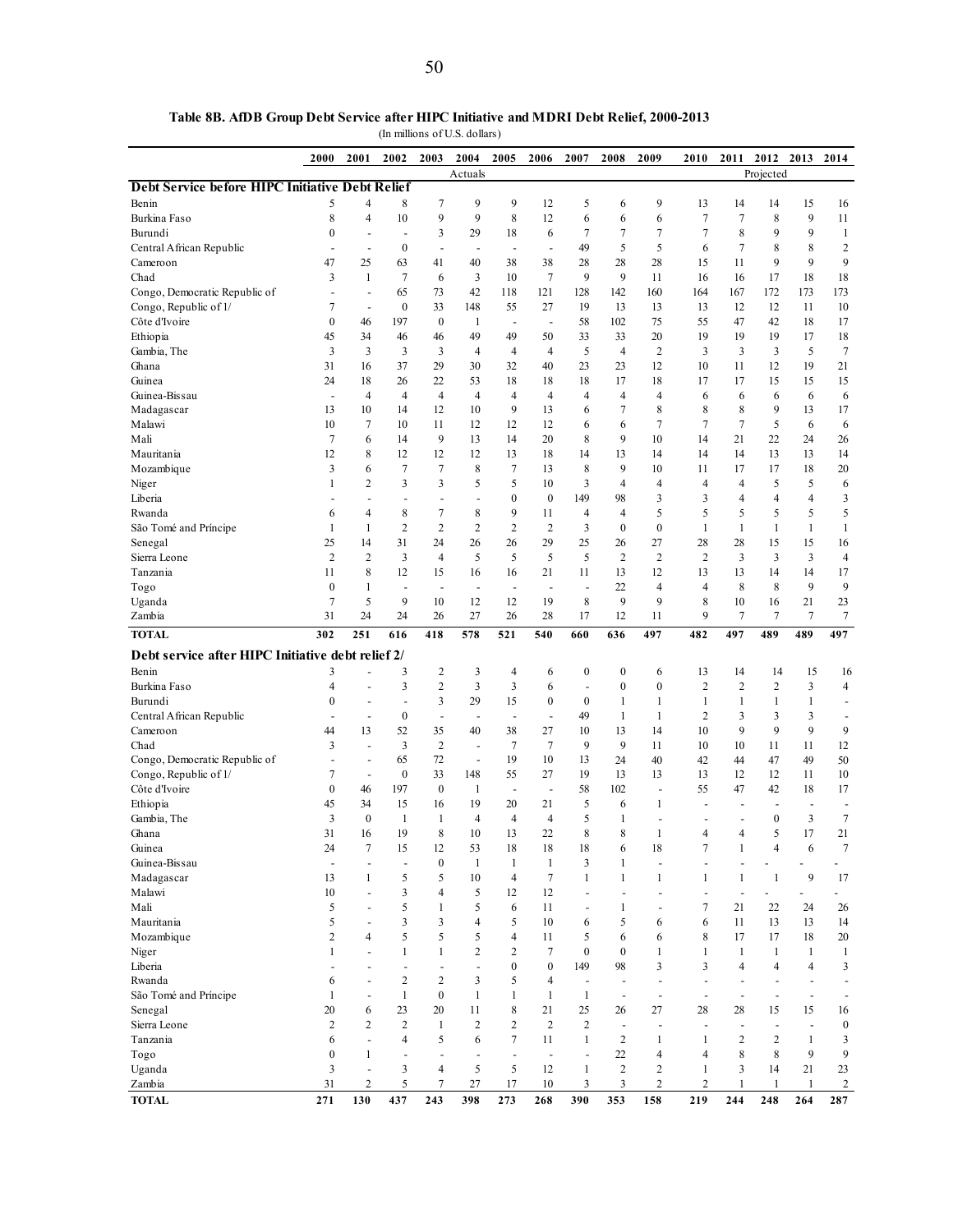|                                                   | 2000             | 2001                     | 2002                     | 2003                     | 2004                     | 2005                           | 2006                     | 2007                     | 2008             | 2009                     | 2010                | 2011                     | 2012                           | 2013                     | 2014                     |
|---------------------------------------------------|------------------|--------------------------|--------------------------|--------------------------|--------------------------|--------------------------------|--------------------------|--------------------------|------------------|--------------------------|---------------------|--------------------------|--------------------------------|--------------------------|--------------------------|
| Debt Service before HIPC Initiative Debt Relief   |                  |                          |                          |                          | Actuals                  |                                |                          |                          |                  |                          |                     |                          | Projected                      |                          |                          |
| Benin                                             | 5                | 4                        | 8                        | 7                        | 9                        | 9                              | 12                       | 5                        | 6                | 9                        | 13                  | 14                       | 14                             | 15                       | 16                       |
| Burkina Faso                                      | 8                | $\overline{4}$           | 10                       | 9                        | 9                        | 8                              | 12                       | 6                        | 6                | 6                        | 7                   | 7                        | 8                              | 9                        | 11                       |
| Burundi                                           | $\boldsymbol{0}$ | ÷                        | $\overline{\phantom{a}}$ | 3                        | 29                       | 18                             | 6                        | $\overline{7}$           | 7                | $\overline{7}$           | 7                   | 8                        | 9                              | 9                        | $\mathbf{1}$             |
| Central African Republic                          |                  | $\overline{\phantom{a}}$ | $\boldsymbol{0}$         | $\overline{\phantom{a}}$ | ÷                        | $\overline{\phantom{a}}$       | $\overline{a}$           | 49                       | 5                | 5                        | 6                   | 7                        | 8                              | 8                        | $\boldsymbol{2}$         |
| Cameroon                                          | 47               | 25                       | 63                       | 41                       | 40                       | 38                             | 38                       | 28                       | 28               | 28                       | 15                  | 11                       | 9                              | 9                        | 9                        |
| Chad                                              | 3                | $\mathbf{1}$             | $\overline{7}$           | 6                        | 3                        | 10                             | 7                        | 9                        | 9                | 11                       | 16                  | 16                       | 17                             | 18                       | 18                       |
| Congo, Democratic Republic of                     | ÷,               | $\overline{\phantom{a}}$ | 65                       | 73                       | 42                       | 118                            | 121                      | 128                      | 142              | 160                      | 164                 | 167                      | 172                            | 173                      | 173                      |
| Congo, Republic of 1/                             | 7                | $\overline{\phantom{a}}$ | $\boldsymbol{0}$         | 33                       | 148                      | 55                             | 27                       | 19                       | 13               | 13                       | 13                  | 12                       | 12                             | 11                       | 10                       |
| Côte d'Ivoire                                     | $\mathbf{0}$     | 46                       | 197                      | $\boldsymbol{0}$         | 1                        | ÷,                             | $\overline{\phantom{a}}$ | 58                       | 102              | 75                       | 55                  | 47                       | 42                             | 18                       | 17                       |
| Ethiopia                                          | 45               | 34                       | 46                       | 46                       | 49                       | 49                             | 50                       | 33                       | 33               | 20                       | 19                  | 19                       | 19                             | 17                       | 18                       |
| Gambia, The                                       | 3                | 3                        | 3                        | 3                        | $\overline{4}$           | $\overline{4}$                 | $\overline{4}$           | 5                        | $\overline{4}$   | $\overline{2}$           | 3                   | 3                        | 3                              | 5                        | $\tau$                   |
| Ghana                                             | 31               | 16                       | 37                       | 29                       | 30                       | 32                             | 40                       | 23                       | 23               | 12                       | 10                  | 11                       | 12                             | 19                       | 21                       |
| Guinea                                            | 24               | 18                       | 26                       | 22                       | 53                       | 18                             | 18                       | 18                       | 17               | 18                       | 17                  | 17                       | 15                             | 15                       | 15                       |
| Guinea-Bissau                                     | ÷,               | $\overline{4}$           | 4                        | 4                        | 4                        | 4                              | $\overline{4}$           | 4                        | $\overline{4}$   | 4                        | 6                   | 6                        | 6                              | 6                        | 6                        |
| Madagascar                                        | 13               | 10<br>7                  | 14                       | 12                       | 10                       | 9                              | 13                       | 6                        | 7                | 8<br>$\overline{7}$      | 8<br>7              | 8<br>$\tau$              | 9<br>5                         | 13                       | 17                       |
| Malawi<br>Mali                                    | 10<br>7          | 6                        | 10<br>14                 | 11<br>9                  | 12<br>13                 | 12<br>14                       | 12<br>20                 | 6<br>8                   | 6<br>9           | 10                       | 14                  | 21                       | 22                             | 6<br>24                  | 6<br>26                  |
| Mauritania                                        | 12               | 8                        | 12                       | 12                       | 12                       | 13                             | 18                       | 14                       | 13               | 14                       | 14                  | 14                       | 13                             | 13                       | 14                       |
| Mozambique                                        | 3                | 6                        | 7                        | 7                        | 8                        | 7                              | 13                       | 8                        | 9                | 10                       | 11                  | 17                       | 17                             | 18                       | 20                       |
| Niger                                             | 1                | $\overline{c}$           | 3                        | 3                        | 5                        | 5                              | 10                       | 3                        | 4                | 4                        | 4                   | $\overline{4}$           | 5                              | 5                        | 6                        |
| Liberia                                           |                  |                          | $\overline{\phantom{a}}$ | $\overline{\phantom{a}}$ | $\overline{a}$           | $\mathbf{0}$                   | $\mathbf{0}$             | 149                      | 98               | 3                        | 3                   | $\overline{4}$           | 4                              | 4                        | 3                        |
| Rwanda                                            | 6                | 4                        | 8                        | 7                        | 8                        | 9                              | 11                       | 4                        | $\overline{4}$   | 5                        | 5                   | 5                        | 5                              | 5                        | 5                        |
| São Tomé and Príncipe                             | 1                | 1                        | $\overline{c}$           | $\overline{2}$           | $\overline{c}$           | $\overline{c}$                 | $\overline{2}$           | 3                        | $\boldsymbol{0}$ | $\boldsymbol{0}$         | $\mathbf{1}$        | $\mathbf{1}$             | $\mathbf{1}$                   | $\mathbf{1}$             | $\mathbf{1}$             |
| Senegal                                           | 25               | 14                       | 31                       | 24                       | 26                       | 26                             | 29                       | 25                       | 26               | 27                       | 28                  | 28                       | 15                             | 15                       | 16                       |
| Sierra Leone                                      | $\overline{2}$   | $\overline{c}$           | 3                        | 4                        | 5                        | 5                              | 5                        | 5                        | $\overline{c}$   | $\overline{2}$           | $\overline{2}$      | 3                        | $\overline{\mathbf{3}}$        | 3                        | $\overline{4}$           |
| Tanzania                                          | 11               | 8                        | 12                       | 15                       | 16                       | 16                             | 21                       | 11                       | 13               | 12                       | 13                  | 13                       | 14                             | 14                       | 17                       |
| Togo                                              | $\boldsymbol{0}$ | 1                        | $\sim$                   | $\overline{\phantom{a}}$ | $\overline{\phantom{a}}$ | $\sim$                         | $\overline{\phantom{a}}$ | ÷,                       | 22               | 4                        | 4                   | 8                        | 8                              | 9                        | 9                        |
| Uganda                                            | 7                | 5                        | 9                        | 10                       | 12                       | 12                             | 19                       | 8                        | 9                | 9                        | 8                   | 10                       | 16                             | 21                       | 23                       |
| Zambia                                            | 31               | 24                       | 24                       | 26                       | 27                       | 26                             | 28                       | 17                       | 12               | 11                       | 9                   | 7                        | 7                              | 7                        | 7                        |
| <b>TOTAL</b>                                      | 302              | 251                      | 616                      | 418                      | 578                      | 521                            | 540                      | 660                      | 636              | 497                      | 482                 | 497                      | 489                            | 489                      | 497                      |
| Debt service after HIPC Initiative debt relief 2/ |                  |                          |                          |                          |                          |                                |                          |                          |                  |                          |                     |                          |                                |                          |                          |
| Benin                                             | 3                |                          | 3                        | 2                        | 3                        | 4                              | 6                        | $\boldsymbol{0}$         | $\boldsymbol{0}$ | 6                        | 13                  | 14                       | 14                             | 15                       | 16                       |
| Burkina Faso                                      | 4                | ÷,                       | 3                        | $\overline{c}$           | 3                        | 3                              | 6                        | ÷                        | $\boldsymbol{0}$ | $\boldsymbol{0}$         | $\overline{c}$      | $\overline{c}$           | $\sqrt{2}$                     | 3                        | $\overline{4}$           |
| Burundi                                           | $\mathbf{0}$     | $\overline{\phantom{a}}$ | ÷,                       | 3                        | 29                       | 15                             | $\boldsymbol{0}$         | $\mathbf{0}$             | 1                | 1                        | $\mathbf{1}$        | 1                        | $\mathbf{1}$                   | 1                        | $\overline{a}$           |
| Central African Republic                          |                  | ÷                        | $\boldsymbol{0}$         | $\overline{\phantom{a}}$ | Ĭ.                       | $\sim$                         | ä,                       | 49                       | 1                | 1                        | $\overline{c}$      | 3                        | 3                              | 3                        | ÷,                       |
| Cameroon                                          | 44               | 13                       | 52                       | 35                       | 40                       | 38                             | 27                       | 10                       | 13               | 14                       | 10                  | 9                        | 9                              | 9                        | 9                        |
| Chad                                              | 3                | $\overline{a}$           | 3                        | $\overline{c}$           | $\overline{\phantom{a}}$ | 7                              | 7                        | 9                        | 9                | 11                       | 10                  | 10                       | 11                             | 11                       | 12                       |
| Congo, Democratic Republic of                     |                  | $\overline{\phantom{a}}$ | 65                       | 72                       | $\overline{\phantom{a}}$ | 19                             | 10                       | 13                       | 24               | 40                       | 42                  | 44                       | 47                             | 49                       | 50                       |
| Congo, Republic of 1/                             | 7                | $\sim$                   | $\boldsymbol{0}$         | 33                       | 148                      | 55                             | 27                       | 19                       | 13               | 13                       | 13                  | 12                       | 12                             | 11                       | 10                       |
| Côte d'Ivoire                                     | $\mathbf{0}$     | 46                       | 197                      | $\boldsymbol{0}$         | 1                        | ÷,                             | $\overline{\phantom{a}}$ | 58                       | 102              | ÷,                       | 55                  | 47                       | 42                             | 18                       | 17                       |
| Ethiopia                                          | 45               | 34                       | 15                       | 16                       | 19                       | 20                             | 21                       | 5                        | 6                | 1                        | ÷,                  | ٠                        |                                | ÷,                       | $\overline{a}$           |
| Gambia, The                                       | 3                | $\mathbf{0}$             | 1                        | 1                        | $\overline{4}$           | $\overline{4}$                 | $\overline{4}$           | 5                        | 1                | $\overline{a}$           |                     | $\overline{\phantom{a}}$ | $\mathbf{0}$                   | 3                        | $\overline{7}$           |
| Ghana                                             | 31               | 16                       | 19                       | 8                        | 10                       | 13                             | 22                       | 8                        | 8                | 1                        | 4                   | $\overline{4}$           | 5                              | 17                       | 21                       |
| Guinea                                            | 24               | $\tau$                   | 15                       | 12                       | 53                       | 18                             | 18                       | 18                       | 6                | 18                       | 7                   | 1                        | $\overline{4}$                 | 6                        | $\boldsymbol{7}$         |
| Guinea-Bissau<br>Madagascar                       | ÷,<br>13         | ÷,<br>1                  | $\blacksquare$<br>5      | $\boldsymbol{0}$<br>5    | $\mathbf{1}$<br>10       | $\mathbf{1}$<br>$\overline{4}$ | 1<br>7                   | 3<br>1                   | 1<br>1           | $\overline{a}$<br>1      | $\overline{a}$<br>1 | ÷,<br>1                  | $\overline{a}$<br>$\mathbf{1}$ | 9                        | ÷,<br>17                 |
| Malawi                                            | 10               | ÷,                       | 3                        | 4                        | 5                        | 12                             | 12                       | $\overline{a}$           | $\overline{a}$   | $\overline{a}$           | $\overline{a}$      | $\overline{a}$           |                                |                          |                          |
| Mali                                              | 5                | $\overline{\phantom{a}}$ | 5                        | 1                        | 5                        | 6                              | 11                       | $\overline{\phantom{a}}$ | 1                | ÷,                       | 7                   | 21                       | 22                             | 24                       | 26                       |
| Mauritania                                        | 5                |                          | 3                        | 3                        | 4                        | 5                              | 10                       | 6                        | 5                | 6                        | 6                   | 11                       | 13                             | 13                       | 14                       |
| Mozambique                                        | $\overline{c}$   | $\overline{4}$           | 5                        | 5                        | 5                        | 4                              | 11                       | 5                        | 6                | 6                        | 8                   | 17                       | 17                             | 18                       | $20\,$                   |
| Niger                                             | 1                |                          | 1                        | $\mathbf{1}$             | 2                        | $\boldsymbol{2}$               | 7                        | $\mathbf{0}$             | $\boldsymbol{0}$ | 1                        | 1                   | 1                        | $\mathbf{1}$                   | $\mathbf{1}$             | $\mathbf{1}$             |
| Liberia                                           | ä,               | ÷                        | $\overline{\phantom{a}}$ | $\blacksquare$           | $\overline{\phantom{a}}$ | $\boldsymbol{0}$               | $\boldsymbol{0}$         | 149                      | 98               | 3                        | 3                   | 4                        | $\overline{4}$                 | 4                        | 3                        |
| Rwanda                                            | 6                | ÷,                       | $\overline{c}$           | 2                        | 3                        | 5                              | 4                        | ÷,                       | ÷                | ÷,                       | $\overline{a}$      |                          |                                | $\overline{a}$           |                          |
| São Tomé and Príncipe                             | 1                | ÷,                       | $\mathbf{1}$             | $\mathbf{0}$             | $\mathbf{1}$             | $\mathbf{1}$                   | 1                        | $\mathbf{1}$             | ÷                | ÷,                       | ÷,                  | ÷,                       |                                | $\overline{a}$           | $\overline{\phantom{a}}$ |
| Senegal                                           | 20               | 6                        | 23                       | 20                       | 11                       | 8                              | 21                       | 25                       | 26               | 27                       | 28                  | 28                       | 15                             | 15                       | 16                       |
| Sierra Leone                                      | $\overline{c}$   | $\overline{c}$           | $\overline{c}$           | 1                        | $\overline{c}$           | $\overline{c}$                 | $\overline{2}$           | $\overline{c}$           | $\overline{a}$   | ÷,                       | ÷,                  | ÷,                       | $\overline{\phantom{a}}$       | $\overline{\phantom{a}}$ | $\boldsymbol{0}$         |
| Tanzania                                          | 6                | ÷,                       | 4                        | 5                        | 6                        | 7                              | 11                       | $\mathbf{1}$             | $\boldsymbol{2}$ | 1                        | 1                   | $\overline{c}$           | $\overline{2}$                 | $\mathbf{1}$             | 3                        |
| Togo                                              | $\boldsymbol{0}$ | 1                        | ÷,                       | $\overline{\phantom{a}}$ | $\overline{\phantom{a}}$ | ÷,                             | $\overline{\phantom{a}}$ |                          | 22               | $\overline{\mathcal{L}}$ | 4                   | 8                        | 8                              | 9                        | 9                        |
| Uganda                                            | 3                | $\blacksquare$           | 3                        | 4                        | 5                        | 5                              | 12                       | $\mathbf{1}$             | $\overline{c}$   | 2                        | 1                   | 3                        | 14                             | 21                       | 23                       |
| Zambia                                            | 31               | $\boldsymbol{2}$         | 5                        | 7                        | 27                       | 17                             | 10                       | 3                        | 3                | $\overline{c}$           | $\boldsymbol{2}$    | 1                        | $\mathbf{1}$                   | 1                        | $\overline{c}$           |
| <b>TOTAL</b>                                      | 271              | 130                      | 437                      | 243                      | 398                      | 273                            | 268                      | 390                      | 353              | 158                      | 219                 | 244                      | 248                            | 264                      | 287                      |

**Table 8B. AfDB Group Debt Service after HIPC Initiative and MDRI Debt Relief, 2000-2013**

(In millions of U.S. dollars)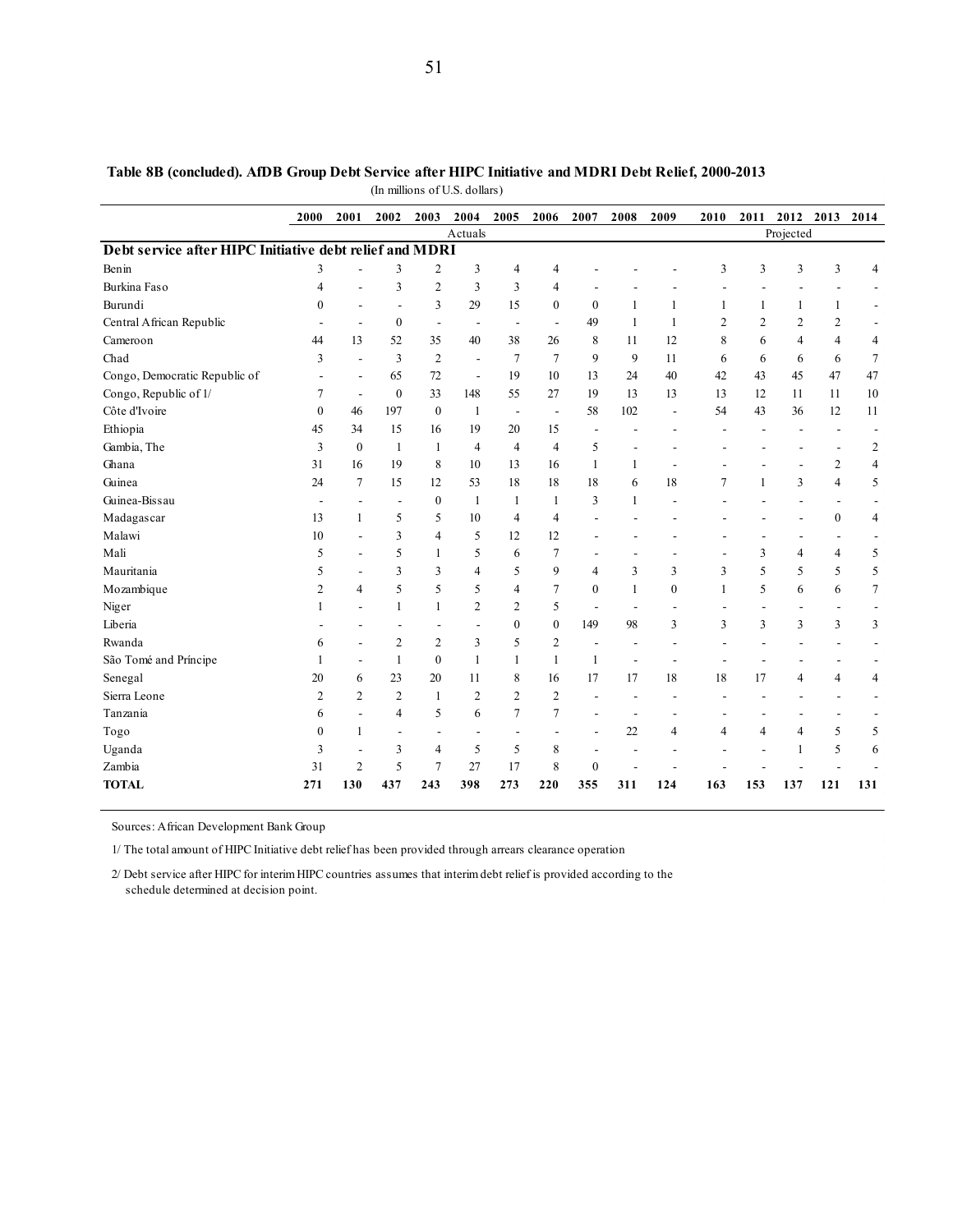|                                                         | 2000           | 2001                     | 2002                     | 2003                     | 2004           | 2005                     | 2006                     | 2007                     | 2008         | 2009                     | 2010           | 2011           |                          | 2012 2013                | 2014           |
|---------------------------------------------------------|----------------|--------------------------|--------------------------|--------------------------|----------------|--------------------------|--------------------------|--------------------------|--------------|--------------------------|----------------|----------------|--------------------------|--------------------------|----------------|
|                                                         |                |                          |                          |                          | Actuals        |                          |                          |                          |              |                          |                |                | Projected                |                          |                |
| Debt service after HIPC Initiative debt relief and MDRI |                |                          |                          |                          |                |                          |                          |                          |              |                          |                |                |                          |                          |                |
| Benin                                                   | 3              | $\overline{a}$           | 3                        | $\overline{2}$           | 3              | 4                        | 4                        |                          |              |                          | 3              | 3              | 3                        | 3                        | $\overline{4}$ |
| Burkina Faso                                            | 4              |                          | 3                        | $\overline{c}$           | 3              | 3                        | 4                        |                          |              |                          |                |                |                          |                          |                |
| Burundi                                                 | $\theta$       |                          | $\overline{\phantom{a}}$ | 3                        | 29             | 15                       | $\mathbf{0}$             | $\overline{0}$           | 1            | $\mathbf{1}$             | 1              | 1              | 1                        | $\mathbf{1}$             | $\blacksquare$ |
| Central African Republic                                |                |                          | $\boldsymbol{0}$         | $\blacksquare$           | $\blacksquare$ | $\overline{\phantom{a}}$ | $\blacksquare$           | 49                       | 1            | 1                        | $\overline{2}$ | $\overline{c}$ | $\overline{2}$           | $\overline{c}$           |                |
| Cameroon                                                | 44             | 13                       | 52                       | 35                       | 40             | 38                       | 26                       | 8                        | 11           | 12                       | 8              | 6              | 4                        | $\overline{4}$           | $\overline{4}$ |
| Chad                                                    | 3              | $\overline{\phantom{a}}$ | 3                        | $\overline{c}$           | $\blacksquare$ | 7                        | $\tau$                   | 9                        | 9            | 11                       | 6              | 6              | 6                        | 6                        | $\tau$         |
| Congo, Democratic Republic of                           |                | ÷,                       | 65                       | 72                       | $\overline{a}$ | 19                       | 10                       | 13                       | 24           | 40                       | 42             | 43             | 45                       | 47                       | 47             |
| Congo, Republic of 1/                                   | 7              | $\blacksquare$           | $\boldsymbol{0}$         | 33                       | 148            | 55                       | 27                       | 19                       | 13           | 13                       | 13             | 12             | 11                       | 11                       | 10             |
| Côte d'Ivoire                                           | $\mathbf{0}$   | 46                       | 197                      | $\mathbf{0}$             | 1              | $\overline{a}$           | $\overline{\phantom{a}}$ | 58                       | 102          | $\blacksquare$           | 54             | 43             | 36                       | 12                       | 11             |
| Ethiopia                                                | 45             | 34                       | 15                       | 16                       | 19             | 20                       | 15                       | $\blacksquare$           |              |                          |                |                | $\overline{\phantom{a}}$ | $\overline{\phantom{a}}$ |                |
| Gambia, The                                             | 3              | $\boldsymbol{0}$         | $\mathbf{1}$             | $\mathbf{1}$             | 4              | $\overline{4}$           | $\overline{4}$           | 5                        |              |                          |                |                |                          |                          | $\overline{2}$ |
| Ghana                                                   | 31             | 16                       | 19                       | 8                        | 10             | 13                       | 16                       | 1                        | 1            |                          |                |                |                          | $\overline{c}$           | $\overline{4}$ |
| Guinea                                                  | 24             | 7                        | 15                       | 12                       | 53             | 18                       | 18                       | 18                       | 6            | 18                       | 7              | 1              | 3                        | $\overline{4}$           | 5              |
| Guinea-Bissau                                           | $\blacksquare$ | $\overline{\phantom{a}}$ | $\overline{\phantom{a}}$ | $\boldsymbol{0}$         | 1              | 1                        | 1                        | 3                        | 1            | $\overline{\phantom{a}}$ |                |                |                          | $\overline{a}$           |                |
| Madagascar                                              | 13             | 1                        | 5                        | 5                        | 10             | 4                        | 4                        | $\overline{\phantom{a}}$ |              |                          |                |                |                          | $\mathbf{0}$             | $\overline{4}$ |
| Malawi                                                  | 10             |                          | 3                        | 4                        | 5              | 12                       | 12                       |                          |              |                          |                |                |                          | ٠                        |                |
| Mali                                                    | 5              | ÷,                       | 5                        | $\mathbf{1}$             | 5              | 6                        | 7                        | $\overline{\phantom{a}}$ |              |                          |                | 3              | $\overline{4}$           | $\overline{4}$           | 5              |
| Mauritania                                              | 5              | $\overline{\phantom{a}}$ | 3                        | 3                        | 4              | 5                        | 9                        | 4                        | 3            | 3                        | 3              | 5              | 5                        | 5                        | 5              |
| Mozambique                                              | $\overline{2}$ | $\overline{4}$           | 5                        | 5                        | 5              | $\overline{4}$           | 7                        | $\mathbf{0}$             | $\mathbf{1}$ | $\mathbf{0}$             | $\mathbf{1}$   | 5              | 6                        | 6                        | $\overline{7}$ |
| Niger                                                   |                | $\overline{\phantom{a}}$ | 1                        | $\mathbf{1}$             | $\overline{c}$ | $\overline{c}$           | 5                        | $\blacksquare$           |              |                          |                |                |                          | $\blacksquare$           |                |
| Liberia                                                 |                |                          |                          |                          |                | $\boldsymbol{0}$         | $\mathbf{0}$             | 149                      | 98           | 3                        | 3              | 3              | 3                        | 3                        | 3              |
| Rwanda                                                  | 6              |                          | $\overline{c}$           | $\overline{c}$           | 3              | 5                        | 2                        |                          |              |                          |                |                |                          |                          |                |
| São Tomé and Príncipe                                   |                | $\overline{\phantom{a}}$ | $\mathbf{1}$             | $\mathbf{0}$             | $\mathbf{1}$   | 1                        | $\mathbf{1}$             | 1                        |              |                          |                |                |                          | ٠                        |                |
| Senegal                                                 | 20             | 6                        | 23                       | 20                       | 11             | 8                        | 16                       | 17                       | 17           | 18                       | 18             | 17             | $\overline{4}$           | 4                        | $\overline{4}$ |
| Sierra Leone                                            | 2              | $\overline{2}$           | $\overline{c}$           | 1                        | $\overline{c}$ | $\overline{c}$           | $\overline{c}$           | $\overline{a}$           | ÷            | $\overline{\phantom{a}}$ |                |                |                          |                          |                |
| Tanzania                                                | 6              |                          | $\overline{4}$           | 5                        | 6              | $\overline{7}$           | $\overline{7}$           |                          |              |                          |                |                |                          |                          |                |
| Togo                                                    | $\Omega$       | 1                        | $\overline{\phantom{a}}$ | $\overline{\phantom{a}}$ | ÷              | $\blacksquare$           | $\overline{\phantom{a}}$ | ÷                        | 22           | 4                        | $\overline{4}$ | 4              | $\overline{4}$           | 5                        | 5              |
| Uganda                                                  | 3              | ÷,                       | 3                        | 4                        | 5              | 5                        | 8                        | $\overline{\phantom{a}}$ |              |                          |                |                | 1                        | 5                        | 6              |
| Zambia                                                  | 31             | $\overline{c}$           | 5                        | 7                        | 27             | 17                       | 8                        | $\boldsymbol{0}$         |              |                          |                |                |                          |                          |                |
| <b>TOTAL</b>                                            | 271            | 130                      | 437                      | 243                      | 398            | 273                      | 220                      | 355                      | 311          | 124                      | 163            | 153            | 137                      | 121                      | 131            |

### **Table 8B (concluded). AfDB Group Debt Service after HIPC Initiative and MDRI Debt Relief, 2000-2013** (In millions of U.S. dollars)

Sources: African Development Bank Group

1/ The total amount of HIPC Initiative debt relief has been provided through arrears clearance operation

2/ Debt service after HIPC for interim HIPC countries assumes that interim debt relief is provided according to the schedule determined at decision point.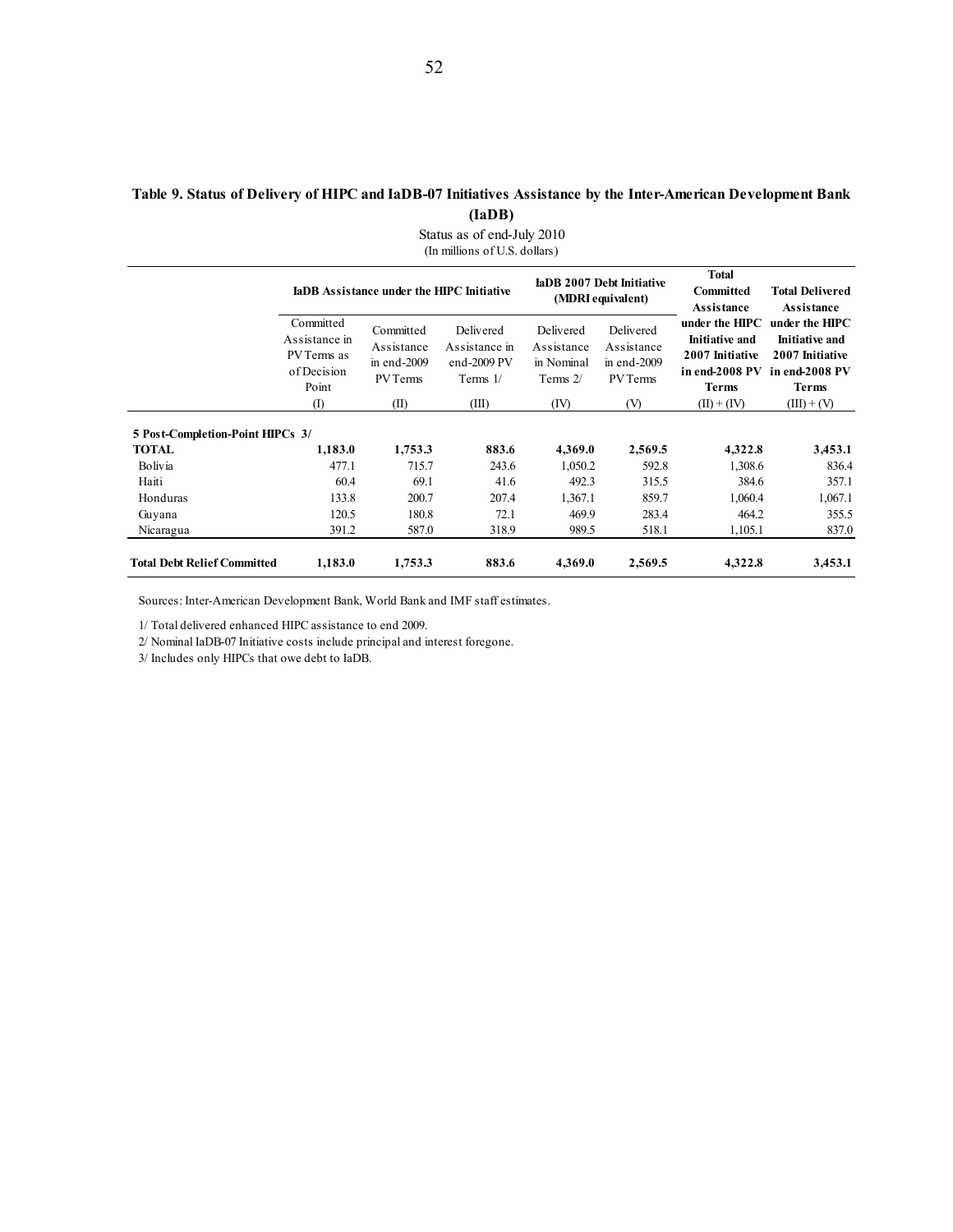### **Table 9. Status of Delivery of HIPC and IaDB-07 Initiatives Assistance by the Inter-American Development Bank (IaDB)**

Status as of end-July 2010 (In millions of U.S. dollars) **IaDB Assistance under the HIPC Initiative IADB 2007 Debt Initiative (MDRI equivalent) Total Committed Assistance Total Delivered Assistance Committed** Assistance in PV Terms as of Decision Point Committed Assistance in end-2009 PV Terms Delivered Assistance in end-2009 PV Terms 1/ Delivered Assistance in Nominal Terms 2/ Delivered Assistance in end-2009 PV Terms **under the HIPC Initiative and 2007 Initiative in end-2008 PV in end-2008 PV Terms under the HIPC Initiative and 2007 Initiative Terms** (I)  $(II)$   $(III)$   $(IV)$   $(V)$   $(II) + (IV)$   $(III) + (V)$  **5 Post-Completion-Point HIPCs 3/ TOTAL 1,183.0 1,753.3 883.6 4,369.0 2,569.5 4,322.8 3,453.1** Bolivia 477.1 715.7 243.6 1,050.2 592.8 1,308.6 836.4 Haiti 60.4 69.1 41.6 492.3 315.5 384.6 357.1 Honduras 133.8 200.7 207.4 1,367.1 859.7 1,060.4 1,067.1 Guyana 120.5 180.8 72.1 469.9 283.4 464.2 355.5 Nicaragua 391.2 587.0 318.9 989.5 518.1 1,105.1 837.0 **Total Debt Relief Committed 1,183.0 1,753.3 883.6 4,369.0 2,569.5 4,322.8 3,453.1**

Sources: Inter-American Development Bank, World Bank and IMF staff estimates.

1/ Total delivered enhanced HIPC assistance to end 2009.

2/ Nominal IaDB-07 Initiative costs include principal and interest foregone.

3/ Includes only HIPCs that owe debt to IaDB.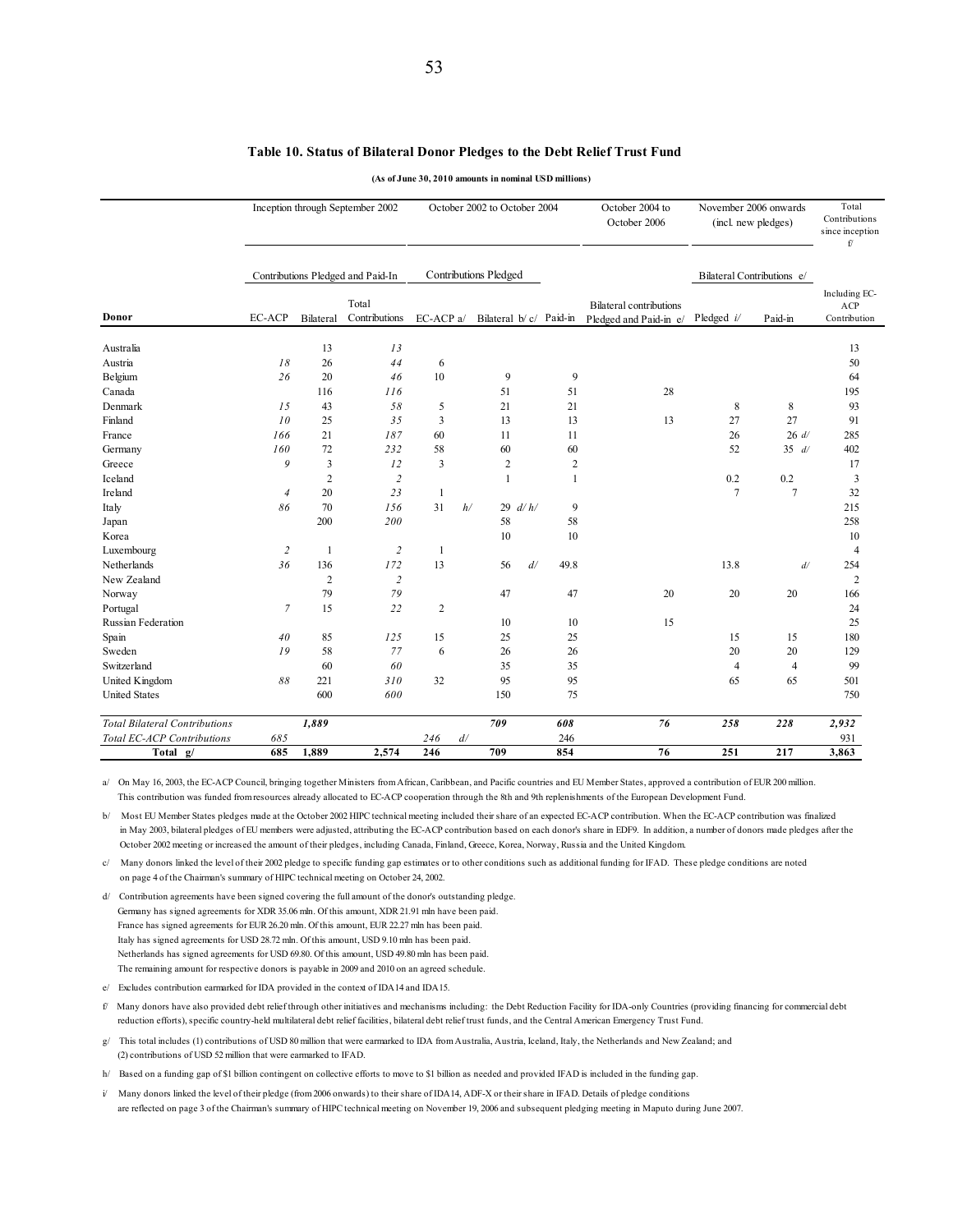### **Table 10. Status of Bilateral Donor Pledges to the Debt Relief Trust Fund**

**(As of June 30, 2010 amounts in nominal USD millions)**

|                                      |                |                | Inception through September 2002  |                         |    | October 2002 to October 2004 |    |              | October 2004 to<br>October 2006 | November 2006 onwards | (incl. new pledges)        | Total<br>Contributions<br>since inception<br>f/ |
|--------------------------------------|----------------|----------------|-----------------------------------|-------------------------|----|------------------------------|----|--------------|---------------------------------|-----------------------|----------------------------|-------------------------------------------------|
|                                      |                |                | Contributions Pledged and Paid-In |                         |    | <b>Contributions Pledged</b> |    |              |                                 |                       | Bilateral Contributions e/ |                                                 |
|                                      |                |                | Total                             |                         |    |                              |    |              | <b>Bilateral contributions</b>  |                       |                            | Including EC-                                   |
| Donor                                | <b>EC-ACP</b>  | Bilateral      | Contributions                     | EC-ACP a/               |    | Bilateral b/c/ Paid-in       |    |              | Pledged and Paid-in e/          | Pledged $i/$          | Paid-in                    | ACP<br>Contribution                             |
| Australia                            |                | 13             | 13                                |                         |    |                              |    |              |                                 |                       |                            | 13                                              |
| Austria                              | 18             | 26             | 44                                | 6                       |    |                              |    |              |                                 |                       |                            | 50                                              |
| Belgium                              | 26             | 20             | 46                                | 10                      |    | 9                            |    | 9            |                                 |                       |                            | 64                                              |
| Canada                               |                | 116            | 116                               |                         |    | 51                           |    | 51           | 28                              |                       |                            | 195                                             |
| Denmark                              | 15             | 43             | 58                                | 5                       |    | 21                           |    | 21           |                                 | 8                     | 8                          | 93                                              |
| Finland                              | 10             | 25             | 35                                | $\mathfrak{Z}$          |    | 13                           |    | 13           | 13                              | 27                    | 27                         | 91                                              |
| France                               | 166            | 21             | 187                               | 60                      |    | 11                           |    | 11           |                                 | 26                    | 26 d/                      | 285                                             |
| Germany                              | 160            | 72             | 232                               | 58                      |    | 60                           |    | 60           |                                 | 52                    | 35 d/                      | 402                                             |
| Greece                               | 9              | 3              | 12                                | $\overline{\mathbf{3}}$ |    | $\overline{c}$               |    | $\sqrt{2}$   |                                 |                       |                            | 17                                              |
| Iceland                              |                | $\overline{2}$ | $\overline{2}$                    |                         |    | $\mathbf{1}$                 |    | $\mathbf{1}$ |                                 | 0.2                   | 0.2                        | 3                                               |
| Ireland                              | $\overline{4}$ | 20             | 23                                | $\mathbf{1}$            |    |                              |    |              |                                 | $\tau$                | $\overline{7}$             | 32                                              |
| Italy                                | 86             | 70             | 156                               | 31                      | h/ | 29 $d/h/$                    |    | 9            |                                 |                       |                            | 215                                             |
| Japan                                |                | 200            | 200                               |                         |    | 58                           |    | 58           |                                 |                       |                            | 258                                             |
| Korea                                |                |                |                                   |                         |    | 10                           |    | 10           |                                 |                       |                            | 10                                              |
| Luxembourg                           | $\overline{2}$ | $\mathbf{1}$   | $\overline{c}$                    | $\mathbf{1}$            |    |                              |    |              |                                 |                       |                            | $\overline{4}$                                  |
| Netherlands                          | 36             | 136            | 172                               | 13                      |    | 56                           | d/ | 49.8         |                                 | 13.8                  | d/                         | 254                                             |
| New Zealand                          |                | $\overline{2}$ | $\sqrt{2}$                        |                         |    |                              |    |              |                                 |                       |                            | $\overline{c}$                                  |
| Norway                               |                | 79             | 79                                |                         |    | 47                           |    | 47           | 20                              | 20                    | 20                         | 166                                             |
| Portugal                             | $\overline{7}$ | 15             | 22                                | $\overline{2}$          |    |                              |    |              |                                 |                       |                            | 24                                              |
| Russian Federation                   |                |                |                                   |                         |    | 10                           |    | 10           | 15                              |                       |                            | 25                                              |
| Spain                                | 40             | 85             | 125                               | 15                      |    | 25                           |    | 25           |                                 | 15                    | 15                         | 180                                             |
| Sweden                               | 19             | 58             | 77                                | 6                       |    | 26                           |    | 26           |                                 | 20                    | 20                         | 129                                             |
| Switzerland                          |                | 60             | 60                                |                         |    | 35                           |    | 35           |                                 | $\overline{4}$        | $\overline{4}$             | 99                                              |
| United Kingdom                       | 88             | 221            | 310                               | 32                      |    | 95                           |    | 95           |                                 | 65                    | 65                         | 501                                             |
| <b>United States</b>                 |                | 600            | 600                               |                         |    | 150                          |    | 75           |                                 |                       |                            | 750                                             |
| <b>Total Bilateral Contributions</b> |                | 1,889          |                                   |                         |    | 709                          |    | 608          | 76                              | 258                   | 228                        | 2,932                                           |
| Total EC-ACP Contributions           | 685            |                |                                   | 246                     | d/ |                              |    | 246          |                                 |                       |                            | 931                                             |
| Total g/                             | 685            | 1,889          | 2,574                             | 246                     |    | 709                          |    | 854          | 76                              | 251                   | 217                        | 3,863                                           |

a/ On May 16, 2003, the EC-ACP Council, bringing together Ministers from African, Caribbean, and Pacific countries and EU Member States, approved a contribution of EUR 200 million. This contribution was funded from resources already allocated to EC-ACP cooperation through the 8th and 9th replenishments of the European Development Fund.

b/ Most EU Member States pledges made at the October 2002 HIPC technical meeting included their share of an expected EC-ACP contribution. When the EC-ACP contribution was finalized in May 2003, bilateral pledges of EU members were adjusted, attributing the EC-ACP contribution based on each donor's share in EDF9. In addition, a number of donors made pledges after the October 2002 meeting or increased the amount of their pledges, including Canada, Finland, Greece, Korea, Norway, Russia and the United Kingdom.

c/ Many donors linked the level of their 2002 pledge to specific funding gap estimates or to other conditions such as additional funding for IFAD. These pledge conditions are noted on page 4 of the Chairman's summary of HIPC technical meeting on October 24, 2002.

d/ Contribution agreements have been signed covering the full amount of the donor's outstanding pledge. Germany has signed agreements for XDR 35.06 mln. Of this amount, XDR 21.91 mln have been paid. France has signed agreements for EUR 26.20 mln. Of this amount, EUR 22.27 mln has been paid. Italy has signed agreements for USD 28.72 mln. Of this amount, USD 9.10 mln has been paid. Netherlands has signed agreements for USD 69.80. Of this amount, USD 49.80 mln has been paid. The remaining amount for respective donors is payable in 2009 and 2010 on an agreed schedule.

e/ Excludes contribution earmarked for IDA provided in the context of IDA14 and IDA15.

f/ Many donors have also provided debt relief through other initiatives and mechanisms including: the Debt Reduction Facility for IDA-only Countries (providing financing for commercial debt reduction efforts), specific country-held multilateral debt relief facilities, bilateral debt relief trust funds, and the Central American Emergency Trust Fund.

g/ This total includes (1) contributions of USD 80 million that were earmarked to IDA from Australia, Austria, Iceland, Italy, the Netherlands and New Zealand; and (2) contributions of USD 52 million that were earmarked to IFAD.

h/ Based on a funding gap of \$1 billion contingent on collective efforts to move to \$1 billion as needed and provided IFAD is included in the funding gap.

i/ Many donors linked the level of their pledge (from 2006 onwards) to their share of IDA14, ADF-X or their share in IFAD. Details of pledge conditions are reflected on page 3 of the Chairman's summary of HIPC technical meeting on November 19, 2006 and subsequent pledging meeting in Maputo during June 2007.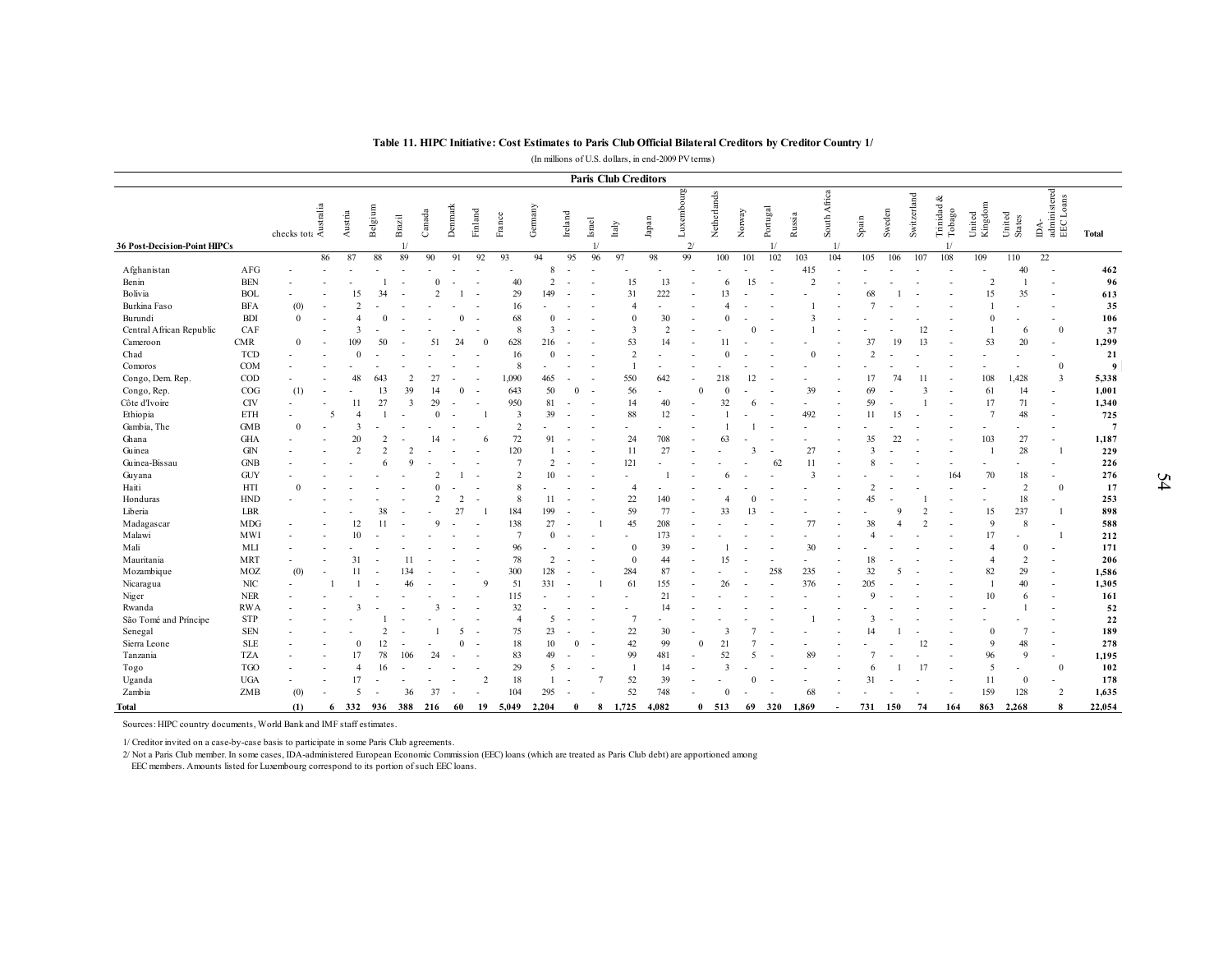|                              |             |                                                                                                  |    |                |                |                         |                |                |                          |                 |                         |                          |                          |                             | (In millions of U.S. dollars, in end-2009 PV terms) |                              |                      |              |                          | Table 11. HIPC Initiative: Cost Estimates to Paris Club Official Bilateral Creditors by Creditor Country 1/ |                              |                |        |             |                      |                          |                          |                                   |                 |
|------------------------------|-------------|--------------------------------------------------------------------------------------------------|----|----------------|----------------|-------------------------|----------------|----------------|--------------------------|-----------------|-------------------------|--------------------------|--------------------------|-----------------------------|-----------------------------------------------------|------------------------------|----------------------|--------------|--------------------------|-------------------------------------------------------------------------------------------------------------|------------------------------|----------------|--------|-------------|----------------------|--------------------------|--------------------------|-----------------------------------|-----------------|
|                              |             |                                                                                                  |    |                |                |                         |                |                |                          |                 |                         |                          |                          | <b>Paris Club Creditors</b> |                                                     |                              |                      |              |                          |                                                                                                             |                              |                |        |             |                      |                          |                          |                                   |                 |
| 36 Post-Decision-Point HIPCs |             | $\begin{array}{c}\n\text{if } \frac{3}{2} \\ \text{checks} \text{ to } \frac{3}{2}\n\end{array}$ |    | Austria        | Belgium        | Brazil<br>$\mathbf{1}$  | Canada         | Denmark        | Finland                  | France          | Gemany                  | $_{\rm Ireland}$         | <b>Israel</b>            | Italy                       | $_{\rm{Japan}}$                                     | Luxembourg<br>$\overline{2}$ | Netherlands          | Norway       | Portugal<br>1/           | Russia                                                                                                      | South Africa<br>$\mathbf{1}$ | Spain          | Sweden | Switzerland | Trinidad &<br>Tobago | Kingdom<br>United        | United<br><b>States</b>  | IDA-<br>administered<br>EEC Loans | <b>Total</b>    |
|                              |             |                                                                                                  | 86 | 87             | 88             | 89                      | 90             | 91             | 92                       | 93              | 94                      | 95                       | 96                       | 97                          | 98                                                  | 99                           | 100                  | 101          | 102                      | 103                                                                                                         | 104                          | 105            | 106    | 107         | 108                  | 109                      | 110                      | 22                                |                 |
| Afghanistan                  | AFG         |                                                                                                  |    |                |                |                         |                |                |                          |                 | 8                       |                          |                          |                             |                                                     |                              |                      |              |                          | 415                                                                                                         |                              |                |        |             |                      |                          | 40                       |                                   | 462             |
| Benin                        | <b>BEN</b>  |                                                                                                  |    |                |                |                         | $\Omega$       | $\overline{a}$ |                          | 40              | $\overline{2}$          | $\overline{\phantom{a}}$ |                          | 15                          | 13                                                  |                              | 6                    | 15           | $\sim$                   | $\overline{2}$                                                                                              |                              |                |        |             |                      | $\overline{2}$           |                          |                                   | 96              |
| Bolivia                      | <b>BOL</b>  |                                                                                                  |    | 15             | 34             |                         | $\mathcal{D}$  |                |                          | 29              | 149                     |                          |                          | 31                          | 222                                                 |                              | 13                   |              |                          |                                                                                                             |                              |                |        |             |                      | 15                       | 35                       |                                   | 613             |
| Burkina Faso                 | <b>BFA</b>  | (0)                                                                                              |    | $\mathcal{I}$  |                |                         |                |                |                          | 16              |                         |                          |                          | $\overline{4}$              |                                                     |                              |                      |              |                          |                                                                                                             |                              |                |        |             |                      |                          |                          |                                   | 35              |
| Burundi                      | <b>BDI</b>  | $\mathbf{0}$                                                                                     |    |                | $\Omega$       |                         |                | $\mathbf{0}$   |                          | 68              | $\theta$                |                          |                          | $\theta$                    | 30                                                  |                              |                      |              |                          |                                                                                                             |                              |                |        |             |                      | $\theta$                 |                          |                                   | 106             |
| Central African Republic     | CAF         |                                                                                                  |    | 3              |                |                         |                |                |                          | 8               | $\overline{\mathbf{3}}$ |                          |                          | $\overline{\mathbf{3}}$     | $\overline{2}$                                      |                              |                      |              |                          |                                                                                                             |                              |                |        | 12          |                      |                          | 6                        | $\mathbf{0}$                      | 37              |
| Cameroon                     | <b>CMR</b>  | $\theta$                                                                                         |    | 109            | 50             |                         | 51             | 24             |                          | 628             | 216                     |                          |                          | 53                          | 14                                                  |                              | 11                   |              |                          |                                                                                                             |                              | 37             | 19     | 13          |                      | 53                       | 20                       | $\overline{a}$                    | 1,299           |
| Chad                         | <b>TCD</b>  |                                                                                                  |    | $\Omega$       |                |                         |                |                |                          | 16              | $\theta$                |                          |                          | $\overline{2}$              |                                                     |                              |                      |              |                          | $\Omega$                                                                                                    |                              |                |        |             |                      |                          |                          |                                   | 21              |
| Comoros                      | <b>COM</b>  |                                                                                                  |    |                |                |                         |                |                |                          | 8               |                         |                          |                          | $\overline{1}$              |                                                     |                              |                      |              |                          |                                                                                                             |                              |                |        |             |                      |                          |                          | $\mathbf{0}$                      | 9               |
| Congo, Dem. Rep.             | COD         |                                                                                                  |    | 48             | 643            | 2                       | 27             |                |                          | 1,090           | 465                     |                          |                          | 550                         | 642                                                 |                              | 218                  | 12           |                          |                                                                                                             |                              |                | 74     | 11          |                      | 108                      | 1,428                    | $\overline{\mathbf{3}}$           | 5,338           |
| Congo, Rep.                  | COG         | (1)                                                                                              |    |                | 13             | 39                      | 14             | $\mathbf{0}$   |                          | 643             | 50                      | $\overline{0}$           | $\overline{\phantom{a}}$ | 56                          | $\overline{a}$                                      |                              | $\Omega$<br>$\Omega$ |              |                          | 39                                                                                                          |                              | 69             |        |             |                      | 61                       | 14                       |                                   | 1,001           |
| Côte d'Ivoire                | <b>CIV</b>  |                                                                                                  |    | 11             | 27             | $\overline{\mathbf{3}}$ | 29             |                |                          | 950             | 81                      |                          |                          | 14                          | 40                                                  |                              | 32                   | 6            |                          |                                                                                                             |                              | 59             |        |             |                      | 17                       | 71                       | $\overline{\phantom{a}}$          | 1,340           |
| Ethiopia                     | ETH         |                                                                                                  |    |                |                |                         |                |                |                          | 3               | 39                      |                          |                          | 88                          | 12                                                  |                              |                      |              |                          | 492                                                                                                         |                              | 11             | 15     |             |                      | $\overline{7}$           | 48                       |                                   | 725             |
| Gambia, The                  | <b>GMB</b>  | $\overline{0}$                                                                                   |    | 3              |                |                         |                |                |                          | $\overline{2}$  |                         |                          |                          | ٠                           |                                                     |                              |                      |              | $\overline{\phantom{a}}$ |                                                                                                             |                              |                |        |             |                      |                          | $\overline{\phantom{0}}$ |                                   | $7\phantom{.0}$ |
| Ghana                        | <b>GHA</b>  |                                                                                                  |    | 20             | $\overline{2}$ |                         |                |                |                          | $72\,$          | 91                      |                          |                          | 24                          | 708                                                 |                              | 63                   |              |                          |                                                                                                             |                              | 35             | າາ     |             |                      | 103                      | 27                       |                                   | 1,187           |
| Guinea                       | <b>GIN</b>  |                                                                                                  |    | $\mathcal{I}$  | $\mathcal{D}$  | $\mathcal{D}$           |                |                |                          | 120             |                         |                          |                          | 11                          | 27                                                  |                              |                      | $\mathbf{3}$ |                          | 27                                                                                                          |                              |                |        |             |                      |                          | 28                       |                                   | 229             |
| Guinea-Bissau                | <b>GNB</b>  |                                                                                                  |    |                |                | $\mathbf Q$             |                |                |                          | $7\phantom{.0}$ | $\overline{2}$          |                          |                          | 121                         |                                                     |                              |                      |              | 62                       | 11                                                                                                          |                              | 8              |        |             |                      | $\overline{a}$           | ٠                        | $\sim$                            | 226             |
| Guyana                       | <b>GUY</b>  |                                                                                                  |    |                |                |                         |                |                |                          | 2               | 10                      |                          |                          | $\overline{a}$              |                                                     |                              |                      |              |                          |                                                                                                             |                              |                |        |             | 164                  | 70                       | 18                       | $\sim$                            | 276             |
| Haiti                        | HTI         | $\Omega$                                                                                         |    |                |                |                         |                |                |                          | 8               |                         |                          |                          | $\overline{4}$              |                                                     |                              |                      |              |                          |                                                                                                             |                              |                |        |             |                      |                          | 2                        | $\theta$                          | 17              |
| Honduras                     | ${\rm HND}$ |                                                                                                  |    |                |                |                         | $\overline{2}$ | $\overline{c}$ | $\overline{\phantom{a}}$ | 8               | 11                      |                          |                          | 22                          | 140                                                 |                              |                      | $\mathbf{0}$ |                          |                                                                                                             |                              | 45             |        |             |                      | $\overline{\phantom{a}}$ | 18                       | $\overline{\phantom{a}}$          | 253             |
| Liberia                      | LBR         |                                                                                                  |    |                | 38             |                         |                | 27             |                          | 184             | 199                     |                          |                          | 59                          | 77                                                  |                              | 33                   | 13           |                          |                                                                                                             |                              |                |        |             |                      | 15                       | 237                      |                                   | 898             |
| Madagascar                   | MDG         |                                                                                                  |    | 12             | 11             |                         |                |                |                          | 138             | 27                      |                          |                          | 45                          | 208                                                 |                              |                      |              |                          | 77                                                                                                          |                              | 38             |        |             |                      | $\mathbf{Q}$             | 8                        |                                   | 588             |
| Malawi                       | MWI         |                                                                                                  |    | 10             |                |                         |                |                |                          | $7\phantom{.0}$ | $\Omega$                |                          |                          |                             | 173                                                 |                              |                      |              |                          |                                                                                                             |                              | $\overline{A}$ |        |             |                      | 17                       |                          |                                   | 212             |
| Mali                         | <b>MLI</b>  |                                                                                                  |    |                |                |                         |                |                |                          | 96              |                         |                          |                          | $\theta$                    | 39                                                  |                              |                      |              |                          | 30                                                                                                          |                              |                |        |             |                      | $\overline{4}$           | $\theta$                 |                                   | 171             |
| Mauritania                   | <b>MRT</b>  |                                                                                                  |    | 31             |                | 11                      |                |                |                          | 78              | 2                       |                          |                          | $\theta$                    | 44                                                  |                              | 15                   |              |                          |                                                                                                             |                              | 18             |        |             |                      | $\overline{4}$           | 2                        |                                   | 206             |
| Mozambique                   | MOZ         | (0)                                                                                              |    | 11             |                | 134                     |                |                |                          | 300             | 128                     |                          |                          | 284                         | 87                                                  |                              |                      |              | 258                      | 235                                                                                                         |                              | 32             | 5      |             |                      | 82                       | 29                       |                                   | 1,586           |
| Nicaragua                    | NIC         |                                                                                                  |    |                |                | 46                      |                |                |                          | 51              | 331                     |                          |                          | 61                          | 155                                                 |                              | 26                   |              |                          | 376                                                                                                         |                              | 205            |        |             |                      | $\overline{1}$           | 40                       |                                   | 1,305           |
| Niger                        | <b>NER</b>  |                                                                                                  |    |                |                |                         |                |                |                          | 115             |                         |                          |                          |                             | 21                                                  |                              |                      |              |                          |                                                                                                             |                              |                |        |             |                      | 10                       | 6                        |                                   | 161             |
| Rwanda                       | <b>RWA</b>  |                                                                                                  |    | 3              |                |                         | $\mathbf{3}$   |                |                          | 32              |                         |                          |                          |                             | 14                                                  |                              |                      |              |                          |                                                                                                             |                              |                |        |             |                      |                          |                          |                                   | 52              |
| São Tomé and Príncipe        | <b>STP</b>  |                                                                                                  |    |                |                |                         |                |                |                          | $\overline{4}$  | 5                       |                          |                          | $\overline{7}$              |                                                     |                              |                      |              |                          |                                                                                                             |                              |                |        |             |                      |                          |                          |                                   | 22              |
| Senegal                      | <b>SEN</b>  |                                                                                                  |    |                | $\overline{2}$ |                         |                | 5              |                          | 75              | 23                      |                          |                          | $22\,$                      | 30                                                  |                              | -3                   |              |                          |                                                                                                             |                              |                |        |             |                      | $\theta$                 |                          |                                   | 189             |
| Sierra Leone                 | <b>SLE</b>  |                                                                                                  |    | $\theta$       | 12             |                         |                | $\Omega$       |                          | $18\,$          | 10                      | $\Omega$                 | $\overline{\phantom{a}}$ | 42                          | 99                                                  |                              | 21<br>$\Omega$       | 5            |                          |                                                                                                             |                              |                |        | 12          |                      | 9                        | 48<br>$\mathbf Q$        | $\overline{\phantom{a}}$          | 278             |
| Tanzania                     | <b>TZA</b>  |                                                                                                  |    | 17             | 78             | 106                     | 24             |                |                          | 83              | 49                      |                          |                          | 99                          | 481                                                 |                              | 52                   |              |                          |                                                                                                             |                              |                |        |             |                      | 96                       |                          | $\sim$                            | 1,195           |
| Togo                         | <b>TGO</b>  |                                                                                                  |    | $\overline{4}$ | 16             |                         |                |                |                          | 29              | 5                       |                          |                          | $\overline{1}$              | 14                                                  |                              | 3                    |              |                          |                                                                                                             |                              | 6              |        | 17          |                      | 5                        | $\overline{\phantom{a}}$ | $\theta$                          | 102             |
| Uganda                       | <b>UGA</b>  |                                                                                                  |    | 17<br>5        |                |                         |                |                | $\overline{2}$           | $18\,$          | $\mathbf{1}$            |                          |                          | 52                          | 39                                                  |                              |                      | $\Omega$     |                          |                                                                                                             |                              | 31             |        |             |                      | 11                       | $\bf{0}$                 |                                   | 178             |
| Zambia                       | ZMB         | (0)                                                                                              |    |                |                | 36                      | 37             |                |                          | 104             | 295                     |                          |                          | 52                          | 748                                                 |                              |                      |              |                          | 68                                                                                                          |                              |                |        |             |                      | 159                      | 128                      | 2                                 | 1,635           |
| <b>Total</b>                 |             | (1)                                                                                              |    | 332<br>6       | 936            | 388                     | 216            | 60             | 19                       | 5,049           | 2,204                   | $\theta$                 | 8                        | 1,725                       | 4,082                                               |                              | $\theta$<br>513      | 69           | 320                      | 1,869                                                                                                       |                              | 731            | 150    | 74          | 164                  | 863                      | 2,268                    | $\mathbf{R}$                      | 22,054          |

Sources: HIPC country documents, World Bank and IMF staff estimates.

1/ Creditor invited on a case-by-case basis to participate in some Paris Club agreements.

2/ Not a Paris Club member. In some cases, IDA-administered European Economic Commission (EEC) loans (which are treated as Paris Club debt) are apportioned among

EEC members. Amounts listed for Luxembourg correspond to its portion of such EEC loans.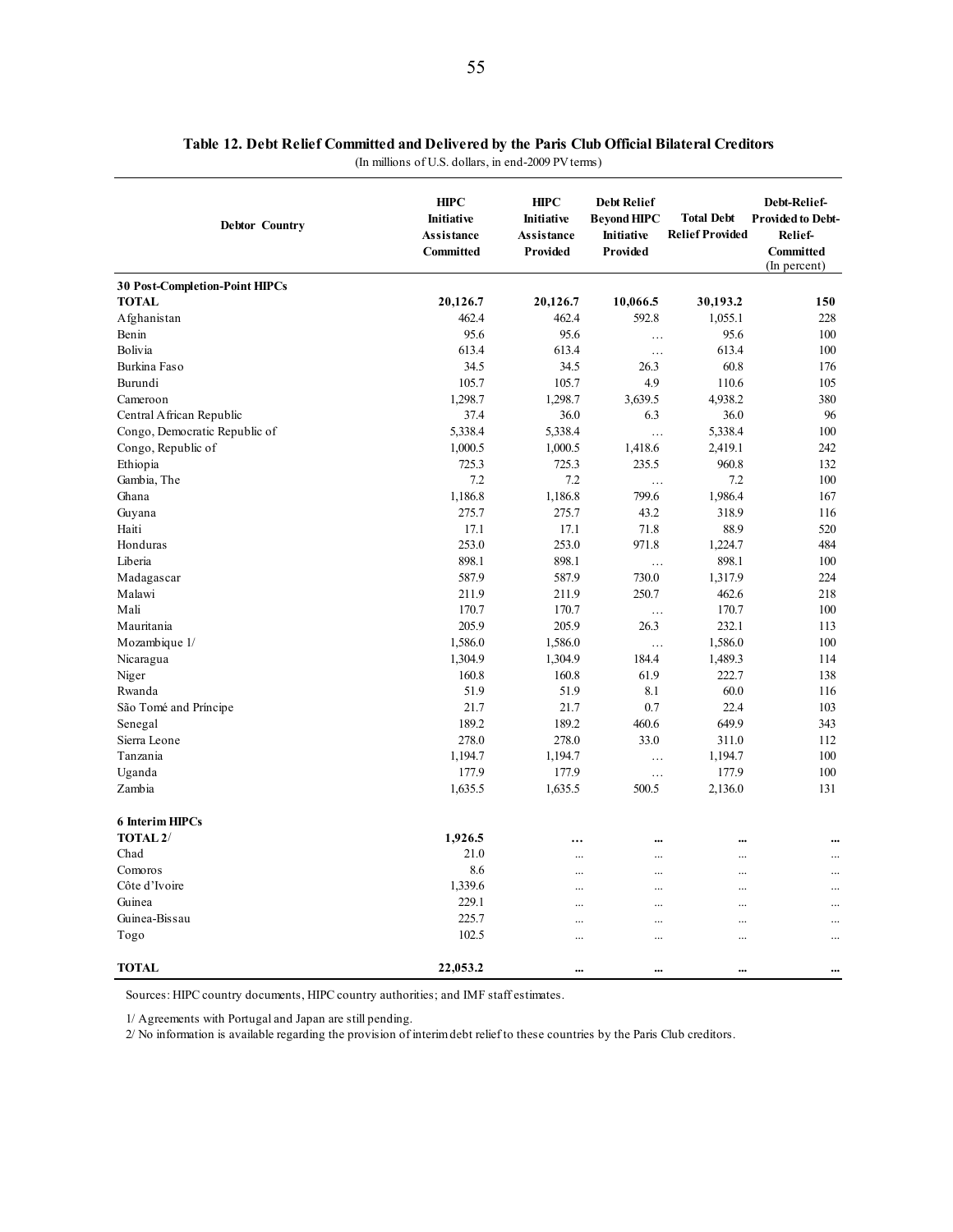|  |  |  | Table 12. Debt Relief Committed and Delivered by the Paris Club Official Bilateral Creditors |  |  |  |  |  |  |  |
|--|--|--|----------------------------------------------------------------------------------------------|--|--|--|--|--|--|--|
|  |  |  |                                                                                              |  |  |  |  |  |  |  |

(In millions of U.S. dollars, in end-2009 PV terms)

| <b>Debtor Country</b>                 | <b>HIPC</b><br><b>Initiative</b><br>Assistance<br>Committed | <b>HIPC</b><br><b>Initiative</b><br>Assistance<br>Provided | <b>Debt Relief</b><br><b>Bevond HIPC</b><br>Initiative<br>Provided | <b>Total Debt</b><br><b>Relief Provided</b> | Debt-Relief-<br><b>Provided to Debt-</b><br>Relief-<br>Committed<br>(In percent) |
|---------------------------------------|-------------------------------------------------------------|------------------------------------------------------------|--------------------------------------------------------------------|---------------------------------------------|----------------------------------------------------------------------------------|
| <b>30 Post-Completion-Point HIPCs</b> |                                                             |                                                            |                                                                    |                                             |                                                                                  |
| <b>TOTAL</b>                          | 20,126.7                                                    | 20,126.7                                                   | 10,066.5                                                           | 30,193.2                                    | 150                                                                              |
| Afghanistan                           | 462.4                                                       | 462.4                                                      | 592.8                                                              | 1,055.1                                     | 228                                                                              |
| Benin                                 | 95.6                                                        | 95.6                                                       | $\ldots$                                                           | 95.6                                        | 100                                                                              |
| Bolivia                               | 613.4                                                       | 613.4                                                      | $\ldots$                                                           | 613.4                                       | 100                                                                              |
| Burkina Faso                          | 34.5                                                        | 34.5                                                       | 26.3                                                               | 60.8                                        | 176                                                                              |
| Burundi                               | 105.7                                                       | 105.7                                                      | 4.9                                                                | 110.6                                       | 105                                                                              |
| Cameroon                              | 1,298.7                                                     | 1,298.7                                                    | 3,639.5                                                            | 4,938.2                                     | 380                                                                              |
| Central African Republic              | 37.4                                                        | 36.0                                                       | 6.3                                                                | 36.0                                        | 96                                                                               |
| Congo, Democratic Republic of         | 5,338.4                                                     | 5,338.4                                                    | $\cdots$                                                           | 5,338.4                                     | 100                                                                              |
| Congo, Republic of                    | 1,000.5                                                     | 1,000.5                                                    | 1,418.6                                                            | 2,419.1                                     | 242                                                                              |
| Ethiopia                              | 725.3                                                       | 725.3                                                      | 235.5                                                              | 960.8                                       | 132                                                                              |
| Gambia, The                           | 7.2                                                         | 7.2                                                        | $\ddotsc$                                                          | 7.2                                         | 100                                                                              |
| Ghana                                 | 1,186.8                                                     | 1,186.8                                                    | 799.6                                                              | 1,986.4                                     | 167                                                                              |
| Guyana                                | 275.7                                                       | 275.7                                                      | 43.2                                                               | 318.9                                       | 116                                                                              |
| Haiti                                 | 17.1                                                        | 17.1                                                       | 71.8                                                               | 88.9                                        | 520                                                                              |
| Honduras                              | 253.0                                                       | 253.0                                                      | 971.8                                                              | 1,224.7                                     | 484                                                                              |
| Liberia                               | 898.1                                                       | 898.1                                                      | $\ddots$                                                           | 898.1                                       | 100                                                                              |
| Madagascar                            | 587.9                                                       | 587.9                                                      | 730.0                                                              | 1,317.9                                     | 224                                                                              |
| Malawi                                | 211.9                                                       | 211.9                                                      | 250.7                                                              | 462.6                                       | 218                                                                              |
| Mali                                  | 170.7                                                       | 170.7                                                      | $\ldots$                                                           | 170.7                                       | 100                                                                              |
| Mauritania                            | 205.9                                                       | 205.9                                                      | 26.3                                                               | 232.1                                       | 113                                                                              |
| Mozambique 1/                         | 1,586.0                                                     | 1,586.0                                                    | .                                                                  | 1,586.0                                     | 100                                                                              |
| Nicaragua                             | 1,304.9                                                     | 1,304.9                                                    | 184.4                                                              | 1,489.3                                     | 114                                                                              |
| Niger                                 | 160.8                                                       | 160.8                                                      | 61.9                                                               | 222.7                                       | 138                                                                              |
| Rwanda                                | 51.9                                                        | 51.9                                                       | 8.1                                                                | 60.0                                        | 116                                                                              |
| São Tomé and Príncipe                 | 21.7                                                        | 21.7                                                       | 0.7                                                                | 22.4                                        | 103                                                                              |
| Senegal                               | 189.2                                                       | 189.2                                                      | 460.6                                                              | 649.9                                       | 343                                                                              |
| Sierra Leone                          | 278.0                                                       | 278.0                                                      | 33.0                                                               | 311.0                                       | 112                                                                              |
| Tanzania                              | 1,194.7                                                     | 1,194.7                                                    | .                                                                  | 1,194.7                                     | 100                                                                              |
| Uganda                                | 177.9                                                       | 177.9                                                      | $\cdots$                                                           | 177.9                                       | 100                                                                              |
| Zambia                                | 1,635.5                                                     | 1,635.5                                                    | 500.5                                                              | 2,136.0                                     | 131                                                                              |
| <b>6 Interim HIPCs</b>                |                                                             |                                                            |                                                                    |                                             |                                                                                  |
| TOTAL <sub>2</sub> /                  | 1,926.5                                                     | $\ddotsc$                                                  | $\ddotsc$                                                          |                                             |                                                                                  |
| Chad                                  | 21.0                                                        | $\ddotsc$                                                  | $\cdots$                                                           |                                             |                                                                                  |
| Comoros                               | 8.6                                                         | $\ddotsc$                                                  | $\ddotsc$                                                          | $\ddotsc$                                   | $\ddotsc$                                                                        |
| Côte d'Ivoire                         | 1,339.6                                                     |                                                            | $\cdots$                                                           |                                             | .                                                                                |
| Guinea                                | 229.1                                                       |                                                            | $\cdots$                                                           |                                             |                                                                                  |
| Guinea-Bissau                         | 225.7                                                       |                                                            |                                                                    |                                             |                                                                                  |
| Togo                                  | 102.5                                                       |                                                            |                                                                    |                                             |                                                                                  |
| <b>TOTAL</b>                          | 22,053.2                                                    |                                                            |                                                                    |                                             |                                                                                  |

Sources: HIPC country documents, HIPC country authorities; and IMF staff estimates.

1/ Agreements with Portugal and Japan are still pending.

2/ No information is available regarding the provision of interim debt relief to these countries by the Paris Club creditors.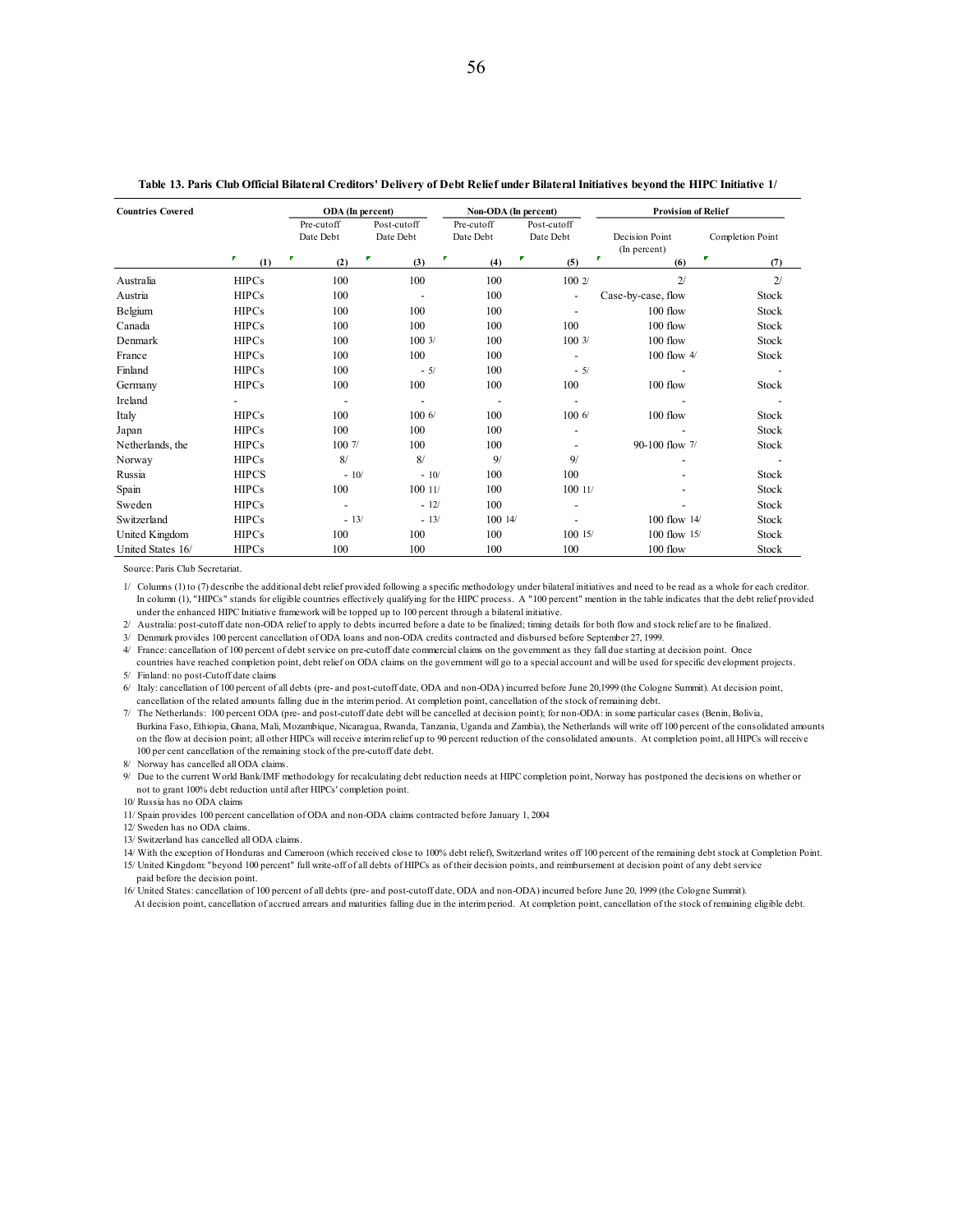| <b>Countries Covered</b> |              | ODA (In percent) |                          | Non-ODA (In percent) |                          | <b>Provision of Relief</b> |                  |
|--------------------------|--------------|------------------|--------------------------|----------------------|--------------------------|----------------------------|------------------|
|                          |              | Pre-cutoff       | Post-cutoff              | Pre-cutoff           | Post-cutoff              |                            |                  |
|                          |              | Date Debt        | Date Debt                | Date Debt            | Date Debt                | Decision Point             | Completion Point |
|                          | P.           | F<br>F           | r                        |                      | F.                       | (In percent)<br>P.         | P.               |
|                          | (1)          | (2)              | (3)                      | (4)                  | (5)                      | (6)                        | (7)              |
| Australia                | <b>HIPCs</b> | 100              | 100                      | 100                  | 100 2/                   | 2/                         | 2/               |
| Austria                  | <b>HIPCs</b> | 100              | $\overline{\phantom{a}}$ | 100                  | ٠                        | Case-by-case, flow         | Stock            |
| Belgium                  | <b>HIPCs</b> | 100              | 100                      | 100                  | $\overline{\phantom{a}}$ | $100$ flow                 | Stock            |
| Canada                   | <b>HIPCs</b> | 100              | 100                      | 100                  | 100                      | 100 flow                   | Stock            |
| Denmark                  | <b>HIPCs</b> | 100              | 1003/                    | 100                  | 1003/                    | 100 flow                   | Stock            |
| France                   | <b>HIPCs</b> | 100              | 100                      | 100                  |                          | 100 flow $4/$              | Stock            |
| Finland                  | <b>HIPCs</b> | 100              | $-5/$                    | 100                  | $-5/$                    |                            |                  |
| Germany                  | <b>HIPCs</b> | 100              | 100                      | 100                  | 100                      | 100 flow                   | Stock            |
| Ireland                  |              |                  | ٠                        |                      |                          |                            |                  |
| Italy                    | <b>HIPCs</b> | 100              | 1006                     | 100                  | 1006                     | 100 flow                   | Stock            |
| Japan                    | <b>HIPCs</b> | 100              | 100                      | 100                  |                          |                            | Stock            |
| Netherlands, the         | <b>HIPCs</b> | 100 7/           | 100                      | 100                  |                          | 90-100 flow 7/             | Stock            |
| Norway                   | <b>HIPCs</b> | 8/               | 8/                       | 9/                   | 9/                       |                            |                  |
| Russia                   | <b>HIPCS</b> | $-10/$           | $-10/$                   | 100                  | 100                      |                            | Stock            |
| Spain                    | <b>HIPCs</b> | 100              | 10011/                   | 100                  | 100 11/                  |                            | Stock            |
| Sweden                   | <b>HIPCs</b> | ٠                | $-12/$                   | 100                  | ٠                        |                            | Stock            |
| Switzerland              | <b>HIPCs</b> | $-13/$           | $-13/$                   | 10014/               |                          | $100$ flow $14/$           | Stock            |
| United Kingdom           | <b>HIPCs</b> | 100              | 100                      | 100                  | 10015/                   | 100 flow 15/               | Stock            |
| United States 16/        | <b>HIPCs</b> | 100              | 100                      | 100                  | 100                      | 100 flow                   | Stock            |

### **Table 13. Paris Club Official Bilateral Creditors' Delivery of Debt Relief under Bilateral Initiatives beyond the HIPC Initiative 1/**

Source: Paris Club Secretariat.

1/ Columns (1) to (7) describe the additional debt relief provided following a specific methodology under bilateral initiatives and need to be read as a whole for each creditor. In column (1), "HIPCs" stands for eligible countries effectively qualifying for the HIPC process. A "100 percent" mention in the table indicates that the debt relief provided under the enhanced HIPC Initiative framework will be topped up to 100 percent through a bilateral initiative.

2/ Australia: post-cutoff date non-ODA relief to apply to debts incurred before a date to be finalized; timing details for both flow and stock relief are to be finalized.

3/ Denmark provides 100 percent cancellation of ODA loans and non-ODA credits contracted and disbursed before September 27, 1999.

4/ France: cancellation of 100 percent of debt service on pre-cutoff date commercial claims on the government as they fall due starting at decision point. Once countries have reached completion point, debt relief on ODA claims on the government will go to a special account and will be used for specific development projects.

5/ Finland: no post-Cutoff date claims

6/ Italy: cancellation of 100 percent of all debts (pre- and post-cutoff date, ODA and non-ODA) incurred before June 20,1999 (the Cologne Summit). At decision point, cancellation of the related amounts falling due in the interim period. At completion point, cancellation of the stock of remaining debt.

7/ The Netherlands: 100 percent ODA (pre- and post-cutoff date debt will be cancelled at decision point); for non-ODA: in some particular cases (Benin, Bolivia, Burkina Faso, Ethiopia, Ghana, Mali, Mozambique, Nicaragua, Rwanda, Tanzania, Uganda and Zambia), the Netherlands will write off 100 percent of the consolidated amounts on the flow at decision point; all other HIPCs will receive interim relief up to 90 percent reduction of the consolidated amounts. At completion point, all HIPCs will receive 100 per cent cancellation of the remaining stock of the pre-cutoff date debt.

8/ Norway has cancelled all ODA claims.

9/ Due to the current World Bank/IMF methodology for recalculating debt reduction needs at HIPC completion point, Norway has postponed the decisions on whether or not to grant 100% debt reduction until after HIPCs' completion point.

10/ Russia has no ODA claims

11/ Spain provides 100 percent cancellation of ODA and non-ODA claims contracted before January 1, 2004

12/ Sweden has no ODA claims.

13/ Switzerland has cancelled all ODA claims.

14/ With the exception of Honduras and Cameroon (which received close to 100% debt relief), Switzerland writes off 100 percent of the remaining debt stock at Completion Point.

15/ United Kingdom: "beyond 100 percent" full write-off of all debts of HIPCs as of their decision points, and reimbursement at decision point of any debt service paid before the decision point.

16/ United States: cancellation of 100 percent of all debts (pre- and post-cutoff date, ODA and non-ODA) incurred before June 20, 1999 (the Cologne Summit).

At decision point, cancellation of accrued arrears and maturities falling due in the interim period. At completion point, cancellation of the stock of remaining eligible debt.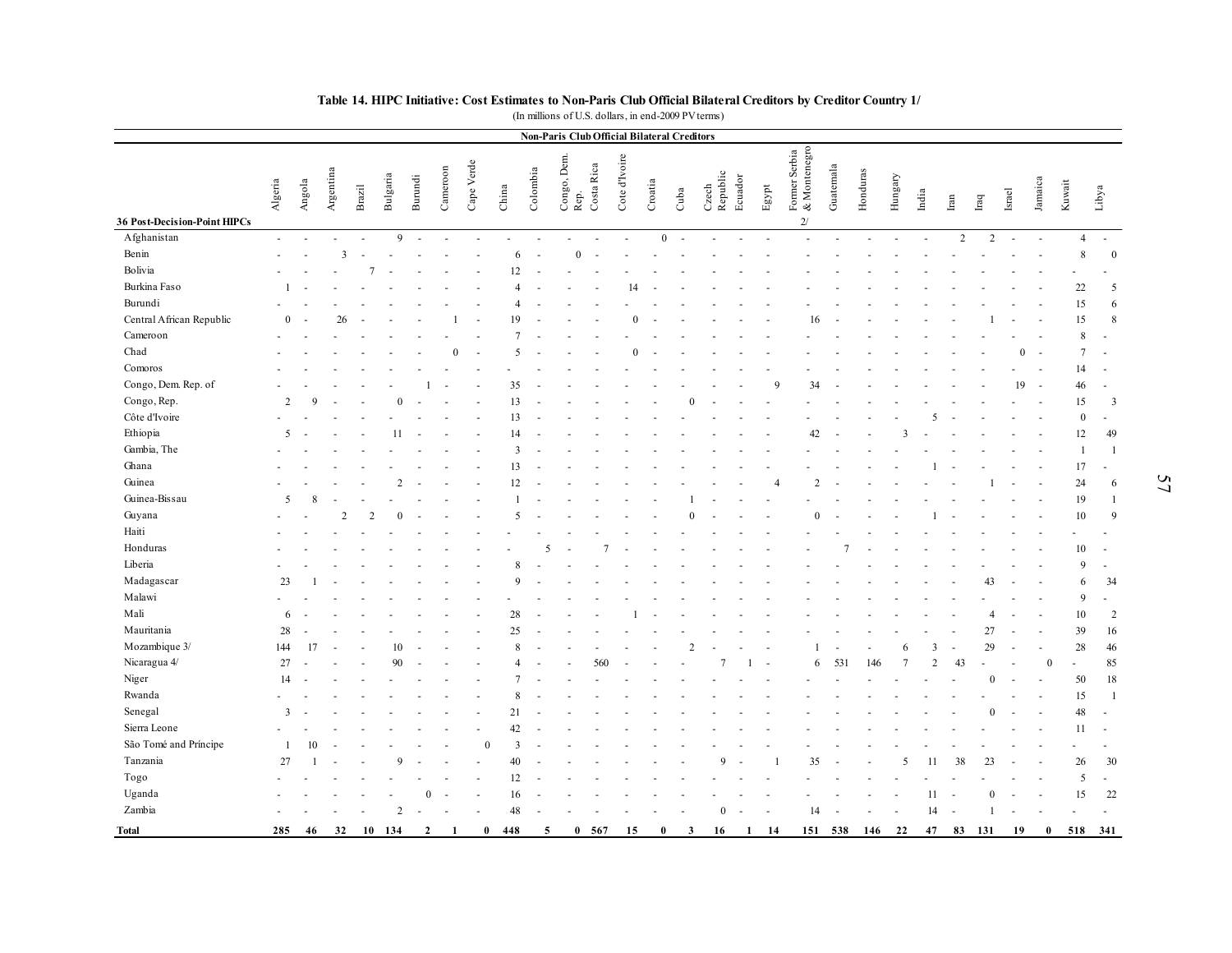|                                             |                          |               |                |        |                |                |          |                |       |                          |                     |            |               |                | <b>Non-Paris Club Official Bilateral Creditors</b> |                   |         |       |                               |           |          |               |                |               |                |              |          |                  |                |
|---------------------------------------------|--------------------------|---------------|----------------|--------|----------------|----------------|----------|----------------|-------|--------------------------|---------------------|------------|---------------|----------------|----------------------------------------------------|-------------------|---------|-------|-------------------------------|-----------|----------|---------------|----------------|---------------|----------------|--------------|----------|------------------|----------------|
|                                             | Algeria                  | Angola        | Argentina      | Brazil | Bulgaria       | <b>Burundi</b> | Cameroon | Cape Verde     | China | Colombia                 | Congo, Dem.<br>Rep. | Costa Rica | Cote d'Ivoire | Croatia        | Cuba                                               | Czech<br>Republic | Ecuador | Egypt | Former Serbia<br>& Montenegro | Guatemala | Honduras | Hungary       | India          | $_{\rm Iran}$ | $_{\rm Iraq}$  | <b>Israe</b> | Jamaica  | Kuwait           | Libya          |
| 36 Post-Decision-Point HIPCs<br>Afghanistan | $\sim$                   | ÷.            | $\sim$         | ÷.     | 9              | $\sim$         | ÷.       | $\overline{a}$ |       | $\overline{\phantom{a}}$ |                     |            |               | $\overline{0}$ |                                                    |                   |         |       | 2/                            |           |          |               |                | $\sqrt{2}$    | $\overline{c}$ | ÷.           |          | $\overline{4}$   | $\sim$         |
| Benin                                       |                          |               | $\overline{3}$ |        |                |                |          |                | 6     |                          | $\Omega$            |            |               |                |                                                    |                   |         |       |                               |           |          |               |                |               |                |              |          | 8                | $\bf{0}$       |
| Bolivia                                     |                          |               |                |        |                |                |          |                | 12    |                          |                     |            |               |                |                                                    |                   |         |       |                               |           |          |               |                |               |                |              |          |                  |                |
| Burkina Faso                                |                          |               |                |        |                |                |          |                |       |                          |                     |            | 14            |                |                                                    |                   |         |       |                               |           |          |               |                |               |                |              |          | 22               | 5              |
| Burundi                                     |                          |               |                |        |                |                |          |                |       |                          |                     |            |               |                |                                                    |                   |         |       |                               |           |          |               |                |               |                |              |          | 15               | 6              |
| Central African Republic                    | $\Omega$                 |               | 26             |        |                |                |          |                | ١q    |                          |                     |            |               |                |                                                    |                   |         |       | 16                            |           |          |               |                |               |                |              |          | 15               | $\,8\,$        |
| Cameroon                                    |                          |               |                |        |                |                |          |                |       |                          |                     |            |               |                |                                                    |                   |         |       |                               |           |          |               |                |               |                |              |          | 8                |                |
| Chad                                        |                          |               |                |        |                |                | $\Omega$ |                | 5     |                          |                     |            |               |                |                                                    |                   |         |       |                               |           |          |               |                |               |                | $\Omega$     |          | $\overline{7}$   | $\overline{a}$ |
| Comoros                                     |                          |               |                |        |                |                |          |                |       |                          |                     |            |               |                |                                                    |                   |         |       |                               |           |          |               |                |               |                |              |          | 14               | ÷.             |
| Congo, Dem. Rep. of                         |                          |               |                |        |                |                |          |                | 35    |                          |                     |            |               |                |                                                    |                   |         |       | 34                            |           |          |               |                |               |                | 19           |          | 46               | $\overline{a}$ |
| Congo, Rep.                                 | $\overline{c}$           | $\Omega$      |                |        | $\theta$       |                |          |                | 13    |                          |                     |            |               |                | $\Omega$                                           |                   |         |       |                               |           |          |               |                |               |                |              |          | 15               | 3              |
| Côte d'Ivoire                               |                          |               |                |        |                |                |          |                | 13    |                          |                     |            |               |                |                                                    |                   |         |       |                               |           |          |               |                |               |                |              |          | $\boldsymbol{0}$ | ÷,             |
| Ethiopia                                    | -5                       |               |                |        | 11             |                |          |                | 14    |                          |                     |            |               |                |                                                    |                   |         |       | 42                            |           |          | $\mathcal{R}$ |                |               |                |              |          | 12               | 49             |
| Gambia, The                                 |                          |               |                |        |                |                |          |                | 3     |                          |                     |            |               |                |                                                    |                   |         |       |                               |           |          |               |                |               |                |              |          | $\overline{1}$   | $\overline{1}$ |
| Ghana                                       |                          |               |                |        |                |                |          |                | 13    |                          |                     |            |               |                |                                                    |                   |         |       |                               |           |          |               |                |               |                |              |          | 17               | ÷,             |
| Guinea                                      |                          |               |                |        | $\mathcal{D}$  |                |          |                | 12    |                          |                     |            |               |                |                                                    |                   |         |       | $\overline{2}$                |           |          |               |                |               |                |              |          | 24               | 6              |
| Guinea-Bissau                               | $\overline{\phantom{0}}$ | $\mathcal{R}$ |                |        |                |                |          |                |       |                          |                     |            |               |                |                                                    |                   |         |       |                               |           |          |               |                |               |                |              |          | 19               | -1             |
| Guyana                                      |                          |               |                |        |                |                |          |                | 5     |                          |                     |            |               |                |                                                    |                   |         |       | $\theta$                      |           |          |               |                |               |                |              |          | 10               | 9              |
| Haiti                                       |                          |               |                |        |                |                |          |                |       |                          |                     |            |               |                |                                                    |                   |         |       |                               |           |          |               |                |               |                |              |          |                  |                |
| Honduras                                    |                          |               |                |        |                |                |          |                |       | -5                       |                     |            |               |                |                                                    |                   |         |       |                               |           |          |               |                |               |                |              |          | 10               |                |
| Liberia                                     |                          |               |                |        |                |                |          |                |       |                          |                     |            |               |                |                                                    |                   |         |       |                               |           |          |               |                |               |                |              |          | $\mathbf{Q}$     | $\sim$         |
| Madagascar                                  | 23                       |               |                |        |                |                |          |                | Q     |                          |                     |            |               |                |                                                    |                   |         |       |                               |           |          |               |                |               | 43             |              |          | 6                | 34             |
| Malawi                                      |                          |               |                |        |                |                |          |                |       |                          |                     |            |               |                |                                                    |                   |         |       |                               |           |          |               |                |               |                |              |          | 9                | $\sim$         |
| Mali                                        | 6                        |               |                |        |                |                |          |                | 28    |                          |                     |            |               |                |                                                    |                   |         |       |                               |           |          |               |                |               | $\overline{4}$ |              |          | 10               | 2              |
| Mauritania                                  | 28                       |               |                |        |                |                |          |                | 25    |                          |                     |            |               |                |                                                    |                   |         |       |                               |           |          |               |                |               | 27             |              |          | 39               | 16             |
| Mozambique 3/                               | 144                      | 17            |                |        | 10             |                |          |                | 8     |                          |                     |            |               |                |                                                    |                   |         |       | -1                            |           |          | 6             | 3              |               | 29             | ÷.           |          | 28               | 46             |
| Nicaragua 4/                                | 27                       |               |                |        | 90             |                |          |                | Δ     |                          |                     | 560        |               |                |                                                    |                   |         |       | 6                             | 531       | 146      |               | $\mathfrak{D}$ | 43            |                |              | $\Omega$ |                  | 85             |
| Niger                                       | 14                       |               |                |        |                |                |          |                |       |                          |                     |            |               |                |                                                    |                   |         |       |                               |           |          |               |                |               | $\theta$       |              |          | 50               | 18             |
| Rwanda                                      |                          |               |                |        |                |                |          |                |       |                          |                     |            |               |                |                                                    |                   |         |       |                               |           |          |               |                |               |                |              |          | 15               | $\overline{1}$ |
| Senegal                                     | 3                        |               |                |        |                |                |          |                | 21    |                          |                     |            |               |                |                                                    |                   |         |       |                               |           |          |               |                |               | $\Omega$       |              |          | 48               | ÷              |
| Sierra Leone                                |                          |               |                |        |                |                |          |                | 42    |                          |                     |            |               |                |                                                    |                   |         |       |                               |           |          |               |                |               |                |              |          | 11               | ÷.             |
| São Tomé and Príncipe                       | -1                       | 10            |                |        |                |                |          | $\Omega$       | 3     |                          |                     |            |               |                |                                                    |                   |         |       |                               |           |          |               |                |               |                |              |          |                  |                |
| Tanzania                                    | 27                       |               |                |        | $\Omega$       |                |          |                | 40    |                          |                     |            |               |                |                                                    | a                 |         |       | 35                            |           |          |               | 11             | 38            | 23             |              |          | 26               | 30             |
| Togo                                        |                          |               |                |        |                |                |          |                | 12    |                          |                     |            |               |                |                                                    |                   |         |       |                               |           |          |               |                |               |                |              |          | 5                | $\omega$       |
| Uganda                                      |                          |               |                |        |                | $\Omega$       |          |                | 16    |                          |                     |            |               |                |                                                    |                   |         |       |                               |           |          |               | 11             |               | $\theta$       |              |          | 15               | 22             |
| Zambia                                      |                          |               |                |        | $\overline{c}$ |                |          |                | 48    |                          |                     |            |               |                |                                                    | $\overline{0}$    |         |       | 14                            |           |          |               | 14             | $\sim$        | $\mathbf{1}$   |              |          |                  | ÷,             |
|                                             |                          |               |                |        |                |                |          |                |       |                          |                     |            |               |                |                                                    |                   |         |       |                               |           |          |               |                |               |                |              |          |                  |                |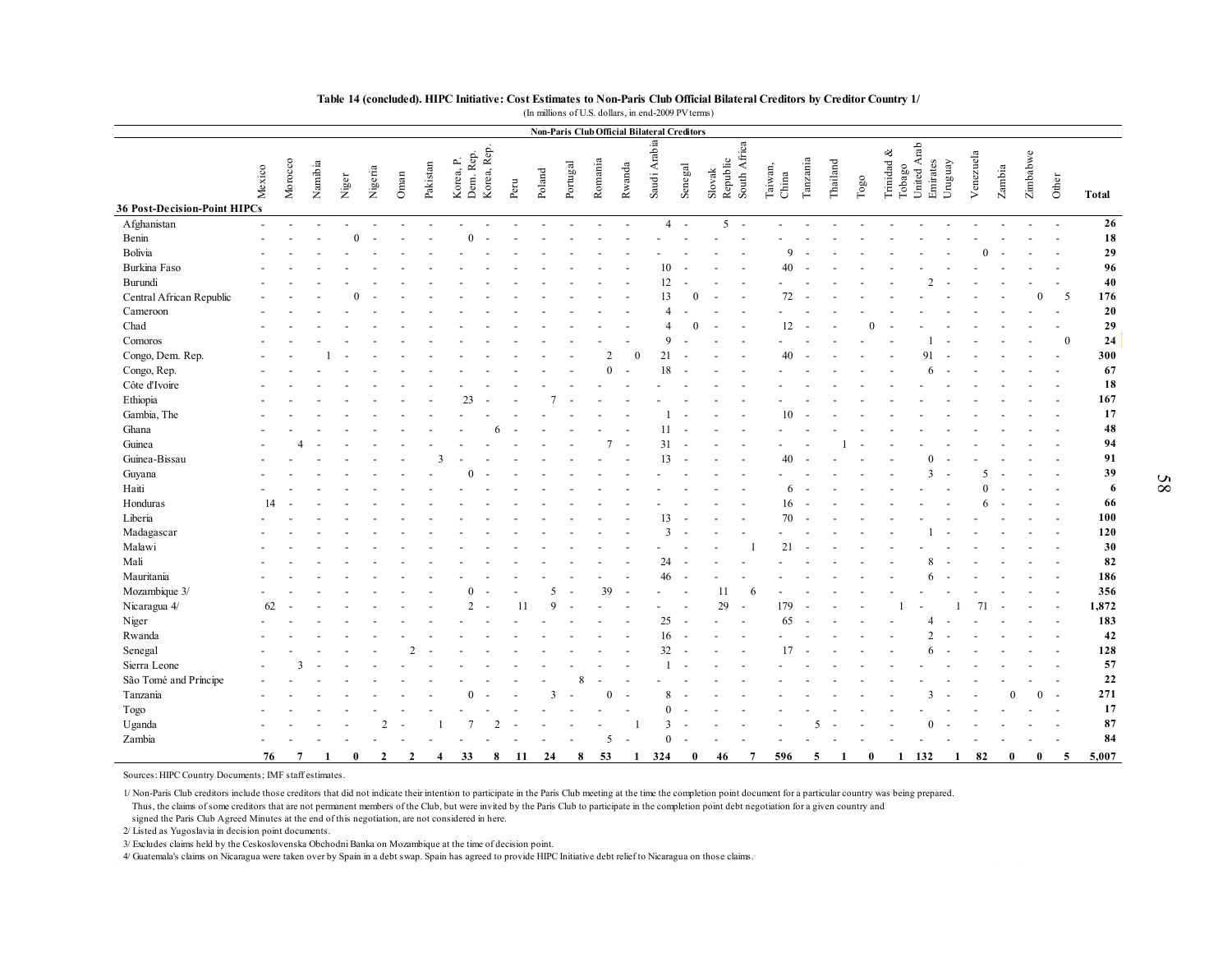|                                             |        |         |         |       |         |      |          |           |           |             |      |             |          |          |                          | <b>Non-Paris Club Official Bilateral Creditors</b> |                          |                          |                          |                  |                         |          |               |            |                       |                     |           |        |          |                |              |
|---------------------------------------------|--------|---------|---------|-------|---------|------|----------|-----------|-----------|-------------|------|-------------|----------|----------|--------------------------|----------------------------------------------------|--------------------------|--------------------------|--------------------------|------------------|-------------------------|----------|---------------|------------|-----------------------|---------------------|-----------|--------|----------|----------------|--------------|
|                                             | Mexico | Morocco | Namibia | Niger | Nigeria | Oman | Pakistan | Korea, P. | Dem. Rep. | Korea, Rep. | Peru | Poland      | Portugal | Romania  | Rwanda                   | Saudi Arabia                                       | Senegal                  | Slovak                   | Republic<br>South Africa | Taiwan,<br>China | $\label{eq:1}$ Tanzania | Thailand | $_{\rm Togo}$ | Trinidad & | Tobago<br>United Arab | Uruguay<br>Emirates | Venezuela | Zambia | Zimbabwe | Other          | <b>Total</b> |
| 36 Post-Decision-Point HIPCs<br>Afghanistan |        |         |         |       |         |      |          |           |           |             |      |             |          |          |                          | $\boldsymbol{\varDelta}$                           | $\overline{\phantom{a}}$ | $\overline{\phantom{0}}$ |                          |                  |                         |          |               |            |                       |                     |           |        |          |                | 26           |
|                                             |        |         |         |       |         |      |          |           |           |             |      |             |          |          |                          |                                                    |                          |                          |                          |                  |                         |          |               |            |                       |                     |           |        |          |                | 18           |
| Benin<br>Bolivia                            |        |         |         |       |         |      |          |           |           |             |      |             |          |          |                          |                                                    |                          |                          |                          |                  |                         |          |               |            |                       |                     |           |        |          |                | 29           |
|                                             |        |         |         |       |         |      |          |           |           |             |      |             |          |          |                          |                                                    |                          |                          |                          |                  |                         |          |               |            |                       |                     |           |        |          |                |              |
| Burkina Faso                                |        |         |         |       |         |      |          |           |           |             |      |             |          |          |                          | 10                                                 |                          |                          |                          | 40               |                         |          |               |            |                       |                     |           |        |          |                | 96           |
| Burundi                                     |        |         |         |       |         |      |          |           |           |             |      |             |          |          |                          | 12<br>13                                           |                          |                          |                          |                  |                         |          |               |            |                       |                     |           |        |          |                | 40           |
| Central African Republic                    |        |         |         |       |         |      |          |           |           |             |      |             |          |          |                          |                                                    |                          |                          |                          | 72               |                         |          |               |            |                       |                     |           |        |          | .5             | 176          |
| Cameroon                                    |        |         |         |       |         |      |          |           |           |             |      |             |          |          |                          | $\boldsymbol{\varDelta}$                           |                          |                          |                          |                  |                         |          |               |            |                       |                     |           |        |          |                | 20           |
| Chad                                        |        |         |         |       |         |      |          |           |           |             |      |             |          |          |                          | $\boldsymbol{\Lambda}$                             |                          |                          |                          | 12               |                         |          |               |            |                       |                     |           |        |          |                | 29           |
| Comoros                                     |        |         |         |       |         |      |          |           |           |             |      |             |          |          |                          | $\mathbf Q$                                        |                          |                          |                          |                  |                         |          |               |            |                       |                     |           |        |          | $\Omega$       | 24           |
| Congo, Dem. Rep.                            |        |         |         |       |         |      |          |           |           |             |      |             |          |          | $\Omega$                 | 21                                                 |                          |                          |                          | 40               |                         |          |               |            |                       |                     |           |        |          |                | 300          |
| Congo, Rep.                                 |        |         |         |       |         |      |          |           |           |             |      |             |          | $\Omega$ |                          | 18                                                 |                          |                          |                          |                  |                         |          |               |            |                       |                     |           |        |          |                | 67           |
| Côte d'Ivoire                               |        |         |         |       |         |      |          |           |           |             |      |             |          |          |                          |                                                    |                          |                          |                          |                  |                         |          |               |            |                       |                     |           |        |          |                | 18           |
| Ethiopia                                    |        |         |         |       |         |      |          |           | 23        |             |      |             |          |          |                          |                                                    |                          |                          |                          |                  |                         |          |               |            |                       |                     |           |        |          |                | 167          |
| Gambia, The                                 |        |         |         |       |         |      |          |           |           |             |      |             |          |          |                          |                                                    |                          |                          |                          | 10               |                         |          |               |            |                       |                     |           |        |          |                | 17           |
| Ghana                                       |        |         |         |       |         |      |          |           |           |             |      |             |          |          |                          | 11                                                 |                          |                          |                          |                  |                         |          |               |            |                       |                     |           |        |          |                | 48           |
| Guinea                                      |        |         |         |       |         |      |          |           |           |             |      |             |          |          |                          | 31                                                 |                          |                          |                          |                  |                         |          |               |            |                       |                     |           |        |          |                | 94           |
| Guinea-Bissau                               |        |         |         |       |         |      |          |           |           |             |      |             |          |          |                          | 13                                                 |                          |                          |                          | 40               |                         |          |               |            |                       |                     |           |        |          |                | 91           |
| Guyana                                      |        |         |         |       |         |      |          |           |           |             |      |             |          |          |                          |                                                    |                          |                          |                          |                  |                         |          |               |            |                       |                     |           |        |          |                | 39           |
| Haiti                                       |        |         |         |       |         |      |          |           |           |             |      |             |          |          |                          |                                                    |                          |                          |                          | 6                |                         |          |               |            |                       |                     |           |        |          |                | 6            |
| Honduras                                    | 14     |         |         |       |         |      |          |           |           |             |      |             |          |          |                          |                                                    |                          |                          |                          | 16               |                         |          |               |            |                       |                     |           |        |          |                | 66           |
| Liberia                                     |        |         |         |       |         |      |          |           |           |             |      |             |          |          |                          | 13                                                 |                          |                          |                          | 70               |                         |          |               |            |                       |                     |           |        |          |                | 100          |
| Madagascar                                  |        |         |         |       |         |      |          |           |           |             |      |             |          |          |                          | $\overline{3}$                                     |                          |                          |                          |                  |                         |          |               |            |                       |                     |           |        |          |                | 120          |
| Malawi                                      |        |         |         |       |         |      |          |           |           |             |      |             |          |          |                          |                                                    |                          |                          |                          | 2 <sup>1</sup>   |                         |          |               |            |                       |                     |           |        |          |                | 30           |
| Mali                                        |        |         |         |       |         |      |          |           |           |             |      |             |          |          |                          | 24                                                 |                          |                          |                          |                  |                         |          |               |            |                       |                     |           |        |          |                | 82           |
| Mauritania                                  |        |         |         |       |         |      |          |           |           |             |      |             |          |          |                          | 46                                                 |                          |                          |                          |                  |                         |          |               |            |                       |                     |           |        |          |                | 186          |
| Mozambique 3/                               |        |         |         |       |         |      |          |           |           |             |      | 5           |          | 39       | $\overline{\phantom{a}}$ |                                                    |                          | 11                       | -6                       |                  |                         |          |               |            |                       |                     |           |        |          |                | 356          |
| Nicaragua 4/                                | 62     |         |         |       |         |      |          |           | C         |             |      | $\mathbf Q$ |          |          |                          |                                                    |                          | 29                       |                          | 179              |                         |          |               |            |                       |                     |           |        |          |                | 1,872        |
| Niger                                       |        |         |         |       |         |      |          |           |           |             |      |             |          |          |                          | 25                                                 |                          |                          |                          | 65               |                         |          |               |            |                       |                     |           |        |          | $\overline{a}$ | 183          |
| Rwanda                                      |        |         |         |       |         |      |          |           |           |             |      |             |          |          |                          | 16                                                 |                          |                          |                          |                  |                         |          |               |            |                       |                     |           |        |          |                | 42           |
| Senegal                                     |        |         |         |       |         |      |          |           |           |             |      |             |          |          |                          | 32                                                 |                          |                          |                          | 17               |                         |          |               |            |                       |                     |           |        |          |                | 128          |
| Sierra Leone                                |        |         |         |       |         |      |          |           |           |             |      |             |          |          |                          |                                                    |                          |                          |                          |                  |                         |          |               |            |                       |                     |           |        |          |                | 57           |
| São Tomé and Príncipe                       |        |         |         |       |         |      |          |           |           |             |      |             | 8        |          |                          |                                                    |                          |                          |                          |                  |                         |          |               |            |                       |                     |           |        |          |                | 22           |
| Tanzania                                    |        |         |         |       |         |      |          |           |           |             |      | 3           |          | $\Omega$ |                          | $\mathbf{8}$                                       |                          |                          |                          |                  |                         |          |               |            |                       |                     |           | ∩      | $\Omega$ |                | 271          |
| Togo                                        |        |         |         |       |         |      |          |           |           |             |      |             |          |          |                          | $\Omega$                                           |                          |                          |                          |                  |                         |          |               |            |                       |                     |           |        |          |                | 17           |
| Uganda                                      |        |         |         |       |         |      |          |           |           |             |      |             |          |          |                          | $\mathcal{R}$                                      |                          |                          |                          |                  |                         |          |               |            |                       |                     |           |        |          |                | 87           |
| Zambia                                      |        |         |         |       |         |      |          |           |           |             |      |             |          | 5        | ÷.                       | $\Omega$                                           |                          |                          |                          |                  |                         |          |               |            |                       |                     |           |        |          |                | 84           |
|                                             |        |         |         |       |         |      |          |           |           |             |      |             |          |          |                          |                                                    |                          |                          |                          |                  |                         |          |               |            |                       |                     |           |        |          |                |              |

Sources: HIPC Country Documents; IMF staff estimates.

1/ Non-Paris Club creditors include those creditors that did not indicate their intention to participate in the Paris Club meeting at the time the completion point document for a particular country was being prepared. Thus, the claims of some creditors that are not permanent members of the Club, but were invited by the Paris Club to participate in the completion point debt negotiation for a given country and

signed the Paris Club Agreed Minutes at the end of this negotiation, are not considered in here.

2/ Listed as Yugoslavia in decision point documents.

3/ Excludes claims held by the Ceskoslovenska Obchodni Banka on Mozambique at the time of decision point.

4/ Guatemala's claims on Nicaragua were taken over by Spain in a debt swap. Spain has agreed to provide HIPC Initiative debt relief to Nicaragua on those claims.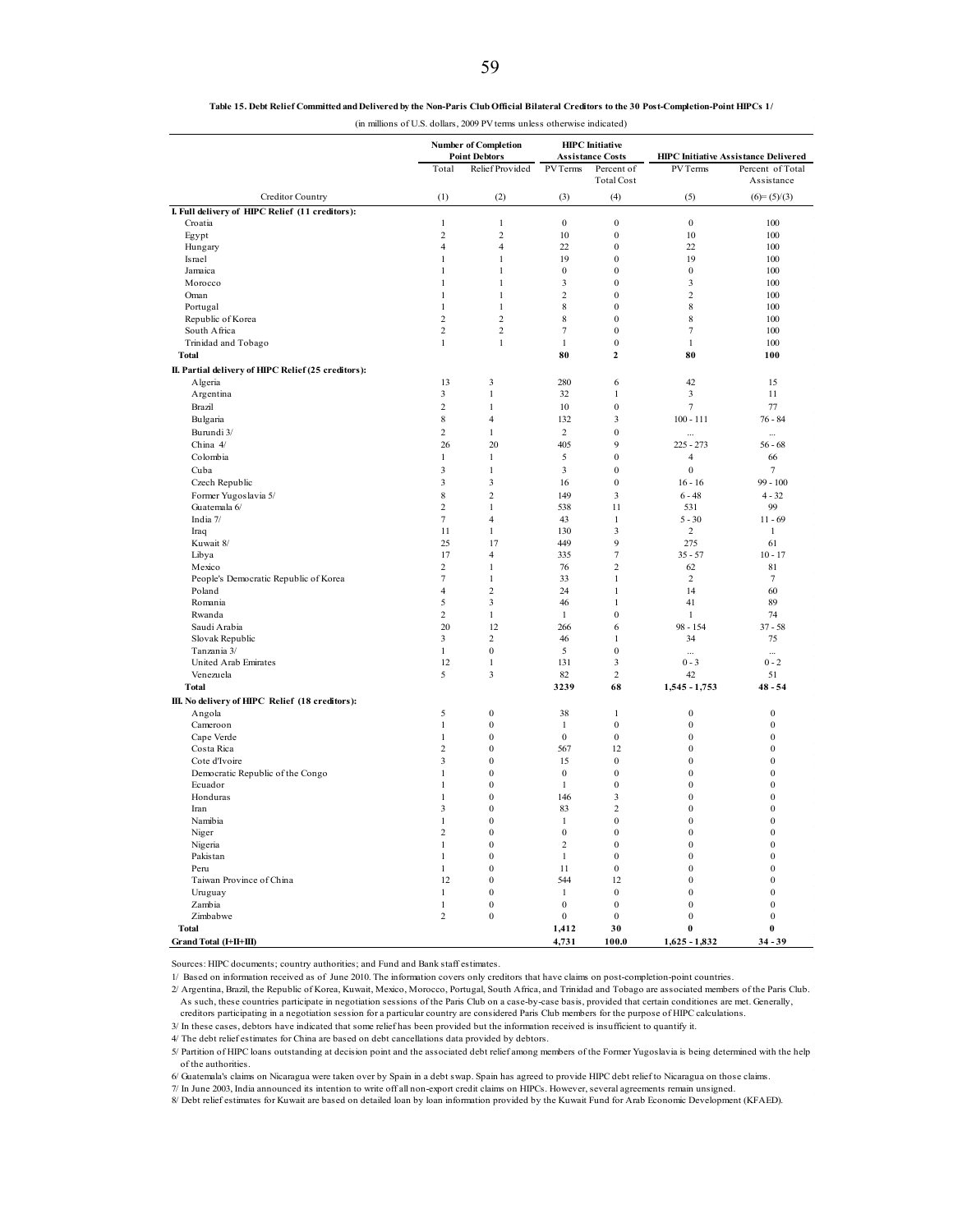**Table 15. Debt Relief Committed and Delivered by the Non-Paris Club Official Bilateral Creditors to the 30 Post-Completion-Point HIPCs 1/**

|  |  | (in millions of U.S. dollars, 2009 PV terms unless otherwise indicated) |
|--|--|-------------------------------------------------------------------------|
|--|--|-------------------------------------------------------------------------|

|                                                     | <b>Number of Completion</b><br><b>Point Debtors</b> |                      | <b>HIPC</b> Initiative<br><b>Assistance Costs</b> |                                  | <b>HIPC Initiative Assistance Delivered</b> |                  |
|-----------------------------------------------------|-----------------------------------------------------|----------------------|---------------------------------------------------|----------------------------------|---------------------------------------------|------------------|
|                                                     | Total                                               | Relief Provided      | <b>PVTerms</b>                                    | Percent of                       | PV Terms                                    | Percent of Total |
|                                                     |                                                     |                      |                                                   | <b>Total Cost</b>                |                                             | Assistance       |
| Creditor Country                                    | (1)                                                 | (2)                  | (3)                                               | (4)                              | (5)                                         | $(6)=(5)/(3)$    |
| I. Full delivery of HIPC Relief (11 creditors):     |                                                     |                      |                                                   |                                  |                                             |                  |
| Croatia                                             | $\mathbf{1}$                                        | $\mathbf{1}$         | $\boldsymbol{0}$                                  | $\boldsymbol{0}$                 | $\boldsymbol{0}$                            | 100              |
| Egypt                                               | $\overline{c}$                                      | $\overline{c}$       | 10                                                | $\mathbf{0}$                     | 10                                          | 100              |
| Hungary                                             | $\overline{4}$                                      | $\overline{4}$       | 22                                                | $\boldsymbol{0}$                 | 22                                          | 100              |
| Israel                                              | $\mathbf{1}$                                        | $\mathbf{1}$         | 19                                                | $\boldsymbol{0}$                 | 19                                          | 100              |
| Jamaica                                             | $\mathbf{1}$                                        | $\mathbf{1}$         | $\boldsymbol{0}$                                  | $\mathbf{0}$                     | $\boldsymbol{0}$                            | 100              |
| Morocco                                             | $\mathbf{1}$                                        | $\,1$                | $\overline{\mathbf{3}}$                           | $\mathbf{0}$                     | 3                                           | 100              |
| Oman                                                | $\mathbf{1}$                                        | $\mathbf{1}$         | $\overline{2}$                                    | $\mathbf{0}$                     | $\overline{2}$                              | 100              |
| Portugal                                            | $\mathbf{1}$                                        | $\mathbf{1}$         | $\,$ 8 $\,$                                       | $\mathbf{0}$                     | 8                                           | 100              |
| Republic of Korea                                   | $\overline{c}$                                      | $\overline{c}$       | 8                                                 | $\mathbf{0}$                     | 8                                           | 100              |
| South Africa                                        | $\overline{c}$                                      | $\mathfrak 2$        | $\tau$                                            | $\mathbf{0}$                     | $\overline{7}$                              | 100              |
| Trinidad and Tobago                                 | $\mathbf{1}$                                        | $\mathbf{1}$         | $\mathbf{1}$                                      | $\boldsymbol{0}$                 | $\mathbf{1}$                                | 100              |
| <b>Total</b>                                        |                                                     |                      | 80                                                | $\overline{2}$                   | 80                                          | 100              |
| II. Partial delivery of HIPC Relief (25 creditors): |                                                     |                      |                                                   |                                  |                                             |                  |
| Algeria                                             | 13                                                  | 3                    | 280                                               | 6                                | 42                                          | 15               |
| Argentina                                           | 3                                                   | 1                    | 32                                                | 1                                | 3                                           | 11               |
| Brazil                                              | $\overline{c}$                                      | $\mathbf{1}$         | 10                                                | $\mathbf{0}$                     | $\overline{7}$                              | 77               |
| Bulgaria                                            | 8                                                   | $\overline{4}$       | 132                                               | 3                                | $100 - 111$                                 | $76 - 84$        |
| Burundi 3/                                          | $\overline{c}$                                      | $\mathbf{1}$         | $\sqrt{2}$                                        | $\mathbf{0}$                     | $\cdots$                                    | $\cdots$         |
| China 4/                                            | 26                                                  | 20                   | 405                                               | $\overline{9}$                   | $225 - 273$                                 | $56 - 68$        |
| Colombia                                            | $\mathbf{1}$                                        | $\mathbf{1}$         | 5                                                 | $\boldsymbol{0}$                 | $\overline{4}$                              | 66               |
| Cuba                                                | 3                                                   | $\mathbf{1}$         | $\mathfrak{Z}$                                    | $\boldsymbol{0}$                 | $\boldsymbol{0}$                            | 7                |
| Czech Republic                                      | 3                                                   | 3                    | 16                                                | $\mathbf{0}$                     | $16 - 16$                                   | $99 - 100$       |
| Former Yugoslavia 5/                                | 8                                                   | $\overline{c}$       | 149                                               | 3                                | $6 - 48$                                    | $4 - 32$         |
| Guatemala 6/                                        | $\overline{c}$                                      | $\mathbf{1}$         | 538                                               | 11                               | 531                                         | 99               |
| India 7/                                            | $\tau$                                              | $\overline{4}$       | 43                                                | $\mathbf{1}$                     | $5 - 30$                                    | $11 - 69$        |
| Iraq                                                | 11                                                  | $\mathbf{1}$         | 130                                               | 3                                | $\overline{c}$                              | $\mathbf{1}$     |
| Kuwait 8/                                           | 25                                                  | 17                   | 449                                               | $\overline{9}$                   | 275                                         | 61               |
| Libya                                               | 17                                                  | $\overline{4}$       | 335                                               | $\overline{7}$                   | $35 - 57$                                   | $10 - 17$        |
| Mexico                                              | $\overline{2}$                                      | $\mathbf{1}$         | 76                                                | $\overline{2}$                   | 62                                          | 81               |
| People's Democratic Republic of Korea               | $\tau$                                              | $\mathbf{1}$         | 33                                                | $\mathbf{1}$                     | 2                                           | 7                |
| Poland                                              | $\overline{4}$                                      | $\overline{2}$       | 24                                                | $\mathbf{1}$                     | 14                                          | 60               |
| Romania                                             | 5                                                   | 3                    | 46                                                | $\mathbf{1}$                     | 41                                          | 89               |
| Rwanda                                              | $\mathbf{2}$                                        | $\,1$                | $\mathbf{1}$                                      | $\boldsymbol{0}$                 | $\mathbf{1}$                                | 74               |
| Saudi Arabia                                        | 20                                                  | 12<br>$\overline{c}$ | 266                                               | 6                                | $98 - 154$                                  | $37 - 58$        |
| Slovak Republic                                     | 3<br>$\mathbf{1}$                                   | $\boldsymbol{0}$     | 46<br>5                                           | $\mathbf{1}$<br>$\boldsymbol{0}$ | 34                                          | 75               |
| Tanzania 3/<br>United Arab Emirates                 | 12                                                  | $\mathbf{1}$         | 131                                               | $\mathfrak z$                    | <br>$0 - 3$                                 | <br>$0 - 2$      |
| Venezuela                                           | 5                                                   | 3                    | 82                                                | $\overline{2}$                   | 42                                          | 51               |
| <b>Total</b>                                        |                                                     |                      | 3239                                              | 68                               | 1,545 - 1,753                               | $48 - 54$        |
|                                                     |                                                     |                      |                                                   |                                  |                                             |                  |
| III. No delivery of HIPC Relief (18 creditors):     | 5                                                   | $\boldsymbol{0}$     | 38                                                |                                  | $\boldsymbol{0}$                            | $\boldsymbol{0}$ |
| Angola<br>Cameroon                                  | $\mathbf{1}$                                        | $\mathbf{0}$         | $\mathbf{1}$                                      | $\mathbf{1}$<br>$\mathbf{0}$     | $\boldsymbol{0}$                            | $\boldsymbol{0}$ |
| Cape Verde                                          | $\mathbf{1}$                                        | $\boldsymbol{0}$     | $\bf{0}$                                          | $\bf{0}$                         | $\boldsymbol{0}$                            | $\boldsymbol{0}$ |
| Costa Rica                                          | $\overline{c}$                                      | $\mathbf{0}$         | 567                                               | 12                               | $\theta$                                    | $\overline{0}$   |
| Cote d'Ivoire                                       | 3                                                   | $\boldsymbol{0}$     | 15                                                | $\boldsymbol{0}$                 | $\bf{0}$                                    | $\boldsymbol{0}$ |
| Democratic Republic of the Congo                    | $\mathbf{1}$                                        | $\mathbf{0}$         | $\mathbf{0}$                                      | $\mathbf{0}$                     | $\mathbf{0}$                                | $\mathbf{0}$     |
| Ecuador                                             | $\mathbf{1}$                                        | $\mathbf{0}$         | $\mathbf{1}$                                      | $\mathbf{0}$                     | $\mathbf{0}$                                | $\mathbf{0}$     |
| Honduras                                            | $\,1\,$                                             | $\boldsymbol{0}$     | 146                                               | 3                                | $\mathbf{0}$                                | $\mathbf{0}$     |
| Iran                                                | 3                                                   | $\mathbf{0}$         | 83                                                | $\overline{c}$                   | $\mathbf{0}$                                | $\mathbf{0}$     |
| Namibia                                             | $\,1\,$                                             | $\boldsymbol{0}$     | $\mathbf{1}$                                      | $\boldsymbol{0}$                 | $\Omega$                                    | $\boldsymbol{0}$ |
| Niger                                               | $\overline{c}$                                      | $\boldsymbol{0}$     | $\boldsymbol{0}$                                  | $\boldsymbol{0}$                 | $\bf{0}$                                    | $\boldsymbol{0}$ |
| Nigeria                                             | $\mathbf{1}$                                        | $\theta$             | $\overline{2}$                                    | $\Omega$                         | $\Omega$                                    | $\theta$         |
| Pakistan                                            | $\mathbf{1}$                                        | $\boldsymbol{0}$     | $\mathbf{1}$                                      | $\bf{0}$                         | $\boldsymbol{0}$                            | $\boldsymbol{0}$ |
| Peru                                                | $\mathbf{1}$                                        | $\mathbf{0}$         | 11                                                | $\mathbf{0}$                     | $\mathbf{0}$                                | $\mathbf{0}$     |
| Taiwan Province of China                            | 12                                                  | $\boldsymbol{0}$     | 544                                               | 12                               | $\mathbf{0}$                                | $\boldsymbol{0}$ |
| Uruguay                                             | $\mathbf{1}$                                        | $\boldsymbol{0}$     | $\mathbf{1}$                                      | $\boldsymbol{0}$                 | $\overline{0}$                              | $\mathbf{0}$     |
| Zambia                                              | $\,1\,$                                             | $\mathbf{0}$         | $\mathbf{0}$                                      | $\mathbf{0}$                     | $\mathbf{0}$                                | $\mathbf{0}$     |
| Zimbabwe                                            | $\overline{c}$                                      | $\boldsymbol{0}$     | $\boldsymbol{0}$                                  | $\boldsymbol{0}$                 | $\boldsymbol{0}$                            | $\boldsymbol{0}$ |
| <b>Total</b>                                        |                                                     |                      | 1,412                                             | 30                               | $\bf{0}$                                    | $\bf{0}$         |
| Grand Total (I+II+III)                              |                                                     |                      | 4,731                                             | 100.0                            | $1,625 - 1,832$                             | $34 - 39$        |

Sources: HIPC documents; country authorities; and Fund and Bank staff estimates.

1/ Based on information received as of June 2010. The information covers only creditors that have claims on post-completion-point countries.

2/ Argentina, Brazil, the Republic of Korea, Kuwait, Mexico, Morocco, Portugal, South Africa, and Trinidad and Tobago are associated members of the Paris Club. As such, these countries participate in negotiation sessions of the Paris Club on a case-by-case basis, provided that certain conditiones are met. Generally, creditors participating in a negotiation session for a particular country are considered Paris Club members for the purpose of HIPC calculations.

3/ In these cases, debtors have indicated that some relief has been provided but the information received is insufficient to quantify it.

4/ The debt relief estimates for China are based on debt cancellations data provided by debtors.

5/ Partition of HIPC loans outstanding at decision point and the associated debt relief among members of the Former Yugoslavia is being determined with the help of the authorities.

6/ Guatemala's claims on Nicaragua were taken over by Spain in a debt swap. Spain has agreed to provide HIPC debt relief to Nicaragua on those claims.<br>7/ In June 2003, India announced its intention to write off all non-exp

8/ Debt relief estimates for Kuwait are based on detailed loan by loan information provided by the Kuwait Fund for Arab Economic Development (KFAED).